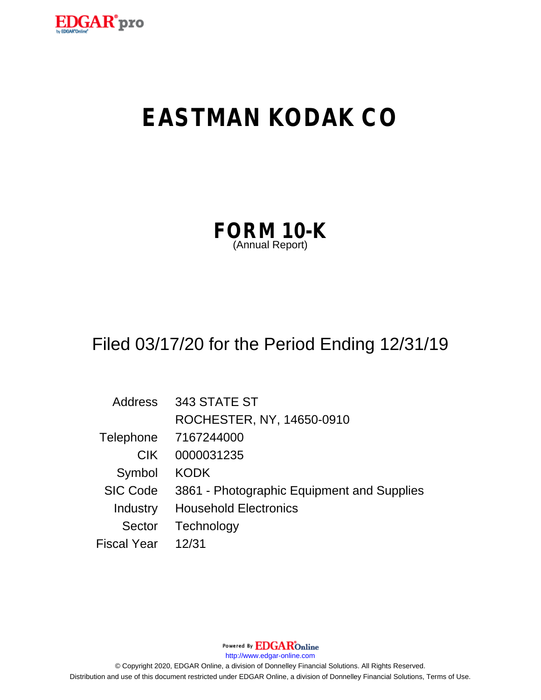

# **EASTMAN KODAK CO**

| FORM 10-K       |  |  |
|-----------------|--|--|
| (Annual Report) |  |  |

## Filed 03/17/20 for the Period Ending 12/31/19

| <b>Address</b>     | 343 STATE ST                               |
|--------------------|--------------------------------------------|
|                    | ROCHESTER, NY, 14650-0910                  |
| Telephone          | 7167244000                                 |
| CIK.               | 0000031235                                 |
| Symbol             | <b>KODK</b>                                |
| <b>SIC Code</b>    | 3861 - Photographic Equipment and Supplies |
| Industry           | <b>Household Electronics</b>               |
| Sector             | Technology                                 |
| <b>Fiscal Year</b> | 12/31                                      |

Powered By **EDGAR**Online http://www.edgar-online.com © Copyright 2020, EDGAR Online, a division of Donnelley Financial Solutions. All Rights Reserved. Distribution and use of this document restricted under EDGAR Online, a division of Donnelley Financial Solutions, Terms of Use.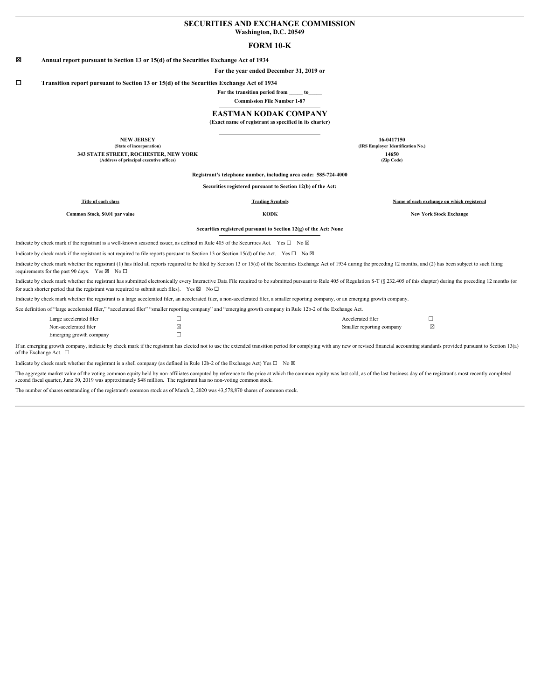#### **SECURITIES AND EXCHANGE COMMISSION Washington, D.C. 20549**

## **FORM 10-K**

#### ☒ **Annual report pursuant to Section 13 or 15(d) of the Securities Exchange Act of 1934**

**For the year ended December 31, 2019 or**

☐ **Transition report pursuant to Section 13 or 15(d) of the Securities Exchange Act of 1934**

**For the transition period from \_\_\_\_\_ to\_\_\_\_\_**

**Commission File Number 1-87**

#### **EASTMAN KODAK COMPANY**

**(Exact name of registrant as specified in its charter)**

**NEW JERSEY 16-0417150 (State of incorporation) (IRS Employer Identification No.) 343 STATE STREET, ROCHESTER, NEW YORK 14650 (Address of principal executive offices) (Zip Code)**

**Registrant's telephone number, including area code: 585-724-4000**

**Securities registered pursuant to Section 12(b) of the Act:**

**Title of each class Trading Symbols Name of each exchange on which registered**

**Common Stock, \$0.01 par value KODK New York Stock Exchange**

**Securities registered pursuant to Section 12(g) of the Act: None**

Indicate by check mark if the registrant is a well-known seasoned issuer, as defined in Rule 405 of the Securities Act. Yes ☐ No ☒

Indicate by check mark if the registrant is not required to file reports pursuant to Section 13 or Section 15(d) of the Act. Yes  $\Box$  No  $\boxtimes$ 

Indicate by check mark whether the registrant (1) has filed all reports required to be filed by Section 13 or 15(d) of the Securities Exchange Act of 1934 during the preceding 12 months, and (2) has been subject to such fi requirements for the past 90 days. Yes  $\boxtimes$  No  $\Box$ 

Indicate by check mark whether the registrant has submitted electronically every Interactive Data File required to be submitted pursuant to Rule 405 of Regulation S-T (§ 232.405 of this chapter) during the preceding 12 mon for such shorter period that the registrant was required to submit such files). Yes  $\boxtimes$  No  $\Box$ 

Indicate by check mark whether the registrant is a large accelerated filer, an accelerated filer, a non-accelerated filer, a smaller reporting company, or an emerging growth company.

See definition of "large accelerated filer," "accelerated filer" "smaller reporting company" and "emerging growth company in Rule 12b-2 of the Exchange Act.

| Large accelerated filer | ــ | Accelerated filer         |  |
|-------------------------|----|---------------------------|--|
| Non-accelerated filer   |    | Smaller reporting company |  |
| Emerging growth company |    |                           |  |

If an emerging growth company, indicate by check mark if the registrant has elected not to use the extended transition period for complying with any new or revised financial accounting standards provided pursuant to Sectio of the Exchange Act.  $\quad \Box$ 

Indicate by check mark whether the registrant is a shell company (as defined in Rule 12b-2 of the Exchange Act) Yes  $\Box$  No  $\boxtimes$ 

The aggregate market value of the voting common equity held by non-affiliates computed by reference to the price at which the common equity was last sold, as of the last business day of the registrant's most recently compl second fiscal quarter, June 30, 2019 was approximately \$48 million. The registrant has no non-voting common stock.

The number of shares outstanding of the registrant's common stock as of March 2, 2020 was 43,578,870 shares of common stock.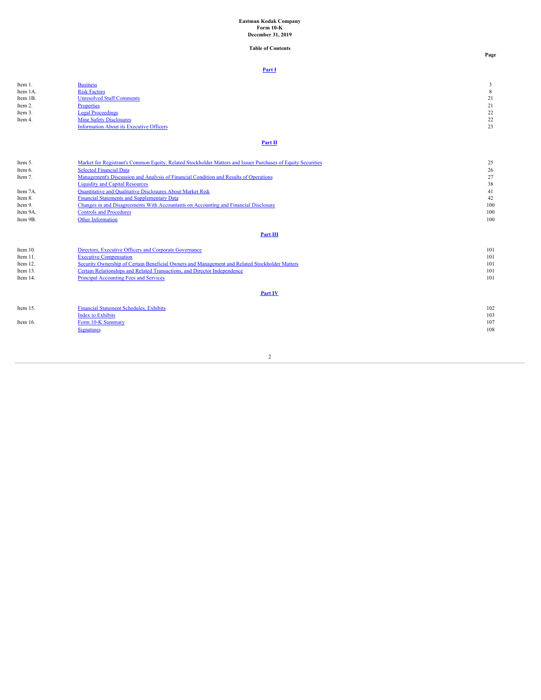## **Eastman Kodak Company Form 10-K December 31, 2019**

**Table of Contents**

**Page**

### **[Part I](#page-3-0)**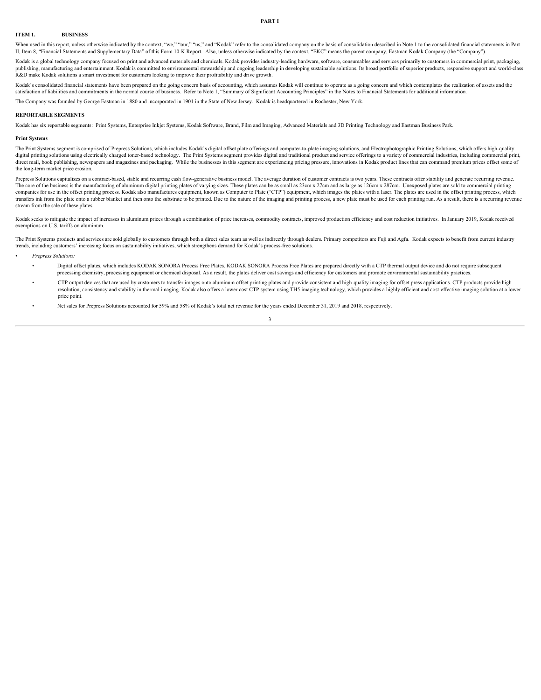#### <span id="page-3-1"></span><span id="page-3-0"></span>**ITEM 1. BUSINESS**

When used in this report, unless otherwise indicated by the context, "we," "our," "us," and "Kodak" refer to the consolidated company on the basis of consolidation described in Note 1 to the consolidated financial statemen II, Item 8, "Financial Statements and Supplementary Data" of this Form 10-K Report. Also, unless otherwise indicated by the context, "EKC" means the parent company, Eastman Kodak Company (the "Company").

Kodak is a global technology company focused on print and advanced materials and chemicals. Kodak provides industry-leading hardware, software, consumables and services primarily to customers in commercial print, packaging, publishing, manufacturing and entertainment. Kodak is committed to environmental stewardship and ongoing leadership in developing sustainable solutions. Its broad portfolio of superior products, responsive support and worl R&D make Kodak solutions a smart investment for customers looking to improve their profitability and drive growth.

Kodak's consolidated financial statements have been prepared on the going concern basis of accounting, which assumes Kodak will continue to operate as a going concern and which contemplates the realization of assets and the satisfaction of liabilities and commitments in the normal course of business. Refer to Note 1, "Summary of Significant Accounting Principles" in the Notes to Financial Statements for additional information.

The Company was founded by George Eastman in 1880 and incorporated in 1901 in the State of New Jersey. Kodak is headquartered in Rochester, New York.

#### **REPORTABLE SEGMENTS**

Kodak has six reportable segments: Print Systems, Enterprise Inkjet Systems, Kodak Software, Brand, Film and Imaging, Advanced Materials and 3D Printing Technology and Eastman Business Park.

#### **Print Systems**

The Print Systems segment is comprised of Prepress Solutions, which includes Kodak's digital offset plate offerings and computer-to-plate imaging solutions, and Electrophotographic Printing Solutions, which offers high-qua digital printing solutions using electrically charged toner-based technology. The Print Systems segment provides digital and traditional product and service offerings to a variety of commercial industries, including commer the long-term market price erosion.

Prepress Solutions capitalizes on a contract-based, stable and recurring cash flow-generative business model. The average duration of customer contracts is two years. These contracts offer stability and generate recurring The core of the business is the manufacturing of aluminum digital printing plates of varying sizes. These plates can be as small as 23cm x 27cm and as large as 126cm x 287cm. Unexposed plates are sold to commercial printin companies for use in the offset printing process. Kodak also manufactures equipment, known as Computer to Plate ("CTP") equipment, which images the plates with a laser. The plates are used in the offset printing process, w transfers ink from the plate onto a rubber blanket and then onto the substrate to be printed. Due to the nature of the imaging and printing process, a new plate must be used for each printing run. As a result, there is a r stream from the sale of these plates.

Kodak seeks to mitigate the impact of increases in aluminum prices through a combination of price increases, commodity contracts, improved production efficiency and cost reduction initiatives. In January 2019, Kodak received exemptions on U.S. tariffs on aluminum.

The Print Systems products and services are sold globally to customers through both a direct sales team as well as indirectly through dealers. Primary competitors are Fuji and Agfa Kodak expects to benefit from current ind trends, including customers' increasing focus on sustainability initiatives, which strengthens demand for Kodak's process-free solutions. • *Prepress Solutions:*

- - Digital offset plates, which includes KODAK SONORA Process Free Plates. KODAK SONORA Process Free Plates are prepared directly with a CTP thermal output device and do not require subsequent processing chemistry, processing equipment or chemical disposal. As a result, the plates deliver cost savings and efficiency for customers and promote environmental sustainability practices.
	- CTP output devices that are used by customers to transfer images onto aluminum offset printing plates and provide consistent and high-quality imaging for offset press applications. CTP products provide high resolution, consistency and stability in thermal imaging. Kodak also offers a lower cost CTP system using TH5 imaging technology, which provides a highly efficient and cost-effective imaging solution at a lower price point.
	- Net sales for Prepress Solutions accounted for 59% and 58% of Kodak's total net revenue for the years ended December 31, 2019 and 2018, respectively.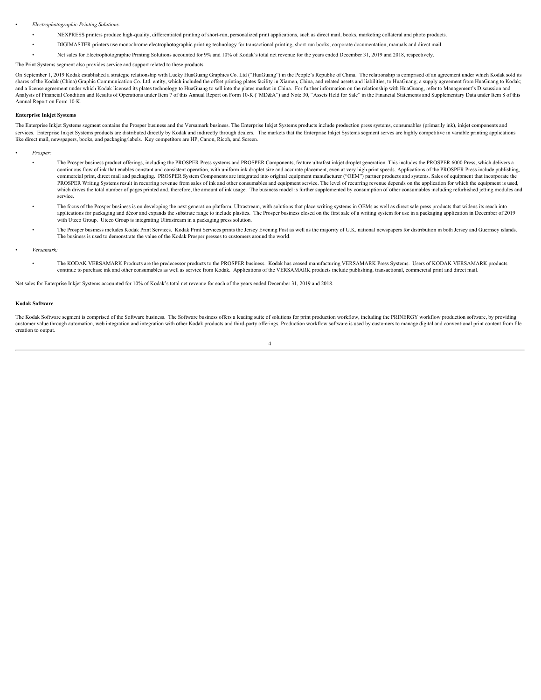#### • *Electrophotographic Printing Solutions:*

- NEXPRESS printers produce high-quality, differentiated printing of short-run, personalized print applications, such as direct mail, books, marketing collateral and photo products.
- DIGIMASTER printers use monochrome electrophotographic printing technology for transactional printing, short-run books, corporate documentation, manuals and direct mail.
- Net sales for Electrophotographic Printing Solutions accounted for 9% and 10% of Kodak's total net revenue for the years ended December 31, 2019 and 2018, respectively.

#### The Print Systems segment also provides service and support related to these products.

On September 1, 2019 Kodak established a strategic relationship with Lucky HuaGuang Graphics Co. Ltd ("HuaGuang") in the People's Republic of China. The relationship is comprised of an agreement under which Kodak sold its shares of the Kodak (China) Graphic Communication Co. Ltd. entity, which included the offset printing plates facility in Xiamen, China, and related assets and liabilities, to HuaGuang; a supply agreement from HuaGuang to K and a license agreement under which Kodak licensed its plates technology to HuaGuang to sell into the plates market in China. For further information on the relationship with HuaGuang, refer to Management's Discussion and Analysis of Financial Condition and Results of Operations under Item 7 of this Annual Report on Form 10-K ("MD&A") and Note 30, "Assets Held for Sale" in the Financial Statements and Supplementary Data under Item 8 of this Annual Report on Form 10-K.

#### **Enterprise Inkjet Systems**

The Enterprise Inkjet Systems segment contains the Prosper business and the Versamark business. The Enterprise Inkjet Systems products include production press systems, consumables (primarily ink), inkjet components and services. Enterprise Inkjet Systems products are distributed directly by Kodak and indirectly through dealers. The markets that the Enterprise Inkjet Systems segment serves are highly competitive in variable printing appli like direct mail, newspapers, books, and packaging/labels. Key competitors are HP, Canon, Ricoh, and Screen.

- *Prosper:*
	- The Prosper business product offerings, including the PROSPER Press systems and PROSPER Components, feature ultrafast inkjet droplet generation. This includes the PROSPER 6000 Press, which delivers a continuous flow of ink that enables constant and consistent operation, with uniform ink droplet size and accurate placement, even at very high print speeds. Applications of the PROSPER Press include publishing, commercial print, direct mail and packaging. PROSPER System Components are integrated into original equipment manufacturer ("OEM") partner products and systems. Sales of equipment that incorporate the PROSPER Writing Systems result in recurring revenue from sales of ink and other consumables and equipment service. The level of recurring revenue depends on the application for which the equipment is used, which drives the total number of pages printed and, therefore, the amount of ink usage. The business model is further supplemented by consumption of other consumables including refurbished jetting modules and service.
	- The focus of the Prosper business is on developing the next generation platform, Ultrastream, with solutions that place writing systems in OEMs as well as direct sale press products that widens its reach into applications for packaging and décor and expands the substrate range to include plastics. The Prosper business closed on the first sale of a writing system for use in a packaging application in December of 2019 with Uteco Group. Uteco Group is integrating Ultrastream in a packaging press solution.
	- The Prosper business includes Kodak Print Services. Kodak Print Services prints the Jersey Evening Post as well as the majority of U.K. national newspapers for distribution in both Jersey and Guernsey islands. The business is used to demonstrate the value of the Kodak Prosper presses to customers around the world.

#### • *Versamark:*

• The KODAK VERSAMARK Products are the predecessor products to the PROSPER business. Kodak has ceased manufacturing VERSAMARK Press Systems. Users of KODAK VERSAMARK products continue to purchase ink and other consumables as well as service from Kodak. Applications of the VERSAMARK products include publishing, transactional, commercial print and direct mail.

Net sales for Enterprise Inkjet Systems accounted for 10% of Kodak's total net revenue for each of the years ended December 31, 2019 and 2018.

#### **Kodak Software**

The Kodak Software segment is comprised of the Software business. The Software business offers a leading suite of solutions for print production workflow, including the PRINERGY workflow production software, by providing customer value through automation, web integration and integration with other Kodak products and third-party offerings. Production workflow software is used by customers to manage digital and conventional print content fro creation to output.

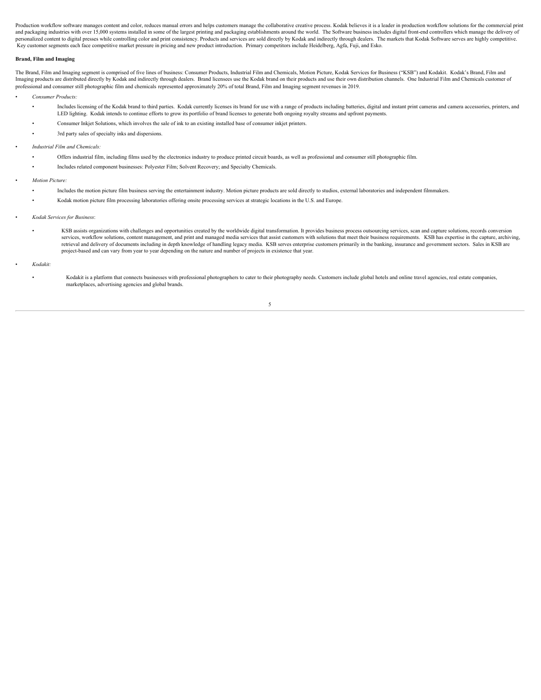Production workflow software manages content and color, reduces manual errors and helps customers manage the collaborative creative process. Kodak believes it is a leader in production workflow solutions for the commercial and packaging industries with over 15,000 systems installed in some of the largest printing and packaging establishments around the world. The Software business includes digital front-end controllers which manage the deliv personalized content to digital presses while controlling color and print consistency. Products and services are sold directly by Kodak and indirectly through dealers. The markets that Kodak Software serves are highly comp Key customer segments each face competitive market pressure in pricing and new product introduction. Primary competitors include Heidelberg, Agfa, Fuji, and Esko.

#### **Brand, Film and Imaging**

The Brand, Film and Imaging segment is comprised of five lines of business: Consumer Products, Industrial Film and Chemicals, Motion Picture, Kodak Services for Business ("KSB") and Kodakit. Kodak's Brand, Film and Imaging products are distributed directly by Kodak and indirectly through dealers. Brand licensees use the Kodak brand on their products and use their own distribution channels. One Industrial Film and Chemicals customer o professional and consumer still photographic film and chemicals represented approximately 20% of total Brand, Film and Imaging segment revenues in 2019.

- *Consumer Products:*
	- Includes licensing of the Kodak brand to third parties. Kodak currently licenses its brand for use with a range of products including batteries, digital and instant print cameras and camera accessories, printers, and LED lighting. Kodak intends to continue efforts to grow its portfolio of brand licenses to generate both ongoing royalty streams and upfront payments.
	- Consumer Inkjet Solutions, which involves the sale of ink to an existing installed base of consumer inkjet printers.
	- 3rd party sales of specialty inks and dispersions.
- *Industrial Film and Chemicals:*
	- Offers industrial film, including films used by the electronics industry to produce printed circuit boards, as well as professional and consumer still photographic film.
	- Includes related component businesses: Polyester Film; Solvent Recovery; and Specialty Chemicals.
- *Motion Picture:*
	- Includes the motion picture film business serving the entertainment industry. Motion picture products are sold directly to studios, external laboratories and independent filmmakers.
	- Kodak motion picture film processing laboratories offering onsite processing services at strategic locations in the U.S. and Europe.
- *Kodak Services for Business*:
	- KSB assists organizations with challenges and opportunities created by the worldwide digital transformation. It provides business process outsourcing services, scan and capture solutions, records conversion services, workflow solutions, content management, and print and managed media services that assist customers with solutions that meet their business requirements. KSB has expertise in the capture, archiving, retrieval and delivery of documents including in depth knowledge of handling legacy media. KSB serves enterprise customers primarily in the banking, insurance and government sectors. Sales in KSB are project-based and can vary from year to year depending on the nature and number of projects in existence that year.
- *Kodakit:*
	- Kodakit is a platform that connects businesses with professional photographers to cater to their photography needs. Customers include global hotels and online travel agencies, real estate companies, marketplaces, advertising agencies and global brands.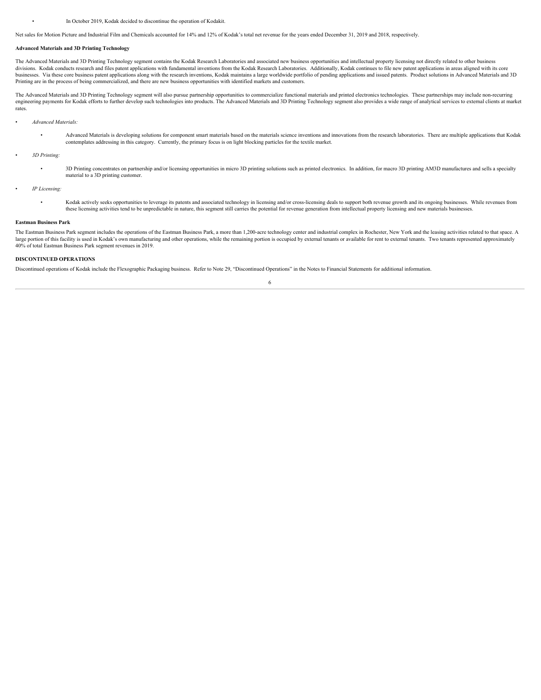Net sales for Motion Picture and Industrial Film and Chemicals accounted for 14% and 12% of Kodak's total net revenue for the years ended December 31, 2019 and 2018, respectively.

#### **Advanced Materials and 3D Printing Technology**

The Advanced Materials and 3D Printing Technology segment contains the Kodak Research Laboratories and associated new business opportunities and intellectual property licensing not directly related to other business divisions. Kodak conducts research and files patent applications with fundamental inventions from the Kodak Research Laboratories. Additionally, Kodak continues to file new patent applications in areas aligned with its core businesses. Via these core business patent applications along with the research inventions, Kodak maintains a large worldwide portfolio of pending applications and issued patents. Product solutions in Advanced Materials an Printing are in the process of being commercialized, and there are new business opportunities with identified markets and customers.

The Advanced Materials and 3D Printing Technology segment will also pursue partnership opportunities to commercialize functional materials and printed electronics technologies. These partnerships may include non-recurring engineering payments for Kodak efforts to further develop such technologies into products. The Advanced Materials and 3D Printing Technology segment also provides a wide range of analytical services to external clients at rates.

- *Advanced Materials:*
	- Advanced Materials is developing solutions for component smart materials based on the materials science inventions and innovations from the research laboratories. There are multiple applications that Kodak contemplates addressing in this category. Currently, the primary focus is on light blocking particles for the textile market.
- *3D Printing:*
	- 3D Printing concentrates on partnership and/or licensing opportunities in micro 3D printing solutions such as printed electronics. In addition, for macro 3D printing AM3D manufactures and sells a specialty material to a 3D printing customer.
- *IP Licensing:*
	- Kodak actively seeks opportunities to leverage its patents and associated technology in licensing and/or cross-licensing deals to support both revenue growth and its ongoing businesses. While revenues from these licensing activities tend to be unpredictable in nature, this segment still carries the potential for revenue generation from intellectual property licensing and new materials businesses.

#### **Eastman Business Park**

The Eastman Business Park segment includes the operations of the Eastman Business Park, a more than 1,200-acre technology center and industrial complex in Rochester, New York and the leasing activities related to that spac large portion of this facility is used in Kodak's own manufacturing and other operations, while the remaining portion is occupied by external tenants or available for rent to external tenants. Two tenants represented appro 40% of total Eastman Business Park segment revenues in 2019.

6

#### **DISCONTINUED OPERATIONS**

Discontinued operations of Kodak include the Flexographic Packaging business. Refer to Note 29, "Discontinued Operations" in the Notes to Financial Statements for additional information.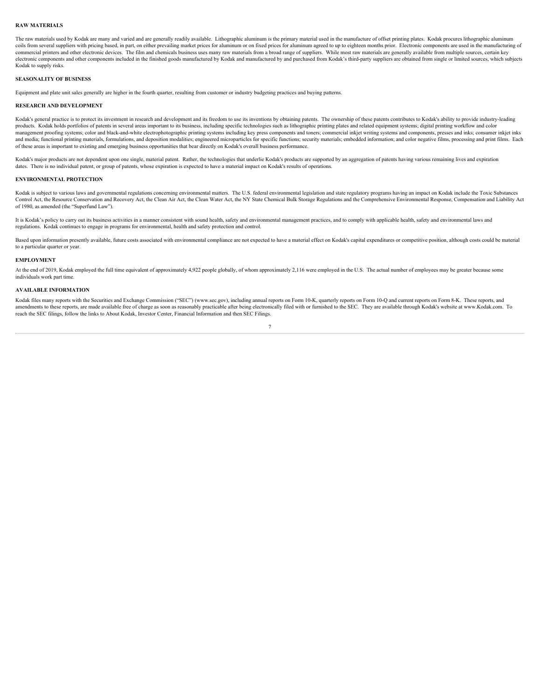#### **RAW MATERIALS**

The raw materials used by Kodak are many and varied and are generally readily available. Lithographic aluminum is the primary material used in the manufacture of offset printing plates. Kodak procures lithographic aluminum coils from several suppliers with pricing based, in part, on either prevailing market prices for aluminum or on fixed prices for aluminum agreed to up to eighteen months prior. Electronic components are used in the manufac commercial printers and other electronic devices. The film and chemicals business uses many raw materials from a broad range of suppliers. While most raw materials are generally available from multiple sources, certain key electronic components and other components included in the finished goods manufactured by Kodak and manufactured by and purchased from Kodak's third-party suppliers are obtained from single or limited sources, which subjects Kodak to supply risks.

#### **SEASONALITY OF BUSINESS**

Equipment and plate unit sales generally are higher in the fourth quarter, resulting from customer or industry budgeting practices and buying patterns.

#### **RESEARCH AND DEVELOPMENT**

Kodak's general practice is to protect its investment in research and development and its freedom to use its inventions by obtaining patents. The ownership of these patents contributes to Kodak's ability to provide industr products. Kodak holds portfolios of patents in several areas important to its business, including specific technologies such as lithographic printing plates and related equipment systems; digital printing workflow and color management proofing systems; color and black-and-white electrophotographic printing systems including key press components and toners; commercial inkjet writing systems and components, presses and inks; consumer inkjet inks and media; functional printing materials, formulations, and deposition modalities; engineered microparticles for specific functions; security materials; embedded information; and color negative films, processing and print of these areas is important to existing and emerging business opportunities that bear directly on Kodak's overall business performance.

Kodak's major products are not dependent upon one single, material patent. Rather, the technologies that underlie Kodak's products are supported by an aggregation of patents having various remaining lives and expiration dates. There is no individual patent, or group of patents, whose expiration is expected to have a material impact on Kodak's results of operations.

#### **ENVIRONMENTAL PROTECTION**

Kodak is subject to various laws and governmental regulations concerning environmental matters. The U.S. federal environmental legislation and state regulatory programs having an impact on Kodak include the Toxic Substance Control Act, the Resource Conservation and Recovery Act, the Clean Air Act, the Clean Water Act, the NY State Chemical Bulk Storage Regulations and the Comprehensive Environmental Response, Compensation and Liability Act of 1980, as amended (the "Superfund Law").

It is Kodak's policy to carry out its business activities in a manner consistent with sound health, safety and environmental management practices, and to comply with applicable health, safety and environmental laws and regulations. Kodak continues to engage in programs for environmental, health and safety protection and control.

Based upon information presently available, future costs associated with environmental compliance are not expected to have a material effect on Kodak's capital expenditures or competitive position, although costs could be to a particular quarter or year.

#### **EMPLOYMENT**

At the end of 2019, Kodak employed the full time equivalent of approximately 4,922 people globally, of whom approximately 2,116 were employed in the U.S. The actual number of employees may be greater because some individuals work part time.

#### **AVAILABLE INFORMATION**

Kodak files many reports with the Securities and Exchange Commission ("SEC") (www.sec.gov), including annual reports on Form 10-K, quarterly reports on Form 10-Q and current reports on Form 8-K. These reports, and amendments to these reports, are made available free of charge as soon as reasonably practicable after being electronically filed with or furnished to the SEC. They are available through Kodak's website at www.Kodak.com. To reach the SEC filings, follow the links to About Kodak, Investor Center, Financial Information and then SEC Filings.

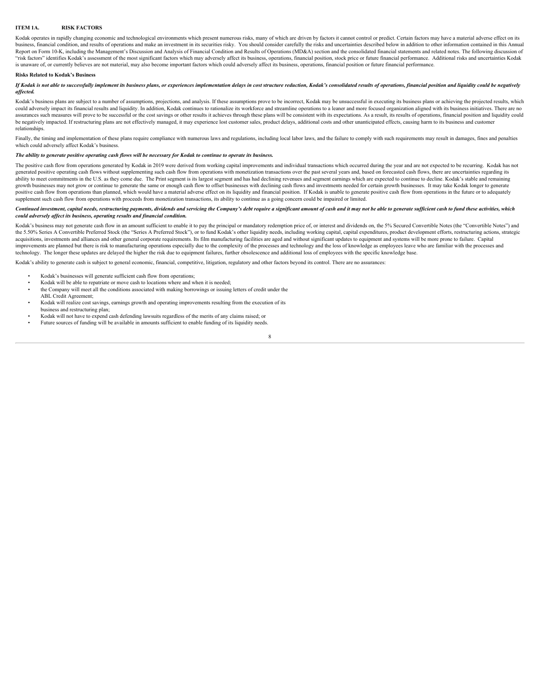#### <span id="page-8-0"></span>**ITEM 1A. RISK FACTORS**

Kodak operates in rapidly changing economic and technological environments which present numerous risks, many of which are driven by factors it cannot control or predict. Certain factors may have a material adverse effect business, financial condition, and results of operations and make an investment in its securities risky. You should consider carefully the risks and uncertainties described below in addition to other information contained Report on Form 10-K, including the Management's Discussion and Analysis of Financial Condition and Results of Operations (MD&A) section and the consolidated financial statements and related notes. The following discussion "risk factors" identifies Kodak's assessment of the most significant factors which may adversely affect its business, operations, financial position, stock price or future financial performance. Additional risks and uncert is unaware of, or currently believes are not material, may also become important factors which could adversely affect its business, operations, financial position or future financial performance.

#### **Risks Related to Kodak's Business**

If Kodak is not able to successfully implement its business plans, or experiences implementation delays in cost structure reduction, Kodak's consolidated results of operations, financial position and liquidity could be neg *affected.*

Kodak's business plans are subject to a number of assumptions, projections, and analysis. If these assumptions prove to be incorrect, Kodak may be unsuccessful in executing its business plans or achieving the projected res could adversely impact its financial results and liquidity. In addition, Kodak continues to rationalize its workforce and streamline operations to a leaner and more focused organization aligned with its business initiative assurances such measures will prove to be successful or the cost savings or other results it achieves through these plans will be consistent with its expectations. As a result, its results of operations, financial position be negatively impacted. If restructuring plans are not effectively managed, it may experience lost customer sales, product delays, additional costs and other unanticipated effects, causing harm to its business and customer relationships.

Finally, the timing and implementation of these plans require compliance with numerous laws and regulations, including local labor laws, and the failure to comply with such requirements may result in damages, fines and pen which could adversely affect Kodak's business.

#### *The ability to generate positive operating cash flows will be necessary for Kodak to continue to operate its business.*

The positive cash flow from operations generated by Kodak in 2019 were derived from working capital improvements and individual transactions which occurred during the year and are not expected to be recurring. Kodak has no generated positive operating cash flows without supplementing such cash flow from operations with monetization transactions over the past several years and, based on forecasted cash flows, there are uncertainties regarding ability to meet commitments in the U.S. as they come due. The Print segment ais largest segment and has had declining revenues and segment earnings which are expected to continue to decline. Kodak's stable and remaining growth businesses may not grow or continue to generate the same or enough cash flow to offset businesses with declining cash flows and investments needed for certain growth businesses. It may take Kodak longer to generate positive cash flow from operations than planned, which would have a material adverse effect on its liquidity and financial position. If Kodak is unable to generate positive cash flow from operations in the future or to ade supplement such cash flow from operations with proceeds from monetization transactions, its ability to continue as a going concern could be impaired or limited.

#### Continued investment, capital needs, restructuring payments, dividends and servicing the Company's debt require a significant amount of cash and it may not be able to generate sufficient cash to fund these activities, whic *could adversely affect its business, operating results and financial condition.*

Kodak's business may not generate cash flow in an amount sufficient to enable it to pay the principal or mandatory redemption price of, or interest and dividends on, the 5% Secured Convertible Notes (the "Convertible Notes the 5.50% Series A Convertible Preferred Stock (the "Series A Preferred Stock"), or to fund Kodak's other liquidity needs, including working capital, capital expenditures, product development efforts, restructuring actions acquisitions, investments and alliances and other general corporate requirements. Its film manufacturing facilities are aged and without significant updates to equipment and systems will be more prone to failure. Capital improvements are planned but there is risk to manufacturing operations especially due to the complexity of the processes and technology and the loss of knowledge as employees leave who are familiar with the processes and technology. The longer these updates are delayed the higher the risk due to equipment failures, further obsolescence and additional loss of employees with the specific knowledge base.

Kodak's ability to generate cash is subject to general economic, financial, competitive, litigation, regulatory and other factors beyond its control. There are no assurances:

- Kodak's businesses will generate sufficient cash flow from operations:
- Kodak will be able to repatriate or move cash to locations where and when it is needed;
- the Company will meet all the conditions associated with making borrowings or issuing letters of credit under the ABL Credit Agreement;
- Kodak will realize cost savings, earnings growth and operating improvements resulting from the execution of its business and restructuring plan;
- Kodak will not have to expend cash defending lawsuits regardless of the merits of any claims raised; or
- Future sources of funding will be available in amounts sufficient to enable funding of its liquidity needs.8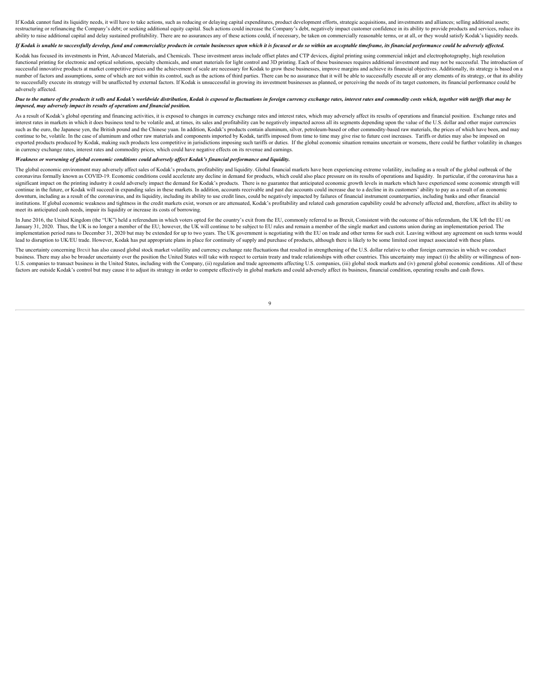If Kodak cannot fund its liquidity needs, it will have to take actions, such as reducing or delaying capital expenditures, product development efforts, strategic acquisitions, and investments and alliances; selling additio restructuring or refinancing the Company's debt; or seeking additional equity capital. Such actions could increase the Company's debt, negatively impact customer confidence in its ability to provide products and services, ability to raise additional capital and delay sustained profitability. There are no assurances any of these actions could, if necessary, be taken on commercially reasonable terms, or at all, or they would satisfy Kodak's l

#### If Kodak is unable to successfully develop, fund and commercialize products in certain businesses upon which it is focused or do so within an acceptable timeframe, its financial performance could be adversely affected.

Kodak has focused its investments in Print, Advanced Materials, and Chemicals. These investment areas include offset plates and CTP devices, digital printing using commercial inkjet and electrophotography, high resolution functional printing for electronic and optical solutions, specialty chemicals, and smart materials for light control and 3D printing. Each of these businesses requires additional investment and may not be successful. The i successful innovative products at market competitive prices and the achievement of scale are necessary for Kodak to grow these businesses, improve margins and achieve its financial objectives. Additionally, its strategy is number of factors and assumptions, some of which are not within its control, such as the actions of third parties. There can be no assurance that it will be able to successfully execute all or any elements of its strategy, to successfully execute its strategy will be unaffected by external factors. If Kodak is unsuccessful in growing its investment businesses as planned, or perceiving the needs of its target customers, its financial performa adversely affected.

#### Due to the nature of the products it sells and Kodak's worldwide distribution. Kodak is exposed to fluctuations in foreign currency exchange rates, interest rates and commodity costs which, together with tariffs that may b *imposed, may adversely impact its results of operations and financial position.*

As a result of Kodak's global operating and financing activities, it is exposed to changes in currency exchange rates and interest rates, which may adversely affect its results of operations and financial position. Exchang interest rates in markets in which it does business tend to be volatile and, at times, its sales and profitability can be negatively impacted across all its segments depending upon the value of the U.S. dollar and other ma such as the euro, the Japanese ven, the British pound and the Chinese vuan. In addition, Kodak's products contain aluminum, silver, petroleum-based or other commodity-based raw materials, the prices of which have been, and continue to be, volatile. In the case of aluminum and other raw materials and components imported by Kodak, tariffs imposed from time to time may give rise to future cost increases. Tariffs or duties may also be imposed on exported products produced by Kodak, making such products less competitive in jurisdictions imposing such tariffs or duties. If the global economic situation remains uncertain or worsens, there could be further volatility in currency exchange rates, interest rates and commodity prices, which could have negative effects on its revenue and earnings.

#### *Weakness or worsening of global economic conditions could adversely affect Kodak's financial performance and liquidity.*

The global economic environment may adversely affect sales of Kodak's products, profitability and liquidity. Global financial markets have been experiencing extreme volatility, including as a result of the global outbreak coronavirus formally known as COVID-19. Economic conditions could accelerate any decline in demand for products, which could also place pressure on its results of operations and liquidity. In particular, if the coronavirus significant impact on the printing industry it could adversely impact the demand for Kodak's products. There is no guarantee that anticipated economic growth levels in markets which have experienced some economic strength continue in the future, or Kodak will succeed in expanding sales in these markets. In addition, accounts receivable and past due accounts could increase due to a decline in its customers' ability to pay as a result of an e downturn, including as a result of the coronavirus, and its liquidity, including its ability to use credit lines, could be negatively impacted by failures of financial instrument counterparties, including banks and other f institutions. If global economic weakness and tightness in the credit markets exist, worsen or are attenuated, Kodak's profitability and related cash generation capability could be adversely affected and, therefore, affect meet its anticipated cash needs, impair its liquidity or increase its costs of borrowing.

In June 2016, the United Kingdom (the "UK") held a referendum in which voters opted for the country's exit from the EU, commonly referred to as Brexit, Consistent with the outcome of this referendum, the UK left the EU on January 31, 2020. Thus, the UK is no longer a member of the EU; however, the UK will continue to be subject to EU rules and remain a member of the single market and customs union during an implementation period. The implementation period runs to December 31, 2020 but may be extended for up to two years. The UK government is negotiating with the EU on trade and other terms for such exit. Leaving without any agreement on such terms woul lead to disruption to UK/EU trade. However, Kodak has put appropriate plans in place for continuity of supply and purchase of products, although there is likely to be some limited cost impact associated with these plans.

The uncertainty concerning Brexit has also caused global stock market volatility and currency exchange rate fluctuations that resulted in strengthening of the U.S. dollar relative to other foreign currencies in which we co business. There may also be broader uncertainty over the position the United States will take with respect to certain treaty and trade relationships with other countries. This uncertainty may impact (i) the ability or will U.S. companies to transact business in the United States, including with the Company, (ii) regulation and trade agreements affecting U.S. companies, (iii) global stock markets and (iv) general global economic conditions. A factors are outside Kodak's control but may cause it to adjust its strategy in order to compete effectively in global markets and could adversely affect its business, financial condition, operating results and cash flows.

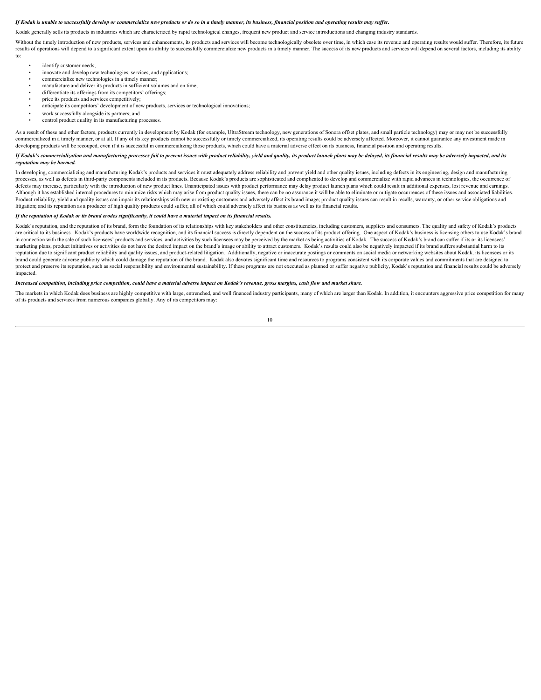#### *If Kodak is unable to successfully develop or commercialize new products or do so in a timely manner, its business, financial position and operating results may suffer.*

Kodak generally sells its products in industries which are characterized by rapid technological changes, frequent new product and service introductions and changing industry standards.

Without the timely introduction of new products, services and enhancements, its products and services will become technologically obsolete over time, in which case its revenue and operating results would suffer. Therefore, results of operations will depend to a significant extent upon its ability to successfully commercialize new products in a timely manner. The success of its new products and services will depend on several factors, includi to:

- identify customer needs;
	- innovate and develop new technologies, services, and applications;
	- commercialize new technologies in a timely manner;
	- manufacture and deliver its products in sufficient volumes and on time;
	- differentiate its offerings from its competitors' offerings;
	- price its products and services competitively;
	- anticipate its competitors' development of new products, services or technological innovations;
	- work successfully alongside its partners; and
	- control product quality in its manufacturing processes.

As a result of these and other factors, products currently in development by Kodak (for example, UltraStream technology, new generations of Sonora offset plates, and small particle technology) may or may not be successfully commercialized in a timely manner, or at all. If any of its key products cannot be successfully or timely commercialized, its operating results could be adversely affected. Moreover, it cannot guarantee any investment made developing products will be recouped, even if it is successful in commercializing those products, which could have a material adverse effect on its business, financial position and operating results.

#### If Kodak's commercialization and manufacturing processes fail to prevent issues with product reliability, yield and quality, its product launch plans may be delayed, its financial results may be adversely impacted, and its *reputation may be harmed.*

In developing, commercializing and manufacturing Kodak's products and services it must adequately address reliability and prevent yield and other quality issues, including defects in its engineering, design and manufacturi processes, as well as defects in third-party components included in its products. Because Kodak's products are sophisticated and complicated to develop and commercialize with rapid advances in technologies, the occurrence of defects may increase, particularly with the introduction of new product lines. Unanticipated issues with product performance may delay product launch plans which could result in additional expenses, lost revenue and earnin Although it has established internal procedures to minimize risks which may arise from product quality issues there can be no assurance it will be able to eliminate or mitigate occurrences of these issues and associated li Product reliability, yield and quality issues can impair its relationships with new or existing customers and adversely affect its brand image; product quality issues can result in recalls, warranty, or other service oblig litigation; and its reputation as a producer of high quality products could suffer, all of which could adversely affect its business as well as its financial results.

#### *If the reputation of Kodak or its brand erodes significantly, it could have a material impact on its financial results.*

Kodak's reputation, and the reputation of its brand, form the foundation of its relationships with key stakeholders and other constituencies, including customers, suppliers and consumers. The quality and safety of Kodak's are critical to its business. Kodak's products have worldwide recognition, and its financial success is directly dependent on the success of its product offering. One aspect of Kodak's business is licensing others to use K in connection with the sale of such licensees' products and services, and activities by such licensees may be perceived by the market as being activities of Kodak. The success of Kodak's brand can suffer if its or its lice marketing plans, product initiatives or activities do not have the desired impact on the brand's image or ability to attract customers. Kodak's results could also be negatively impacted if its brand suffers substantial har reputation due to significant product reliability and quality issues, and product-related litigation. Additionally negative or inaccurate postings or comments on social media or networking websites about Kodak, its license brand could generate adverse publicity which could damage the reputation of the brand. Kodak also devotes significant time and resources to programs consistent with its corporate values and commitments that are designed to protect and preserve its reputation, such as social responsibility and environmental sustainability. If these programs are not executed as planned or suffer negative publicity, Kodak's reputation and financial results coul impacted.

#### *Increased competition, including price competition, could have a material adverse impact on Kodak's revenue, gross margins, cash flow and market share.*

The markets in which Kodak does business are highly competitive with large, entrenched, and well financed industry participants, many of which are larger than Kodak. In addition, it encounters aggressive price competition of its products and services from numerous companies globally. Any of its competitors may: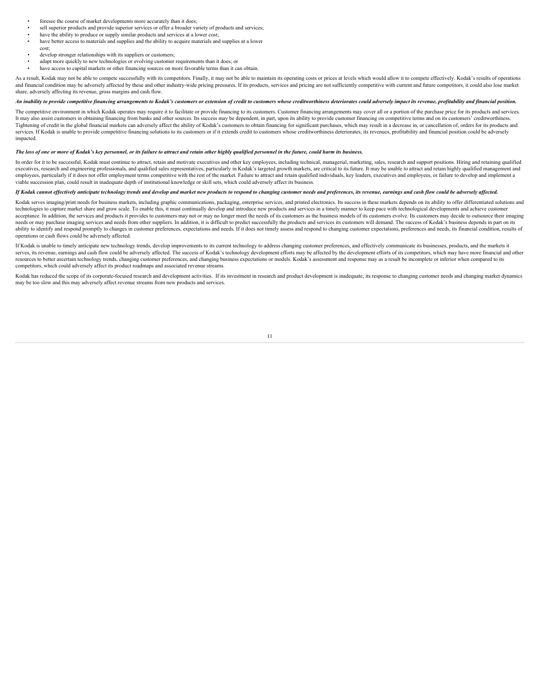- foresee the course of market developments more accurately than it does;
- sell superior products and provide superior services or offer a broader variety of products and services;
- have the ability to produce or supply similar products and services at a lower cost;
- have better access to materials and supplies and the ability to acquire materials and supplies at a lower
- cost; develop stronger relationships with its suppliers or customers;
- adapt more quickly to new technologies or evolving customer requirements than it does; or
- have access to capital markets or other financing sources on more favorable terms than it can obtain.

As a result, Kodak may not be able to compete successfully with its competitors. Finally, it may not be able to maintain its operating costs or prices at levels which would allow it to compete effectively. Kodak's results and financial condition may be adversely affected by these and other industry-wide pricing pressures. If its products, services and pricing are not sufficiently competitive with current and future competitors, it could als share, adversely affecting its revenue, gross margins and cash flow.

#### An inability to provide competitive financing arrangements to Kodak's customers or extension of credit to customers whose creditworthiness deteriorates could adverselv impact its revenue, profitability and financial nositi

The competitive environment in which Kodak operates may require it to facilitate or provide financing to its customers. Customer financing arrangements may cover all or a portion of the purchase price for its products and It may also assist customers in obtaining financing from banks and other sources. Its success may be dependent, in part, upon its ability to provide customer financing on competitive terms and on its customers' creditworth Tightening of credit in the global financial markets can adversely affect the ability of Kodak's customers to obtain financing for significant purchases, which may result in a decrease in, or cancellation of, orders for it services. If Kodak is unable to provide competitive financing solutions to its customers or if it extends credit to customers whose creditworthiness deteriorates, its revenues, profitability and financial position could be impacted.

#### *The loss of one or more of Kodak's key personnel, or its failure to attract and retain other highly qualified personnel in the future, could harm its business.*

In order for it to be successful, Kodak must continue to attract, retain and motivate executives and other key employees, including technical, managerial, marketing, sales, research and support positions. Hiring and retain executives, research and engineering professionals, and qualified sales representatives, particularly in Kodak's targeted growth markets, are critical to its future. It may be unable to attract and retain highly qualified employees, particularly if it does not offer employment terms competitive with the rest of the market. Failure to attract and retain qualified individuals, key leaders, executives and employees, or failure to develop and i viable succession plan, could result in inadequate depth of institutional knowledge or skill sets, which could adversely affect its business.

#### *If Kodak cannot effectively anticipate technology trends and develop and market new products to respond to changing customer needs and preferences, its revenue, earnings and cash flow could be adversely affected.*

Kodak serves imaging/print needs for business markets, including graphic communications, packaging, enterprise services, and printed electronics. Its success in these markets depends on its ability to offer differentiated technologies to capture market share and grow scale. To enable this, it must continually develop and introduce new products and services in a timely manner to keep pace with technological developments and achieve customer acceptance. In addition, the services and products it provides to customers may not or may no longer meet the needs of its customers as the business models of its customers evolve. Its customers may decide to outsource the needs or may purchase imaging services and needs from other suppliers. In addition, it is difficult to predict successfully the products and services its customers will demand. The success of Kodak's business depends in pa ability to identify and respond promptly to changes in customer preferences, expectations and needs. If it does not timely assess and respond to changing customer expectations, preferences and needs, its financial conditio operations or cash flows could be adversely affected.

If Kodak is unable to timely anticipate new technology trends, develop improvements to its current technology to address changing customer preferences, and effectively communicate its businesses, products, and the markets it serves, its revenue, earnings and cash flow could be adversely affected. The success of Kodak's technology development efforts may be affected by the development efforts of its competitors, which may have more financial an resources to better ascertain technology trends, changing customer preferences, and changing business expectations or models. Kodak's assessment and response may as a result be incomplete or inferior when compared to its competitors, which could adversely affect its product roadmaps and associated revenue streams.

Kodak has reduced the scope of its corporate-focused research and development activities. If its investment in research and product development is inadequate, its response to changing customer needs and changing market dyn may be too slow and this may adversely affect revenue streams from new products and services.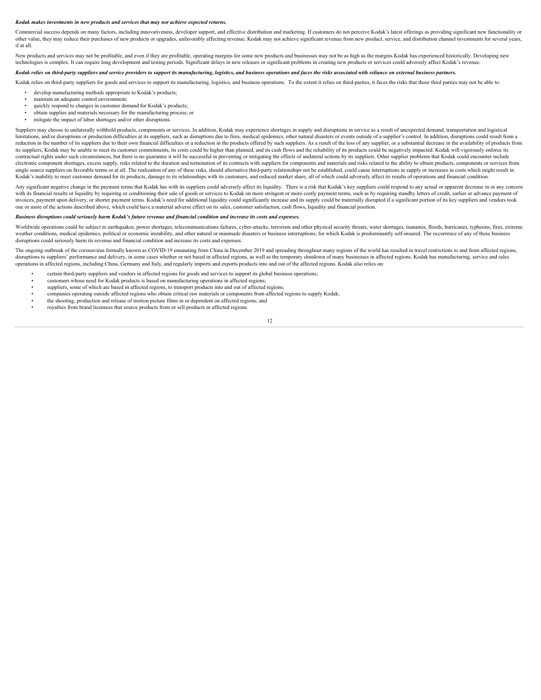#### *Kodak makes investments in new products and services that may not achieve expected returns.*

Commercial success depends on many factors, including innovativeness, developer support, and effective distribution and marketing. If customers do not perceive Kodak's latest offerings as providing significant new function other value, they may reduce their purchases of new products or upgrades, unfavorably affecting revenue. Kodak may not achieve significant revenue from new product, service, and distribution channel investments for several if at all.<br>New products and services may not be profitable, and even if they are profitable, operating margins for some new products and businesses may not be as high as the margins Kodak has experienced historically. Deve

technologies is complex. It can require long development and testing periods. Significant delays in new releases or significant problems in creating new products or services could adversely affect Kodak's revenue.

*Kodak relies on third-party suppliers and service providers to support its manufacturing, logistics, and business operations and faces the risks associated with reliance on external business partners.*

Kodak relies on third-party suppliers for goods and services to support its manufacturing, logistics, and business operations. To the extent it relies on third-parties, it faces the risks that those third parties may not b develop manufacturing methods appropriate to Kodak's products;

- maintain an adequate control environment;
- quickly respond to changes in customer demand for Kodak's products;
- obtain supplies and materials necessary for the manufacturing process; or
- mitigate the impact of labor shortages and/or other disruptions.

Suppliers may choose to unilaterally withhold products, components or services. In addition, Kodak may experience shortages in supply and disruptions in service as a result of unexpected demand, transportation and logistic limitations, and/or disruptions or production difficulties at its suppliers, such as disruptions due to fires, medical epidemics, other natural disasters or events outside of a supplier's control. In addition, disruptions reduction in the number of its suppliers due to their own financial difficulties or a reduction in the products offered by such suppliers. As a result of the loss of any supplier, or a substantial decrease in the availabil its suppliers, Kodak may be unable to meet its customer commitments, its costs could be higher than planned, and its cash flows and the reliability of its products could be negatively impacted. Kodak will vigorously enforc contractual rights under such circumstances, but there is no guarantee it will be successful in preventing or mitigating the effects of unilateral actions by its suppliers. Other supplier problems that Kodak could encounte electronic component shortages, excess supply, risks related to the duration and termination of its contracts with suppliers for components and materials and risks related to the ability to obtain products, components or s single source suppliers on favorable terms or at all. The realization of any of these risks, should alternative third-party relationships not be established, could cause interruptions in supply or increases in costs which Kodak's inability to meet customer demand for its products, damage to its relationships with its customers, and reduced market share, all of which could adversely affect its results of operations and financial condition.

Any significant negative change in the payment terms that Kodak has with its suppliers could adversely affect its liquidity. There is a risk that Kodak's key suppliers could respond to any actual or apparent decrease in or with its financial results or liquidity by requiring or conditioning their sale of goods or services to Kodak on more stringent or more costly payment terms, such as by requiring standby letters of credit, earlier or advan invoices, payment upon delivery, or shorter payment terms. Kodak's need for additional liquidity could significantly increase and its supply could be materially disrupted if a significant portion of its key suppliers and v one or more of the actions described above, which could have a material adverse effect on its sales, customer satisfaction, cash flows, liquidity and financial position.

#### *Business disruptions could seriously harm Kodak's future revenue and financial condition and increase its costs and expenses.*

Worldwide operations could be subject to earthquakes, power shortages, telecommunications failures, cyber-attacks, terrorism and other physical security threats, water shortages, tsunamis, floods, hurricanes, typhoons, fir weather conditions, medical epidemics, political or economic instability, and other natural or manmade disasters or business interruptions, for which Kodak is predominantly self-insured. The occurrence of any of these busi disruptions could seriously harm its revenue and financial condition and increase its costs and expenses.

The ongoing outbreak of the coronavirus formally known as COVID-19 emanating from China in December 2019 and spreading throughout many regions of the world has resulted in travel restrictions to and from affected regions, disruptions to suppliers' performance and delivery, in some cases whether or not based in affected regions, as well as the temporary shutdown of many businesses in affected regions. Kodak has manufacturing, service and sal operations in affected regions, including China, Germany and Italy, and regularly imports and exports products into and out of the affected regions. Kodak also relies on:

- certain third-party suppliers and vendors in affected regions for goods and services to support its global business operations;
- customers whose need for Kodak products is based on manufacturing operations in affected regions;
- suppliers, some of which are based in affected regions, to transport products into and out of affected regions;
- companies operating outside affected regions who obtain critical raw materials or components from affected regions to supply Kodak;
- the shooting, production and release of motion picture films in or dependent on affected regions; and
- royalties from brand licensees that source products from or sell products in affected regions.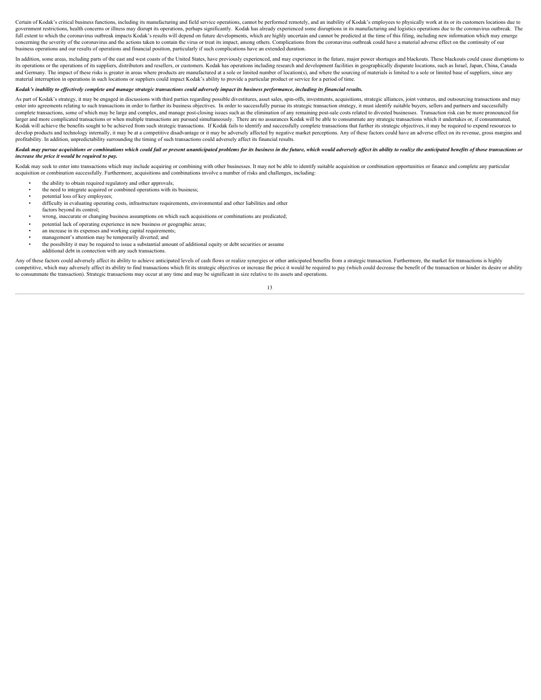Certain of Kodak's critical business functions, including its manufacturing and field service operations, cannot be performed remotely, and an inability of Kodak's employees to physically work at its or its customers locat government restrictions, health concerns or illness may disrupt its operations, perhaps significantly. Kodak has already experienced some disruptions in its manufacturing and logistics operations due to the coronavirus out full extent to which the coronavirus outbreak impacts Kodak's results will depend on future developments, which are highly uncertain and cannot be predicted at the time of this filing, including new information which may e concerning the severity of the coronavirus and the actions taken to contain the virus or treat its impact, among others. Complications from the coronavirus outbreak could have a material adverse effect on the continuity of business operations and our results of operations and financial position, particularly if such complications have an extended duration.

In addition, some areas, including parts of the east and west coasts of the United States, have previously experienced, and may experience in the future, major power shortages and blackouts. These blackouts could cause dis its operations or the operations of its suppliers, distributors and resellers, or customers. Kodak has operations including research and development facilities in geographically disparate locations, such as Israel, Japan, and Germany. The impact of these risks is greater in areas where products are manufactured at a sole or limited number of location(s), and where the sourcing of materials is limited to a sole or limited base of suppliers, material interruption in operations in such locations or suppliers could impact Kodak's ability to provide a particular product or service for a period of time.

#### *Kodak's inability to effectively complete and manage strategic transactions could adversely impact its business performance, including its financial results.*

As part of Kodak's strategy, it may be engaged in discussions with third parties regarding possible divestitures, asset sales, spin-offs, investments, acquisitions, strategic alliances, joint ventures, and outsourcing tran enter into agreements relating to such transactions in order to further its business objectives. In order to successfully pursue its strategic transaction strategy, it must identify suitable buyers, sellers and partners an complete transactions, some of which may be large and complex, and manage post-closing issues such as the elimination of any remaining post-sale costs related to divested businesses. Transaction risk can be more pronounced Kodak will achieve the benefits sought to be achieved from such strategic transactions. If Kodak fails to identify and successfully complete transactions that further its strategic objectives, it may be required to expend develop products and technology internally, it may be at a competitive disadvantage or it may be adversely affected by negative market perceptions. Any of these factors could have an adverse effect on its revenue, gross ma profitability. In addition, unpredictability surrounding the timing of such transactions could adversely affect its financial results.

#### Kodak may pursue acquisitions or combinations which could fail or present unanticipated problems for its business in the future, which would adversely affect its ability to realize the anticipated benefits of those transac *increase the price it would be required to pay.*

Kodak may seek to enter into transactions which may include acquiring or combining with other businesses. It may not be able to identify suitable acquisition or combination opportunities or finance and complete any particu acquisition or combination successfully. Furthermore, acquisitions and combinations involve a number of risks and challenges, including:

- the ability to obtain required regulatory and other approvals;
- the need to integrate acquired or combined operations with its business;
- potential loss of key employees;
- difficulty in evaluating operating costs, infrastructure requirements, environmental and other liabilities and other
- factors beyond its control;
- wrong, inaccurate or changing business assumptions on which such acquisitions or combinations are predicated;
- potential lack of operating experience in new business or geographic areas;
- an increase in its expenses and working capital requirements;
- management's attention may be temporarily diverted; and
- the possibility it may be required to issue a substantial amount of additional equity or debt securities or assume additional debt in connection with any such transactions.

Any of these factors could adversely affect its ability to achieve anticipated levels of cash flows or realize synergies or other anticipated benefits from a strategic transaction. Furthermore, the market for transactions competitive, which may adversely affect its ability to find transactions which fit its strategic objectives or increase the price it would be required to pay (which could decrease the benefit of the transaction or hinder i to consummate the transaction). Strategic transactions may occur at any time and may be significant in size relative to its assets and operations.

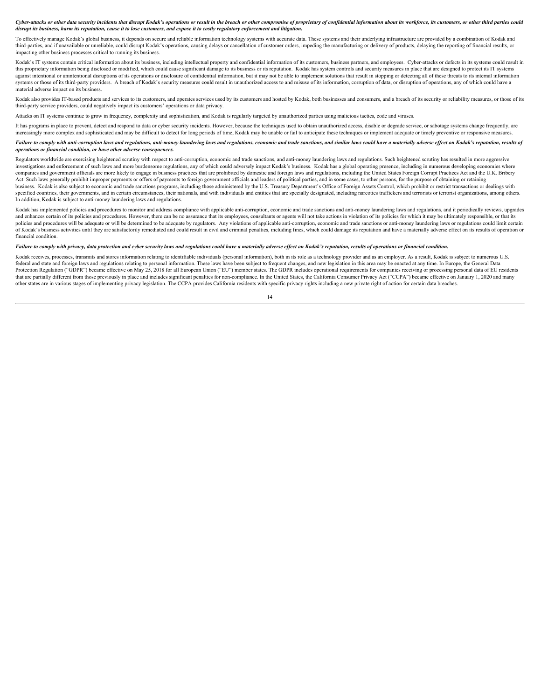Cyber-attacks or other data security incidents that disrupt Kodak's operations or result in the breach or other compromise of proprietary of confidential information about its workforce, its customers, or other third parti *disrupt its business, harm its reputation, cause it to lose customers, and expose it to costly regulatory enforcement and litigation.*

To effectively manage Kodak's global business, it depends on secure and reliable information technology systems with accurate data. These systems and their underlying infrastructure are provided by a combination of Kodak a third-parties, and if unavailable or unreliable, could disrupt Kodak's operations, causing delays or cancellation of customer orders, impeding the manufacturing or delivery of products, delaying the reporting of financial impacting other business processes critical to running its business.

Kodak's IT systems contain critical information about its business, including intellectual property and confidential information of its customers, business partners, and employees. Cyber-attacks or defects in its systems c this proprietary information being disclosed or modified, which could cause significant damage to its business or its reputation. Kodak has system controls and security measures in place that are designed to protect its IT against intentional or unintentional disruptions of its operations or disclosure of confidential information, but it may not be able to implement solutions that result in stopping or detecting all of these threats to its i systems or those of its third-party providers. A breach of Kodak's security measures could result in unauthorized access to and misuse of its information, corruption of data, or disruption of operations, any of which could material adverse impact on its business.

Kodak also provides IT-based products and services to its customers, and operates services used by its customers and hosted by Kodak, both businesses and consumers, and a breach of its security or reliability measures, or third-party service providers, could negatively impact its customers' operations or data privacy.

Attacks on IT systems continue to grow in frequency, complexity and sophistication, and Kodak is regularly targeted by unauthorized parties using malicious tactics, code and viruses.

It has programs in place to prevent, detect and respond to data or cyber security incidents. However, because the techniques used to obtain unauthorized access, disable or degrade service, or sabotage systems change freque increasingly more complex and sophisticated and may be difficult to detect for long periods of time, Kodak may be unable or fail to anticipate these techniques or implement adequate or timely preventive or responsive measu

Failure to comply with anti-corruption laws and regulations, anti-money laundering laws and regulations, economic and trade sanctions, and similar laws could have a materially adverse effect on Kodak's reputation, results *operations or financial condition, or have other adverse consequences.*

Regulators worldwide are exercising heightened scrutiny with respect to anti-corruption, economic and trade sanctions, and anti-money laundering laws and regulations. Such heightened scrutiny has resulted in more aggressiv investigations and enforcement of such laws and more burdensome regulations, any of which could adversely impact Kodak's business. Kodak has a global operating presence, including in numerous developing economies where companies and government officials are more likely to engage in business practices that are prohibited by domestic and foreign laws and regulations, including the United States Foreign Corrupt Practices Act and the U.K. Br Act. Such laws generally prohibit improper payments or offers of payments to foreign government officials and leaders of political parties, and in some cases, to other persons, for the purpose of obtaining or retaining business. Kodak is also subject to economic and trade sanctions programs, including those administered by the U.S. Treasury Department's Office of Foreign Assets Control, which prohibit or restrict transactions or dealings specified countries, their governments, and in certain circumstances, their nationals, and with individuals and entities that are specially designated, including narcotics traffickers and terrorists or terrorist organizati In addition, Kodak is subject to anti-money laundering laws and regulations.

Kodak has implemented policies and procedures to monitor and address compliance with applicable anti-corruption, economic and trade sanctions and anti-money laundering laws and regulations, and it periodically reviews, upg and enhances certain of its policies and procedures. However, there can be no assurance that its employees, consultants or agents will not take actions in violation of its policies for which it may be ultimately responsibl policies and procedures will be adequate or will be determined to be adequate by regulators. Any violations of applicable anti-corruption, economic and trade sanctions or anti-money laundering laws or regulations could lim of Kodak's business activities until they are satisfactorily remediated and could result in civil and criminal penalties, including fines, which could damage its reputation and have a materially adverse effect on its resul financial condition.

#### *Failure to comply with privacy, data protection and cyber security laws and regulations could have a materially adverse effect on Kodak's reputation, results of operations or financial condition.*

Kodak receives, processes, transmits and stores information relating to identifiable individuals (personal information), both in its role as a technology provider and as an employer. As a result, Kodak is subject to numero federal and state and foreign laws and regulations relating to personal information. These laws have been subject to frequent changes, and new legislation in this area may be enacted at any time. In Europe, the General Data Protection Regulation ("GDPR") became effective on May 25, 2018 for all European Union ("EU") member states. The GDPR includes operational requirements for companies receiving or processing personal data of EU residents that are partially different from those previously in place and includes significant penalties for non-compliance. In the United States, the California Consumer Privacy Act ("CCPA") became effective on January 1, 2020 and other states are in various stages of implementing privacy legislation. The CCPA provides California residents with specific privacy rights including a new private right of action for certain data breaches.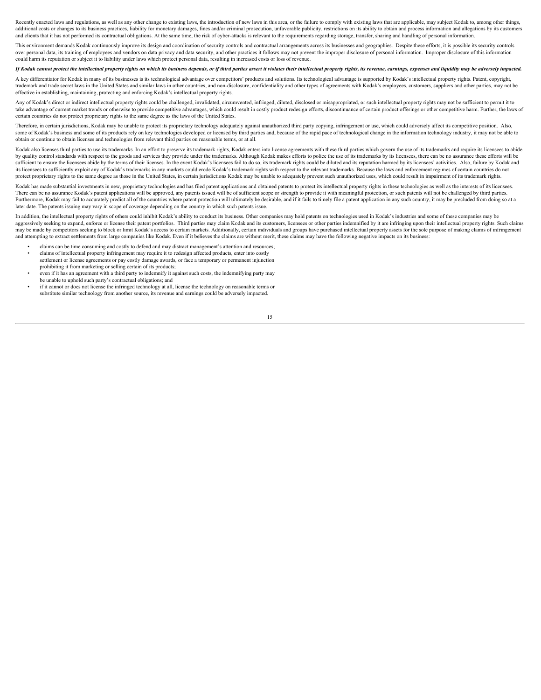Recently enacted laws and regulations, as well as any other change to existing laws, the introduction of new laws in this area, or the failure to comply with existing laws that are applicable, may subject Kodak to, among o additional costs or changes to its business practices, liability for monetary damages, fines and/or criminal prosecution, unfavorable publicity, restrictions on its ability to obtain and process information and allegations and clients that it has not performed its contractual obligations. At the same time, the risk of cyber-attacks is relevant to the requirements regarding storage, transfer, sharing and handling of personal information.

This environment demands Kodak continuously improve its design and coordination of security controls and contractual arrangements across its businesses and geographies. Despite these efforts, it is possible its security co over personal data, its training of employees and vendors on data privacy and data security, and other practices it follows may not prevent the improper disclosure of personal information. Improper disclosure of this infor could harm its reputation or subject it to liability under laws which protect personal data, resulting in increased costs or loss of revenue.

#### If Kodak cannot protect the intellectual property rights on which its business depends, or if third parties assert it violates their intellectual property rights, its revenue, earnings, expenses and liquidity may be advers

A key differentiator for Kodak in many of its businesses is its technological advantage over competitors' products and solutions. Its technological advantage is supported by Kodak's intellectual property rights. Patent, co trademark and trade secret laws in the United States and similar laws in other countries, and non-disclosure, confidentiality and other types of agreements with Kodak's employees, customers, suppliers and other parties, ma effective in establishing, maintaining, protecting and enforcing Kodak's intellectual property rights.

Any of Kodak's direct or indirect intellectual property rights could be challenged, invalidated, circumvented, infringed, diluted, disclosed or misappropriated, or such intellectual property rights may not be sufficient to take advantage of current market trends or otherwise to provide competitive advantages, which could result in costly product redesign efforts, discontinuance of certain product offerings or other competitive harm. Further, certain countries do not protect proprietary rights to the same degree as the laws of the United States.

Therefore, in certain jurisdictions, Kodak may be unable to protect its proprietary technology adequately against unauthorized third party copying, infringement or use, which could adversely affect its competitive position some of Kodak's business and some of its products rely on key technologies developed or licensed by third parties and, because of the rapid pace of technological change in the information technology industry, it may not be obtain or continue to obtain licenses and technologies from relevant third parties on reasonable terms, or at all.

Kodak also licenses third parties to use its trademarks. In an effort to preserve its trademark rights, Kodak enters into license agreements with these third parties which govern the use of its trademarks and require its l by quality control standards with respect to the goods and services they provide under the trademarks. Although Kodak makes efforts to police the use of its trademarks by its licensees, there can be no assurance these effo sufficient to ensure the licensees abide by the terms of their licenses. In the event Kodak's licensees fail to do so, its trademark rights could be diluted and its reputation harmed by its licensees' activities. Also, fai its licensees to sufficiently exploit any of Kodak's trademarks in any markets could erode Kodak's trademark rights with respect to the relevant trademarks. Because the laws and enforcement regimes of certain countries do protect proprietary rights to the same degree as those in the United States, in certain jurisdictions Kodak may be unable to adequately prevent such unauthorized uses, which could result in impairment of its trademark righ

Kodak has made substantial investments in new, proprietary technologies and has filed patent applications and obtained patents to protect its intellectual property rights in these technologies as well as the interests of i There can be no assurance Kodak's patent applications will be approved, any patents issued will be of sufficient scope or strength to provide it with meaningful protection, or such patents will not be challenged by third p Furthermore, Kodak may fail to accurately predict all of the countries where patent protection will ultimately be desirable, and if it fails to timely file a patent application in any such country, it may be precluded from later date. The patents issuing may vary in scope of coverage depending on the country in which such patents issue.

In addition, the intellectual property rights of others could inhibit Kodak's ability to conduct its business. Other companies may hold patents on technologies used in Kodak's industries and some of these companies may be aggressively seeking to expand, enforce or license their patent portfolios. Third parties may claim Kodak and its customers, licensees or other parties indemnified by it are infringing upon their intellectual property righ may be made by competitors seeking to block or limit Kodak's access to certain markets. Additionally, certain idividuals and groups have purchased intellectual property assets for the sole purpose of making claims of infri and attempting to extract settlements from large companies like Kodak. Even if it believes the claims are without merit, these claims may have the following negative impacts on its business

- claims can be time consuming and costly to defend and may distract management's attention and resources;
- claims of intellectual property infringement may require it to redesign affected products, enter into costly settlement or license agreements or pay costly damage awards, or face a temporary or permanent injunction
- prohibiting it from marketing or selling certain of its products; • even if it has an agreement with a third party to indemnify it against such costs, the indemnifying party may be unable to uphold such party's contractual obligations; and
- if it cannot or does not license the infringed technology at all, license the technology on reasonable terms or substitute similar technology from another source, its revenue and earnings could be adversely impacted.<br>15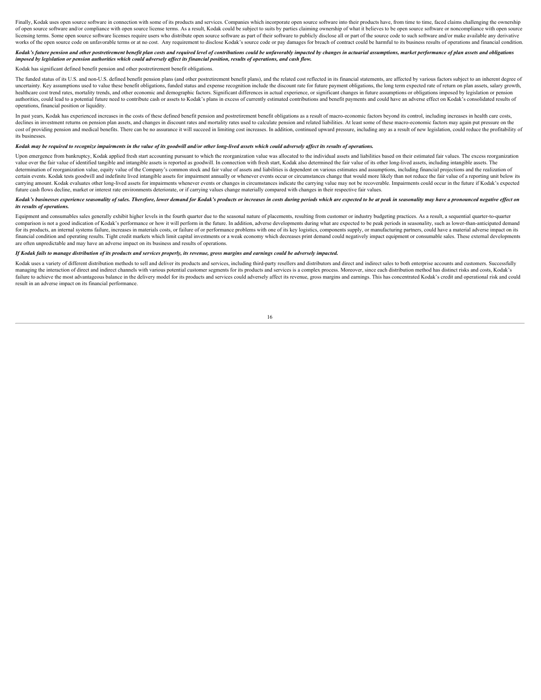Finally, Kodak uses open source software in connection with some of its products and services. Companies which incorporate open source software into their products have, from time to time, faced claims challenging the owne of open source software and/or compliance with open source license terms. As a result, Kodak could be subject to suits by parties claiming ownership of what it believes to be open source software or noncompliance with open licensing terms. Some open source software licenses require users who distribute open source software as part of their software to publicly disclose all or part of the source code to such software and/or make available any works of the open source code on unfavorable terms or at no cost. Any requirement to disclose Kodak's source code or pay damages for breach of contract could be harmful to its business results of operations and financial c

#### Kodak's future pension and other postretirement benefit plan costs and required level of contributions could be unfavorably impacted by changes in actuarial assumptions, market performance of plan assets and obligations *imposed by legislation or pension authorities which could adversely affect its financial position, results of operations, and cash flow.*

#### Kodak has significant defined benefit pension and other postretirement benefit obligations.

The funded status of its U.S. and non-U.S. defined benefit pension plans (and other postretirement benefit plans), and the related cost reflected in its financial statements, are affected by various factors subject to an i uncertainty. Key assumptions used to value these benefit obligations, funded status and expense recognition include the discount rate for future payment obligations, the long term expected rate of return on plan assets, sa healthcare cost trend rates, mortality trends, and other economic and demographic factors. Significant differences in actual experience, or significant changes in future assumptions or obligations imposed by legislation or authorities, could lead to a potential future need to contribute cash or assets to Kodak's plans in excess of currently estimated contributions and benefit payments and could have an adverse effect on Kodak's consolidated operations, financial position or liquidity.

In past years, Kodak has experienced increases in the costs of these defined benefit pension and postretirement benefit obligations as a result of macro-economic factors beyond its control, including increases in health ca declines in investment returns on pension plan assets, and changes in discount rates and mortality rates used to calculate pension and related liabilities. At least some of these macro-economic factors may again put pressu cost of providing pension and medical benefits. There can be no assurance it will succeed in limiting cost increases. In addition, continued upward pressure, including any as a result of new legislation, could reduce the p its businesses.

#### *Kodak may be required to recognize impairments in the value of its goodwill and/or other long-lived assets which could adversely affect its results of operations.*

Upon emergence from bankruptcy, Kodak applied fresh start accounting pursuant to which the reorganization value was allocated to the individual assets and liabilities based on their estimated fair values. The excess reorga value over the fair value of identified tangible and intangible assets is reported as goodwill. In connection with fresh start, Kodak also determined the fair value of its other long-lived assets, including intangible asse determination of reorganization value, equity value of the Company's common stock and fair value of assets and liabilities is dependent on various estimates and assumptions, including financial projections and the realizat certain events. Kodak tests goodwill and indefinite lived intangible assets for impairment annually or whenever events occur or circumstances change that would more likely than not reduce the fair value of a reporting unit carrying amount. Kodak evaluates other long-lived assets for impairments whenever events or changes in circumstances indicate the carrying value may not be recoverable. Impairments could occur in the future if Kodak's expe future cash flows decline, market or interest rate environments deteriorate, or if carrying values change materially compared with changes in their respective fair values.

#### Kodak's businesses experience seasonality of sales. Therefore, lower demand for Kodak's products or increases in costs during periods which are expected to be at peak in seasonality may have a pronounced negative effect on *its results of operations.*

Equipment and consumables sales generally exhibit higher levels in the fourth quarter due to the seasonal nature of placements, resulting from customer or industry budgeting practices. As a result, a sequential quarter-tocomparison is not a good indication of Kodak's performance or how it will perform in the future. In addition, adverse developments during what are expected to be peak periods in seasonality, such as lower-than-anticipated for its products, an internal systems failure, increases in materials costs, or failure of or performance problems with one of its key logistics, components supply, or manufacturing partners, could have a material adverse financial condition and operating results. Tight credit markets which limit capital investments or a weak economy which decreases print demand could negatively impact equipment or consumable sales. These external developme are often unpredictable and may have an adverse impact on its business and results of operations.

#### *If Kodak fails to manage distribution of its products and services properly, its revenue, gross margins and earnings could be adversely impacted.*

Kodak uses a variety of different distribution methods to sell and deliver its products and services, including third-party resellers and distributors and direct and indirect sales to both enterprise accounts and customers managing the interaction of direct and indirect channels with various potential customer segments for its products and services is a complex process. Moreover, since each distribution method has distinct risks and costs, K failure to achieve the most advantageous balance in the delivery model for its products and services could adversely affect its revenue, gross margins and earnings. This has concentrated Kodak's credit and operational risk result in an adverse impact on its financial performance.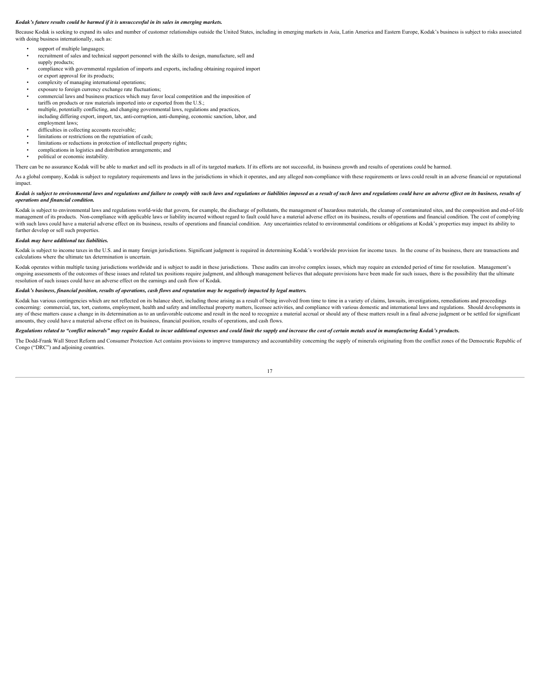#### *Kodak's future results could be harmed if it is unsuccessful in its sales in emerging markets.*

Because Kodak is seeking to expand its sales and number of customer relationships outside the United States, including in emerging markets in Asia, Latin America and Eastern Europe, Kodak's business is subject to risks ass with doing business internationally, such as:

- support of multiple languages;
- recruitment of sales and technical support personnel with the skills to design, manufacture, sell and supply products;
- compliance with governmental regulation of imports and exports, including obtaining required import or export approval for its products;
- complexity of managing international operations;
- exposure to foreign currency exchange rate fluctuations:
- commercial laws and business practices which may favor local competition and the imposition of
- tariffs on products or raw materials imported into or exported from the U.S.; • multiple, potentially conflicting, and changing governmental laws, regulations and practices,
- including differing export, import, tax, anti-corruption, anti-dumping, economic sanction, labor, and employment laws;
- difficulties in collecting accounts receivable;
- limitations or restrictions on the repatriation of cash;
- limitations or reductions in protection of intellectual property rights; • complications in logistics and distribution arrangements; and
- political or economic instability.

There can be no assurance Kodak will be able to market and sell its products in all of its targeted markets. If its efforts are not successful, its business growth and results of operations could be harmed.

As a global company, Kodak is subject to regulatory requirements and laws in the jurisdictions in which it operates, and any alleged non-compliance with these requirements or laws could result in an adverse financial or re impact.

#### Kodak is subject to environmental laws and regulations and failure to comply with such laws and regulations or liabilities imposed as a result of such laws and regulations could have an adverse effect on its business, resu *operations and financial condition.*

Kodak is subject to environmental laws and regulations world-wide that govern, for example, the discharge of pollutants, the management of hazardous materials, the cleanup of contaminated sites, and the composition and end management of its products. Non-compliance with applicable laws or liability incurred without regard to fault could have a material adverse effect on its business, results of operations and financial condition. The cost of with such laws could have a material adverse effect on its business, results of operations and financial condition. Any uncertainties related to environmental conditions or obligations at Kodak's properties may impact its further develop or sell such properties.

#### *Kodak may have additional tax liabilities.*

Kodak is subject to income taxes in the U.S. and in many foreign jurisdictions. Significant judgment is required in determining Kodak's worldwide provision for income taxes. In the course of its business, there are transac calculations where the ultimate tax determination is uncertain.

Kodak operates within multiple taxing jurisdictions worldwide and is subject to audit in these jurisdictions. These audits can involve complex issues, which may require an extended period of time for resolution. Management ongoing assessments of the outcomes of these issues and related tax positions require judgment, and although management believes that adequate provisions have been made for such issues, there is the possibility that the ul resolution of such issues could have an adverse effect on the earnings and cash flow of Kodak.

#### *Kodak's business, financial position, results of operations, cash flows and reputation may be negatively impacted by legal matters.*

Kodak has various contingencies which are not reflected on its balance sheet, including those arising as a result of being involved from time to time in a variety of claims, lawsuits, investigations, remediations and proce concerning: commercial, tax, tort, customs, employment, health and safety and intellectual property matters, licensee activities, and compliance with various domestic and international laws and regulations. Should developm any of these matters cause a change in its determination as to an unfavorable outcome and result in the need to recognize a material accrual or should any of these matters result in a final adverse judgment or be settled f amounts, they could have a material adverse effect on its business, financial position, results of operations, and cash flows.

#### *Regulations related to "conflict minerals" may require Kodak to incur additional expenses and could limit the supply and increase the cost of certain metals used in manufacturing Kodak's products.*

The Dodd-Frank Wall Street Reform and Consumer Protection Act contains provisions to improve transparency and accountability concerning the supply of minerals originating from the conflict zones of the Democratic Republic Congo ("DRC") and adjoining countries.

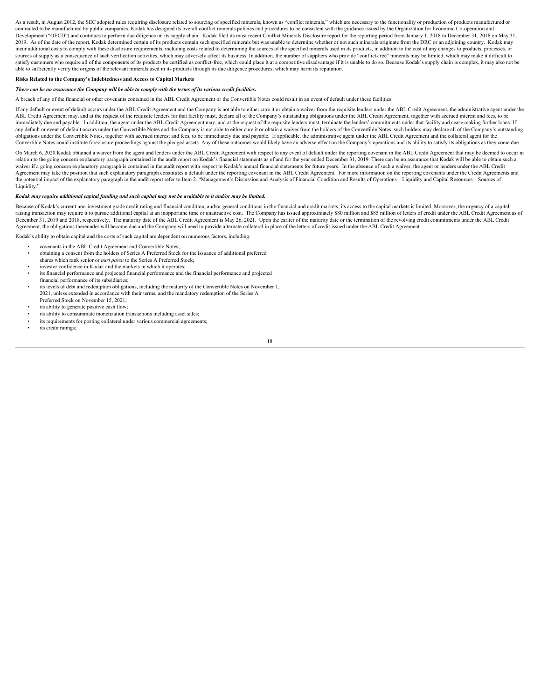As a result, in August 2012, the SEC adopted rules requiring disclosure related to sourcing of specified minerals, known as "conflict minerals," which are necessary to the functionality or production of products manufactur contracted to be manufactured by public companies. Kodak has designed its overall conflict minerals policies and procedures to be consistent with the guidance issued by the Organization for Economic Co-operation and Development ("OECD") and continues to perform due diligence on its supply chain. Kodak filed its most recent Conflict Minerals Disclosure report for the reporting period from January 1, 2018 to December 31, 2018 on May 31, 2019. As of the date of the report, Kodak determined certain of its products contain such specified minerals but was unable to determine whether or not such minerals originate from the DRC or an adjoining country. Kodak ma incur additional costs to comply with these disclosure requirements, including costs related to determining the sources of the specified minerals used in its products, in addition to the cost of any changes to products, pr sources of supply as a consequence of such verification activities, which may adversely affect its business. In addition, the number of suppliers who provide "conflict-free" minerals may be limited, which may make it diffi satisfy customers who require all of the components of its products be certified as conflict-free, which could place it at a competitive disadvantage if it is unable to do so. Because Kodak's supply chain is complex, it ma able to sufficiently verify the origins of the relevant minerals used in its products through its due diligence procedures, which may harm its reputation.

#### **Risks Related to the Company's Indebtedness and Access to Capital Markets**

#### *There can be no assurance the Company will be able to comply with the terms of its various credit facilities.*

A breach of any of the financial or other covenants contained in the ABL Credit Agreement or the Convertible Notes could result in an event of default under these facilities.

If any default or event of default occurs under the ABL Credit Agreement and the Company is not able to either cure it or obtain a waiver from the requisite lenders under the ABL Credit Agreement, the administrative agent ABL Credit Agreement may, and at the request of the requisite lenders for that facility must, declare all of the Company's outstanding obligations under the ABL Credit Agreement, together with accrued interest and fees, to immediately due and payable. In addition, the agent under the ABL Credit Agreement may, and at the request of the requisite lenders must, terminate the lenders' commitments under that facility and cease making further loan any default or event of default occurs under the Convertible Notes and the Company is not able to either cure it or obtain a waiver from the holders of the Convertible Notes, such holders may declare all of the Company's o obligations under the Convertible Notes, together with accrued interest and fees, to be immediately due and payable. If applicable, the administrative agent under the ABL Credit Agreement and the collateral agent for the Convertible Notes could institute foreclosure proceedings against the pledged assets. Any of these outcomes would likely have an adverse effect on the Company's operations and its ability to satisfy its obligations as they

On March 6, 2020 Kodak obtained a waiver from the agent and lenders under the ABL Credit Agreement with respect to any event of default under the reporting covenant in the ABL Credit Agreement that may be deemed to occur i relation to the going concern explanatory paragraph contained in the audit report on Kodak's financial statements as of and for the year ended December 31, 2019. There can be no assurance that Kodak will be able to obtain waiver if a going concern explanatory paragraph is contained in the audit report with respect to Kodak's annual financial statements for future years. In the absence of such a waiver, the agent or lenders under the ABL Cre Agreement may take the position that such explanatory paragraph constitutes a default under the reporting covenant in the ABL Credit Agreement. For more information on the reporting covenants under the Credit Agreements an the potential impact of the explanatory paragraph in the audit report refer to Item 2. "Management's Discussion and Analysis of Financial Condition and Results of Operations-Liquidity and Capital Resources-Sources of Liquidity.

#### *Kodak may require additional capital funding and such capital may not be available to it and/or may be limited.*

Because of Kodak's current non-investment grade credit rating and financial condition, and/or general conditions in the financial and credit markets, its access to the capital markets is limited. Moreover, the urgency of a raising transaction may require it to pursue additional capital at an inopportune time or unattractive cost. The Company has issued approximately \$80 million and \$85 million of letters of credit under the ABL Credit Agreem December 31, 2019 and 2018, respectively. The maturity date of the ABL Credit Agreement is May 26, 2021. Upon the earlier of the maturity date or the termination of the revolving credit commitments under the ABL Credit Agreement, the obligations thereunder will become due and the Company will need to provide alternate collateral in place of the letters of credit issued under the ABL Credit Agreement.

Kodak's ability to obtain capital and the costs of such capital are dependent on numerous factors, including:

- covenants in the ABL Credit Agreement and Convertible Notes;
- obtaining a consent from the holders of Series A Preferred Stock for the issuance of additional preferred
- shares which rank senior or *pari passu* to the Series A Preferred Stock;
- investor confidence in Kodak and the markets in which it operates:
- its financial performance and projected financial performance and the financial performance and projected financial performance of its subsidiaries;
- its levels of debt and redemption obligations, including the maturity of the Convertible Notes on November 1, 2021, unless extended in accordance with their terms, and the mandatory redemption of the Series A Preferred Stock on November 15, 2021;
- its ability to generate positive cash flow;
- its ability to consummate monetization transactions including asset sales:
- its requirements for posting collateral under various commercial agreements;
- its credit ratings;

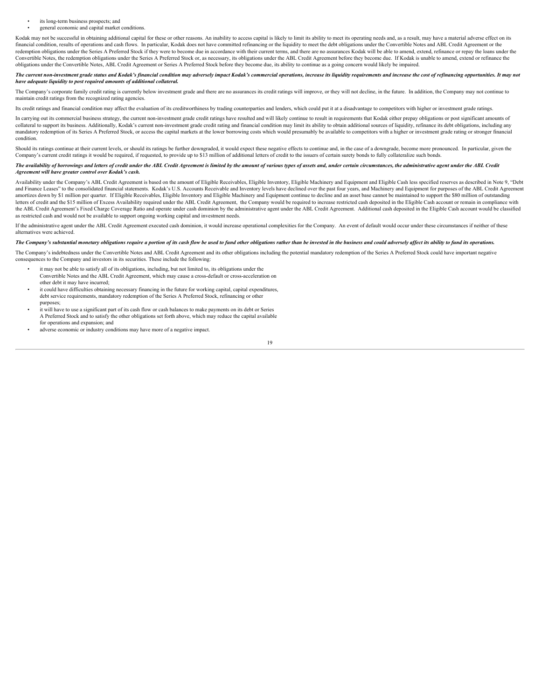- its long-term business prospects; and
- general economic and capital market conditions

Kodak may not be successful in obtaining additional capital for these or other reasons. An inability to access capital is likely to limit its ability to meet its operating needs and, as a result, may have a material advers financial condition, results of operations and cash flows. In particular, Kodak does not have committed refinancing or the liquidity to meet the debt obligations under the Convertible Notes and ABL Credit Agreement or the redemption obligations under the Series A Preferred Stock if they were to become due in accordance with their current terms, and there are no assurances Kodak will be able to amend, extend, refinance or repay the loans und Convertible Notes, the redemption obligations under the Series A Preferred Stock or, as necessary, its obligations under the ABL Credit Agreement before they become due. If Kodak is unable to amend, extend or refinance the obligations under the Convertible Notes, ABL Credit Agreement or Series A Preferred Stock before they become due, its ability to continue as a going concern would likely be impaired.

The current non-investment grade status and Kodak's financial condition may adversely impact Kodak's commercial operations, increase its liquidity requirements and increase the cost of refinancing opportunities. It may not *have adequate liquidity to post required amounts of additional collateral.*

The Company's corporate family credit rating is currently below investment grade and there are no assurances its credit ratings will improve, or they will not decline, in the future. In addition, the Company may not contin maintain credit ratings from the recognized rating agencies.

Its credit ratings and financial condition may affect the evaluation of its creditworthiness by trading counterparties and lenders, which could put it at a disadvantage to competitors with higher or investment grade ratings.

In carrying out its commercial business strategy, the current non-investment grade credit ratings have resulted and will likely continue to result in requirements that Kodak either prepay obligations or post significant am collateral to support its business. Additionally, Kodak's current non-investment grade credit rating and financial condition may limit its ability to obtain additional sources of liquidity, refinance its debt obligations, mandatory redemption of its Series A Preferred Stock, or access the capital markets at the lower borrowing costs which would presumably be available to competitors with a higher or investment grade rating or stronger finan condition.

Should its ratings continue at their current levels, or should its ratings be further downgraded, it would expect these negative effects to continue and, in the case of a downgrade, become more pronounced. In particular, g Company's current credit ratings it would be required, if requested, to provide up to \$13 million of additional letters of credit to the issuers of certain surety bonds to fully collateralize such bonds.

#### *The availability of borrowings and letters of credit under the ABL Credit Agreement is limited by the amount of various types of assets and, under certain circumstances, the administrative agent under the ABL Credit Agreement will have greater control over Kodak's cash.*

Availability under the Company's ABL Credit Agreement is based on the amount of Eligible Receivables, Eligible Inventory, Eligible Machinery and Equipment and Eligible Cash less specified reserves as described in Note 9, " and Finance Leases" to the consolidated financial statements. Kodak's U.S. Accounts Receivable and Inventory levels have declined over the past four years, and Machinery and Equipment for purposes of the ABL Credit Agreeme amortizes down by \$1 million per quarter. If Eligible Receivables, Eligible Inventory and Eligible Machinery and Equipment continue to decline and an asset base cannot be maintained to support the \$80 million of outstanding letters of credit and the \$15 million of Excess Availability required under the ABL Credit Agreement, the Company would be required to increase restricted cash deposited in the Eligible Cash account or remain in compliance the ABL Credit Agreement's Fixed Charge Coverage Ratio and operate under cash dominion by the administrative agent under the ABL Credit Agreement. Additional cash deposited in the Eligible Cash account would be classified as restricted cash and would not be available to support ongoing working capital and investment needs.

If the administrative agent under the ABL Credit Agreement executed cash dominion, it would increase operational complexities for the Company. An event of default would occur under these circumstances if neither of these alternatives were achieved.

#### The Company's substantial monetary obligations require a portion of its cash flow be used to fund other obligations rather than be invested in the business and could adversely affect its ability to fund its operations.

The Company's indebtedness under the Convertible Notes and ABL Credit Agreement and its other obligations including the potential mandatory redemption of the Series A Preferred Stock could have important negative consequences to the Company and investors in its securities. These include the following:

- it may not be able to satisfy all of its obligations, including, but not limited to, its obligations under the Convertible Notes and the ABL Credit Agreement, which may cause a cross-default or cross-acceleration on other debt it may have incurred;
- it could have difficulties obtaining necessary financing in the future for working capital, capital expenditures, debt service requirements, mandatory redemption of the Series A Preferred Stock, refinancing or other purposes;
- it will have to use a significant part of its cash flow or cash balances to make payments on its debt or Series A Preferred Stock and to satisfy the other obligations set forth above, which may reduce the capital available for operations and expansion; and
- adverse economic or industry conditions may have more of a negative impact.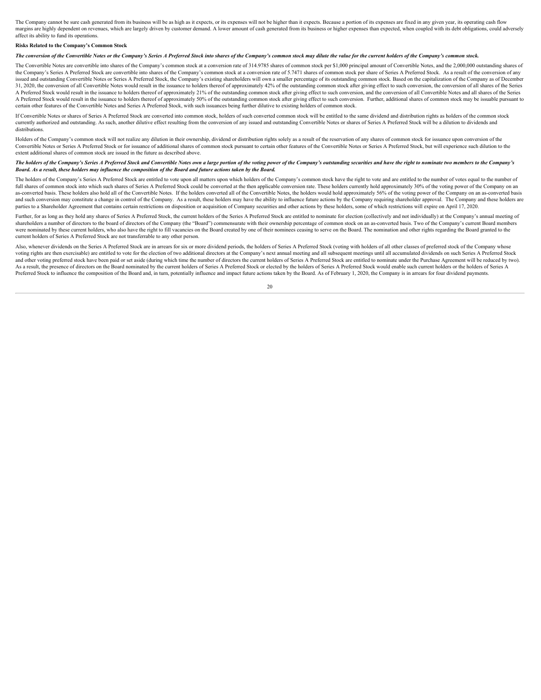The Company cannot be sure cash generated from its business will be as high as it expects, or its expenses will not be higher than it expects. Because a portion of its expenses are fixed in any given year, its operating ca margins are highly denendent on revenues, which are largely driven by customer demand. A lower amount of cash generated from its business or higher expenses than expected, when counted with its debt obligations, could adve affect its ability to fund its operations.

#### **Risks Related to the Company's Common Stock**

*The conversion of the Convertible Notes or the Company's Series A Preferred Stock into shares of the Company's common stock may dilute the value for the current holders of the Company's common stock.*

The Convertible Notes are convertible into shares of the Company's common stock at a conversion rate of 314.9785 shares of common stock per \$1,000 principal amount of Convertible Notes, and the 2,000,000 outstanding shares the Company's Series A Preferred Stock are convertible into shares of the Company's common stock at a conversion rate of 5.7471 shares of common stock per share of Series A Preferred Stock. As a result of the conversion of issued and outstanding Convertible Notes or Series A Preferred Stock, the Company's existing shareholders will own a smaller percentage of its outstanding common stock. Based on the capitalization of the Company as of Dece 31, 2020, the conversion of all Convertible Notes would result in the issuance to holders thereof of approximately 42% of the outstanding common stock after giving effect to such conversion, the conversion of all shares of A Preferred Stock would result in the issuance to holders thereof of approximately 21% of the outstanding common stock after giving effect to such conversion, and the conversion of all Convertible Notes and all shares of t A Preferred Stock would result in the issuance to holders thereof of approximately 50% of the outstanding common stock after giving effect to such conversion. Further, additional shares of common stock may be issuable purs certain other features of the Convertible Notes and Series A Preferred Stock, with such issuances being further dilutive to existing holders of common stock.

If Convertible Notes or shares of Series A Preferred Stock are converted into common stock, holders of such converted common stock will be entitled to the same dividend and distribution rights as holders of the common stock currently authorized and outstanding. As such, another dilutive effect resulting from the conversion of any issued and outstanding Convertible Notes or shares of Series A Preferred Stock will be a dilution to dividends and distributions.

Holders of the Company's common stock will not realize any dilution in their ownership, dividend or distribution rights solely as a result of the reservation of any shares of common stock for issuance upon conversion of th Convertible Notes or Series A Preferred Stock or for issuance of additional shares of common stock pursuant to certain other features of the Convertible Notes or Series A Preferred Stock, but will experience such dilution extent additional shares of common stock are issued in the future as described above.

#### *The holders of the Company's Series A Preferred Stock and Convertible Notes own a large portion of the voting power of the Company's outstanding securities and have the right to nominate two members to the Company's Board. As a result, these holders may influence the composition of the Board and future actions taken by the Board.*

The holders of the Company's Series A Preferred Stock are entitled to vote upon all matters upon which holders of the Company's common stock have the right to vote and are entitled to the number of votes equal to the numbe full shares of common stock into which such shares of Series A Preferred Stock could be converted at the then applicable conversion rate. These holders currently hold approximately 30% of the voting power of the Company on as-converted basis. These holders also hold all of the Convertible Notes. If the holders converted all of the Convertible Notes, the holders would hold approximately 56% of the voting power of the Company on an as-converte and such conversion may constitute a change in control of the Company. As a result, these holders may have the ability to influence future actions by the Company requiring shareholder approval. The Company and these holder parties to a Shareholder Agreement that contains certain restrictions on disposition or acquisition of Company securities and other actions by these holders, some of which restrictions will expire on April 17, 2020.

Further, for as long as they hold any shares of Series A Preferred Stock, the current holders of the Series A Preferred Stock are entitled to nominate for election (collectively and not individually) at the Company's annua shareholders a number of directors to the board of directors of the Company (the "Board") commensurate with their ownership percentage of common stock on an as-converted basis. Two of the Company's current Board members were nominated by these current holders, who also have the right to fill vacancies on the Board created by one of their nominees ceasing to serve on the Board. The nomination and other rights regarding the Board granted to current holders of Series A Preferred Stock are not transferrable to any other person.

Also, whenever dividends on the Series A Preferred Stock are in arrears for six or more dividend periods, the holders of Series A Preferred Stock (voting with holders of all other classes of preferred stock of the Company voting rights are then exercisable) are entitled to vote for the election of two additional directors at the Company's next annual meeting and all subsequent meetings until all accumulated dividends on such Series A Prefer and other voting preferred stock have been paid or set aside (during which time the number of directors the current holders of Series A Preferred Stock are entitled to nominate under the Purchase Agreement will be reduced As a result, the presence of directors on the Board nominated by the current holders of Series A Preferred Stock or elected by the holders of Series A Preferred Stock would enable such current holders or the holders of Ser Preferred Stock to influence the composition of the Board and, in turn, potentially influence and impact future actions taken by the Board. As of February 1, 2020, the Company is in arrears for four dividend payments.

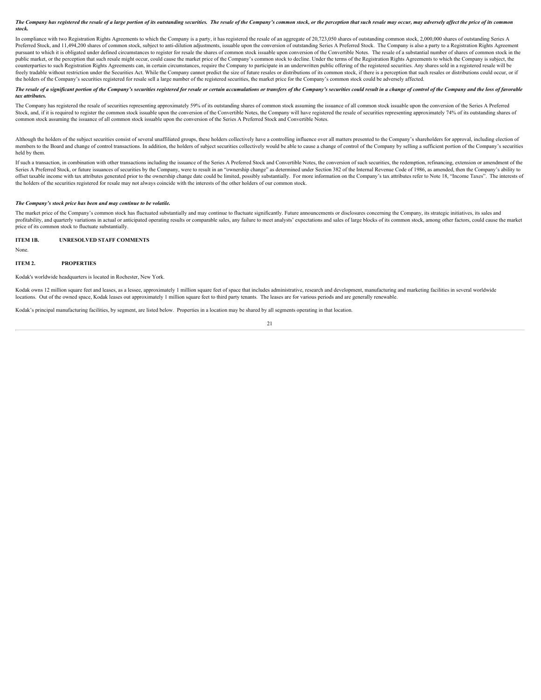The Company has registered the resale of a large portion of its outstanding securities. The resale of the Company's common stock, or the perception that such resale may occur, may adversely affect the price of its common *stock.*

In compliance with two Registration Rights Agreements to which the Company is a party, it has registered the resale of an aggregate of 20,723,050 shares of outstanding common stock, 2,000,000 shares of outstanding Series A Preferred Stock, and 11,494,200 shares of common stock, subject to anti-dilution adjustments, issuable upon the conversion of outstanding Series A Preferred Stock. The Company is also a party to a Registration Rights Agree pursuant to which it is obligated under defined circumstances to register for resale the shares of common stock issuable upon conversion of the Convertible Notes. The resale of a substantial number of shares of common stoc public market, or the perception that such resale might occur, could cause the market price of the Company's common stock to decline. Under the terms of the Registration Rights Agreements to which the Company is subject, t counterparties to such Registration Rights Agreements can, in certain circumstances, require the Company to participate in an underwritten public offering of the registered securities. Any shares sold in a registered resal freely tradable without restriction under the Securities Act. While the Company cannot predict the size of future resales or distributions of its common stock, if there is a perception that such resales or distributions co the holders of the Company's securities registered for resale sell a large number of the registered securities, the market price for the Company's common stock could be adversely affected.

#### The resale of a significant portion of the Company's securities registered for resale or certain accumulations or transfers of the Company's securities could result in a change of control of the Company and the loss of fav *tax attributes.*

The Company has registered the resale of securities representing approximately 59% of its outstanding shares of common stock assuming the issuance of all common stock issuable upon the conversion of the Series A Preferred Stock, and, if it is required to register the common stock issuable upon the conversion of the Convertible Notes, the Company will have registered the resale of securities representing approximately 74% of its outstanding common stock assuming the issuance of all common stock issuable upon the conversion of the Series A Preferred Stock and Convertible Notes.

Although the holders of the subject securities consist of several unaffiliated groups, these holders collectively have a controlling influence over all matters presented to the Company's shareholders for approval, includin members to the Board and change of control transactions. In addition, the holders of subject securities collectively would be able to cause a change of control of the Company by selling a sufficient portion of the Company' held by them.

If such a transaction, in combination with other transactions including the issuance of the Series A Preferred Stock and Convertible Notes, the conversion of such securities, the redemption, refinancing, extension or amend Series A Preferred Stock, or future issuances of securities by the Company, were to result in an "ownership change" as determined under Section 382 of the Internal Revenue Code of 1986, as amended, then the Company's abili offset taxable income with tax attributes generated prior to the ownership change date could be limited, possibly substantially. For more information on the Company's tax attributes refer to Note 18, "Income Taxes". The in the holders of the securities registered for resale may not always coincide with the interests of the other holders of our common stock.

#### *The Company's stock price has been and may continue to be volatile.*

The market price of the Company's common stock has fluctuated substantially and may continue to fluctuate significantly. Future announcements or disclosures concerning the Company, its strategic initiatives, its sales and profitability, and quarterly variations in actual or anticipated operating results or comparable sales, any failure to meet analysts' expectations and sales of large blocks of its common stock, among other factors, could c price of its common stock to fluctuate substantially.

#### <span id="page-21-0"></span>**ITEM 1B. UNRESOLVED STAFF COMMENTS**

None.

#### <span id="page-21-1"></span>**ITEM 2. PROPERTIES**

Kodak's worldwide headquarters is located in Rochester, New York.

Kodak owns 12 million square feet and leases, as a lessee, approximately 1 million square feet of space that includes administrative, research and development, manufacturing and marketing facilities in several worldwide locations. Out of the owned space, Kodak leases out approximately 1 million square feet to third party tenants. The leases are for various periods and are generally renewable.

Kodak's principal manufacturing facilities, by segment, are listed below. Properties in a location may be shared by all segments operating in that location.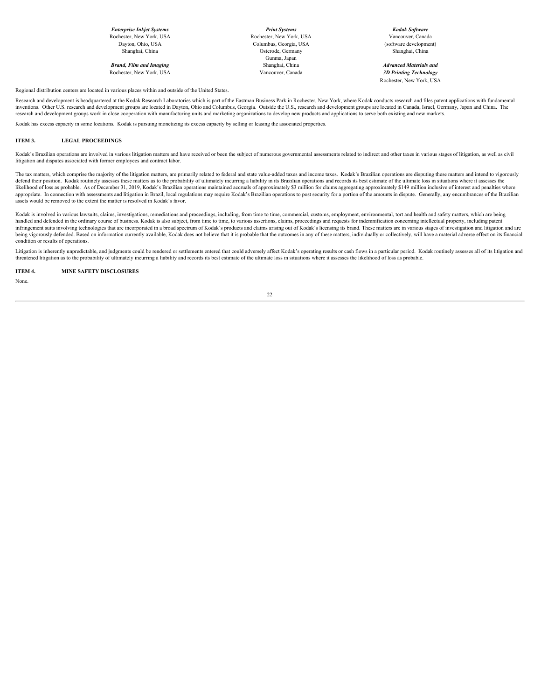*Brand, Film and Imaging* Rochester, New York, USA Vancouver, Canada *3D Printing Technology*

*Enterprise Inkjet Systems Print Systems Kodak Software* Rochester, New York, USA Rochester, New York, USA Vancouver, Canada Dayton, Ohio, USA Columbus, Georgia, USA (software development) Shanghai, China **Shanghai, China China China China China** Osterode, Germany Shanghai, China Shanghai, China Shanghai, China Shanghai, China Shanghai, China Shanghai, China Shanghai, China Shanghai, China Shanghai, China Sh Gunma, Japan<br>Shanghai, China **Markalan and Shanghai, China and Shanghai**, China and Markalan and Markalan and Markalan and Ma

Rochester, New York, USA

Regional distribution centers are located in various places within and outside of the United States.

Research and development is headquartered at the Kodak Research Laboratories which is part of the Eastman Business Park in Rochester, New York, where Kodak conducts research and files patent applications with fundamental inventions. Other U.S. research and development groups are located in Dayton, Ohio and Columbus, Georgia. Outside the U.S., research and development groups are located in Canada, Israel, Germany, Japan and China. The research and development groups work in close cooperation with manufacturing units and marketing organizations to develop new products and applications to serve both existing and new markets.

Kodak has excess capacity in some locations. Kodak is pursuing monetizing its excess capacity by selling or leasing the associated properties.

#### <span id="page-22-0"></span>**ITEM 3. LEGAL PROCEEDINGS**

Kodak's Brazilian operations are involved in various litigation matters and have received or been the subject of numerous governmental assessments related to indirect and other taxes in various stages of litigation, as wel litigation and disputes associated with former employees and contract labor.

The tax matters, which comprise the majority of the litigation matters, are primarily related to federal and state value-added taxes and income taxes. Kodak's Brazilian operations are disputing these matters and intend to defend their position. Kodak routinely assesses these matters as to the probability of ultimately incurring a liability in its Brazilian operations and records its best estimate of the ultimate loss in situations where it likelihood of loss as probable. As of December 31, 2019, Kodak's Brazilian operations maintained accruals of approximately \$3 million for claims aggregating approximately \$149 million inclusive of interest and penalties wh appropriate. In connection with assessments and litigation in Brazil, local regulations may require Kodak's Brazilian operations to post security for a portion of the amounts in dispute. Generally, any encumbrances of the assets would be removed to the extent the matter is resolved in Kodak's favor.

Kodak is involved in various lawsuits, claims, investigations, remediations and proceedings, including, from time to time, commercial, customs, employment, environmental, tort and health and safety matters, which are being handled and defended in the ordinary course of business. Kodak is also subject, from time to time, to various assertions, claims, proceedings and requests for indemnification concerning intellectual property, including pat infringement suits involving technologies that are incorporated in a broad spectrum of Kodak's products and claims arising out of Kodak's licensing its brand. These matters are in various stages of investigation and litiga being vigorously defended. Based on information currently available, Kodak does not believe that it is probable that the outcomes in any of these matters, individually or collectively, will have a material adverse effect o condition or results of operations.

Litigation is inherently unpredictable, and judgments could be rendered or settlements entered that could adversely affect Kodak's operating results or cash flows in a particular period. Kodak routinely assesses all of its threatened litigation as to the probability of ultimately incurring a liability and records its best estimate of the ultimate loss in situations where it assesses the likelihood of loss as probable.

**ITEM 4. MINE SAFETY DISCLOSURES**

<span id="page-22-1"></span>None.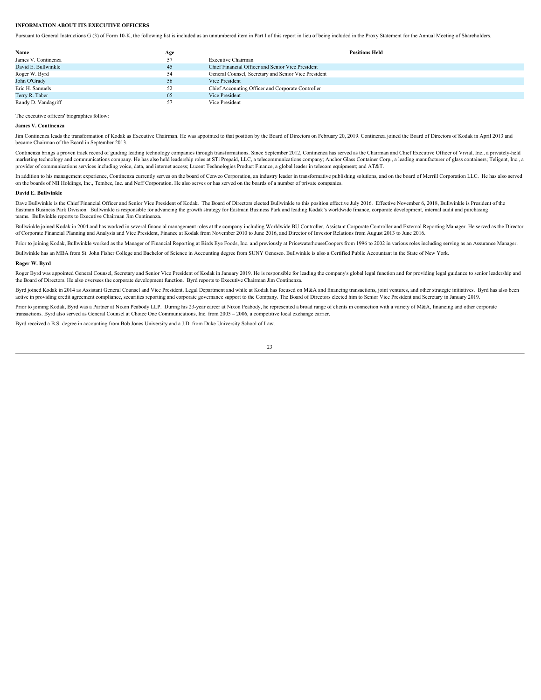#### <span id="page-23-0"></span>**INFORMATION ABOUT ITS EXECUTIVE OFFICERS**

Pursuant to General Instructions G (3) of Form 10-K, the following list is included as an unnumbered item in Part I of this report in lieu of being included in the Proxy Statement for the Annual Meeting of Shareholders.

| Name                | Age | <b>Positions Held</b>                                |
|---------------------|-----|------------------------------------------------------|
| James V. Continenza | 57  | Executive Chairman                                   |
| David E. Bullwinkle | 45  | Chief Financial Officer and Senior Vice President    |
| Roger W. Byrd       | 54  | General Counsel, Secretary and Senior Vice President |
| John O'Grady        | 56  | Vice President                                       |
| Eric H. Samuels     | 52  | Chief Accounting Officer and Corporate Controller    |
| Terry R. Taber      | 65  | Vice President                                       |
| Randy D. Vandagriff | 57  | Vice President                                       |
|                     |     |                                                      |

The executive officers' biographies follow:

#### **James V. Continenza**

Jim Continenza leads the transformation of Kodak as Executive Chairman. He was appointed to that position by the Board of Directors on February 20, 2019. Continenza joined the Board of Directors of Kodak in April 2013 and became Chairman of the Board in September 2013.

Continenza brings a proven track record of guiding leading technology companies through transformations. Since September 2012, Continenza has served as the Chairman and Chief Executive Officer of Vivial, Inc., a privatelymarketing technology and communications company. He has also held leadership roles at STi Prepaid, LLC, a telecommunications company, Anchor Glass Container Corp., a leading manufacturer of glass containers, Teligent, Inc. provider of communications services including voice, data, and internet access; Lucent Technologies Product Finance, a global leader in telecom equipment; and AT&T.

In addition to his management experience, Continenza currently serves on the board of Cenveo Corporation, an industry leader in transformative publishing solutions, and on the board of Merrill Corporation LLC. He has also on the boards of NII Holdings, Inc., Tembec, Inc. and Neff Corporation. He also serves or has served on the boards of a number of private companies.

#### **David E. Bullwinkle**

Dave Bullwinkle is the Chief Financial Officer and Senior Vice President of Kodak. The Board of Directors elected Bullwinkle to this position effective July 2016. Effective November 6, 2018, Bullwinkle is President of the Eastman Business Park Division. Bullwinkle is responsible for advancing the growth strategy for Eastman Business Park and leading Kodak's worldwide finance, corporate development, internal audit and purchasing teams. Bullwinkle reports to Executive Chairman Jim Continenza.

Bullwinkle joined Kodak in 2004 and has worked in several financial management roles at the company including Worldwide BU Controller, Assistant Corporate Controller and External Reporting Manager. He served as the Director of Corporate Financial Planning and Analysis and Vice President, Finance at Kodak from November 2010 to June 2016, and Director of Investor Relations from August 2013 to June 2016.

Prior to joining Kodak, Bullwinkle worked as the Manager of Financial Reporting at Birds Eye Foods, Inc. and previously at PricewaterhouseCoopers from 1996 to 2002 in various roles including serving as an Assurance Manager.

Bullwinkle has an MBA from St. John Fisher College and Bachelor of Science in Accounting degree from SUNY Geneseo. Bullwinkle is also a Certified Public Accountant in the State of New York.

#### **Roger W. Byrd**

Roger Byrd was appointed General Counsel, Secretary and Senior Vice President of Kodak in January 2019. He is responsible for leading the company's global legal function and for providing legal guidance to senior leadershi the Board of Directors. He also oversees the corporate development function. Byrd reports to Executive Chairman Jim Continenza.

Byrd joined Kodak in 2014 as Assistant General Counsel and Vice President, Legal Department and while at Kodak has focused on M&A and financing transactions, joint ventures, and other strategic initiatives. Byrd has also b active in providing credit agreement compliance, securities reporting and corporate governance support to the Company. The Board of Directors elected him to Senior Vice President and Secretary in January 2019.

Prior to joining Kodak, Byrd was a Partner at Nixon Peabody LLP. During his 23-year career at Nixon Peabody, he represented a broad range of clients in connection with a variety of M&A, financing and other corporate transactions. Byrd also served as General Counsel at Choice One Communications, Inc. from 2005 – 2006, a competitive local exchange carrier.

Byrd received a B.S. degree in accounting from Bob Jones University and a J.D. from Duke University School of Law.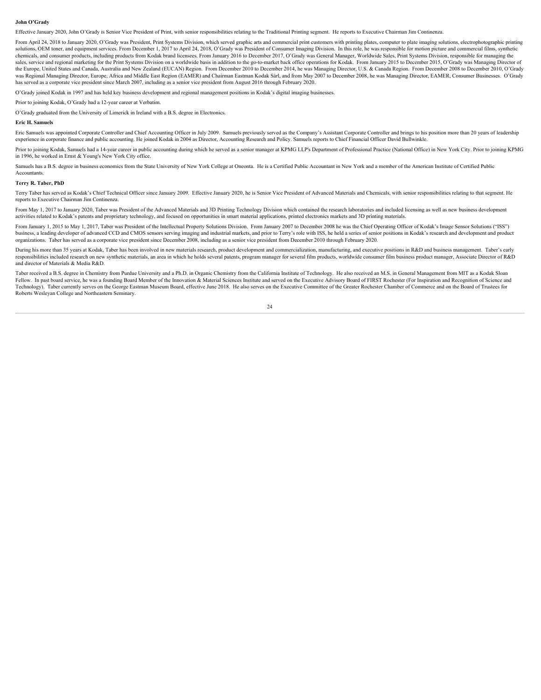#### **John O'Grady**

Effective January 2020, John O'Grady is Senior Vice President of Print, with senior responsibilities relating to the Traditional Printing segment. He reports to Executive Chairman Jim Continenza.

From April 24, 2018 to January 2020, O'Grady was President, Print Systems Division, which served graphic arts and commercial print customers with printing plates, computer to plate imaging solutions, electrophotographic pr solutions, OEM toner, and equipment services. From December 1, 2017 to April 24, 2018, O'Grady was President of Consumer Imaging Division. In this role, he was responsible for motion picture and commercial films, synthetic chemicals, and consumer products, including products from Kodak brand licensees. From January 2016 to December 2017, O'Grady was General Manager, Worldwide Sales, Print Systems Division, responsible for managing the sales, service and regional marketing for the Print Systems Division on a worldwide basis in addition to the go-to-market back office operations for Kodak. From January 2015 to December 2015, O'Grady was Managing Director the Europe, United States and Canada, Australia and New Zealand (EUCAN) Region. From December 2010 to December 2014, he was Managing Director, U.S. & Canada Region. From December 2008 to December 2010, O'Grady was Regional Managing Director, Europe, Africa and Middle East Region (EAMER) and Chairman Eastman Kodak Sàrl, and from May 2007 to December 2008, he was Managing Director, EAMER, Consumer Businesses. O'Grady has served as a corporate vice president since March 2007, including as a senior vice president from August 2016 through February 2020.

O'Grady joined Kodak in 1997 and has held key business development and regional management positions in Kodak's digital imaging businesses.

Prior to joining Kodak, O'Grady had a 12-year career at Verbatim.

O'Grady graduated from the University of Limerick in Ireland with a B.S. degree in Electronics.

#### **Eric H. Samuels**

Eric Samuels was appointed Corporate Controller and Chief Accounting Officer in July 2009. Samuels previously served as the Company's Assistant Corporate Controller and brings to his position more than 20 years of leadersh experience in corporate finance and public accounting. He joined Kodak in 2004 as Director, Accounting Research and Policy. Samuels reports to Chief Financial Officer David Bullwinkle.

Prior to joining Kodak, Samuels had a 14-year career in public accounting during which he served as a senior manager at KPMG LLP's Department of Professional Practice (National Office) in New York City. Prior to joining KP in 1996, he worked in Ernst & Young's New York City office.

Samuels has a B.S. degree in business economics from the State University of New York College at Oneonta. He is a Certified Public Accountant in New York and a member of the American Institute of Certified Public Accountants.

#### **Terry R. Taber, PhD**

Terry Taber has served as Kodak's Chief Technical Officer since January 2009. Effective January 2020, he is Senior Vice President of Advanced Materials and Chemicals, with senior responsibilities relating to that segment. reports to Executive Chairman Jim Continenza.

From May 1, 2017 to January 2020, Taber was President of the Advanced Materials and 3D Printing Technology Division which contained the research laboratories and included licensing as well as new business development activities related to Kodak's patents and proprietary technology, and focused on opportunities in smart material applications, printed electronics markets and 3D printing materials.

From January 1, 2015 to May 1, 2017, Taber was President of the Intellectual Property Solutions Division. From January 2007 to December 2008 he was the Chief Operating Officer of Kodak's Image Sensor Solutions ("ISS") business, a leading developer of advanced CCD and CMOS sensors serving imaging and industrial markets, and prior to Terry's role with ISS, he held a series of senior positions in Kodak's research and development and produc organizations. Taber has served as a corporate vice president since December 2008, including as a senior vice president from December 2010 through February 2020.

During his more than 35 years at Kodak, Taber has been involved in new materials research, product development and commercialization, manufacturing, and executive positions in R&D and business management. Taber's early responsibilities included research on new synthetic materials, an area in which he holds several patents, program manager for several film products, worldwide consumer film business product manager, Associate Director of R&D and director of Materials & Media R&D.

Taber received a B.S. degree in Chemistry from Purdue University and a Ph.D. in Organic Chemistry from the California Institute of Technology. He also received an M.S. in General Management from MIT as a Kodak Sloan Fellow. In past board service, he was a founding Board Member of the Innovation & Material Sciences Institute and served on the Executive Advisory Board of FIRST Rochester (For Inspiration and Recognition of Science and Technology). Taber currently serves on the George Eastman Museum Board, effective June 2018. He also serves on the Executive Committee of the Greater Rochester Chamber of Commerce and on the Board of Trustees for Roberts Wesleyan College and Northeastern Seminary.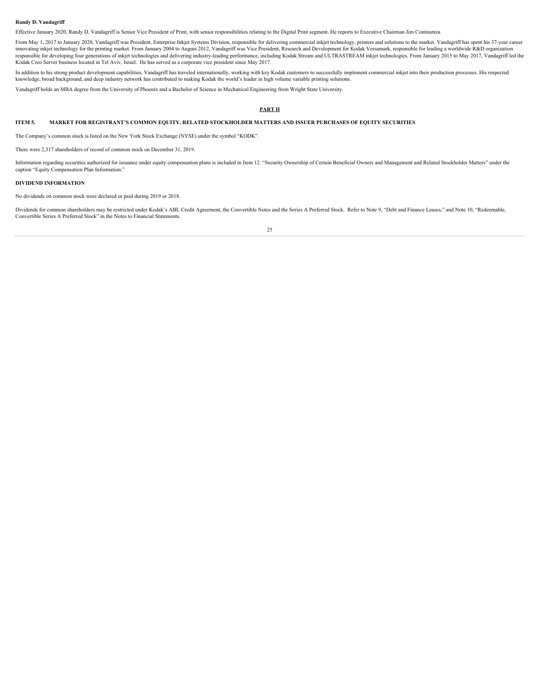#### **Randy D. Vandagriff**

Effective January 2020, Randy D. Vandagriff is Senior Vice President of Print, with senior responsibilities relating to the Digital Print segment. He reports to Executive Chairman Jim Continenza.

From May 1, 2017 to January 2020, Vandagriff was President, Enterprise Inkjet Systems Division, responsible for delivering commercial inkjet technology, printers and solutions to the market. Vandagriff has spent his 37-yea innovating inkjet technology for the printing market. From January 2004 to August 2012, Vandagriff was Vice President, Research and Development for Kodak Versamark, responsible for leading a worldwide R&D organization responsible for developing four generations of inkjet technologies and delivering industry-leading performance, including Kodak Stream and ULTRASTREAM inkjet technologies. From January 2015 to May 2017, Vandagriff led the Kodak Creo Server business located in Tel Aviv, Israel. He has served as a corporate vice president since May 2017.

In addition to his strong product development capabilities, Vandagriff has traveled internationally, working with key Kodak customers to successfully implement commercial inkjet into their production processes. His respected knowledge, broad background, and deep industry network has contributed to making Kodak the world's leader in high volume variable printing solutions.

Vandagriff holds an MBA degree from the University of Phoenix and a Bachelor of Science in Mechanical Engineering from Wright State University.

#### <span id="page-25-0"></span>**PART II**

#### <span id="page-25-1"></span>**ITEM 5. MARKET FOR REGISTRANT'S COMMON EQUITY, RELATED STOCKHOLDER MATTERS AND ISSUER PURCHASES OF EQUITY SECURITIES**

The Company's common stock is listed on the New York Stock Exchange (NYSE) under the symbol "KODK".

There were 2,317 shareholders of record of common stock on December 31, 2019.

Information regarding securities authorized for issuance under equity compensation plans is included in Item 12. "Security Ownership of Certain Beneficial Owners and Management and Related Stockholder Matters" under the caption "Equity Compensation Plan Information."

#### **DIVIDEND INFORMATION**

No dividends on common stock were declared or paid during 2019 or 2018.

Dividends for common shareholders may be restricted under Kodak's ABL Credit Agreement, the Convertible Notes and the Series A Preferred Stock. Refer to Note 9, "Debt and Finance Leases," and Note 10, "Redeemable, Convertible Series A Preferred Stock" in the Notes to Financial Statements.

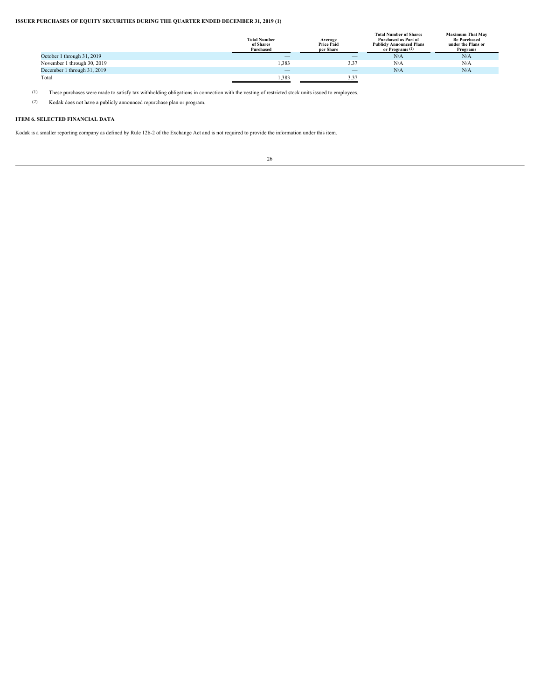### **ISSUER PURCHASES OF EQUITY SECURITIES DURING THE QUARTER ENDED DECEMBER 31, 2019 (1)**

|                             | <b>Total Number</b><br>of Shares<br>Purchased | Average<br><b>Price Paid</b><br>per Share | <b>Total Number of Shares</b><br>Purchased as Part of<br><b>Publicly Announced Plans</b><br>or Programs <sup>(2)</sup> | <b>Maximum That May</b><br><b>Be Purchased</b><br>under the Plans or<br>Programs |
|-----------------------------|-----------------------------------------------|-------------------------------------------|------------------------------------------------------------------------------------------------------------------------|----------------------------------------------------------------------------------|
| October 1 through 31, 2019  | $\hspace{0.1mm}-\hspace{0.1mm}$               | $\hspace{0.1mm}-\hspace{0.1mm}$           | N/A                                                                                                                    | N/A                                                                              |
| November 1 through 30, 2019 | 1,383                                         | 3.37                                      | N/A                                                                                                                    | N/A                                                                              |
| December 1 through 31, 2019 | $\overline{\phantom{a}}$                      | $\hspace{0.1mm}-\hspace{0.1mm}$           | N/A                                                                                                                    | N/A                                                                              |
| Total                       | 1,383                                         |                                           |                                                                                                                        |                                                                                  |
|                             |                                               |                                           |                                                                                                                        |                                                                                  |

(1) These purchases were made to satisfy tax withholding obligations in connection with the vesting of restricted stock units issued to employees.

(2) Kodak does not have a publicly announced repurchase plan or program.

## <span id="page-26-0"></span>**ITEM 6. SELECTED FINANCIAL DATA**

Kodak is a smaller reporting company as defined by Rule 12b-2 of the Exchange Act and is not required to provide the information under this item.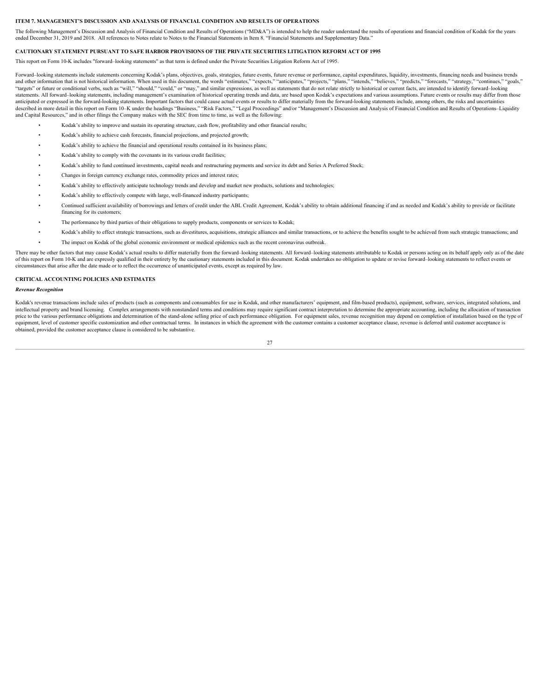#### <span id="page-27-0"></span>**ITEM 7. MANAGEMENT'S DISCUSSION AND ANALYSIS OF FINANCIAL CONDITION AND RESULTS OF OPERATIONS**

The following Management's Discussion and Analysis of Financial Condition and Results of Operations ("MD&A") is intended to help the reader understand the results of operations and financial condition of Kodak for the year ended December 31, 2019 and 2018. All references to Notes relate to Notes to the Financial Statements in Item 8. "Financial Statements and Supplementary Data."

#### **CAUTIONARY STATEMENT PURSUANT TO SAFE HARBOR PROVISIONS OF THE PRIVATE SECURITIES LITIGATION REFORM ACT OF 1995**

This report on Form 10-K includes "forward–looking statements" as that term is defined under the Private Securities Litigation Reform Act of 1995.

Forward-looking statements include statements concerning Kodak's plans, objectives, goals, strategies, future events, future revenue or performance, capital expenditures, liquidity, investments, financing needs and busines and other information that is not historical information. When used in this document, the words "estimates," "expects," "anticipates," "projects," "projects," "thends," "believes," "predicts," "forecasts," "strategy," "con "targets" or future or conditional verbs, such as "will," "should," "could," or "may," and similar expressions, as well as statements that do not relate strictly to historical or current facts, are intended to identify for statements. All forward-looking statements, including management's examination of historical operating trends and data, are based upon Kodak's expectations and various assumptions. Future events or results may differ from anticipated or expressed in the forward-looking statements. Important factors that could cause actual events or results to differ materially from the forward-looking statements include, among others, the risks and uncertai and Capital Resources," and in other filings the Company makes with the SEC from time to time, as well as the following:

- Kodak's ability to improve and sustain its operating structure, cash flow, profitability and other financial results;
- Kodak's ability to achieve cash forecasts, financial projections, and projected growth;
- Kodak's ability to achieve the financial and operational results contained in its business plans;
- Kodak's ability to comply with the covenants in its various credit facilities;
- Kodak's ability to fund continued investments, capital needs and restructuring payments and service its debt and Series A Preferred Stock;
- Changes in foreign currency exchange rates, commodity prices and interest rates;
- Kodak's ability to effectively anticipate technology trends and develop and market new products, solutions and technologies;
- Kodak's ability to effectively compete with large, well-financed industry participants;
- Continued sufficient availability of borrowings and letters of credit under the ABL Credit Agreement, Kodak's ability to obtain additional financing if and as needed and Kodak's ability to provide or facilitate financing for its customers;
- The performance by third parties of their obligations to supply products, components or services to Kodak;
- Kodak's ability to effect strategic transactions, such as divestitures, acquisitions, strategic alliances and similar transactions, or to achieve the benefits sought to be achieved from such strategic transactions; and
- The impact on Kodak of the global economic environment or medical epidemics such as the recent coronavirus outbreak.

There may be other factors that may cause Kodak's actual results to differ materially from the forward-looking statements. All forward-looking statements attributable to Kodak or persons acting on its behalf apply only as of this report on Form 10-K and are expressly qualified in their entirety by the cautionary statements included in this document. Kodak undertakes no obligation to update or revise forward-looking statements to reflect eve circumstances that arise after the date made or to reflect the occurrence of unanticipated events, except as required by law.

#### **CRITICAL ACCOUNTING POLICIES AND ESTIMATES**

#### *Revenue Recognition*

Kodak's revenue transactions include sales of products (such as components and consumables for use in Kodak, and other manufacturers' equipment, and film-based products), equipment, software, services, integrated solutions intellectual property and brand licensing. Complex arrangements with nonstandard terms and conditions may require significant contract interpretation to determine the appropriate accounting, including the allocation of tra price to the various performance obligations and determination of the stand-alone selling price of each performance obligation. For equipment sales, revenue recognition may depend on completion of installation based on the equipment, level of customer specific customization and other contractual terms. In instances in which the agreement with the customer contains a customer acceptance clause, revenue is deferred until customer acceptance is obtained, provided the customer acceptance clause is considered to be substantive.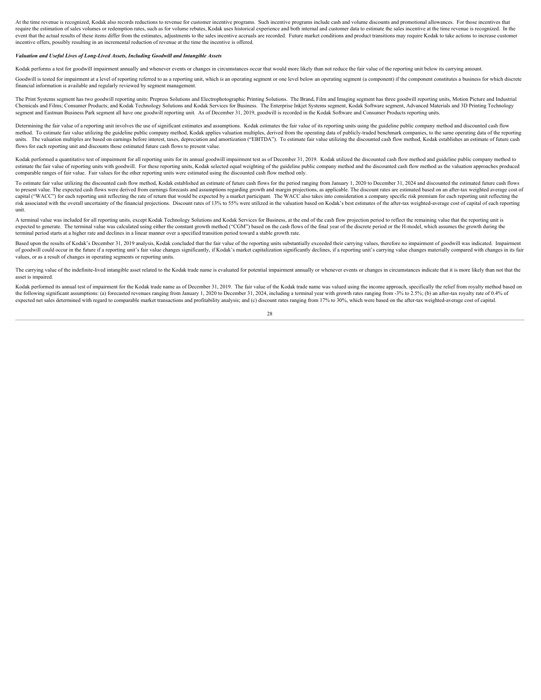At the time revenue is recognized. Kodak also records reductions to revenue for customer incentive programs. Such incentive programs include cash and volume discounts and promotional allowances. For those incentives that require the estimation of sales volumes or redemption rates, such as for volume rebates. Kodak uses historical experience and both internal and customer data to estimate the sales incentive at the time revenue is recognize event that the actual results of these items differ from the estimates, adjustments to the sales incentive accruals are recorded. Future market conditions and product transitions may require Kodak to take actions to increa incentive offers, possibly resulting in an incremental reduction of revenue at the time the incentive is offered.

#### *Valuation and Useful Lives of Long-Lived Assets, Including Goodwill and Intangible Assets*

Kodak performs a test for goodwill impairment annually and whenever events or changes in circumstances occur that would more likely than not reduce the fair value of the reporting unit below its carrying amount.

Goodwill is tested for impairment at a level of reporting referred to as a reporting unit, which is an operating segment or one level below an operating segment (a component) if the component constitutes a business for whi financial information is available and regularly reviewed by segment management.

The Print Systems segment has two goodwill reporting units: Prepress Solutions and Electrophotographic Printing Solutions. The Brand, Film and Imaging segment has three goodwill reporting units, Motion Picture and Industrial Chemicals and Films; Consumer Products; and Kodak Technology Solutions and Kodak Services for Business. The Enterprise Inkjet Systems segment, Kodak Software segment, Advanced Materials and 3D Printing Technology segment and Eastman Business Park segment all have one goodwill reporting unit. As of December 31, 2019, goodwill is recorded in the Kodak Software and Consumer Products reporting units.

Determining the fair value of a reporting unit involves the use of significant estimates and assumptions. Kodak estimates the fair value of its reporting units using the guideline public company method and discounted cash method. To estimate fair value utilizing the guideline public company method, Kodak applies valuation multiples, derived from the operating data of publicly-traded benchmark companies, to the same operating data of the rep units. The valuation multiples are based on earnings before interest, taxes, depreciation and amortization ("EBITDA"). To estimate fair value utilizing the discounted cash flow method, Kodak establishes an estimate of futu flows for each reporting unit and discounts those estimated future cash flows to present value.

Kodak performed a quantitative test of impairment for all reporting units for its annual goodwill impairment test as of December 31, 2019. Kodak utilized the discounted cash flow method and guideline public company method estimate the fair value of reporting units with goodwill. For these reporting units, Kodak selected equal weighting of the guideline public company method and the discounted cash flow method as the valuation approaches pro comparable ranges of fair value. Fair values for the other reporting units were estimated using the discounted cash flow method only.

To estimate fair value utilizing the discounted cash flow method, Kodak established an estimate of future cash flows for the period ranging from January 1, 2020 to December 31, 2024 and discounted the estimated future cash to present value. The expected cash flows were derived from earnings forecasts and assumptions regarding growth and margin projections, as applicable. The discount rates are estimated based on an after-tax weighted average capital ("WACC") for each reporting unit reflecting the rate of return that would be expected by a market participant. The WACC also takes into consideration a company specific risk premium for each reporting unit reflecti risk associated with the overall uncertainty of the financial projections. Discount rates of 13% to 55% were utilized in the valuation based on Kodak's best estimates of the after-tax weighted-average cost of capital of ea unit.

A terminal value was included for all reporting units, except Kodak Technology Solutions and Kodak Services for Business, at the end of the cash flow projection period to reflect the remaining value that the reporting unit expected to generate. The terminal value was calculated using either the constant growth method ("CGM") based on the cash flows of the final year of the discrete period or the H-model, which assumes the growth during the terminal period starts at a higher rate and declines in a linear manner over a specified transition period toward a stable growth rate.

Based upon the results of Kodak's December 31, 2019 analysis. Kodak concluded that the fair value of the reporting units substantially exceeded their carrying values, therefore no impairment of goodwill was indicated. Impa of goodwill could occur in the future if a reporting unit's fair value changes significantly, if Kodak's market capitalization significantly declines, if a reporting unit's carrying value changes materially compared with c values, or as a result of changes in operating segments or reporting units.

The carrying value of the indefinite-lived intangible asset related to the Kodak trade name is evaluated for potential impairment annually or whenever events or changes in circumstances indicate that it is more likely than asset is impaired.

Kodak performed its annual test of impairment for the Kodak trade name as of December 31, 2019. The fair value of the Kodak trade name was valued using the income approach, specifically the relief from royalty method based the following significant assumptions: (a) forecasted revenues ranging from January 1, 2020 to December 31, 2024, including a terminal year with growth rates ranging from -3% to 2.5%; (b) an after-tax royalty rate of 0.4% expected net sales determined with regard to comparable market transactions and profitability analysis; and (c) discount rates ranging from 17% to 30%, which were based on the after-tax weighted-average cost of capital.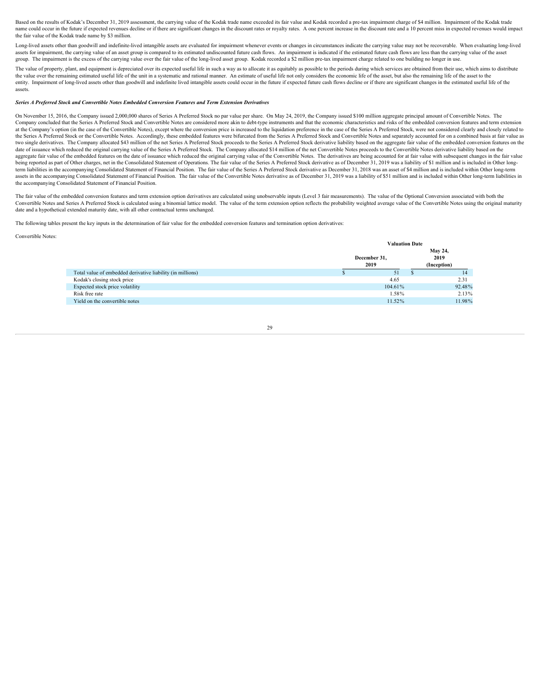Based on the results of Kodak's December 31, 2019 assessment, the carrying value of the Kodak trade name exceeded its fair value and Kodak recorded a pre-tax impairment charge of \$4 million. Impairment of the Kodak trade name could occur in the future if expected revenues decline or if there are significant changes in the discount rates or royalty rates. A one percent increase in the discount rate and a 10 percent miss in expected revenues the fair value of the Kodak trade name by \$3 million.

Long-lived assets other than goodwill and indefinite-lived intangible assets are evaluated for impairment whenever events or changes in circumstances indicate the carrying value may not be recoverable. When evaluating long assets for impairment, the carrying value of an asset group is compared to its estimated undiscounted future cash flows. An impairment is indicated if the estimated future cash flows are less than the carrying value of the group. The impairment is the excess of the carrying value over the fair value of the long-lived asset group. Kodak recorded a \$2 million pre-tax impairment charge related to one building no longer in use.

The value of property, plant, and equipment is depreciated over its expected useful life in such a way as to allocate it as equitably as possible to the periods during which services are obtained from their use, which aims the value over the remaining estimated useful life of the unit in a systematic and rational manner. An estimate of useful life not only considers the economic life of the asset, but also the remaining life of the asset to entity. Impairment of long-lived assets other than goodwill and indefinite lived intangible assets could occur in the future if expected future cash flows decline or if there are significant changes in the estimated useful assets.

#### *Series A Preferred Stock and Convertible Notes Embedded Conversion Features and Term Extension Derivatives*

On November 15, 2016, the Company issued 2,000,000 shares of Series A Preferred Stock no par value per share. On May 24, 2019, the Company issued \$100 million aggregate principal amount of Convertible Notes. The Company concluded that the Series A Preferred Stock and Convertible Notes are considered more akin to debt-type instruments and that the economic characteristics and risks of the embedded conversion features and term exten at the Company's option (in the case of the Convertible Notes), except where the conversion price is increased to the liquidation preference in the case of the Series A Preferred Stock, were not considered clearly and clos the Series A Preferred Stock or the Convertible Notes. Accordingly, these embedded features were bifurcated from the Series A Preferred Stock and Convertible Notes and separately accounted for on a combined basis at fair v two single derivatives. The Company allocated \$43 million of the net Series A Preferred Stock proceeds to the Series A Preferred Stock derivative liability based on the aggregate fair value of the embedded conversion featu date of issuance which reduced the original carrying value of the Series A Preferred Stock. The Company allocated \$14 million of the net Convertible Notes proceeds to the Convertible Notes derivative liability based on the aggregate fair value of the embedded features on the date of issuance which reduced the original carrying value of the Convertible Notes. The derivatives are being accounted for at fair value with subsequent changes in the being reported as part of Other charges, net in the Consolidated Statement of Operations. The fair value of the Series A Preferred Stock derivative as of December 31, 2019 was a liability of \$1 million and is included in O term liabilities in the accompanying Consolidated Statement of Financial Position. The fair value of the Series A Preferred Stock derivative as December 31, 2018 was an asset of \$4 million and is included within Other long assets in the accompanying Consolidated Statement of Financial Position. The fair value of the Convertible Notes derivative as of December 31, 2019 was a liability of \$51 million and is included within Other long-term liab the accompanying Consolidated Statement of Financial Position.

The fair value of the embedded conversion features and term extension option derivatives are calculated using unobservable inputs (Level 3 fair measurements). The value of the Optional Conversion associated with both the Convertible Notes and Series A Preferred Stock is calculated using a binomial lattice model. The value of the term extension option reflects the probability weighted average value of the Convertible Notes using the origina date and a hypothetical extended maturity date, with all other contractual terms unchanged.

The following tables present the key inputs in the determination of fair value for the embedded conversion features and termination option derivatives:

#### Convertible Notes:

|                                                            | <b>Valuation Date</b> |         |             |  |      |  |
|------------------------------------------------------------|-----------------------|---------|-------------|--|------|--|
|                                                            |                       | May 24, |             |  |      |  |
|                                                            | December 31,          |         |             |  | 2019 |  |
|                                                            | 2019                  |         | (Inception) |  |      |  |
| Total value of embedded derivative liability (in millions) | $\overline{J}$        |         |             |  |      |  |
| Kodak's closing stock price                                | 4.65                  |         | 2.31        |  |      |  |
| Expected stock price volatility                            | 104.61%               |         | 92.48%      |  |      |  |
| Risk free rate                                             | 1.58%                 |         | 2.13%       |  |      |  |
| Yield on the convertible notes                             | 11.52%                |         | 11.98%      |  |      |  |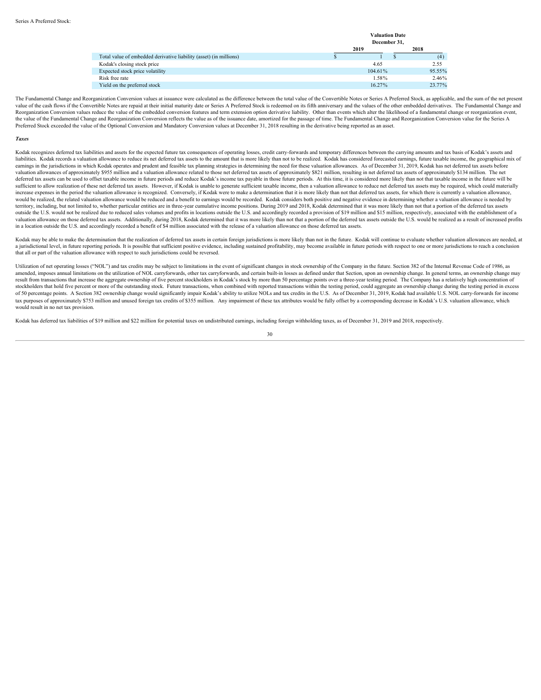|                                                                    |              | <b>Valuation Date</b> |        |  |  |
|--------------------------------------------------------------------|--------------|-----------------------|--------|--|--|
|                                                                    | December 31, |                       |        |  |  |
|                                                                    | 2019         |                       | 2018   |  |  |
| Total value of embedded derivative liability (asset) (in millions) |              |                       | (4)    |  |  |
| Kodak's closing stock price                                        | 4.65         |                       | 2.55   |  |  |
| Expected stock price volatility                                    | 104.61%      |                       | 95.55% |  |  |
| Risk free rate                                                     | 1.58%        |                       | 2.46%  |  |  |
| Yield on the preferred stock                                       | 16.27%       |                       | 23.77% |  |  |

The Fundamental Change and Reorganization Conversion values at issuance were calculated as the difference between the total value of the Convertible Notes or Series A Preferred Stock, as applicable, and the sum of the net value of the cash flows if the Convertible Notes are repaid at their initial maturity date or Series A Preferred Stock is redeemed on its fifth anniversary and the values of the other embedded derivatives. The Fundamental Reorganization Conversion values reduce the value of the embedded conversion features and term extension option derivative liability. Other than events which alter the likelihood of a fundamental change or reorganization e the value of the Fundamental Change and Reorganization Conversion reflects the value as of the issuance date, amortized for the passage of time. The Fundamental Change and Reorganization Conversion value for the Series A Preferred Stock exceeded the value of the Optional Conversion and Mandatory Conversion values at December 31, 2018 resulting in the derivative being reported as an asset.

#### *Taxes*

Kodak recognizes deferred tax liabilities and assets for the expected future tax consequences of operating losses, credit carry-forwards and temporary differences between the carrying amounts and tax basis of Kodak's asset liabilities. Kodak records a valuation allowance to reduce its net deferred tax assets to the amount that is more likely than not to be realized. Kodak has considered forecasted earnings, future taxable income, the geograp earnings in the jurisdictions in which Kodak operates and prudent and feasible tax planning strategies in determining the need for these valuation allowances. As of December 31, 2019, Kodak has net deferred tax assets befo valuation allowances of approximately \$955 million and a valuation allowance related to those net deferred tax assets of approximately \$821 million, resulting in net deferred tax assets of approximately \$134 million. The net deferred tax assets can be used to offset taxable income in future periods and reduce Kodak's income tax payable in those future periods. At this time, it is considered more likely than not that taxable income in the futur sufficient to allow realization of these net deferred tax assets. However, if Kodak is unable to generate sufficient taxable income, then a valuation allowance to reduce net deferred tax assets may be required, which could increase expenses in the period the valuation allowance is recognized. Conversely if Kodak were to make a determination that it is more likely than not that deferred tax assets for which there is currently a valuation allo would be realized, the related valuation allowance would be reduced and a benefit to earnings would be recorded. Kodak considers both positive and negative evidence in determining whether a valuation allowance is needed by territory, including, but not limited to, whether particular entities are in three-year cumulative income positions. During 2019 and 2018, Kodak determined that it was more likely than not that a portion of the deferred ta outside the U.S. would not be realized due to reduced sales volumes and profits in locations outside the U.S. and accordingly recorded a provision of \$19 million and \$15 million, respectively, associated with the establish valuation allowance on those deferred tax assets. Additionally, during 2018, Kodak determined that it was more likely than not that a portion of the deferred tax assets outside the U.S. would be realized as a result of inc in a location outside the U.S. and accordingly recorded a benefit of \$4 million associated with the release of a valuation allowance on those deferred tax assets.

Kodak may be able to make the determination that the realization of deferred tax assets in certain foreign jurisdictions is more likely than not in the future. Kodak will continue to evaluate whether valuation allowances a a jurisdictional level, in future reporting periods. It is possible that sufficient positive evidence, including sustained profitability, may become available in future periods with respect to one or more jurisdictions to that all or part of the valuation allowance with respect to such jurisdictions could be reversed.

Utilization of net operating losses ("NOL") and tax credits may be subject to limitations in the event of significant changes in stock ownership of the Company in the future. Section 382 of the Internal Revenue Code of 198 amended, imposes annual limitations on the utilization of NOL carryforwards, other tax carryforwards, and certain built-in losses as defined under that Section, upon an ownership change. In general terms, an ownership chan result from transactions that increase the aggregate ownership of five percent stockholders in Kodak's stock by more than 50 percentage points over a three-year testing period. The Company has a relatively high concentrati stockholders that hold five percent or more of the outstanding stock. Future transactions, when combined with reported transactions within the testing period, could aggregate an ownership change during the testing period i of 50 percentage points. A Section 382 ownership change would significantly impair Kodak's ability to utilize NOLs and tax credits in the U.S. As of December 31, 2019, Kodak had available U.S. NOL carry-forwards for income tax purposes of approximately \$753 million and unused foreign tax credits of \$355 million. Any impairment of these tax attributes would be fully offset by a corresponding decrease in Kodak's U.S. valuation allowance, which would result in no net tax provision.

Kodak has deferred tax liabilities of \$19 million and \$22 million for potential taxes on undistributed earnings, including foreign withholding taxes, as of December 31, 2019 and 2018, respectively.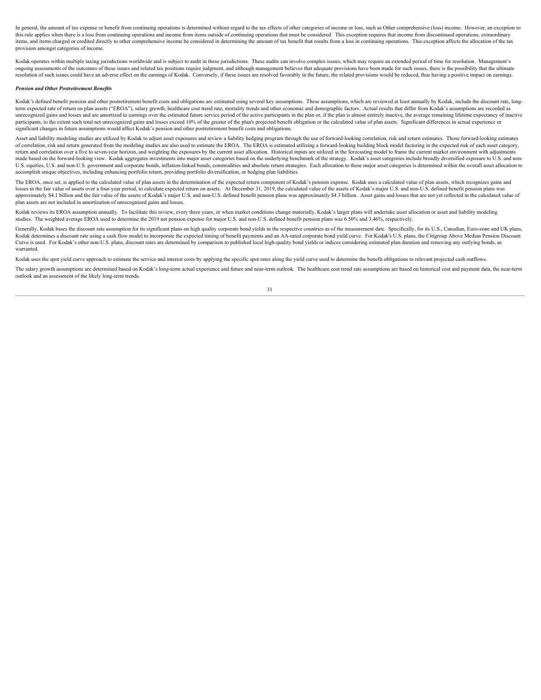In general, the amount of tax expense or benefit from continuing operations is determined without regard to the tax effects of other categories of income or loss, such as Other comprehensive (loss) income. However, an exce this rule applies when there is a loss from continuing operations and income from items outside of continuing operations that must be considered. This exception requires that income from discontinued operations, extraordin items, and items charged or credited directly to other comprehensive income be considered in determining the amount of tax benefit that results from a loss in continuing operations. This exception affects the allocation of provision amongst categories of income.

Kodak operates within multiple taxing jurisdictions worldwide and is subject to audit in these jurisdictions. These audits can involve complex issues, which may require an extended period of time for resolution. Management ongoing assessments of the outcomes of these issues and related tax positions require judgment, and although management believes that adequate provisions have been made for such issues, there is the possibility that the ul resolution of such issues could have an adverse effect on the earnings of Kodak. Conversely, if these issues are resolved favorably in the future, the related provisions would be reduced, thus having a positive impact on e

#### *Pension and Other Postretirement Benefits*

Kodak's defined benefit pension and other postretirement benefit costs and obligations are estimated using several key assumptions. These assumptions, which are reviewed at least annually by Kodak, include the discount rat term expected rate of return on plan assets ("EROA"), salary growth, healthcare cost trend rate, mortality trends and other economic and demographic factors. Actual results that differ from Kodak's assumptions are recorded unrecognized gains and losses and are amortized to earnings over the estimated future service period of the active participants in the plan or, if the plan is almost entirely inactive, the average remaining lifetime expect participants, to the extent such total net unrecognized gains and losses exceed 10% of the greater of the plan's projected benefit obligation or the calculated value of plan assets. Significant differences in actual experi significant changes in future assumptions would affect Kodak's pension and other postretirement benefit costs and obligations.

Asset and liability modeling studies are utilized by Kodak to adjust asset exposures and review a liability hedging program through the use of forward-looking correlation, risk and return estimates. Those forward-looking e of correlation, risk and return generated from the modeling studies are also used to estimate the EROA. The EROA is estimated utilizing a forward-looking building block model factoring in the expected risk of each asset ca return and correlation over a five to seven-year horizon, and weighting the exposures by the current asset allocation. Historical inputs are utilized in the forecasting model to frame the current market environment with ad made based on the forward-looking view. Kodak aggregates investments into major asset categories based on the underlying benchmark of the strategy. Kodak's asset categories include broadly diversified exposure to U.S. and U.S. equities, U.S. and non-U.S. government and corporate bonds, inflation-linked bonds, commodities and absolute return strategies. Each allocation to these major asset categories is determined within the overall asset al accomplish unique objectives, including enhancing portfolio return, providing portfolio diversification, or hedging plan liabilities.

The EROA, once set, is applied to the calculated value of plan assets in the determination of the expected return component of Kodak's pension expense. Kodak uses a calculated value of plan assets, which recognizes gains a losses in the fair value of assets over a four-year period, to calculate expected return on assets. At December 31, 2019, the calculated value of the assets of Kodak's major U.S. and non-U.S. defined benefit pension plans approximately \$4.1 billion and the fair value of the assets of Kodak's major U.S. and non-U.S. defined benefit pension plans was approximately \$4.3 billion. Asset gains and losses that are not yet reflected in the calculat plan assets are not included in amortization of unrecognized gains and losses.

Kodak reviews its EROA assumption annually. To facilitate this review, every three years, or when market conditions change materially, Kodak's larger plans will undertake asset allocation or asset and liability modeling studies. The weighted average EROA used to determine the 2019 net pension expense for major U.S. and non-U.S. defined benefit pension plans was 6.50% and 3.46%, respectively.

Generally, Kodak bases the discount rate assumption for its significant plans on high quality corporate bond yields in the respective countries as of the measurement date. Specifically, for its U.S., Canadian, Euro-zone an Kodak determines a discount rate using a cash flow model to incorporate the expected timing of benefit payments and an AA-rated corporate bond yield curve. For Kodak's U.S. plans, the Citigroup Above Median Pension Discount Curve is used. For Kodak's other non-U.S. plans, discount rates are determined by comparison to published local high-quality bond yields or indices considering estimated plan duration and removing any outlying bonds, as warranted.

Kodak uses the spot yield curve approach to estimate the service and interest costs by applying the specific spot rates along the yield curve used to determine the benefit obligations to relevant projected cash outflows.

The salary growth assumptions are determined based on Kodak's long-term actual experience and future and near-term outlook. The healthcare cost trend rate assumptions are based on historical cost and payment data, the near outlook and an assessment of the likely long-term trends.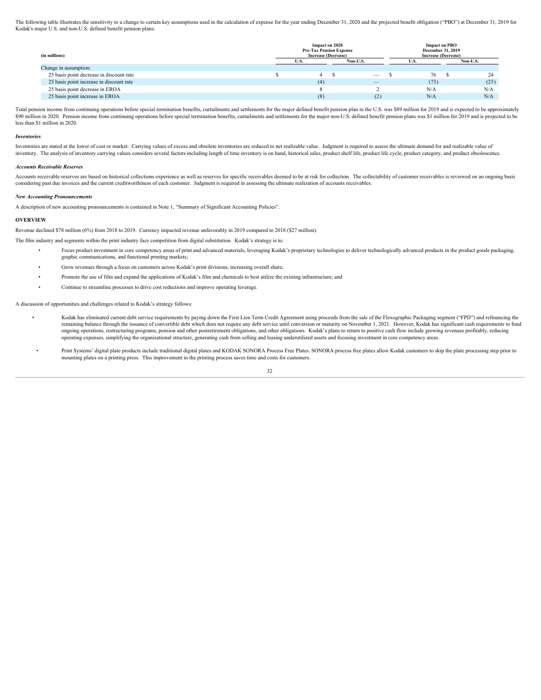The following table illustrates the sensitivity to a change to certain key assumptions used in the calculation of expense for the year ending December 31, 2020 and the projected benefit obligation ("PBO") at December 31, 2 Kodak's major U.S. and non-U.S. defined benefit pension plans:

| (in millions)                            | Impact on 2020<br><b>Pre-Tax Pension Expense</b><br><b>Increase (Decrease)</b> |                                 | <b>Impact on PBO</b><br>December 31, 2019<br><b>Increase (Decrease)</b> |         |  |
|------------------------------------------|--------------------------------------------------------------------------------|---------------------------------|-------------------------------------------------------------------------|---------|--|
|                                          |                                                                                | Non-U.S                         |                                                                         | Non-U.S |  |
| Change in assumption:                    |                                                                                |                                 |                                                                         |         |  |
| 25 basis point decrease in discount rate |                                                                                | $\hspace{0.1mm}-\hspace{0.1mm}$ |                                                                         |         |  |
| 25 basis point increase in discount rate |                                                                                | $\qquad \qquad - \qquad$        | (73)                                                                    | (23)    |  |
| 25 basis point decrease in EROA          |                                                                                |                                 | N/A                                                                     | N/A     |  |
| 25 basis point increase in EROA          |                                                                                |                                 | N/A                                                                     | N/A     |  |

Total pension income from continuing operations before special termination benefits, curtailments and settlements for the major defined benefit pension plan in the U.S. was \$89 million for 2019 and is expected to be approx \$90 million in 2020. Pension income from continuing operations before special termination benefits, curtailments and settlements for the major non-U.S. defined benefit pension plans was \$1 million for 2019 and is projected less than \$1 million in 2020.

#### *Inventories*

Inventories are stated at the lower of cost or market. Carrying values of excess and obsolete inventories are reduced to net realizable value. Judgment is required to assess the ultimate demand for and realizable value of inventory. The analysis of inventory carrying values considers several factors including length of time inventory is on hand, historical sales, product shelf life, product life cycle, product category, and product obsolesc

#### *Accounts Receivable Reserves*

Accounts receivable reserves are based on historical collections experience as well as reserves for specific receivables deemed to be at risk for collection. The collectability of customer receivables is reviewed on an ong considering past due invoices and the current creditworthiness of each customer. Judgment is required in assessing the ultimate realization of accounts receivables.

#### *New Accounting Pronouncements*

A description of new accounting pronouncements is contained in Note 1, "Summary of Significant Accounting Policies".

#### **OVERVIEW**

Revenue declined \$78 million (6%) from 2018 to 2019. Currency impacted revenue unfavorably in 2019 compared to 2018 (\$27 million).

The film industry and segments within the print industry face competition from digital substitution. Kodak's strategy is to:

- Focus product investment in core competency areas of print and advanced materials, leveraging Kodak's proprietary technologies to deliver technologically advanced products in the product goods packaging, graphic communications, and functional printing markets;
- Grow revenues through a focus on customers across Kodak's print divisions, increasing overall share;
- Promote the use of film and expand the applications of Kodak's film and chemicals to best utilize the existing infrastructure; and
- Continue to streamline processes to drive cost reductions and improve operating leverage.

A discussion of opportunities and challenges related to Kodak's strategy follows:

- Kodak has eliminated current debt service requirements by paying down the First Lien Term Credit Agreement using proceeds from the sale of the Flexographic Packaging segment ("FPD") and refinancing the remaining balance through the issuance of convertible debt which does not require any debt service until conversion or maturity on November 1, 2021. However, Kodak has significant cash requirements to fund ongoing operations, restructuring programs, pension and other postretirement obligations, and other obligations. Kodak's plans to return to positive cash flow include growing revenues profitably, reducing operating expenses, simplifying the organizational structure, generating cash from selling and leasing underutilized assets and focusing investment in core competency areas.
- Print Systems' digital plate products include traditional digital plates and KODAK SONORA Process Free Plates. SONORA process free plates allow Kodak customers to skip the plate processing step prior to mounting plates on a printing press. This improvement in the printing process saves time and costs for customers.<br>32

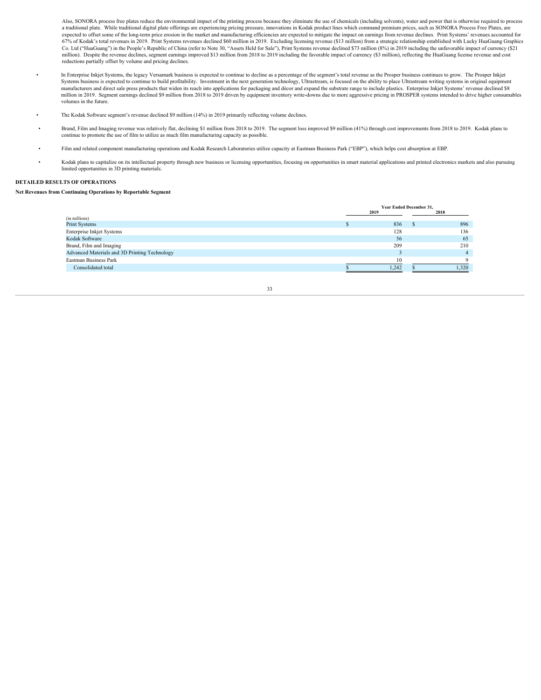Also, SONORA process free plates reduce the environmental impact of the printing process because they eliminate the use of chemicals (including solvents), water and power that is otherwise required to process a traditional plate. While traditional digital plate offerings are experiencing pricing pressure, innovations in Kodak product lines which command premium prices, such as SONORA Process Free Plates, are expected to offset some of the long-term price erosion in the market and manufacturing efficiencies are expected to mitigate the impact on earnings from revenue declines. Print Systems' revenues accounted for 67% of Kodak's total revenues in 2019. Print Systems revenues declined \$60 million in 2019. Excluding licensing revenue (\$13 million) from a strategic relationship established with Lucky HuaGuang Graphics<br>Co. Ltd ("HuaGuan million). Despite the revenue declines, segment earnings improved \$13 million from 2018 to 2019 including the favorable impact of currency (\$3 million), reflecting the HuaGuang license revenue and cost reductions partially offset by volume and pricing declines.

- In Enterprise Inkjet Systems, the legacy Versamark business is expected to continue to decline as a percentage of the segment's total revenue as the Prosper business continues to grow. The Prosper Inkjet Systems business is expected to continue to build profitability. Investment in the next generation technology, Ultrastream, is focused on the ability to place Ultrastream writing systems in original equipment manufacturers and direct sale press products that widen its reach into applications for packaging and décor and expand the substrate range to include plastics. Enterprise Inkjet Systems' revenue declined \$8 million in 2019. Segment earnings declined \$9 million from 2018 to 2019 driven by equipment inventory write-downs due to more aggressive pricing in PROSPER systems intended to drive higher consumables volumes in the future.
- The Kodak Software segment's revenue declined \$9 million (14%) in 2019 primarily reflecting volume declines.
- Brand, Film and Imaging revenue was relatively flat, declining \$1 million from 2018 to 2019. The segment loss improved \$9 million (41%) through cost improvements from 2018 to 2019. Kodak plans to continue to promote the us
- Film and related component manufacturing operations and Kodak Research Laboratories utilize capacity at Eastman Business Park ("EBP"), which helps cost absorption at EBP.
- Kodak plans to capitalize on its intellectual property through new business or licensing opportunities, focusing on opportunities in smart material applications and printed electronics markets and also pursuing limited opportunities in 3D printing materials.

#### **DETAILED RESULTS OF OPERATIONS**

#### **Net Revenues from Continuing Operations by Reportable Segment**

|                                               | Year Ended December 31, |       |  |       |  |
|-----------------------------------------------|-------------------------|-------|--|-------|--|
|                                               |                         | 2019  |  | 2018  |  |
| (in millions)                                 |                         |       |  |       |  |
| Print Systems                                 |                         | 836   |  | 896   |  |
| Enterprise Inkjet Systems                     |                         | 128   |  | 136   |  |
| Kodak Software                                |                         | 56    |  | 65    |  |
| Brand, Film and Imaging                       |                         | 209   |  | 210   |  |
| Advanced Materials and 3D Printing Technology |                         |       |  |       |  |
| Eastman Business Park                         |                         | 10    |  |       |  |
| Consolidated total                            |                         | 1,242 |  | 1,320 |  |
|                                               |                         |       |  |       |  |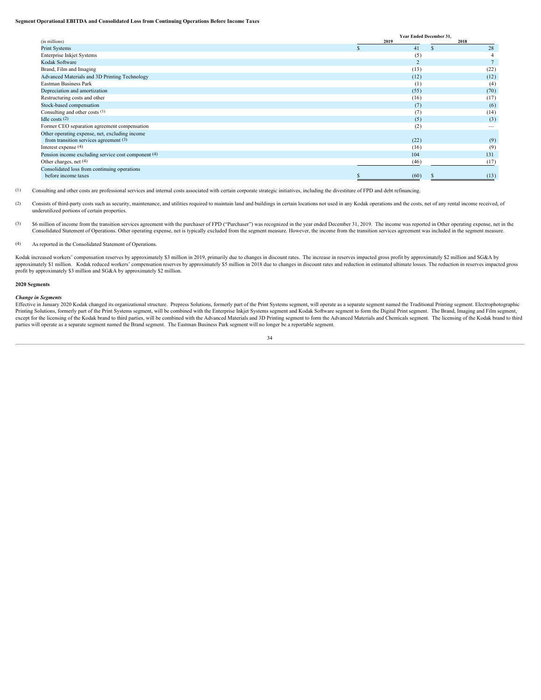#### **Segment Operational EBITDA and Consolidated Loss from Continuing Operations Before Income Taxes**

|                                                     | Year Ended December 31, |      |
|-----------------------------------------------------|-------------------------|------|
| (in millions)                                       | 2019                    | 2018 |
| Print Systems                                       | 41                      |      |
| Enterprise Inkjet Systems                           |                         |      |
| Kodak Software                                      |                         |      |
| Brand, Film and Imaging                             | (13)                    | (22) |
| Advanced Materials and 3D Printing Technology       | (12)                    | (12) |
| Eastman Business Park                               |                         | (4)  |
| Depreciation and amortization                       | (55)                    | (70) |
| Restructuring costs and other                       | (16)                    | (17) |
| Stock-based compensation                            |                         | (6)  |
| Consulting and other costs (1)                      |                         | (14) |
| Idle costs $(2)$                                    |                         | (3)  |
| Former CEO separation agreement compensation        | (2)                     |      |
| Other operating expense, net, excluding income      |                         |      |
| from transition services agreement $(3)$            | (22)                    | (9)  |
| Interest expense (4)                                | (16)                    |      |
| Pension income excluding service cost component (4) | 104                     | 131  |
| Other charges, net (4)                              | (46)                    |      |
| Consolidated loss from continuing operations        |                         |      |
| before income taxes                                 | (60)                    |      |

(1) Consulting and other costs are professional services and internal costs associated with certain corporate strategic initiatives, including the divestiture of FPD and debt refinancing.

- (2) Consists of third-party costs such as security, maintenance, and utilities required to maintain land and buildings in certain locations not used in any Kodak operations and the costs, net of any rental income received, underutilized portions of certain properties.
- (3) \$6 million of income from the transition services agreement with the purchaser of FPD ("Purchaser") was recognized in the year ended December 31, 2019. The income was reported in Other operating expense, net in the Consolidated Statement of Operations. Other operating expense, net is typically excluded from the segment measure. However, the income from the transition services agreement was included in the segment measure.

#### (4) As reported in the Consolidated Statement of Operations.

Kodak increased workers' compensation reserves by approximately \$3 million in 2019, primarily due to changes in discount rates. The increase in reserves impacted gross profit by approximately \$2 million and SG&A by approximately \$1 million. Kodak reduced workers' compensation reserves by approximately \$5 million in 2018 due to changes in discount rates and reduction in estimated ultimate losses. The reduction in reserves impacted gro profit by approximately \$3 million and SG&A by approximately \$2 million.

#### **2020 Segments**

Change in Segments<br>Effective in January 2020 Kodak changed its organizational structure. Prepress Solutions, formerly part of the Print Systems segment, will operate as a separate segment named the Traditional Printing seg except for the licensing of the Kodak brand to third parties, will be combined with the Advanced Materials and 3D Printing segment to form the Advanced Materials and Chemicals segment. The licensing of the Kodak brand to t parties will operate as a separate segment named the Brand segment. The Eastman Business Park segment will no longer be a reportable segment.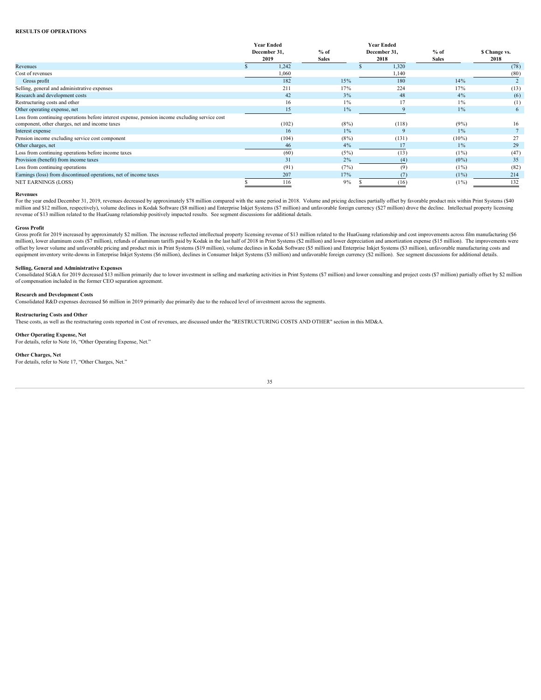#### **RESULTS OF OPERATIONS**

|                                                                                                | <b>Year Ended</b> |              | <b>Year Ended</b> |              |               |  |
|------------------------------------------------------------------------------------------------|-------------------|--------------|-------------------|--------------|---------------|--|
|                                                                                                | December 31,      | $%$ of       | December 31,      | $%$ of       | \$ Change vs. |  |
|                                                                                                | 2019              | <b>Sales</b> | 2018              | <b>Sales</b> | 2018          |  |
| Revenues                                                                                       | 1,242             |              | 1,320             |              | (78)          |  |
| Cost of revenues                                                                               | 1,060             |              | 1,140             |              | (80)          |  |
| Gross profit                                                                                   | 182               | 15%          | 180               | 14%          |               |  |
| Selling, general and administrative expenses                                                   | 211               | 17%          | 224               | 17%          | (13)          |  |
| Research and development costs                                                                 |                   | 3%           | 48                | $4\%$        | (6)           |  |
| Restructuring costs and other                                                                  |                   | $1\%$        | 17                | $1\%$        | (1)           |  |
| Other operating expense, net                                                                   |                   | $1\%$        |                   | $1\%$        | 6             |  |
| Loss from continuing operations before interest expense, pension income excluding service cost |                   |              |                   |              |               |  |
| component, other charges, net and income taxes                                                 | (102)             | $(8\%)$      | (118)             | (9%)         | 16            |  |
| Interest expense                                                                               | 16                | $1\%$        |                   | $1\%$        |               |  |
| Pension income excluding service cost component                                                | (104)             | $(8\%)$      | (131)             | $(10\%)$     | 27            |  |
| Other charges, net                                                                             |                   | 4%           |                   | $1\%$        | 29            |  |
| Loss from continuing operations before income taxes                                            | (60)              | (5%)         | (13)              | $(1\%)$      | (47)          |  |
| Provision (benefit) from income taxes                                                          |                   | 2%           | (4)               | $(0\%)$      | 35            |  |
| Loss from continuing operations                                                                | (91)              | (7%)         |                   | $(1\%)$      | (82)          |  |
| Earnings (loss) from discontinued operations, net of income taxes                              | 207               | 17%          |                   | $(1\%)$      | 214           |  |
| <b>NET EARNINGS (LOSS)</b>                                                                     | 116               | $9\%$        | (16)              | $(1\%)$      | 132           |  |
|                                                                                                |                   |              |                   |              |               |  |

Revenues<br>For the year ended December 31, 2019, revenues decreased by approximately \$78 million compared with the same period in 2018. Volume and pricing declines partially offset by favorable product mix within Print Syste million and \$12 million, respectively), volume declines in Kodak Software (\$8 million) and Enterprise Inkjet Systems (\$7 million) and unfavorable foreign currency (\$27 million) drove the decline. Intellectual property lice revenue of \$13 million related to the HuaGuang relationship positively impacted results. See segment discussions for additional details.

Gross Profit<br>Gross profit for 2019 increased by approximately \$2 million. The increase reflected intellectual property licensing revenue of \$13 million related to the HuaGuang relationship and cost improvements across film offset by lower volume and unfavorable pricing and product mix in Print Systems (\$19 million), volume declines in Kodak Software (\$5 million) and Enterprise Inkjet Systems (\$3 million), unfavorable manufacturing costs and equipment inventory write-downs in Enterprise Inkjet Systems (\$6 million), declines in Consumer Inkjet Systems (\$3 million) and unfavorable foreign currency (\$2 million). See segment discussions for additional details.

#### **Selling, General and Administrative Expenses**

Consolidated SG&A for 2019 decreased \$13 million primarily due to lower investment in selling and marketing activities in Print Systems (\$7 million) and lower consulting and project costs (\$7 million) partially offset by \$ of compensation included in the former CEO separation agreement.

#### **Research and Development Costs**

Consolidated R&D expenses decreased \$6 million in 2019 primarily due primarily due to the reduced level of investment across the segments.

#### **Restructuring Costs and Other**

These costs, as well as the restructuring costs reported in Cost of revenues, are discussed under the "RESTRUCTURING COSTS AND OTHER" section in this MD&A.

#### **Other Operating Expense, Net**

For details, refer to Note 16, "Other Operating Expense, Net."

#### **Other Charges, Net**

For details, refer to Note 17, "Other Charges, Net."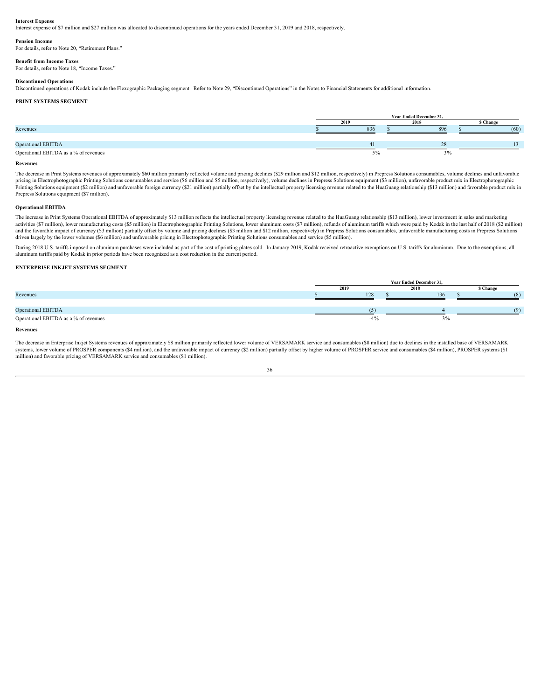**Interest Expense** Interest expense of \$7 million and \$27 million was allocated to discontinued operations for the years ended December 31, 2019 and 2018, respectively.

#### **Pension Income**

For details, refer to Note 20, "Retirement Plans."

#### **Benefit from Income Taxes** For details, refer to Note 18, "Income Taxes."

# **Discontinued Operations**

Discontinued operations of Kodak include the Flexographic Packaging segment. Refer to Note 29, "Discontinued Operations" in the Notes to Financial Statements for additional information.

# **PRINT SYSTEMS SEGMENT**

|                                       |     | Year Ended December 31, |           |
|---------------------------------------|-----|-------------------------|-----------|
|                                       |     |                         | \$ Change |
| Revenues                              | 836 | 896                     |           |
|                                       |     |                         |           |
| <b>Operational EBITDA</b>             |     |                         |           |
| Operational EBITDA as a % of revenues |     |                         |           |

#### **Revenues**

The decrease in Print Systems revenues of approximately \$60 million primarily reflected volume and pricing declines (\$29 million and \$12 million, respectively) in Prepress Solutions consumables, volume declines and unfavor pricing in Electrophotographic Printing Solutions consumables and service (\$6 million and \$5 million, respectively), volume declines in Prepress Solutions equipment (\$3 million), unfavorable product mix in Electrophotograp .<br>Printing Solutions equipment (\$2 million) and unfavorable foreign currency (\$21 million) partially offset by the intellectual property licensing revenue related to the HuaGuang relationship (\$13 million) and favorable pr Prepress Solutions equipment (\$7 million).

#### **Operational EBITDA**

The increase in Print Systems Operational EBITDA of approximately \$13 million reflects the intellectual property licensing revenue related to the HuaGuang relationship (\$13 million), lower investment in sales and marketing activities (\$7 million), lower manufacturing costs (\$5 million) in Electrophotographic Printing Solutions, lower aluminum costs (\$7 million), refunds of aluminum tariffs which were paid by Kodak in the last half of 2018 (\$ and the favorable impact of currency (\$3 million) partially offset by volume and pricing declines (\$3 million and \$12 million, respectively) in Prepress Solutions consumables, unfavorable manufacturing costs in Prepress So driven largely by the lower volumes (\$6 million) and unfavorable pricing in Electrophotographic Printing Solutions consumables and service (\$5 million).

During 2018 U.S. tariffs imposed on aluminum purchases were included as part of the cost of printing plates sold. In January 2019, Kodak received retroactive exemptions on U.S. tariffs for aluminum. Due to the exemptions, aluminum tariffs paid by Kodak in prior periods have been recognized as a cost reduction in the current period.

# **ENTERPRISE INKJET SYSTEMS SEGMENT**

|                                       |      |      | Year Ended December 31, |                |
|---------------------------------------|------|------|-------------------------|----------------|
|                                       | 2019 |      | 2019                    | <b>S</b> Chang |
| Revenues                              |      | 128  | 136                     |                |
|                                       |      |      |                         |                |
| Operational EBITDA                    |      |      |                         |                |
| Operational EBITDA as a % of revenues |      | -4 % |                         |                |

#### **Revenues**

The decrease in Enterprise Inkjet Systems revenues of approximately \$8 million primarily reflected lower volume of VERSAMARK service and consumables (\$8 million) due to declines in the installed base of VERSAMARK systems, lower volume of PROSPER components (\$4 million), and the unfavorable impact of currency (\$2 million) partially offset by higher volume of PROSPER service and consumables (\$4 million), PROSPER systems (\$1 million) and favorable pricing of VERSAMARK service and consumables (\$1 million).

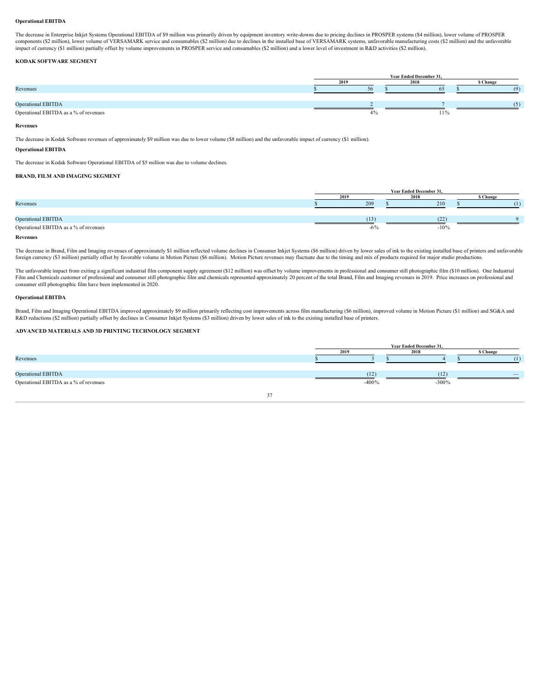#### **Operational EBITDA**

The decrease in Enterprise Inkjet Systems Operational EBITDA of \$9 million was primarily driven by equipment inventory write-downs due to pricing declines in PROSPER systems (\$4 million), lower volume of PROSPER components (\$2 million), lower volume of VERSAMARK service and consumables (\$2 million) due to declines in the installed base of VERSAMARK systems, unfavorable manufacturing costs (\$2 million) and the unfavorable impact of currency (\$1 million) partially offset by volume improvements in PROSPER service and consumables (\$2 million) and a lower level of investment in R&D activities (\$2 million).

# **KODAK SOFTWARE SEGMENT**

|                                       |       | <b>Year Ended December 31,</b> |           |
|---------------------------------------|-------|--------------------------------|-----------|
|                                       | 301   | 201                            | \$ Change |
| Revenues                              |       |                                |           |
|                                       |       |                                |           |
| <b>Operational EBITDA</b>             |       |                                |           |
| Operational EBITDA as a % of revenues | − 7 ∪ | 11/0                           |           |

# **Revenues**

The decrease in Kodak Software revenues of approximately \$9 million was due to lower volume (\$8 million) and the unfavorable impact of currency (\$1 million).

# **Operational EBITDA**

The decrease in Kodak Software Operational EBITDA of \$5 million was due to volume declines.

#### **BRAND, FILM AND IMAGING SEGMENT**

|                                       |        | Year Ended December 31, |           |
|---------------------------------------|--------|-------------------------|-----------|
|                                       |        | 3010                    | \$ Change |
| Revenues                              | 209    | 210                     |           |
|                                       |        |                         |           |
| Operational EBITDA                    | (13)   | (22)                    |           |
| Operational EBITDA as a % of revenues | $-0$ % | $-10%$                  |           |
|                                       |        |                         |           |

#### **Revenues**

The decrease in Brand, Film and Imaging revenues of approximately \$1 million reflected volume declines in Consumer Inkjet Systems (\$6 million) driven by lower sales of ink to the existing installed base of printers and unf foreign currency (\$3 million) partially offset by favorable volume in Motion Picture (\$6 million). Motion Picture revenues may fluctuate due to the timing and mix of products required for major studio productions.

The unfavorable impact from exiting a significant industrial film component supply agreement (\$12 million) was offset by volume improvements in professional and consumer still photographic film (\$10 million). One Industrial Film and Chemicals customer of professional and consumer still photographic film and chemicals represented approximately 20 percent of the total Brand, Film and Imaging revenues in 2019. Price increases on professional and consumer still photographic film have been implemented in 2020.

# **Operational EBITDA**

Brand, Film and Imaging Operational EBITDA improved approximately \$9 million primarily reflecting cost improvements across film manufacturing (\$6 million), improved volume in Motion Picture (\$1 million) and SG&A and R&D reductions (\$2 million) partially offset by declines in Consumer Inkjet Systems (\$3 million) driven by lower sales of ink to the existing installed base of printers.

# **ADVANCED MATERIALS AND 3D PRINTING TECHNOLOGY SEGMENT**

|                                       |         | Year Ended December 31, |         |                 |
|---------------------------------------|---------|-------------------------|---------|-----------------|
|                                       |         | 2018                    |         | <b>S</b> Change |
| Revenues                              |         |                         |         |                 |
|                                       |         |                         |         |                 |
| <b>Operational EBITDA</b>             | 114     |                         |         |                 |
| Operational EBITDA as a % of revenues | $-400%$ |                         | $-300%$ |                 |
|                                       |         |                         |         |                 |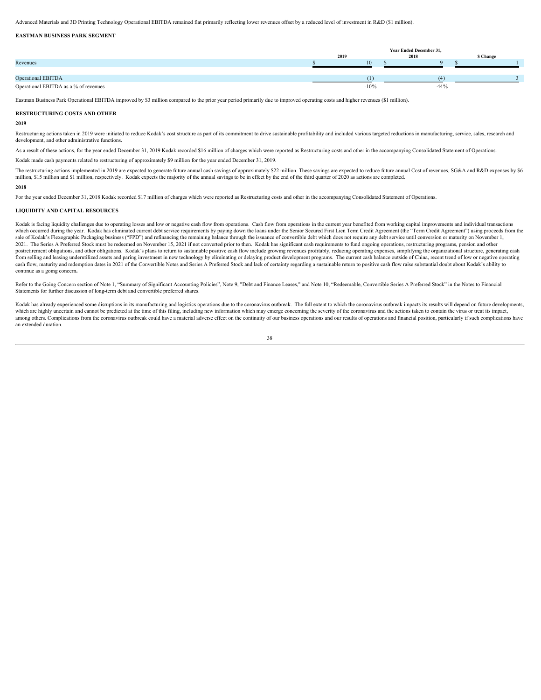Advanced Materials and 3D Printing Technology Operational EBITDA remained flat primarily reflecting lower revenues offset by a reduced level of investment in R&D (\$1 million).

#### **EASTMAN BUSINESS PARK SEGMENT**

|                                       |        | Year Ended December 31, |                 |  |
|---------------------------------------|--------|-------------------------|-----------------|--|
|                                       |        |                         | <b>S Change</b> |  |
| Revenues                              |        |                         |                 |  |
|                                       |        |                         |                 |  |
| <b>Operational EBITDA</b>             |        |                         |                 |  |
| Operational EBITDA as a % of revenues | $-10%$ | $-4476$                 |                 |  |

Eastman Business Park Operational EBITDA improved by \$3 million compared to the prior year period primarily due to improved operating costs and higher revenues (\$1 million).

#### **RESTRUCTURING COSTS AND OTHER**

#### **2019**

Restructuring actions taken in 2019 were initiated to reduce Kodak's cost structure as part of its commitment to drive sustainable profitability and included various targeted reductions in manufacturing, service, sales, re development, and other administrative functions.

As a result of these actions, for the year ended December 31, 2019 Kodak recorded \$16 million of charges which were reported as Restructuring costs and other in the accompanying Consolidated Statement of Operations.

Kodak made cash payments related to restructuring of approximately \$9 million for the year ended December 31, 2019.

The restructuring actions implemented in 2019 are expected to generate future annual cash savings of approximately \$22 million. These savings are expected to reduce future annual Cost of revenues, SG&A and R&D expenses by million, \$15 million and \$1 million, respectively. Kodak expects the majority of the annual savings to be in effect by the end of the third quarter of 2020 as actions are completed.

#### **2018**

For the year ended December 31, 2018 Kodak recorded \$17 million of charges which were reported as Restructuring costs and other in the accompanying Consolidated Statement of Operations.

#### **LIQUIDITY AND CAPITAL RESOURCES**

Kodak is facing liquidity challenges due to operating losses and low or negative cash flow from operations. Cash flow from operations in the current year benefited from working capital improvements and individual transacti which occurred during the year. Kodak has eliminated current debt service requirements by paying down the loans under the Senior Secured First Lien Term Credit Agreement (the "Term Credit Agreement") using proceeds from th sale of Kodak's Flexographic Packaging business ("FPD") and refinancing the remaining balance through the issuance of convertible debt which does not require any debt service until conversion or maturity on November 1, 2021. The Series A Preferred Stock must be redeemed on November 15, 2021 if not converted prior to then. Kodak has significant cash requirements to fund ongoing operations, restructuring programs, pension and other postretirement obligations, and other obligations. Kodak's plans to return to sustainable positive cash flow include growing revenues profitably, reducing operating expenses, simplifying the organizational structure, gener .<br>from selling and leasing underutilized assets and paring investment in new technology by eliminating or delaying product development programs. The current cash balance outside of China, recent trend of low or negative op cash flow, maturity and redemption dates in 2021 of the Convertible Notes and Series A Preferred Stock and lack of certainty regarding a sustainable return to positive cash flow raise substantial doubt about Kodak's abilit continue as a going concern**.**

Refer to the Going Concern section of Note 1, "Summary of Significant Accounting Policies", Note 9, "Debt and Finance Leases," and Note 10, "Redeemable, Convertible Series A Preferred Stock" in the Notes to Financial Statements for further discussion of long-term debt and convertible preferred shares.

Kodak has already experienced some disruptions in its manufacturing and logistics operations due to the coronavirus outbreak. The full extent to which the coronavirus outbreak impacts its results will depend on future deve which are highly uncertain and cannot be predicted at the time of this filing, including new information which may emerge concerning the severity of the coronavirus and the actions taken to contain the virus or treat its i among others. Complications from the coronavirus outbreak could have a material adverse effect on the continuity of our business operations and our results of operations and financial position, particularly if such complic an extended duration.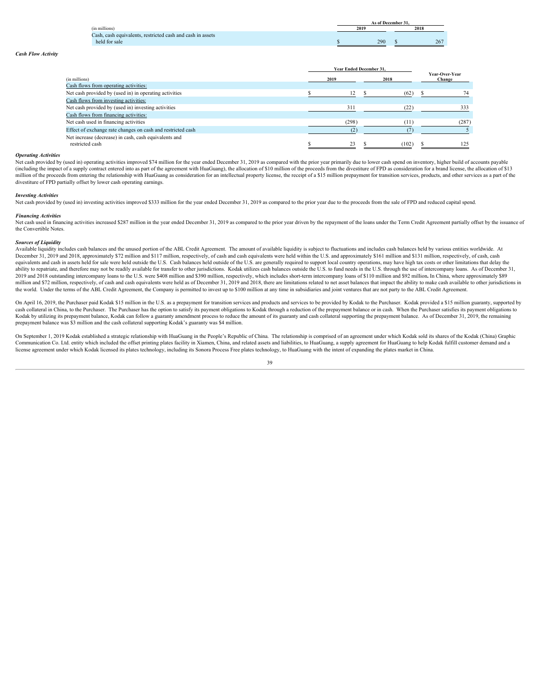|                                                                 |      | As of December 31 |      |
|-----------------------------------------------------------------|------|-------------------|------|
| <b>PERMIT</b><br>(in millions)                                  | 2019 |                   | 2018 |
| h, cash equivalents, restricted cash and cash in assets<br>Lasn |      |                   |      |
| held for sale                                                   |      | 290               | 201  |

Year Ended December 31, Year-Over-Year (in millions) **<sup>2019</sup> <sup>2018</sup> Year-Over-Year Change** Cash flows from operating activities: Net cash provided by (used in) in operating activities **12** \$ (62) \$ 74 Cash flows from investing activities: Net cash provided by (used in) investing activities 313 333 Cash flows from financing activities: Net cash used in financing activities (287) (11) (287) Effect of exchange rate changes on cash and restricted cash (2)  $\qquad (2)$   $(7)$  5 Net increase (decrease) in cash, cash equivalents and<br>
restricted cash<br>
S
23 restricted cash **8** 23 \$ (102) \$ 125

*Cash Flow Activity*

**Operating Activities**<br>Net cash provided by (used in) operating activities improved \$74 million for the year ended December 31, 2019 as compared with the prior year primarily due to lower cash spend on inventory, higher bu (including the impact of a supply contract entered into as part of the agreement with HuaGuang), the allocation of \$10 million of the proceeds from the divestiture of FPD as consideration for a brand license, the allocatio million of the proceeds from entering the relationship with HuaGuang as consideration for an intellectual property license, the receipt of a \$15 million prepayment for transition services, products, and other services as a divestiture of FPD partially offset by lower cash operating earnings.

# *Investing Activities*

Net cash provided by (used in) investing activities improved \$333 million for the year ended December 31, 2019 as compared to the prior year due to the proceeds from the sale of FPD and reduced capital spend.

# *Financing Activities*

Net cash used in financing activities increased \$287 million in the year ended December 31, 2019 as compared to the prior year driven by the repayment of the loans under the Term Credit Agreement partially offset by the is the Convertible Notes.

# *Sources of Liquidity*

Available liquidity includes cash balances and the unused portion of the ABL Credit Agreement. The amount of available liquidity is subject to fluctuations and includes cash balances held by various entities worldwide. At December 31, 2019 and 2018, approximately \$72 million and \$117 million, respectively, of cash and cash equivalents were held within the U.S. and approximately \$161 million and \$131 million, respectively, of cash, cash equivalents and cash in assets held for sale were held outside the U.S. Cash balances held outside of the U.S. are generally required to support local country operations, may have high tax costs or other limitations that d ability to repatriate, and therefore may not be readily available for transfer to other jurisdictions. Kodak utilizes cash balances outside the U.S. to fund needs in the U.S. through the use of intercompany loans. As of De 2019 and 2018 outstanding intercompany loans to the U.S. were \$408 million and \$390 million, respectively, which includes short-term intercompany loans of \$110 million and \$92 million. In China, where approximately \$89 million and \$72 million, respectively, of cash and cash equivalents were held as of December 31, 2019 and 2018, there are limitations related to net asset balances that impact the ability to make cash available to other ju the world. Under the terms of the ABL Credit Agreement, the Company is permitted to invest up to \$100 million at any time in subsidiaries and joint ventures that are not party to the ABL Credit Agreement.

On April 16, 2019, the Purchaser paid Kodak \$15 million in the U.S. as a prepayment for transition services and products and services to be provided by Kodak to the Purchaser. Kodak provided a \$15 million guaranty, support cash collateral in China, to the Purchaser. The Purchaser has the option to satisfy its payment obligations to Kodak through a reduction of the prepayment balance or in cash. When the Purchaser satisfies its payment obliga Kodak by utilizing its prepayment balance, Kodak can follow a guaranty amendment process to reduce the amount of its guaranty and cash collateral supporting the prepayment balance. As of December 31, 2019, the remaining prepayment balance was \$3 million and the cash collateral supporting Kodak's guaranty was \$4 million.

On September 1, 2019 Kodak established a strategic relationship with HuaGuang in the People's Republic of China. The relationship is comprised of an agreement under which Kodak sold its shares of the Kodak (China) Graphic Communication Co. Ltd. entity which included the offset printing plates facility in Xiamen, China, and related assets and liabilities, to HuaGuang, a supply agreement for HuaGuang to help Kodak fulfill customer demand and license agreement under which Kodak licensed its plates technology, including its Sonora Process Free plates technology, to HuaGuang with the intent of expanding the plates market in China.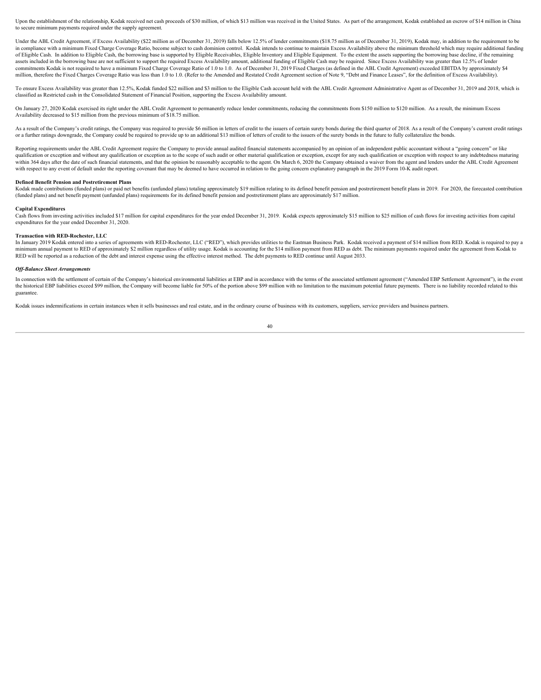Upon the establishment of the relationship, Kodak received net cash proceeds of \$30 million, of which \$13 million was received in the United States. As part of the arrangement, Kodak established an escrow of \$14 million in to secure minimum payments required under the supply agreement.

Under the ABL Credit Agreement, if Excess Availability (\$22 million as of December 31, 2019) falls below 12.5% of lender commitments (\$18.75 million as of December 31, 2019), Kodak may, in addition to the requirement to be in compliance with a minimum Fixed Charge Coverage Ratio, become subject to cash dominion control. Kodak intends to continue to maintain Excess Availability above the minimum threshold which may require additional funding of Eligible Cash. In addition to Eligible Cash, the borrowing base is supported by Eligible Receivables, Eligible Inventory and Eligible Equipment. To the extent the assets supporting the borrowing base decline, if the rem assets included in the borrowing base are not sufficient to support the required Excess Availability amount, additional funding of Eligible Cash may be required. Since Excess Availability was greater than 12.5% of lender commitments Kodak is not required to have a minimum Fixed Charge Coverage Ratio of 1.0 to 1.0. As of December 31, 2019 Fixed Charges (as defined in the ABL Credit Agreement) exceeded EBITDA by approximately \$4 million, therefore the Fixed Charges Coverage Ratio was less than 1.0 to 1.0. (Refer to the Amended and Restated Credit Agreement section of Note 9, "Debt and Finance Leases", for the definition of Excess Availability).

To ensure Excess Availability was greater than 12.5%, Kodak funded \$22 million and \$3 million to the Eligible Cash account held with the ABL Credit Agreement Administrative Agent as of December 31, 2019 and 2018, which is classified as Restricted cash in the Consolidated Statement of Financial Position, supporting the Excess Availability amount.

On January 27, 2020 Kodak exercised its right under the ABL Credit Agreement to permanently reduce lender commitments, reducing the commitments from \$150 million to \$120 million. As a result, the minimum Excess Availability decreased to \$15 million from the previous minimum of \$18.75 million.

As a result of the Company's credit ratings, the Company was required to provide \$6 million in letters of credit to the issuers of certain surety bonds during the third quarter of 2018. As a result of the Company's current or a further ratings downgrade, the Company could be required to provide up to an additional \$13 million of letters of credit to the issuers of the surety bonds in the future to fully collateralize the bonds.

Reporting requirements under the ABL Credit Agreement require the Company to provide annual audited financial statements accompanied by an opinion of an independent public accountant without a "going concern" or like qualification or exception and without any qualification or exception as to the scope of such audit or other material qualification or exception, except for any such qualification or exception with respect to any indebtedn with respect to any event of default under the reporting covenant that may be deemed to have occurred in relation to the going concern explanatory paragraph in the 2019 Form 10-K audit report.

#### **Defined Benefit Pension and Postretirement Plans**

Kodak made contributions (funded plans) or paid net benefits (unfunded plans) totaling approximately \$19 million relating to its defined benefit pension and postretirement benefit plans in 2019. For 2020, the forecasted co (funded plans) and net benefit payment (unfunded plans) requirements for its defined benefit pension and postretirement plans are approximately \$17 million.

# **Capital Expenditures**

Cash flows from investing activities included \$17 million for capital expenditures for the vear ended December 31, 2019. Kodak expects approximately \$15 million to \$25 million of cash flows for investing activities from ca expenditures for the year ended December 31, 2020.

# **Transaction with RED-Rochester, LLC**

In January 2019 Kodak entered into a series of agreements with RED-Rochester, LLC ("RED"), which provides utilities to the Eastman Business Park. Kodak received a payment of \$14 million from RED. Kodak is required to pay a minimum annual payment to RED of approximately \$2 million regardless of utility usage. Kodak is accounting for the \$14 million payment from RED as debt. The minimum payments required under the agreement from Kodak to RED will be reported as a reduction of the debt and interest expense using the effective interest method. The debt payments to RED continue until August 2033.

#### *Off-Balance Sheet Arrangements*

In connection with the settlement of certain of the Company's historical environmental liabilities at EBP and in accordance with the terms of the associated settlement agreement ("Amended EBP Settlement Agreement"), in the the historical EBP liabilities exceed \$99 million, the Company will become liable for 50% of the portion above \$99 million with no limitation to the maximum potential future payments. There is no liability recorded related guarantee.

Kodak issues indemnifications in certain instances when it sells businesses and real estate, and in the ordinary course of business with its customers, suppliers, service providers and business partners.<br>40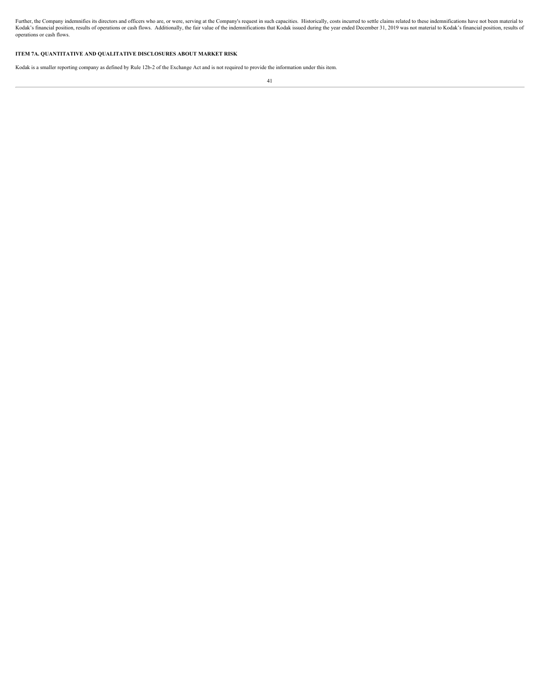Further, the Company indemnifies its directors and officers who are, or were, serving at the Company's request in such capacities. Historically, costs incurred to settle claims related to these indemnifications have not be operations or cash flows.

# **ITEM 7A. QUANTITATIVE AND QUALITATIVE DISCLOSURES ABOUT MARKET RISK**

Kodak is a smaller reporting company as defined by Rule 12b-2 of the Exchange Act and is not required to provide the information under this item.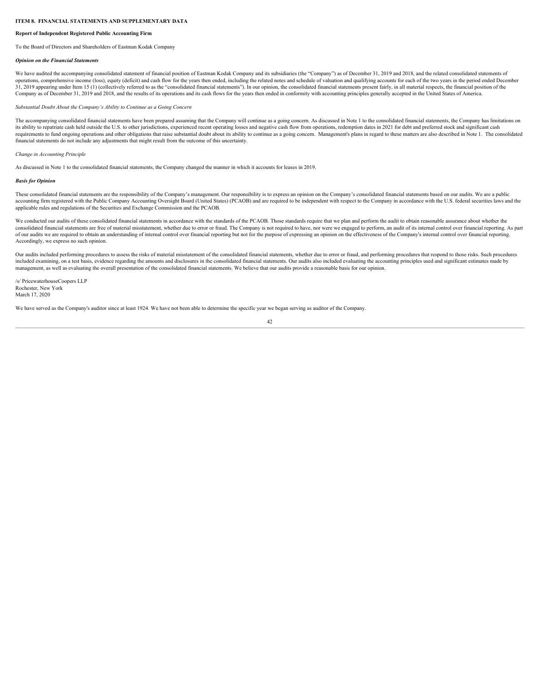# **ITEM 8. FINANCIAL STATEMENTS AND SUPPLEMENTARY DATA**

# **Report of Independent Registered Public Accounting Firm**

To the Board of Directors and Shareholders of Eastman Kodak Company

# *Opinion on the Financial Statements*

We have audited the accompanying consolidated statement of financial position of Eastman Kodak Company and its subsidiaries (the "Company") as of December 31, 2019 and 2018, and the related consolidated statements of operations, comprehensive income (loss), equity (deficit) and cash flow for the years then ended, including the related notes and schedule of valuation and qualifying accounts for each of the two years in the period ended Company as of December 31, 2019 and 2018, and the results of its operations and its cash flows for the years then ended in conformity with accounting principles generally accepted in the United States of America.

# *Substantial Doubt About the Company's Ability to Continue as a Going Concern*

The accompanying consolidated financial statements have been prepared assuming that the Company will continue as a going concern. As discussed in Note 1 to the consolidated financial statements, the Company has limitations its ability to repatriate cash held outside the U.S. to other jurisdictions, experienced recent operating losses and negative cash flow from operations, redemption dates in 2021 for debt and preferred stock and significant requirements to fund ongoing operations and other obligations that raise substantial doubt about its ability to continue as a going concern. Management's plans in regard to these matters are also described in Note 1. The c financial statements do not include any adjustments that might result from the outcome of this uncertainty.

# *Change in Accounting Principle*

As discussed in Note 1 to the consolidated financial statements, the Company changed the manner in which it accounts for leases in 2019.

#### *Basis for Opinion*

These consolidated financial statements are the responsibility of the Company's management. Our responsibility is to express an opinion on the Company's consolidated financial statements based on our audits. We are a public accounting firm registered with the Public Company Accounting Oversight Board (United States) (PCAOB) and are required to be independent with respect to the Company in accordance with the U.S. federal securities laws and t applicable rules and regulations of the Securities and Exchange Commission and the PCAOB.

We conducted our audits of these consolidated financial statements in accordance with the standards of the PCAOB. Those standards require that we plan and perform the audit to obtain reasonable assurance about whether the consolidated financial statements are free of material misstatement, whether due to error or fraud. The Company is not required to have, nor were we engaged to perform, an audit of its internal control over financial repor of our audits we are required to obtain an understanding of internal control over financial reporting but not for the purpose of expressing an opinion on the effectiveness of the Company's internal control over financial r Accordingly, we express no such opinion.

Our audits included performing procedures to assess the risks of material misstatement of the consolidated financial statements, whether due to error or fraud, and performing procedures that respond to those risks. Such pr included examining, on a test basis, evidence regarding the amounts and disclosures in the consolidated financial statements. Our audits also included evaluating the accounting principles used and significant estimates mad management, as well as evaluating the overall presentation of the consolidated financial statements. We believe that our audits provide a reasonable basis for our opinion.

/s/ PricewaterhouseCoopers LLP Rochester, New York March 17, 2020

We have served as the Company's auditor since at least 1924. We have not been able to determine the specific year we began serving as auditor of the Company.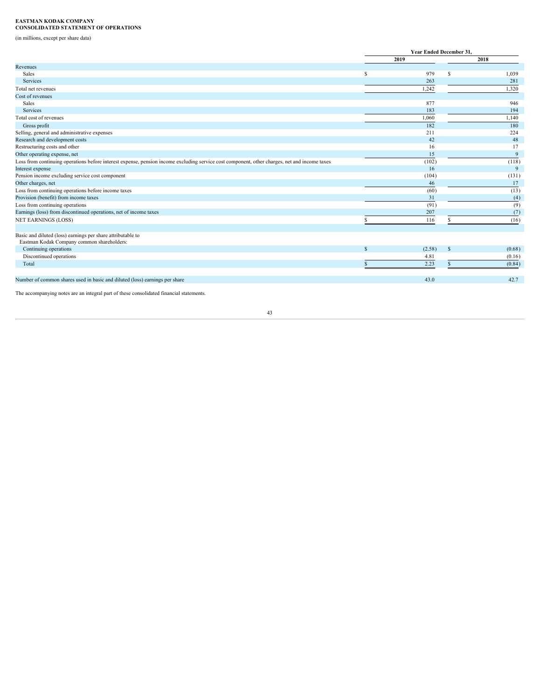# **EASTMAN KODAK COMPANY CONSOLIDATED STATEMENT OF OPERATIONS**

(in millions, except per share data)

|                                                                                                                                               | Year Ended December 31, |    |          |
|-----------------------------------------------------------------------------------------------------------------------------------------------|-------------------------|----|----------|
|                                                                                                                                               | 2019                    |    | 2018     |
| Revenues                                                                                                                                      |                         |    |          |
| Sales                                                                                                                                         | 979                     | S  | 1,039    |
| Services                                                                                                                                      | 263                     |    | 281      |
| Total net revenues                                                                                                                            | 1,242                   |    | 1,320    |
| Cost of revenues                                                                                                                              |                         |    |          |
| Sales                                                                                                                                         | 877                     |    | 946      |
| Services                                                                                                                                      | 183                     |    | 194      |
| Total cost of revenues                                                                                                                        | 1,060                   |    | 1,140    |
| Gross profit                                                                                                                                  | 182                     |    | 180      |
| Selling, general and administrative expenses                                                                                                  | 211                     |    | 224      |
| Research and development costs                                                                                                                | 42                      |    | 48       |
| Restructuring costs and other                                                                                                                 | 16                      |    | 17       |
| Other operating expense, net                                                                                                                  | 15                      |    | $\Omega$ |
| Loss from continuing operations before interest expense, pension income excluding service cost component, other charges, net and income taxes | (102)                   |    | (118)    |
| Interest expense                                                                                                                              | 16                      |    | Q        |
| Pension income excluding service cost component                                                                                               | (104)                   |    | (131)    |
| Other charges, net                                                                                                                            | 46                      |    | 17       |
| Loss from continuing operations before income taxes                                                                                           | (60)                    |    | (13)     |
| Provision (benefit) from income taxes                                                                                                         | 31                      |    | (4)      |
| Loss from continuing operations                                                                                                               | (91)                    |    | (9)      |
| Earnings (loss) from discontinued operations, net of income taxes                                                                             | 207                     |    | (7)      |
| <b>NET EARNINGS (LOSS)</b>                                                                                                                    | 116                     |    | (16)     |
|                                                                                                                                               |                         |    |          |
| Basic and diluted (loss) earnings per share attributable to<br>Eastman Kodak Company common shareholders:                                     |                         |    |          |
| Continuing operations                                                                                                                         | (2.58)                  | -S | (0.68)   |
| Discontinued operations                                                                                                                       | 4.81                    |    | (0.16)   |
| Total                                                                                                                                         | 2.23                    |    | (0.84)   |
|                                                                                                                                               |                         |    |          |
| Number of common shares used in basic and diluted (loss) earnings per share                                                                   | 43.0                    |    | 42.7     |
|                                                                                                                                               |                         |    |          |

The accompanying notes are an integral part of these consolidated financial statements.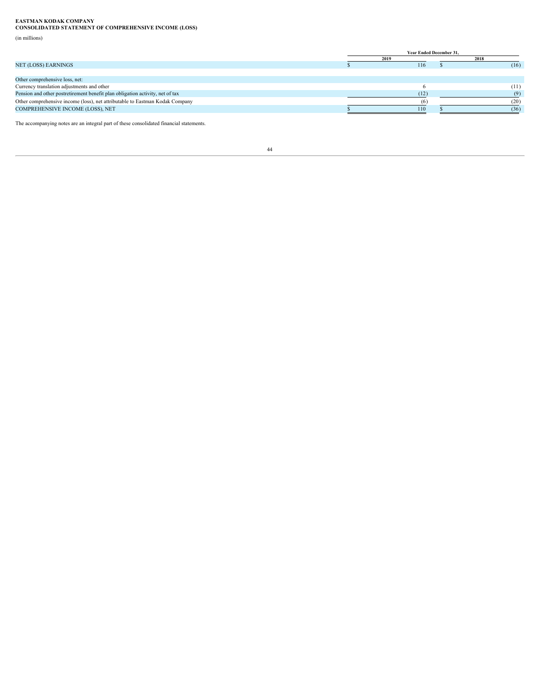**EASTMAN KODAK COMPANY CONSOLIDATED STATEMENT OF COMPREHENSIVE INCOME (LOSS)**

(in millions)

|                                                                               | Year Ended December 31, |      |
|-------------------------------------------------------------------------------|-------------------------|------|
|                                                                               | 2019                    | 2018 |
| NET (LOSS) EARNINGS                                                           | 116                     | (16) |
|                                                                               |                         |      |
| Other comprehensive loss, net:                                                |                         |      |
| Currency translation adjustments and other                                    |                         | (11) |
| Pension and other postretirement benefit plan obligation activity, net of tax | (12)                    |      |
| Other comprehensive income (loss), net attributable to Eastman Kodak Company  |                         | 20)  |
| COMPREHENSIVE INCOME (LOSS), NET                                              | 110                     | (36) |
|                                                                               |                         |      |

The accompanying notes are an integral part of these consolidated financial statements.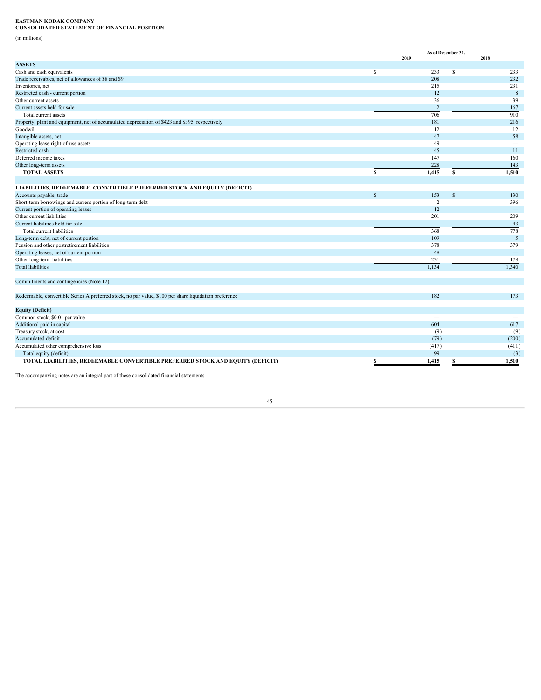**EASTMAN KODAK COMPANY CONSOLIDATED STATEMENT OF FINANCIAL POSITION**

(in millions)

|                                                                                                        |    | As of December 31,<br>2019      | 2018                                      |
|--------------------------------------------------------------------------------------------------------|----|---------------------------------|-------------------------------------------|
| <b>ASSETS</b>                                                                                          |    |                                 |                                           |
| Cash and cash equivalents                                                                              | -S | 233<br>$\mathbf{\hat{s}}$       | 233                                       |
| Trade receivables, net of allowances of \$8 and \$9                                                    |    | 208                             | 232                                       |
| Inventories, net                                                                                       |    | 215                             | 231                                       |
| Restricted cash - current portion                                                                      |    | 12                              | 8                                         |
| Other current assets                                                                                   |    | 36                              | 39                                        |
| Current assets held for sale                                                                           |    | <sup>2</sup>                    | 167                                       |
| Total current assets                                                                                   |    | 706                             | 910                                       |
| Property, plant and equipment, net of accumulated depreciation of \$423 and \$395, respectively        |    | 181                             | 216                                       |
| Goodwill                                                                                               |    | 12                              | 12                                        |
| Intangible assets, net                                                                                 |    | 47                              | 58                                        |
|                                                                                                        |    | 49                              |                                           |
| Operating lease right-of-use assets<br>Restricted cash                                                 |    | 45                              | $\hspace{0.1mm}-\hspace{0.1mm}$<br>$11 -$ |
|                                                                                                        |    |                                 |                                           |
| Deferred income taxes                                                                                  |    | 147                             | 160                                       |
| Other long-term assets                                                                                 |    | 228                             | 143                                       |
| <b>TOTAL ASSETS</b>                                                                                    |    | 1,415                           | 1,510                                     |
|                                                                                                        |    |                                 |                                           |
| LIABILITIES, REDEEMABLE, CONVERTIBLE PREFERRED STOCK AND EQUITY (DEFICIT)                              |    |                                 |                                           |
| Accounts payable, trade                                                                                | S. | 153                             | 130                                       |
| Short-term borrowings and current portion of long-term debt                                            |    | $\overline{2}$                  | 396                                       |
| Current portion of operating leases                                                                    |    | 12                              | $-$                                       |
| Other current liabilities                                                                              |    | 201                             | 209                                       |
| Current liabilities held for sale                                                                      |    | $\hspace{0.1mm}-\hspace{0.1mm}$ | 43                                        |
| Total current liabilities                                                                              |    | 368                             | 778                                       |
| Long-term debt, net of current portion                                                                 |    | 109                             | 5 <sup>5</sup>                            |
| Pension and other postretirement liabilities                                                           |    | 378                             | 379                                       |
| Operating leases, net of current portion                                                               |    | 48                              | $\overline{\phantom{m}}$                  |
| Other long-term liabilities                                                                            |    | 231                             | 178                                       |
| <b>Total liabilities</b>                                                                               |    | 1,134                           | 1.340                                     |
|                                                                                                        |    |                                 |                                           |
| Commitments and contingencies (Note 12)                                                                |    |                                 |                                           |
|                                                                                                        |    |                                 |                                           |
| Redeemable, convertible Series A preferred stock, no par value, \$100 per share liquidation preference |    | 182                             | 173                                       |
|                                                                                                        |    |                                 |                                           |
| <b>Equity (Deficit)</b>                                                                                |    |                                 |                                           |
| Common stock, \$0.01 par value                                                                         |    | $\hspace{0.1mm}-\hspace{0.1mm}$ | $\overline{\phantom{0}}$                  |
| Additional paid in capital                                                                             |    | 604                             | 617                                       |
| Treasury stock, at cost                                                                                |    | (9)                             | (9)                                       |
| Accumulated deficit                                                                                    |    | (79)                            | (200)                                     |
| Accumulated other comprehensive loss                                                                   |    | (417)                           | (411)                                     |
|                                                                                                        |    |                                 |                                           |
| Total equity (deficit)                                                                                 |    | 99                              | (3)                                       |
| TOTAL LIABILITIES, REDEEMABLE CONVERTIBLE PREFERRED STOCK AND EQUITY (DEFICIT)                         |    | 1,415                           | 1,510                                     |
|                                                                                                        |    |                                 |                                           |

The accompanying notes are an integral part of these consolidated financial statements.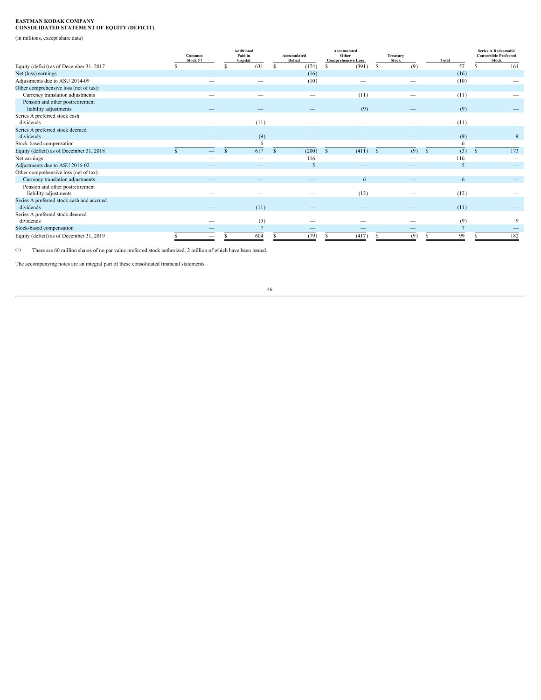# **EASTMAN KODAK COMPANY CONSOLIDATED STATEMENT OF EQUITY (DEFICIT)**

(in millions, except share data)

|                                                           | Common<br>Stock (1)             | Additional<br>Paid in<br>Capital | Accumulated<br>Deficit          | Accumulated<br>Other<br><b>Comprehensive Loss</b> | <b>Treasury</b><br>Stock        | Total | <b>Series A Redeemable</b><br><b>Convertible Preferred</b><br>Stock |
|-----------------------------------------------------------|---------------------------------|----------------------------------|---------------------------------|---------------------------------------------------|---------------------------------|-------|---------------------------------------------------------------------|
| Equity (deficit) as of December 31, 2017                  |                                 | 631                              | (174)                           | (391)                                             | (9)                             | 57    | 164                                                                 |
| Net (loss) earnings                                       |                                 |                                  | (16)                            | $\overline{\phantom{0}}$                          | $\overline{\phantom{a}}$        | (16)  |                                                                     |
| Adjustments due to ASU 2014-09                            |                                 | $\hspace{0.1mm}-\hspace{0.1mm}$  | (10)                            | $\overline{\phantom{0}}$                          | $\overline{\phantom{a}}$        | (10)  |                                                                     |
| Other comprehensive loss (net of tax):                    |                                 |                                  |                                 |                                                   |                                 |       |                                                                     |
| Currency translation adjustments                          | $\overline{\phantom{a}}$        |                                  | $\hspace{0.1mm}-\hspace{0.1mm}$ | (11)                                              | $\hspace{0.1mm}-\hspace{0.1mm}$ | (11)  |                                                                     |
| Pension and other postretirement<br>liability adjustments |                                 |                                  |                                 | (9)                                               | $\hspace{0.1mm}-\hspace{0.1mm}$ | (9)   |                                                                     |
| Series A preferred stock cash                             |                                 |                                  |                                 |                                                   |                                 |       |                                                                     |
| dividends                                                 | $\overline{\phantom{a}}$        | (11)                             | $\hspace{0.1mm}-\hspace{0.1mm}$ | $\overline{\phantom{a}}$                          |                                 | (11)  |                                                                     |
| Series A preferred stock deemed<br>dividends              |                                 | (9)                              | $\overline{\phantom{a}}$        |                                                   |                                 | (9)   |                                                                     |
| Stock-based compensation                                  |                                 |                                  | $\hspace{0.1mm}-\hspace{0.1mm}$ |                                                   | $\hspace{0.1mm}-\hspace{0.1mm}$ |       |                                                                     |
| Equity (deficit) as of December 31, 2018                  |                                 | 617                              | (200)                           | (411)                                             | (9)                             | (3)   | 173                                                                 |
| Net earnings                                              |                                 |                                  | 116                             | -                                                 |                                 | 116   |                                                                     |
| Adjustments due to ASU 2016-02                            |                                 |                                  |                                 |                                                   |                                 |       |                                                                     |
| Other comprehensive loss (net of tax):                    |                                 |                                  |                                 |                                                   |                                 |       |                                                                     |
| Currency translation adjustments                          |                                 |                                  |                                 |                                                   |                                 |       | $-$                                                                 |
| Pension and other postretirement<br>liability adjustments | $\overline{\phantom{a}}$        |                                  | $\hspace{0.1mm}-\hspace{0.1mm}$ | (12)                                              | $\overline{\phantom{a}}$        | (12)  |                                                                     |
| Series A preferred stock cash and accrued<br>dividends    |                                 | (11)                             | $\overline{\phantom{a}}$        |                                                   | $\qquad \qquad -$               | (11)  |                                                                     |
| Series A preferred stock deemed                           |                                 |                                  |                                 |                                                   |                                 |       |                                                                     |
| dividends                                                 |                                 | (9)                              | $\hspace{0.1mm}-\hspace{0.1mm}$ | -                                                 |                                 | (9)   |                                                                     |
| Stock-based compensation                                  |                                 |                                  | $\overline{\phantom{a}}$        | $\qquad \qquad -$                                 | $\overline{\phantom{a}}$        |       |                                                                     |
| Equity (deficit) as of December 31, 2019                  | $\hspace{0.1mm}-\hspace{0.1mm}$ | 604                              | (79)                            | (417)                                             | (9)                             | 99    |                                                                     |

(1) There are 60 million shares of no par value preferred stock authorized, 2 million of which have been issued.

The accompanying notes are an integral part of these consolidated financial statements.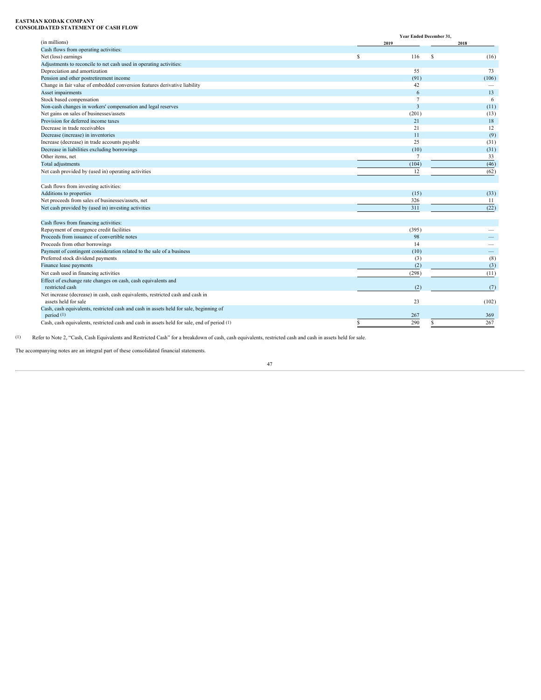# **EASTMAN KODAK COMPANY CONSOLIDATED STATEMENT OF CASH FLOW**

|                                                                                             | Year Ended December 31, |                          |
|---------------------------------------------------------------------------------------------|-------------------------|--------------------------|
| (in millions)                                                                               | 2019                    | 2018                     |
| Cash flows from operating activities:                                                       |                         |                          |
| Net (loss) earnings                                                                         | 116<br>- \$             | (16)                     |
| Adjustments to reconcile to net cash used in operating activities:                          |                         |                          |
| Depreciation and amortization                                                               | 55                      | 73                       |
| Pension and other postretirement income                                                     | (91)                    | (106)                    |
| Change in fair value of embedded conversion features derivative liability                   | 42                      | $\overline{\phantom{a}}$ |
| Asset impairments                                                                           |                         | 13                       |
| Stock based compensation                                                                    |                         | -6                       |
| Non-cash changes in workers' compensation and legal reserves                                |                         | (11)                     |
| Net gains on sales of businesses/assets                                                     | (201)                   | (13)                     |
| Provision for deferred income taxes                                                         | 21                      | 18                       |
| Decrease in trade receivables                                                               | 21                      | 12                       |
| Decrease (increase) in inventories                                                          | 11                      | (9)                      |
| Increase (decrease) in trade accounts payable                                               | 25                      | (31)                     |
| Decrease in liabilities excluding borrowings                                                | (10)                    | (31)                     |
| Other items, net                                                                            |                         | 33                       |
| Total adjustments                                                                           | (104)                   | (46)                     |
| Net cash provided by (used in) operating activities                                         | 12                      | (62)                     |
|                                                                                             |                         |                          |
| Cash flows from investing activities:                                                       |                         |                          |
| Additions to properties                                                                     | (15)                    | (33)                     |
| Net proceeds from sales of businesses/assets, net                                           | 326                     | 11                       |
| Net cash provided by (used in) investing activities                                         | 311                     | (22)                     |
|                                                                                             |                         |                          |
| Cash flows from financing activities:                                                       |                         |                          |
| Repayment of emergence credit facilities                                                    | (395)                   |                          |
| Proceeds from issuance of convertible notes                                                 | 98                      |                          |
| Proceeds from other borrowings                                                              | 14                      | -                        |
| Payment of contingent consideration related to the sale of a business                       | (10)                    |                          |
| Preferred stock dividend payments                                                           | (3)                     | (8)                      |
| Finance lease payments                                                                      | (2)                     | (3)                      |
| Net cash used in financing activities                                                       | (298)                   | (11)                     |
| Effect of exchange rate changes on cash, cash equivalents and                               |                         |                          |
| restricted cash                                                                             | (2)                     | (7)                      |
| Net increase (decrease) in cash, cash equivalents, restricted cash and cash in              |                         |                          |
| assets held for sale                                                                        | 23                      | (102)                    |
| Cash, cash equivalents, restricted cash and cash in assets held for sale, beginning of      |                         |                          |
| period $(1)$                                                                                | 267                     | 369                      |
| Cash, cash equivalents, restricted cash and cash in assets held for sale, end of period (1) | 290                     | 267                      |
|                                                                                             |                         |                          |
|                                                                                             |                         |                          |

(1) Refer to Note 2, "Cash, Cash Equivalents and Restricted Cash" for a breakdown of cash, cash equivalents, restricted cash and cash in assets held for sale.

The accompanying notes are an integral part of these consolidated financial statements.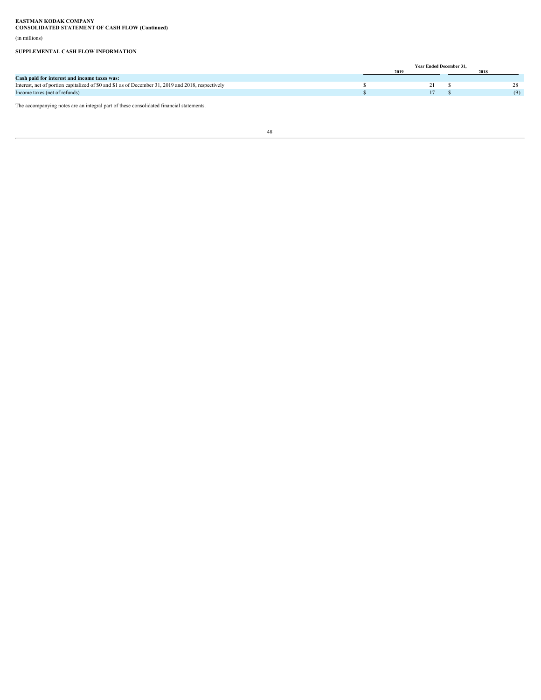**EASTMAN KODAK COMPANY CONSOLIDATED STATEMENT OF CASH FLOW (Continued)**

(in millions)

# **SUPPLEMENTAL CASH FLOW INFORMATION**

|                                                                                                    |  | Year Ended December 31. |     |
|----------------------------------------------------------------------------------------------------|--|-------------------------|-----|
|                                                                                                    |  |                         |     |
| Cash paid for interest and income taxes was:                                                       |  |                         |     |
| Interest, net of portion capitalized of \$0 and \$1 as of December 31, 2019 and 2018, respectively |  |                         |     |
| Income taxes (net of refunds)                                                                      |  |                         | (9) |
| The accompanying notes are an integral part of these consolidated financial statements.            |  |                         |     |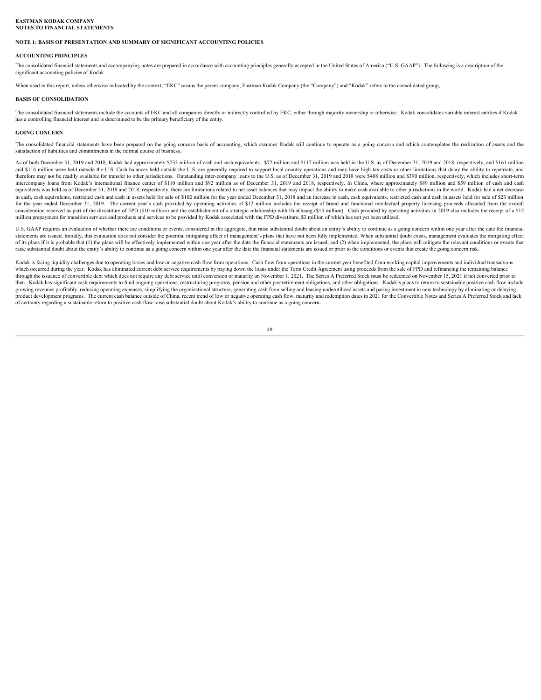### **EASTMAN KODAK COMPANY NOTES TO FINANCIAL STATEMENTS**

# **NOTE 1: BASIS OF PRESENTATION AND SUMMARY OF SIGNIFICANT ACCOUNTING POLICIES**

# **ACCOUNTING PRINCIPLES**

The consolidated financial statements and accompanying notes are prepared in accordance with accounting principles generally accepted in the United States of America ("U.S. GAAP"). The following is a description of the significant accounting policies of Kodak.

When used in this report, unless otherwise indicated by the context, "EKC" means the parent company, Eastman Kodak Company (the "Company") and "Kodak" refers to the consolidated group,

# **BASIS OF CONSOLIDATION**

The consolidated financial statements include the accounts of EKC and all companies directly or indirectly controlled by EKC, either through majority ownership or otherwise. Kodak consolidates variable interest entities if has a controlling financial interest and is determined to be the primary beneficiary of the entity.

### **GOING CONCERN**

satisfaction of liabilities and commitments in the normal course of business.<br>As of both December 31, 2019 and 2018, Kodak had approximately \$233 million of cash and cash equivalents. \$72 million and \$117 million was held

EASTMAN KOBIA CONPANY<br>NOTE I BASIS OF PRESENTATION AND SUMMARY OF SIGNIFICANT ACCOUNTING POLICIES<br>ACCOUNTING PRENACIUES AND SUMMARY OF SIGNIFICANT ACCOUNTING POLICIES<br>The considered financial statements and accompanying co and \$116 million were held outside the U.S. Cash balances held outside the U.S. are generally required to support local country operations and may have high tax costs or other limitations that delay the ability to repatria therefore may not be readily available for transfer to other jurisdictions. Outstanding inter-company loans to the U.S. as of December 31, 2019 and 2018 were \$408 million and \$390 million, respectively, which includes shor **EXTRAN EXTENTAL STATEMENTS**<br>ACCOLVING FRANSITENITMS AND SUNNARY OF SIGNITGANT ACCORNING FOLICIES<br>ACCOLVING FRANCE/FINANCE SECOND AND SUNNARY OF SIGNITGANT ACCORNING FOR CORRECTION SURFACT INTO A CONSIDER THE CONSIDERATION equivalents was held as of December 31, 2019 and 2018, respectively, there are limitations related to net asset balances that may impact the ability to make cash available to other jurisdictions in the world. Kodak had a n in cash, cash equivalents, restricted cash and cash in assets held for sale of \$102 million for the year ended December 31, 2018 and an increase in cash, cash equivalents, restricted cash and cash in assets held for sale o **EATIAN YORINE COUPANY**<br>SOTEN TRANSFERIENT AND SUBMARY OF SECRIPCANT ACCONTING POLICIES<br>ACCOUNTING PROVIDING AND SURFAINTON ARE ON THE CONSULTANT AND RELEASE SERVICE SURFAINT INTO A CASH PROVIDING A CONSULTANT INTO A CASH consideration received as part of the divestiture of FPD (\$10 million) and the establishment of a strategic relationship with HuaGuang (\$13 million). Cash provided by operating activities in 2019 also includes the receipt million prepayment for transition services and products and services to be provided by Kodak associated with the FPD divestiture, \$3 million of which has not yet been utilized.

U.S. GAAP requires an evaluation of whether there are conditions or events, considered in the aggregate, that raise substantial doubt about an entity's ability to continue as a going concern within one year after the date statements are issued. Initially, this evaluation does not consider the potential mitigating effect of management's plans that have not been fully implemented. When substantial doubt exists, management evaluates the mitiga of its plans if it is probable that (1) the plans will be effectively implemented within one year after the date the financial statements are issued, and (2) when implemented, the plans will mitigate the relevant condition raise substantial doubt about the entity's ability to continue as a going concern within one year after the date the financial statements are issued or prior to the conditions or events that create the going concern risk.

Kodak is facing liquidity challenges due to operating losses and low or negative cash flow from operations. Cash flow from operations in the current year benefited from working capital improvements and individual transacti which occurred during the year. Kodak has eliminated current debt service requirements by paying down the loans under the Term Credit Agreement using proceeds from the sale of FPD and refinancing the remaining balance through the issuance of convertible debt which does not require any debt service until conversion or maturity on November 1, 2021. The Series A Preferred Stock must be redeemed on November 15, 2021 if not converted prior to then. Kodak has significant cash requirements to fund ongoing operations, restructuring programs, pension and other postretirement obligations, and other obligations. Kodak's plans to return to sustainable positive cash fl growing revenues profitably, reducing operating expenses, simplifying the organizational structure, generating cash from selling and leasing underutilized assets and paring investment in new technology by eliminating or de product development programs. The current cash balance outside of China, recent trend of low or negative operating cash flow, maturity and redemption dates in 2021 for the Convertible Notes and Series A Preferred Stock and of certainty regarding a sustainable return to positive cash flow raise substantial doubt about Kodak's ability to continue as a going concern**.**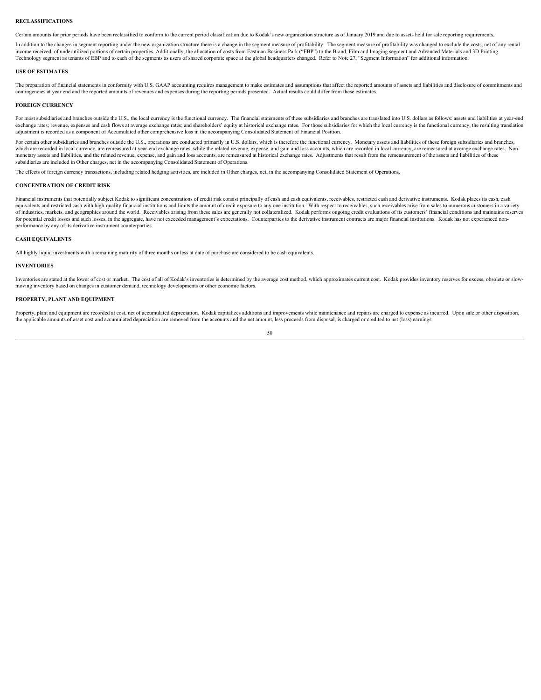# **RECLASSIFICATIONS**

Certain amounts for prior periods have been reclassified to conform to the current period classification due to Kodak's new organization structure as of January 2019 and due to assets held for sale reporting requirements.

In addition to the changes in segment reporting under the new organization structure there is a change in the segment measure of profitability. The segment measure of profitability was changed to exclude the costs, net of income received, of underutilized portions of certain properties. Additionally, the allocation of costs from Eastman Business Park ("EBP") to the Brand, Film and Imaging segment and Advanced Materials and 3D Printing Technology segment as tenants of EBP and to each of the segments as users of shared corporate space at the global headquarters changed. Refer to Note 27, "Segment Information" for additional information.

#### **USE OF ESTIMATES**

The preparation of financial statements in conformity with U.S. GAAP accounting requires management to make estimates and assumptions that affect the reported amounts of assets and liabilities and disclosure of commitments contingencies at year end and the reported amounts of revenues and expenses during the reporting periods presented. Actual results could differ from these estimates.

#### **FOREIGN CURRENCY**

For most subsidiaries and branches outside the U.S., the local currency is the functional currency. The financial statements of these subsidiaries and branches are translated into U.S. dollars as follows: assets and liabil exchange rates; revenue, expenses and cash flows at average exchange rates; and shareholders' equity at historical exchange rates. For those subsidiaries for which the local currency is the functional currency, the resulti adjustment is recorded as a component of Accumulated other comprehensive loss in the accompanying Consolidated Statement of Financial Position.

For certain other subsidiaries and branches outside the U.S., operations are conducted primarily in U.S. dollars, which is therefore the functional currency. Monetary assets and liabilities of these foreign subsidiaries an which are recorded in local currency, are remeasured at year-end exchange rates, while the related revenue, expense, and gain and loss accounts, which are recorded in local currency, are remeasured at average exchange rate monetary assets and liabilities, and the related revenue, expense, and gain and loss accounts, are remeasured at historical exchange rates. Adjustments that result from the remeasurement of the assets and liabilities of th subsidiaries are included in Other charges, net in the accompanying Consolidated Statement of Operations.

The effects of foreign currency transactions, including related hedging activities, are included in Other charges, net, in the accompanying Consolidated Statement of Operations.

### **CONCENTRATION OF CREDIT RISK**

Financial instruments that potentially subject Kodak to significant concentrations of credit risk consist principally of cash and cash equivalents, receivables, restricted cash and derivative instruments. Kodak places its equivalents and restricted cash with high-quality financial institutions and limits the amount of credit exposure to any one institution. With respect to receivables, such receivables arise from sales to numerous customers of industries, markets, and geographies around the world. Receivables arising from these sales are generally not collateralized. Kodak performs ongoing credit evaluations of its customers' financial conditions and maintain for potential credit losses and such losses, in the aggregate, have not exceeded management's expectations. Counterparties to the derivative instrument contracts are major financial institutions. Kodak has not experienced performance by any of its derivative instrument counterparties.

# **CASH EQUIVALENTS**

All highly liquid investments with a remaining maturity of three months or less at date of purchase are considered to be cash equivalents.

#### **INVENTORIES**

Inventories are stated at the lower of cost or market. The cost of all of Kodak's inventories is determined by the average cost method, which approximates current cost. Kodak provides inventory reserves for excess, obsolet moving inventory based on changes in customer demand, technology developments or other economic factors.

# **PROPERTY, PLANT AND EQUIPMENT**

Property, plant and equipment are recorded at cost, net of accumulated depreciation. Kodak capitalizes additions and improvements while maintenance and repairs are charged to expense as incurred. Upon sale or other disposi the applicable amounts of asset cost and accumulated depreciation are removed from the accounts and the net amount, less proceeds from disposal, is charged or credited to net (loss) earnings.

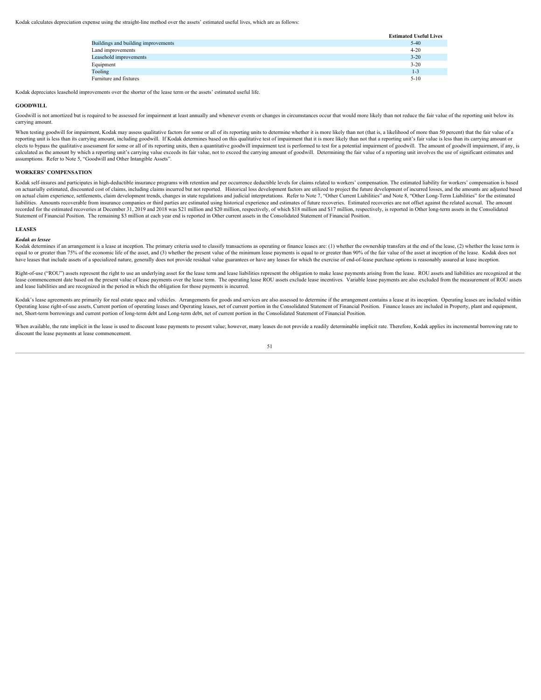Kodak calculates depreciation expense using the straight-line method over the assets' estimated useful lives, which are as follows:

|                                     | <b>Estimated Useful Lives</b> |
|-------------------------------------|-------------------------------|
| Buildings and building improvements | $5 - 40$                      |
| Land improvements                   | $4 - 20$                      |
| Leasehold improvements              | $3 - 20$                      |
| Equipment                           | $3 - 20$                      |
| Tooling                             | $1 - 3$                       |
| Furniture and fixtures              | $5 - 10$                      |

Kodak depreciates leasehold improvements over the shorter of the lease term or the assets' estimated useful life.

#### **GOODWILL**

Goodwill is not amortized but is required to be assessed for impairment at least annually and whenever events or changes in circumstances occur that would more likely than not reduce the fair value of the reporting unit be carrying amount.

When testing goodwill for impairment, Kodak may assess qualitative factors for some or all of its reporting units to determine whether it is more likely than not (that is, a likelihood of more than 50 percent) that the fai reporting unit is less than its carrying amount, including goodwill. If Kodak determines based on this qualitative test of impairment that it is more likely than not that a reporting unit's fair value is less than its carr elects to bypass the qualitative assessment for some or all of its reporting units, then a quantitative goodwill impairment test is performed to test for a potential impairment of goodwill. The amount of goodwill impairmen calculated as the amount by which a reporting unit's carrying value exceeds its fair value, not to exceed the carrying amount of goodwill. Determining the fair value of a reporting unit involves the use of significant esti assumptions. Refer to Note 5, "Goodwill and Other Intangible Assets".

#### **WORKERS' COMPENSATION**

Kodak self-insures and participates in high-deductible insurance programs with retention and per occurrence deductible levels for claims related to workers' compensation. The estimated liability for workers' compensation i on actuarially estimated, discounted cost of claims, including claims incurred but not reported. Historical loss development factors are utilized to project the future development of incurred losses, and the amounts are ad on actual claim experience, settlements, claim development trends, changes in state regulations and judicial interpretations. Refer to Note 7, "Other Current Liabilities" and Note 8, "Other Long-Term Liabilities" for the e liabilities. Amounts recoverable from insurance companies or third parties are estimated using historical experience and estimates of future recoveries. Estimated recoveries are not offset against the related accrual. The recorded for the estimated recoveries at December 31, 2019 and 2018 was \$21 million and \$20 million, respectively, of which \$18 million and \$17 million, respectively, is reported in Other long-term assets in the Consolidated Statement of Financial Position. The remaining \$3 million at each year end is reported in Other current assets in the Consolidated Statement of Financial Position.

#### **LEASES**

Kodak as lessee<br>Kodak determines if an arrangement is a lease at inception. The primary criteria used to classify transactions as operating or finance leases are: (1) whether the ownership transfers at the end of the lease equal to or greater than 75% of the economic life of the asset, and (3) whether the present value of the minimum lease payments is equal to or greater than 90% of the fair value of the asset at inception of the lease. Koda have leases that include assets of a specialized nature, generally does not provide residual value guarantees or have any leases for which the exercise of end-of-lease purchase options is reasonably assured at lease incept

Right-of-use ("ROU") assets represent the right to use an underlying asset for the lease term and lease liabilities represent the obligation to make lease payments arising from the lease. ROU assets and liabilities are rec lease commencement date based on the present value of lease payments over the lease term. The operating lease ROU assets exclude lease incentives. Variable lease payments are also excluded from the measurement of ROU asset and lease liabilities and are recognized in the period in which the obligation for those payments is incurred.

Kodak's lease agreements are primarily for real estate space and vehicles. Arrangements for goods and services are also assessed to determine if the arrangement contains a lease at its inception. Operating leases are inclu Operating lease right-of-use assets, Current portion of operating leases and Operating leases, net of current portion in the Consolidated Statement of Financial Position. Finance leases are included in Property, plant and net, Short-term borrowings and current portion of long-term debt and Long-term debt, net of current portion in the Consolidated Statement of Financial Position.

When available, the rate implicit in the lease is used to discount lease payments to present value; however, many leases do not provide a readily determinable implicit rate. Therefore, Kodak applies its incremental borrowi discount the lease payments at lease commencement.

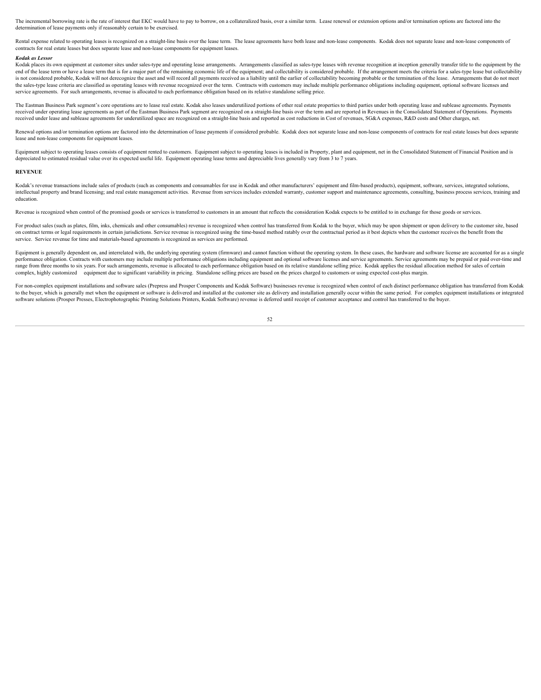The incremental borrowing rate is the rate of interest that EKC would have to pay to borrow, on a collateralized basis, over a similar term. Lease renewal or extension options and/or termination options are factored into t

Rental expense related to operating leases is recognized on a straight-line basis over the lease term. The lease agreements have both lease and non-lease components. Kodak does not separate lease and non-lease components o contracts for real estate leases but does separate lease and non-lease components for equipment leases.

### *Kodak as Lessor*

Kodak places its own equipment at customer sites under sales-type and operating lease arrangements. Arrangements classified as sales-type leases with revenue recognition at inception generally transfer title to the equipme end of the lease term or have a lease term that is for a major part of the remaining economic life of the equipment; and collectability is considered probable. If the arrangement meets the criteria for a sales-type lease b is not considered probable, Kodak will not derecognize the asset and will record all payments received as a liability until the earlier of collectability becoming probable or the termination of the lease. Arrangements that the sales-type lease criteria are classified as operating leases with revenue recognized over the term. Contracts with customers may include multiple performance obligations including equipment, optional software licenses service agreements. For such arrangements, revenue is allocated to each performance obligation based on its relative standalone selling price.

The Eastman Business Park segment's core operations are to lease real estate. Kodak also leases underutilized portions of other real estate properties to third parties under both operating lease and sublease agreements. Pa received under operating lease agreements as part of the Eastman Business Park segment are recognized on a straight-line basis over the term and are reported in Revenues in the Consolidated Statement of Operations. Payment received under lease and sublease agreements for underutilized space are recognized on a straight-line basis and reported as cost reductions in Cost of revenues, SG&A expenses, R&D costs and Other charges, net.

Renewal options and/or termination options are factored into the determination of lease payments if considered probable. Kodak does not separate lease and non-lease components of contracts for real estate leases but does s lease and non-lease components for equipment leases.

Equipment subject to operating leases consists of equipment rented to customers. Equipment subject to operating leases is included in Property, plant and equipment, net in the Consolidated Statement of Financial Position a depreciated to estimated residual value over its expected useful life. Equipment operating lease terms and depreciable lives generally vary from 3 to 7 years.

#### **REVENUE**

Kodak's revenue transactions include sales of products (such as components and consumables for use in Kodak and other manufacturers' equipment and film-based products), equipment, software, services, integrated solutions, intellectual property and brand licensing; and real estate management activities. Revenue from services includes extended warranty, customer support and maintenance agreements, consulting, business process services, traini education.

Revenue is recognized when control of the promised goods or services is transferred to customers in an amount that reflects the consideration Kodak expects to be entitled to in exchange for those goods or services.

For product sales (such as plates, film, inks, chemicals and other consumables) revenue is recognized when control has transferred from Kodak to the buyer, which may be upon shipment or upon delivery to the customer site, on contract terms or legal requirements in certain jurisdictions. Service revenue is recognized using the time-based method ratably over the contractual period as it best depicts when the customer receives the benefit from service. Service revenue for time and materials-based agreements is recognized as services are performed.

Equipment is generally dependent on, and interrelated with, the underlying operating system (firmware) and cannot function without the operating system. In these cases, the hardware and software license are accounted for a performance obligation. Contracts with customers may include multiple performance obligations including equipment and optional software licenses and service agreements. Service agreements may be prepaid or paid over-time and range from three months to six years. For such arrangements, revenue is allocated to each performance obligation based on its relative standalone selling price. Kodak applies the residual allocation method for sales of cer complex, highly customized equipment due to significant variability in pricing. Standalone selling prices are based on the prices charged to customers or using expected cost-plus margin.

For non-complex equipment installations and software sales (Prepress and Prosper Components and Kodak Software) businesses revenue is recognized when control of each distinct performance obligation has transferred from Kod to the buyer, which is generally net when the equipment or software is delivered and installed at the customer site as delivery and installation generally occur within the same period. For complex equipment installations o software solutions (Prosper Presses, Electrophotographic Printing Solutions Printers, Kodak Software) revenue is deferred until receipt of customer acceptance and control has transferred to the buyer.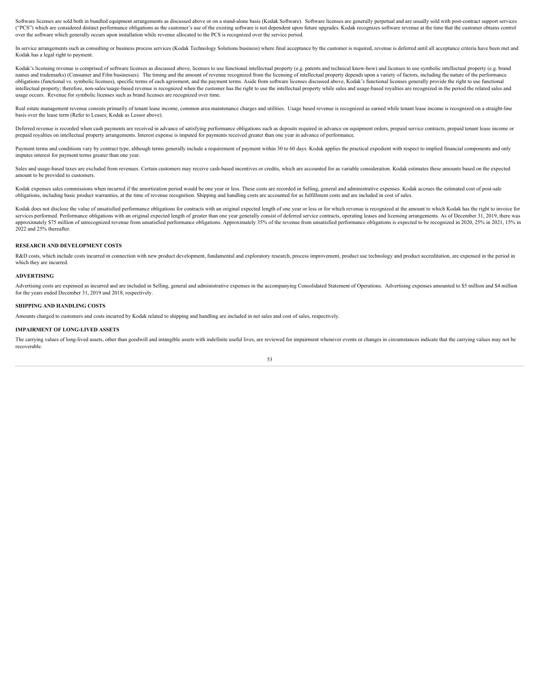Software licenses are sold both in bundled equipment arrangements as discussed above or on a stand-alone basis (Kodak Software). Software licenses are generally perpetual and are usually sold with post-contract support ser ("PCS") which are considered distinct performance obligations as the customer's use of the existing software is not dependent upon future upgrades. Kodak recognizes software revenue at the time that the customer obtains co over the software which generally occurs upon installation while revenue allocated to the PCS is recognized over the service period.

In service arrangements such as consulting or business process services (Kodak Technology Solutions business) where final acceptance by the customer is required, revenue is deferred until all acceptance criteria have been Kodak has a legal right to payment.

Kodak's licensing revenue is comprised of software licenses as discussed above, licenses to use functional intellectual property (e.g. patents and technical know-how) and licenses to use symbolic intellectual property (e.g names and trademarks) (Consumer and Film businesses). The timing and the amount of revenue recognized from the licensing of intellectual property depends upon a variety of factors, including the nature of the performance obligations (functional vs. symbolic licenses), specific terms of each agreement, and the payment terms. Aside from software licenses discussed above, Kodak's functional licenses generally provide the right to use functional intellectual property; therefore, non-sales/usage-based revenue is recognized when the customer has the right to use the intellectual property while sales and usage-based royalties are recognized in the period the related usage occurs. Revenue for symbolic licenses such as brand licenses are recognized over time.

Real estate management revenue consists primarily of tenant lease income, common area maintenance charges and utilities. Usage based revenue is recognized as earned while tenant lease income is recognized on a straight-lin basis over the lease term (Refer to Leases; Kodak as Lessor above).

Deferred revenue is recorded when cash payments are received in advance of satisfying performance obligations such as deposits required in advance on equipment orders, prepaid service contracts, prepaid tenant lease income prepaid royalties on intellectual property arrangements. Interest expense is imputed for payments received greater than one year in advance of performance.

Payment terms and conditions vary by contract type, although terms generally include a requirement of payment within 30 to 60 days. Kodak applies the practical expedient with respect to implied financial components and onl imputes interest for payment terms greater than one year.

Sales and usage-based taxes are excluded from revenues. Certain customers may receive cash-based incentives or credits, which are accounted for as variable consideration. Kodak estimates these amounts based on the expected amount to be provided to customers.

Kodak expenses sales commissions when incurred if the amortization period would be one year or less. These costs are recorded in Selling, general and administrative expenses. Kodak accrues the estimated cost of post-sale obligations, including basic product warranties, at the time of revenue recognition. Shipping and handling costs are accounted for as fulfillment costs and are included in cost of sales.

Kodak does not disclose the value of unsatisfied performance obligations for contracts with an original expected length of one year or less or for which revenue is recognized at the amount to which Kodak has the right to i services performed. Performance obligations with an original expected length of greater than one year generally consist of deferred service contracts, operating leases and licensing arrangements. As of December 31, 2019, t approximately \$75 million of unrecognized revenue from unsatisfied performance obligations. Approximately 35% of the revenue from unsatisfied performance obligations is expected to be recognized in 2020, 25% in 2021, 15% i 2022 and 25% thereafter.

# **RESEARCH AND DEVELOPMENT COSTS**

R&D costs, which include costs incurred in connection with new product development, fundamental and exploratory research, process improvement, product use technology and product accreditation, are expensed in the period in which they are incurred.

#### **ADVERTISING**

Advertising costs are expensed as incurred and are included in Selling, general and administrative expenses in the accompanying Consolidated Statement of Operations. Advertising expenses amounted to \$5 million and \$4 milli for the years ended December 31, 2019 and 2018, respectively.

# **SHIPPING AND HANDLING COSTS**

Amounts charged to customers and costs incurred by Kodak related to shipping and handling are included in net sales and cost of sales, respectively.

# **IMPAIRMENT OF LONG-LIVED ASSETS**

The carrying values of long-lived assets, other than goodwill and intangible assets with indefinite useful lives, are reviewed for impairment whenever events or changes in circumstances indicate that the carrying values ma recoverable.

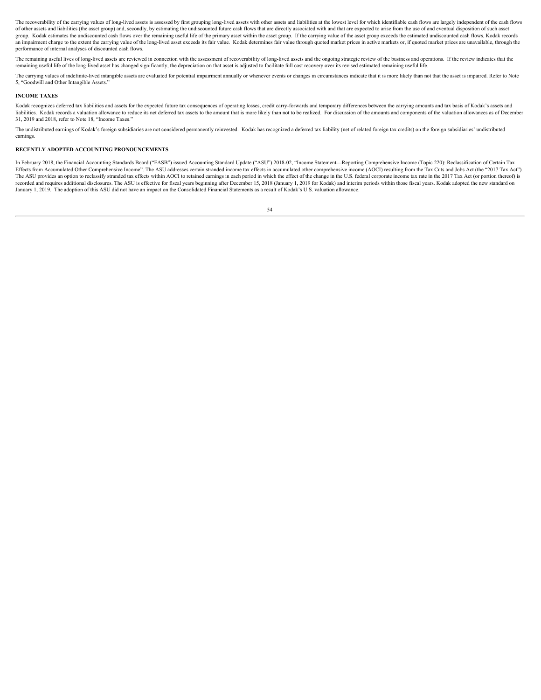The recoverability of the carrying values of long-lived assets is assessed by first grouping long-lived assets with other assets and liabilities at the lowest level for which identifiable cash flows are largely independent of other assets and liabilities (the asset group) and, secondly, by estimating the undiscounted future cash flows that are directly associated with and that are expected to arise from the use of and eventual disposition of group. Kodak estimates the undiscounted cash flows over the remaining useful life of the primary asset within the asset group. If the carrying value of the asset group exceeds the estimated undiscounted cash flows, Kodak r an impairment charge to the extent the carrying value of the long-lived asset exceeds its fair value. Kodak determines fair value through quoted market prices in active markets or, if quoted market prices are unavailable, performance of internal analyses of discounted cash flows.

The remaining useful lives of long-lived assets are reviewed in connection with the assessment of recoverability of long-lived assets and the ongoing strategic review of the business and operations. If the review indicates remaining useful life of the long-lived asset has changed significantly, the depreciation on that asset is adjusted to facilitate full cost recovery over its revised estimated remaining useful life.

The carrying values of indefinite-lived intangible assets are evaluated for potential impairment annually or whenever events or changes in circumstances indicate that it is more likely than not that the asset is impaired. 5, "Goodwill and Other Intangible Assets."

# **INCOME TAXES**

Kodak recognizes deferred tax liabilities and assets for the expected future tax consequences of operating losses, credit carry-forwards and temporary differences between the carrying amounts and tax basis of Kodak's asset liabilities. Kodak records a valuation allowance to reduce its net deferred tax assets to the amount that is more likely than not to be realized. For discussion of the amounts and components of the valuation allowances as 31, 2019 and 2018, refer to Note 18, "Income Taxes."

The undistributed earnings of Kodak's foreign subsidiaries are not considered permanently reinvested. Kodak has recognized a deferred tax liability (net of related foreign tax credits) on the foreign subsidiaries' undistri earnings.

#### **RECENTLY ADOPTED ACCOUNTING PRONOUNCEMENTS**

In February 2018, the Financial Accounting Standards Board ("FASB") issued Accounting Standard Update ("ASU") 2018-02, "Income Statement—Reporting Comprehensive Income (Topic 220): Reclassification of Certain Tax Effects from Accumulated Other Comprehensive Income". The ASU addresses certain stranded income tax effects in accumulated other comprehensive income (AOCI) resulting from the Tax Cuts and Jobs Act (the "2017 Tax Act"). The ASU provides an option to reclassify stranded tax effects within AOCI to retained earnings in each period in which the effect of the change in the U.S. federal corporate income tax rate in the 2017 Tax Act (or portion recorded and requires additional disclosures. The ASU is effective for fiscal years beginning after December 15, 2018 (January 1, 2019 for Kodak) and interim periods within those fiscal years. Kodak adopted the new standar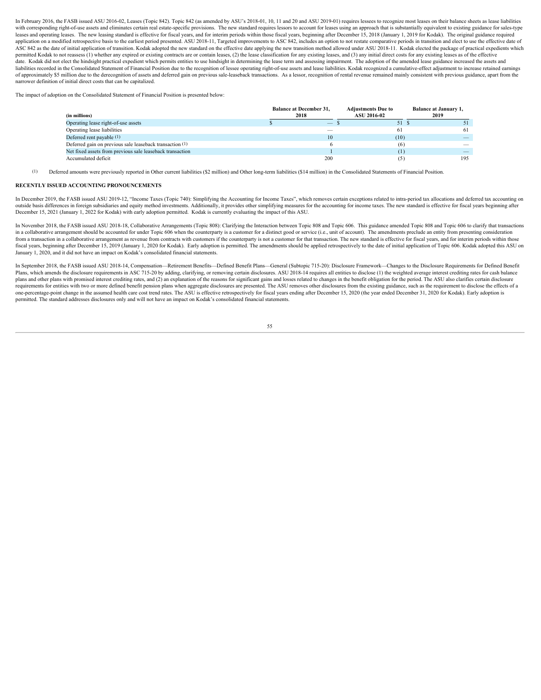In February 2016, the FASB issued ASU 2016-02, Leases (Topic 842). Topic 842 (as amended by ASU's 2018-01, 10, 11 and 20 and ASU 2019-01) requires lessees to recognize most leases on their balance sheets as lease liabilities with corresponding right-of-use assets and eliminates certain real estate-specific provisions. The new standard requires lessors to account for leases using an approach that is substantially equivalent to existing guidance leases and operating leases. The new leasing standard is effective for fiscal years, and for interim periods within those fiscal years, beginning after December 15, 2018 (January 1, 2019 for Kodak). The original guidance r application on a modified retrospective basis to the earliest period presented. ASU 2018-11, Targeted improvements to ASC 842, includes an option to not restate comparative periods in transition and elect to use the effect ASC 842 as the date of initial application of transition. Kodak adopted the new standard on the effective date applying the new transition method allowed under ASU 2018-11. Kodak elected the package of practical expedients permitted Kodak to not reassess (1) whether any expired or existing contracts are or contain leases, (2) the lease classification for any existing leases, and (3) any initial direct costs for any existing leases as of the date. Kodak did not elect the hindsight practical expedient which permits entities to use hindsight in determining the lease term and assessing impairment. The adoption of the amended lease guidance increased the assets an liabilities recorded in the Consolidated Statement of Financial Position due to the recognition of lessee operating right-of-use assets and lease liabilities. Kodak recognized a cumulative-effect adjustment to increase ret of approximately \$5 million due to the derecognition of assets and deferred gain on previous sale-leaseback transactions. As a lessor, recognition of rental revenue remained mainly consistent with previous guidance, apart narrower definition of initial direct costs that can be capitalized.

The impact of adoption on the Consolidated Statement of Financial Position is presented below:

|                                                           | <b>Balance at December 31,</b> | <b>Adjustments Due to</b> | <b>Balance at January 1,</b>    |
|-----------------------------------------------------------|--------------------------------|---------------------------|---------------------------------|
| (in millions)                                             | 2018                           | ASU 2016-02               | 2019                            |
| Operating lease right-of-use assets                       | $\overline{\phantom{a}}$       |                           |                                 |
| Operating lease liabilities                               | -                              |                           |                                 |
| Deferred rent payable (1)                                 |                                | (10)                      | $-$                             |
| Deferred gain on previous sale leaseback transaction (1)  |                                |                           | $\hspace{0.1mm}-\hspace{0.1mm}$ |
| Net fixed assets from previous sale leaseback transaction |                                |                           | $\overline{\phantom{a}}$        |
| Accumulated deficit                                       |                                |                           |                                 |

(1) Deferred amounts were previously reported in Other current liabilities (\$2 million) and Other long-term liabilities (\$14 million) in the Consolidated Statements of Financial Position.

# **RECENTLY ISSUED ACCOUNTING PRONOUNCEMENTS**

In December 2019, the FASB issued ASU 2019-12, "Income Taxes (Topic 740): Simplifying the Accounting for Income Taxes", which removes certain exceptions related to intra-period tax allocations and deferred tax accounting on outside basis differences in foreign subsidiaries and equity method investments. Additionally, it provides other simplifying measures for the accounting for income taxes. The new standard is effective for fiscal years begi December 15, 2021 (January 1, 2022 for Kodak) with early adoption permitted. Kodak is currently evaluating the impact of this ASU.

In November 2018, the FASB issued ASU 2018-18, Collaborative Arrangements (Topic 808): Clarifying the Interaction between Topic 808 and Topic 606. This guidance amended Topic 808 and Topic 606 to clarify that transactions in a collaborative arrangement should be accounted for under Topic 606 when the counterparty is a customer for a distinct good or service (i.e., unit of account). The amendments preclude an entity from presenting considera from a transaction in a collaborative arrangement as revenue from contracts with customers if the counterparty is not a customer for that transaction. The new standard is effective for fiscal years, and for interim periods fiscal years, beginning after December 15, 2019 (January 1, 2020 for Kodak). Early adoption is permitted. The amendments should be applied retrospectively to the date of initial application of Topic 606. Kodak adopted this January 1, 2020, and it did not have an impact on Kodak's consolidated financial statements.

In September 2018, the FASB issued ASU 2018-14, Compensation—Retirement Benefits—Defined Benefit Plans—General (Subtopic 715-20): Disclosure Framework—Changes to the Disclosure Requirements for Defined Benefit Plans, which amends the disclosure requirements in ASC 715-20 by adding, clarifying, or removing certain disclosures. ASU 2018-14 requires all entities to disclose (1) the weighted average interest crediting rates for cash plans and other plans with promised interest crediting rates, and (2) an explanation of the reasons for significant gains and losses related to changes in the benefit obligation for the period. The ASU also clarifies certa requirements for entities with two or more defined benefit pension plans when aggregate disclosures are presented. The ASU removes other disclosures from the existing guidance, such as the requirement to disclose the effec permitted. The standard addresses disclosures only and will not have an impact on Kodak's consolidated financial statements.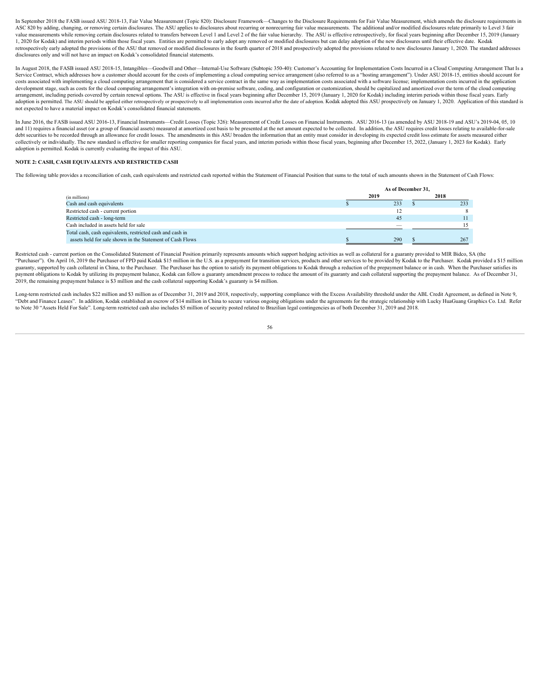In September 2018 the FASB issued ASU 2018-13, Fair Value Measurement (Topic 820): Disclosure Framework—Changes to the Disclosure Requirements for Fair Value Measurement, which amends the disclosure requirements in ASC 820 by adding, changing, or removing certain disclosures. The ASU applies to disclosures about recurring or nonrecurring fair value measurements. The additional and/or modified disclosures relate primarily to Level 3 f value measurements while removing certain disclosures related to transfers between Level 1 and Level 2 of the fair value hierarchy. The ASU is effective retrospectively, for fiscal years beginning after December 15, 2019 ( 1, 2020 for Kodak) and interim periods within those fiscal years. Entities are permitted to early adopt any removed or modified disclosures but can delay adoption of the new disclosures until their effective date. Kodak retrospectively early adopted the provisions of the ASU that removed or modified disclosures in the fourth quarter of 2018 and prospectively adopted the provisions related to new disclosures January 1, 2020. The standard a disclosures only and will not have an impact on Kodak's consolidated financial statements.

In August 2018, the FASB issued ASU 2018-15, Intangibles—Goodwill and Other—Internal-Use Software (Subtopic 350-40): Customer's Accounting for Implementation Costs Incurred in a Cloud Computing Arrangement That Is a Service Contract, which addresses how a customer should account for the costs of implementing a cloud computing service arrangement (also referred to as a "hosting arrangement"). Under ASU 2018-15, entities should account costs associated with implementing a cloud computing arrangement that is considered a service contract in the same way as implementation costs associated with a software license; implementation costs incurred in the applic development stage, such as costs for the cloud computing arrangement's integration with on-premise software, coding, and configuration or customization, should be capitalized and amortized over the term of the cloud comput arrangement, including periods covered by certain renewal options. The ASU is effective in fiscal years beginning after December 15, 2019 (January 1, 2020 for Kodak) including interim periods within those fiscal years. Ear adoption is permitted. The ASU should be applied either retrospectively or prospectively to all implementation costs incurred after the date of adoption. Kodak adopted this ASU prospectively on January 1, 2020. Application not expected to have a material impact on Kodak's consolidated financial statements.

In June 2016, the FASB issued ASU 2016-13, Financial Instruments—Credit Losses (Topic 326): Measurement of Credit Losses on Financial Instruments. ASU 2016-13 (as amended by ASU 2018-19 and ASU's 2019-04, 05, 10 and 11) requires a financial asset (or a group of financial assets) measured at amortized cost basis to be presented at the net amount expected to be collected. In addition, the ASU requires credit losses relating to avail debt securities to be recorded through an allowance for credit losses. The amendments in this ASU broaden the information that an entity must consider in developing its expected credit loss estimate for assets measured eit collectively or individually. The new standard is effective for smaller reporting companies for fiscal years, and interim periods within those fiscal years, beginning after December 15, 2022, (January 1, 2023 for Kodak). E adoption is permitted. Kodak is currently evaluating the impact of this ASU.

# **NOTE 2: CASH, CASH EQUIVALENTS AND RESTRICTED CASH**

The following table provides a reconciliation of cash, cash equivalents and restricted cash reported within the Statement of Financial Position that sums to the total of such amounts shown in the Statement of Cash Flows:

|                                                                                                                        | As of December 31, |      |
|------------------------------------------------------------------------------------------------------------------------|--------------------|------|
| (in millions)                                                                                                          | 2019               | 2018 |
| Cash and cash equivalents                                                                                              | 233                | 233  |
| Restricted cash - current portion                                                                                      |                    |      |
| Restricted cash - long-term                                                                                            |                    |      |
| Cash included in assets held for sale                                                                                  | $\sim$             |      |
| Total cash, cash equivalents, restricted cash and cash in<br>assets held for sale shown in the Statement of Cash Flows | 290                | 267  |

Restricted cash - current portion on the Consolidated Statement of Financial Position primarily represents amounts which support hedging activities as well as collateral for a guaranty provided to MIR Bidco, SA (the "Purchaser"). On April 16, 2019 the Purchaser of FPD paid Kodak \$15 million in the U.S. as a prepayment for transition services, products and other services to be provided by Kodak to the Purchaser. Kodak provided a \$15 mi guaranty, supported by cash collateral in China, to the Purchaser. The Purchaser has the option to satisfy its payment obligations to Kodak through a reduction of the prepayment balance or in cash. When the Purchaser satis payment obligations to Kodak by utilizing its prepayment balance, Kodak can follow a guaranty amendment process to reduce the amount of its guaranty and cash collateral supporting the prepayment balance. As of December 31, 2019, the remaining prepayment balance is \$3 million and the cash collateral supporting Kodak's guaranty is \$4 million.

Long-term restricted cash includes \$22 million and \$3 million as of December 31, 2019 and 2018, respectively, supporting compliance with the Excess Availability threshold under the ABL Credit Agreement, as defined in Note "Debt and Finance Leases". In addition, Kodak established an escrow of \$14 million in China to secure various ongoing obligations under the agreements for the strategic relationship with Lucky HuaGuang Graphics Co. Ltd. Re to Note 30 "Assets Held For Sale". Long-term restricted cash also includes \$5 million of security posted related to Brazilian legal contingencies as of both December 31, 2019 and 2018.<br>56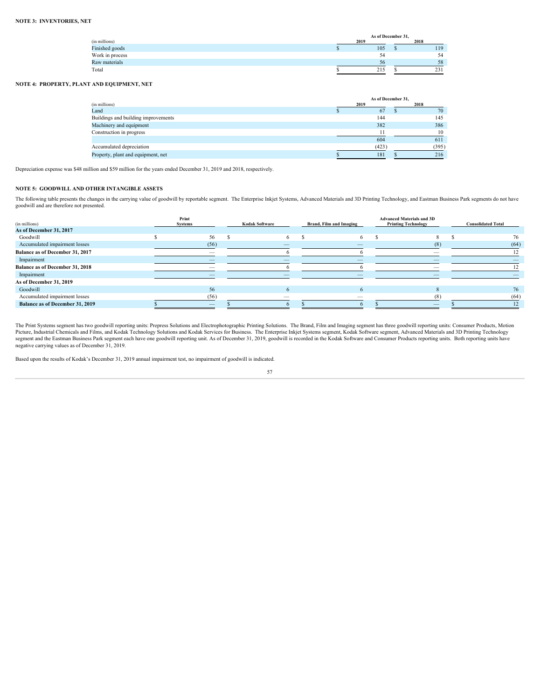|                 | As of December 31, |      |
|-----------------|--------------------|------|
| (in millions)   | 2015               | 2018 |
| Finished goods  | 105                | 119  |
| Work in process |                    |      |
| Raw materials   |                    | `×   |
| Total           | 215                | ا دے |

# **NOTE 4: PROPERTY, PLANT AND EQUIPMENT, NET**

|                                     | As of December 31, |       |
|-------------------------------------|--------------------|-------|
| (in millions)                       | 2019               | 2018  |
| Land                                | 67                 | 70.   |
| Buildings and building improvements | 144                | 145   |
| Machinery and equipment             | 382                | 386   |
| Construction in progress            |                    | 10    |
|                                     | 604                | 611   |
| Accumulated depreciation            | (423)              | (395) |
| Property, plant and equipment, net  | 181                | 216   |

Depreciation expense was \$48 million and \$59 million for the years ended December 31, 2019 and 2018, respectively.

# **NOTE 5: GOODWILL AND OTHER INTANGIBLE ASSETS**

The following table presents the changes in the carrying value of goodwill by reportable segment. The Enterprise Inkjet Systems, Advanced Materials and 3D Printing Technology, and Eastman Business Park segments do not have goodwill and are therefore not presented.

|                                        | Print   |     |                       |                                | <b>Advanced Materials and 3D</b> |                           |
|----------------------------------------|---------|-----|-----------------------|--------------------------------|----------------------------------|---------------------------|
| (in millions)                          | Svstems |     | <b>Kodak Software</b> | <b>Brand, Film and Imaging</b> | <b>Printing Technology</b>       | <b>Consolidated Total</b> |
| As of December 31, 2017                |         |     |                       |                                |                                  |                           |
| Goodwill                               |         | 56. |                       |                                |                                  |                           |
| Accumulated impairment losses          |         |     |                       |                                |                                  |                           |
| <b>Balance as of December 31, 2017</b> |         |     |                       |                                |                                  |                           |
| Impairment                             |         |     |                       |                                |                                  |                           |
| Balance as of December 31, 2018        |         |     |                       |                                |                                  |                           |
| Impairment                             |         |     |                       |                                |                                  |                           |
| As of December 31, 2019                |         |     |                       |                                |                                  |                           |
| Goodwill                               |         |     |                       |                                |                                  |                           |
| Accumulated impairment losses          |         |     | -                     | $\overline{\phantom{a}}$       |                                  |                           |
| Balance as of December 31, 2019        |         |     |                       |                                | $\overline{\phantom{a}}$         |                           |
|                                        |         |     |                       |                                |                                  |                           |

The Print Systems segment has two goodwill reporting units: Prepress Solutions and Electrophotographic Printing Solutions. The Brand, Film and Imaging segment has three goodwill reporting units: Consumer Products, Motion<br>P negative carrying values as of December 31, 2019.

Based upon the results of Kodak's December 31, 2019 annual impairment test, no impairment of goodwill is indicated.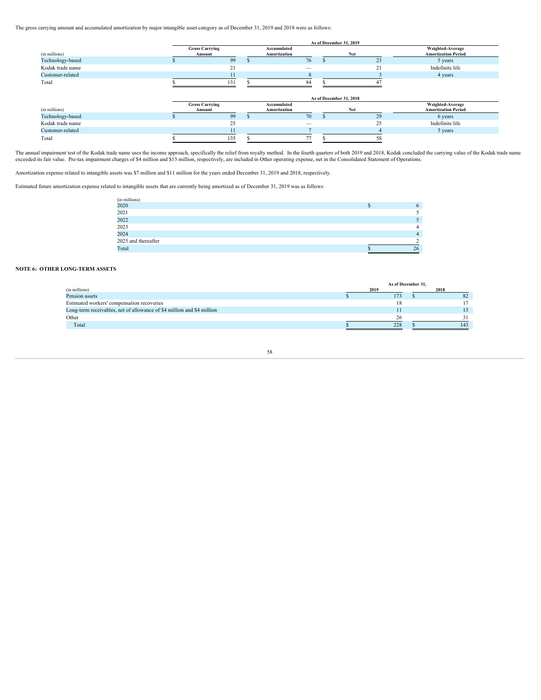The gross carrying amount and accumulated amortization by major intangible asset category as of December 31, 2019 and 2018 were as follows:

|                  |                                 |     |                             | As of December 31, 2019 |     |                                                       |
|------------------|---------------------------------|-----|-----------------------------|-------------------------|-----|-------------------------------------------------------|
| (in millions)    | <b>Gross Carrying</b><br>Amount |     | Accumulated<br>Amortization |                         | Net | Weighted-Average<br><b>Amortization Period</b>        |
| Technology-based |                                 | 99  | 76                          |                         | 23  | 5 years                                               |
| Kodak trade name |                                 | 21  |                             |                         | 21  | Indefinite life                                       |
| Customer-related |                                 |     |                             |                         |     | 4 years                                               |
| Total            |                                 | 131 | 84                          |                         |     |                                                       |
|                  |                                 |     |                             | As of December 31, 2018 |     |                                                       |
| (in millions)    | <b>Gross Carrying</b><br>Amount |     | Accumulated<br>Amortization |                         | Net | <b>Weighted-Average</b><br><b>Amortization Period</b> |
| Technology-based |                                 | 99  | 70                          |                         | 29  | 6 years                                               |
| Kodak trade name |                                 | 25  |                             |                         |     | Indefinite life                                       |

| ustomer-related                                                                                                                                                                                                                |  |  |  | vears |  |
|--------------------------------------------------------------------------------------------------------------------------------------------------------------------------------------------------------------------------------|--|--|--|-------|--|
| Total                                                                                                                                                                                                                          |  |  |  |       |  |
|                                                                                                                                                                                                                                |  |  |  |       |  |
| seemed impoirment test of the Kodek trade name year the income emprosoh, encoificelly the relief from royalty method. In the fourth questers of both 2019 and 2018, Kodek concluded the corrying you a of the Kodek trade name |  |  |  |       |  |

The annual impairment test of the Kodak trade name uses the income approach, specifically the relief from royalty method. In the fourth quarters of both 2019 and 2018, Kodak concluded the carrying value of the Kodak trade

Amortization expense related to intangible assets was \$7 million and \$11 million for the years ended December 31, 2019 and 2018, respectively.

Estimated future amortization expense related to intangible assets that are currently being amortized as of December 31, 2019 was as follows:

| (in millions)       |    |
|---------------------|----|
| 2020                |    |
| 2021                |    |
| 2022                |    |
| 2023                |    |
| 2024                |    |
| 2025 and thereafter |    |
| Total               | 26 |

# **NOTE 6: OTHER LONG-TERM ASSETS**

|                                                                        | As of December 31. |      |
|------------------------------------------------------------------------|--------------------|------|
| (in millions)                                                          | 2019               | 2018 |
| Pension assets                                                         | 173                | OZ   |
| Estimated workers' compensation recoveries                             |                    |      |
| Long-term receivables, net of allowance of \$4 million and \$4 million |                    |      |
| Other                                                                  |                    |      |
| Total                                                                  | 228                | 143  |
|                                                                        |                    |      |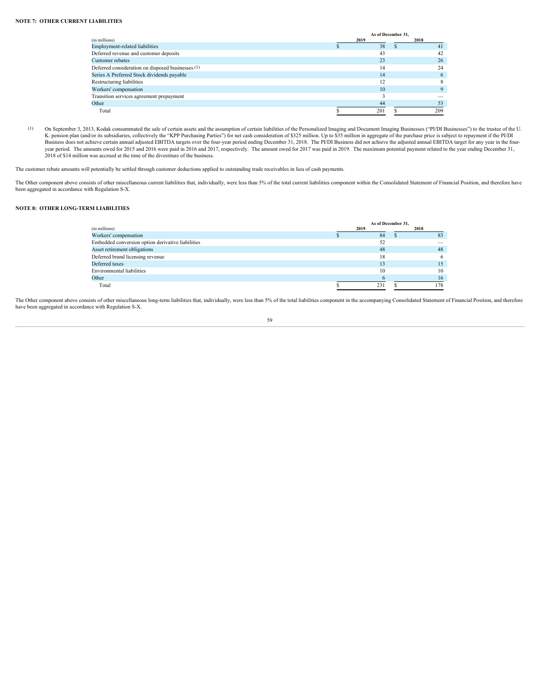# **NOTE 7: OTHER CURRENT LIABILITIES**

|                                                   | As of December 31, |                          |
|---------------------------------------------------|--------------------|--------------------------|
| (in millions)                                     | 2019               | 2018                     |
| Employment-related liabilities                    |                    |                          |
| Deferred revenue and customer deposits            |                    |                          |
| Customer rebates                                  |                    | 26                       |
| Deferred consideration on disposed businesses (1) |                    |                          |
| Series A Preferred Stock dividends payable        | 14                 |                          |
| Restructuring liabilities                         |                    |                          |
| Workers' compensation                             | 10                 |                          |
| Transition services agreement prepayment          |                    | $\overline{\phantom{a}}$ |
| Other                                             |                    |                          |
| Total                                             | 201                |                          |

(1) On September 3, 2013, Kodak consummated the sale of certain assets and the assumption of certain liabilities of the Personalized Imaging and Document Imaging Businesses ("PI/DI Businesses") to the trustee of the U. K. pension plan (and/or its subsidiaries, collectively the "KPP Purchasing Parties") for net cash consideration of \$325 million. Up to \$35 million in aggregate of the purchase price is subject to repayment if the PI/DI Business does not achieve certain annual adjusted EBITDA targets over the four-year period ending December 31, 2018. The PI/DI Business did not achieve the adjusted annual EBITDA target for any year in the fouryear period. The amounts owed for 2015 and 2016 were paid in 2016 and 2017, respectively. The amount owed for 2017 was paid in 2019. The maximum potential payment related to the year ending December 31, 2018 of \$14 million was accrued at the time of the divestiture of the business.

The customer rebate amounts will potentially be settled through customer deductions applied to outstanding trade receivables in lieu of cash payments.

The Other component above consists of other miscellaneous current liabilities that, individually, were less than 5% of the total current liabilities component within the Consolidated Statement of Financial Position, and th been aggregated in accordance with Regulation S-X.

# **NOTE 8: OTHER LONG-TERM LIABILITIES**

|                                                   |      | As of December 31, |                                 |
|---------------------------------------------------|------|--------------------|---------------------------------|
| (in millions)                                     | 2019 |                    | 2018                            |
| Workers' compensation                             | δ4   |                    |                                 |
| Embedded conversion option derivative liabilities |      |                    | $\hspace{0.1mm}-\hspace{0.1mm}$ |
| Asset retirement obligations                      | 48   |                    |                                 |
| Deferred brand licensing revenue                  | 18   |                    |                                 |
| Deferred taxes                                    |      |                    | 15                              |
| Environmental liabilities                         | 10   |                    | 10                              |
| Other                                             |      |                    |                                 |
| Total                                             | 231  |                    |                                 |

The Other component above consists of other miscellaneous long-term liabilities that, individually, were less than 5% of the total liabilities component in the accompanying Consolidated Statement of Financial Position, and have been aggregated in accordance with Regulation S-X.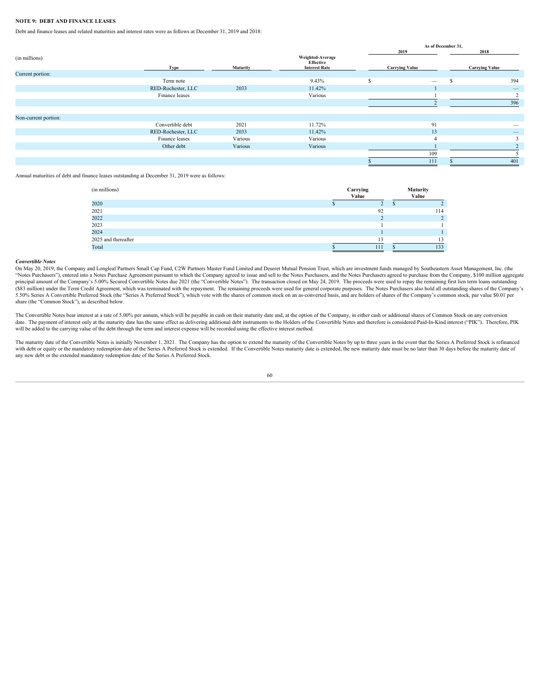# **NOTE 9: DEBT AND FINANCE LEASES**

Debt and finance leases and related maturities and interest rates were as follows at December 31, 2019 and 2018:

|                      |                    |                 |                                                       | As of December 31, |                          |                          |
|----------------------|--------------------|-----------------|-------------------------------------------------------|--------------------|--------------------------|--------------------------|
|                      |                    |                 |                                                       |                    | 2019                     | 2018                     |
| (in millions)        | Tyne               | <b>Maturity</b> | Weighted-Average<br>Effective<br><b>Interest Rate</b> |                    | <b>Carrying Value</b>    | <b>Carrying Value</b>    |
| Current portion:     |                    |                 |                                                       |                    |                          |                          |
|                      | Term note          |                 | 9.43%                                                 |                    | $\overline{\phantom{a}}$ | 394                      |
|                      | RED-Rochester, LLC | 2033            | 11.42%                                                |                    |                          |                          |
|                      | Finance leases     |                 | Various                                               |                    |                          |                          |
|                      |                    |                 |                                                       |                    |                          | 396                      |
|                      |                    |                 |                                                       |                    |                          |                          |
| Non-current portion: |                    |                 |                                                       |                    |                          |                          |
|                      | Convertible debt   | 2021            | 11.72%                                                |                    | 91                       | $\sim$                   |
|                      | RED-Rochester, LLC | 2033            | 11.42%                                                |                    | 13                       | $\overline{\phantom{a}}$ |
|                      | Finance leases     | Various         | Various                                               |                    |                          |                          |
|                      | Other debt         | Various         | Various                                               |                    |                          |                          |
|                      |                    |                 |                                                       |                    |                          |                          |
|                      |                    |                 |                                                       |                    | 111                      | 401                      |
|                      |                    |                 |                                                       |                    |                          |                          |

Annual maturities of debt and finance leases outstanding at December 31, 2019 were as follows:

|     |                   | Maturity |
|-----|-------------------|----------|
|     |                   | Value    |
|     |                   |          |
| 92  |                   | 114      |
|     |                   |          |
|     |                   |          |
|     |                   |          |
|     |                   |          |
| 111 |                   | 133      |
|     | Carrying<br>Value |          |

## *Convertible Notes*

On May 20, 2019, the Company and Longleaf Partners Small Cap Fund, C2W Partners Master Fund Limited and Deseret Mutual Pension Trust, which are investment funds managed by Southeastern Asset Management, Inc. (the "Notes Purchasers"), entered into a Notes Purchase Agreement pursuant to which the Company agreed to issue and sell to the Notes Purchasers, and the Notes Purchasers agreed to purchase from the Company, \$100 million aggreg principal amount of the Company's 5.00% Secured Convertible Notes due 2021 (the "Convertible Notes"). The transaction closed on May 24, 2019. The proceeds were used to repay the remaining first lien term loans outstanding (\$83 million) under the Term Credit Agreement, which was terminated with the repayment. The remaining proceeds were used for general corporate purposes. The Notes Purchasers also hold all outstanding shares of the Company's 5.50% Series A Convertible Preferred Stock (the "Series A Preferred Stock"), which vote with the shares of common stock on an as-converted basis, and are holders of shares of the Company's common stock, par value \$0.01 per share (the "Common Stock"), as described below.

The Convertible Notes bear interest at a rate of 5.00% per annum, which will be payable in cash on their maturity date and, at the option of the Company, in either cash or additional shares of Common Stock on any conversio date. The payment of interest only at the maturity date has the same effect as delivering additional debt instruments to the Holders of the Convertible Notes and therefore is considered Paid-In-Kind interest ("PIK"). There will be added to the carrying value of the debt through the term and interest expense will be recorded using the effective interest method.

The maturity date of the Convertible Notes is initially November 1, 2021. The Company has the option to extend the maturity of the Convertible Notes by up to three years in the event that the Series A Preferred Stock is re with debt or equity or the mandatory redemption date of the Series A Preferred Stock is extended. If the Convertible Notes maturity date is extended, the new maturity date must be no later than 30 days before the maturity any new debt or the extended mandatory redemption date of the Series A Preferred Stock.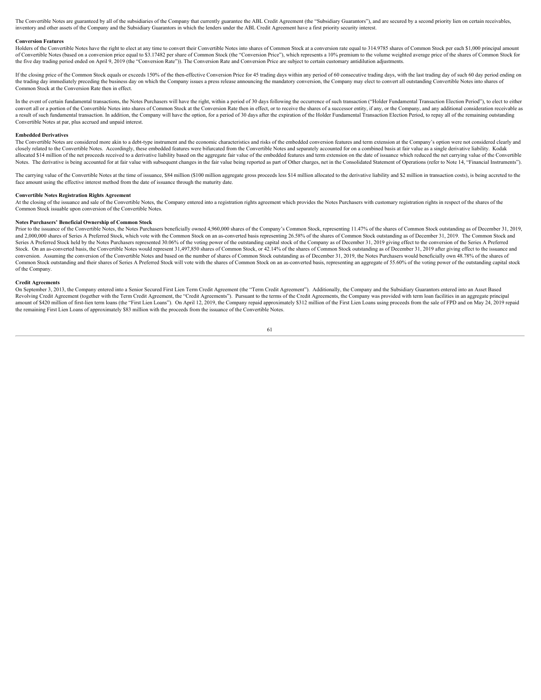The Convertible Notes are guaranteed by all of the subsidiaries of the Company that currently guarantee the ABL Credit Agreement (the "Subsidiary Guarantors"), and are secured by a second priority lien on certain receivabl inventory and other assets of the Company and the Subsidiary Guarantors in which the lenders under the ABL Credit Agreement have a first priority security interest.

### **Conversion Features**

Holders of the Convertible Notes have the right to elect at any time to convert their Convertible Notes into shares of Common Stock at a conversion rate equal to 314 9785 shares of Common Stock per each \$1,000 principal am of Convertible Notes (based on a conversion price equal to \$3.17482 per share of Common Stock (the "Conversion Price"), which represents a 10% premium to the volume weighted average price of the shares of Common Stock for the five day trading period ended on April 9, 2019 (the "Conversion Rate")). The Conversion Rate and Conversion Price are subject to certain customary antidilution adjustments.

If the closing price of the Common Stock equals or exceeds 150% of the then-effective Conversion Price for 45 trading days within any period of 60 consecutive trading days, with the last trading day of such 60 day period e the trading day immediately preceding the business day on which the Company issues a press release announcing the mandatory conversion, the Company may elect to convert all outstanding Convertible Notes into shares of Common Stock at the Conversion Rate then in effect.

In the event of certain fundamental transactions, the Notes Purchasers will have the right, within a period of 30 days following the occurrence of such transaction ("Holder Fundamental Transaction Election Period"), to ele convert all or a nortion of the Convertible Notes into shares of Common Stock at the Conversion Rate then in effect or to receive the shares of a successor entity if any or the Commany and any additional consideration rece a result of such fundamental transaction. In addition, the Company will have the option, for a period of 30 days after the expiration of the Holder Fundamental Transaction Election Period, to repay all of the remaining out Convertible Notes at par, plus accrued and unpaid interest.

# **Embedded Derivatives**

The Convertible Notes are considered more akin to a debt-type instrument and the economic characteristics and risks of the embedded conversion features and term extension at the Company's option were not considered clearly closely related to the Convertible Notes. Accordingly, these embedded features were bifurcated from the Convertible Notes and separately accounted for on a combined basis at fair value as a single derivative liability. Kodak allocated \$14 million of the net proceeds received to a derivative liability based on the aggregate fair value of the embedded features and term extension on the date of issuance which reduced the net carrying value of the Notes. The derivative is being accounted for at fair value with subsequent changes in the fair value being reported as part of Other charges, net in the Consolidated Statement of Operations (refer to Note 14, "Financial In

The carrying value of the Convertible Notes at the time of issuance, \$84 million (\$100 million aggregate gross proceeds less \$14 million allocated to the derivative liability and \$2 million in transaction costs), is being face amount using the effective interest method from the date of issuance through the maturity date.

#### **Convertible Notes Registration Rights Agreement**

At the closing of the issuance and sale of the Convertible Notes, the Company entered into a registration rights agreement which provides the Notes Purchasers with customary registration rights in respect of the shares of Common Stock issuable upon conversion of the Convertible Notes.

# **Notes Purchasers' Beneficial Ownership of Common Stock**

Prior to the issuance of the Convertible Notes, the Notes Purchasers beneficially owned 4,960,000 shares of the Company's Common Stock, representing 11.47% of the shares of Common Stock outstanding as of December 31, 2019, and 2,000,000 shares of Series A Preferred Stock, which vote with the Common Stock on an as-converted basis representing 26.58% of the shares of Common Stock outstanding as of December 31, 2019. The Common Stock and Series A Preferred Stock held by the Notes Purchasers represented 30.06% of the voting power of the outstanding capital stock of the Company as of December 31, 2019 giving effect to the conversion of the Series A Preferred Stock. On an as-converted basis, the Convertible Notes would represent 31,497,850 shares of Common Stock, or 42.14% of the shares of Common Stock outstanding as of December 31, 2019 after giving effect to the issuance and conversion. Assuming the conversion of the Convertible Notes and based on the number of shares of Common Stock outstanding as of December 31, 2019, the Notes Purchasers would beneficially own 48.78% of the shares of Common Stock outstanding and their shares of Series A Preferred Stock will vote with the shares of Common Stock on an as-converted basis, representing an aggregate of 55.60% of the voting power of the outstanding capital s of the Company.

# **Credit Agreements**

On September 3, 2013, the Company entered into a Senior Secured First Lien Term Credit Agreement (the "Term Credit Agreement"). Additionally, the Company and the Subsidiary Guarantors entered into an Asset Based Revolving Credit Agreement (together with the Term Credit Agreement, the "Credit Agreements"). Pursuant to the terms of the Credit Agreements, the Company was provided with term loan facilities in an aggregate principal amount of \$420 million of first-lien term loans (the "First Lien Loans"). On April 12, 2019, the Company repaid approximately \$312 million of the First Lien Loans using proceeds from the sale of FPD and on May 24, 2019 rep the remaining First Lien Loans of approximately \$83 million with the proceeds from the issuance of the Convertible Notes.<br>61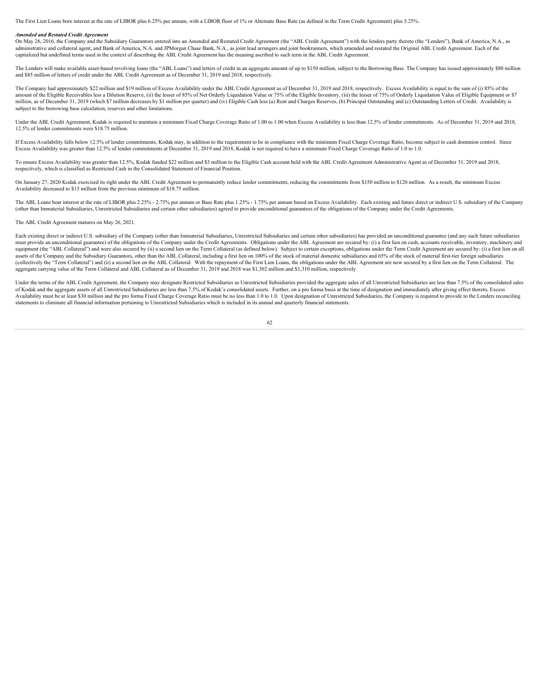The First Lien Loans bore interest at the rate of LIBOR plus 6.25% per annum, with a LIBOR floor of 1% or Alternate Base Rate (as defined in the Term Credit Agreement) plus 5.25%.

#### *Amended and Restated Credit Agreement*

On May 26, 2016, the Company and the Subsidiary Guarantors entered into an Amended and Restated Credit Agreement (the "ABL Credit Agreement") with the lenders party thereto (the "Lenders"), Bank of America, N.A., as administrative and collateral agent, and Bank of America, N.A. and JPMorgan Chase Bank, N.A., as joint lead arrangers and joint bookrunners, which amended and restated the Original ABL Credit Agreement. Each of the<br>capital

The Lenders will make available asset-based revolving loans (the "ABL Loans") and letters of credit in an aggregate amount of up to \$150 million, subject to the Borrowing Base. The Company has issued approximately \$80 mill and \$85 million of letters of credit under the ABL Credit Agreement as of December 31, 2019 and 2018, respectively.

The Company had approximately \$22 million and \$19 million of Excess Availability under the ABL Credit Agreement as of December 31, 2019 and 2018, respectively. Excess Availability is equal to the sum of (i) 85% of the amount of the Eligible Receivables less a Dilution Reserve, (ii) the lesser of 85% of Net Orderly Liquidation Value or 75% of the Eligible Inventory, (iii) the lesser of 75% of Orderly Liquidation Value of Eligible Equipme million, as of December 31, 2019 (which \$7 million decreases by \$1 million per quarter) and (iv) Eligible Cash less (a) Rent and Charges Reserves, (b) Principal Outstanding and (c) Outstanding Letters of Credit. Availabili subject to the borrowing base calculation, reserves and other limitations.

Under the ABL Credit Agreement, Kodak is required to maintain a minimum Fixed Charge Coverage Ratio of 1.00 to 1.00 when Excess Availability is less than 12.5% of lender commitments. As of December 31, 2019 and 2018, 12.5% of lender commitments were \$18.75 million.

If Excess Availability falls below 12.5% of lender commitments, Kodak may, in addition to the requirement to be in compliance with the minimum Fixed Charge Coverage Ratio, become subject to cash dominion control. Since Excess Availability was greater than 12.5% of lender commitments at December 31, 2019 and 2018, Kodak is not required to have a minimum Fixed Charge Coverage Ratio of 1.0 to 1.0.

To ensure Excess Availability was greater than 12.5%, Kodak funded \$22 million and \$3 million to the Eligible Cash account held with the ABL Credit Agreement Administrative Agent as of December 31, 2019 and 2018, respectively, which is classified as Restricted Cash in the Consolidated Statement of Financial Position.

On January 27, 2020 Kodak exercised its right under the ABL Credit Agreement to permanently reduce lender commitments, reducing the commitments from \$150 million to \$120 million. As a result, the minimum Excess Availability decreased to \$15 million from the previous minimum of \$18.75 million.

The ABL Loans bear interest at the rate of LIBOR plus 2.25% - 2.75% per annum or Base Rate plus 1.25% - 1.75% per annum based on Excess Availability. Each existing and future direct or indirect U.S. subsidiary of the Compa (other than Immaterial Subsidiaries, Unrestricted Subsidiaries and certain other subsidiaries) agreed to provide unconditional guarantees of the obligations of the Company under the Credit Agreements.

# The ABL Credit Agreement matures on May 26, 2021.

Each existing direct or indirect U.S. subsidiary of the Company (other than Immaterial Subsidiaries, Unrestricted Subsidiaries and certain other subsidiaries) has provided an unconditional guarantee (and any such future su must provide an unconditional guarantee) of the obligations of the Company under the Credit Agreements. Obligations under the ABL Agreement are secured by: (i) a first lien on cash, accounts receivable, inventory, machiner equipment (the "ABL Collateral") and were also secured by (ii) a second lien on the Term Collateral (as defined below). Subject to certain exceptions, obligations under the Term Credit Agreement are secured by: (i) a first assets of the Company and the Subsidiary Guarantors, other than the ABL Collateral, including a first lien on 100% of the stock of material domestic subsidiaries and 65% of the stock of material first-tier foreign subsidia (collectively the "Term Collateral") and (ii) a second lien on the ABL Collateral. With the repayment of the First Lien Loans, the obligations under the ABL Agreement are now secured by a first lien on the Term Collateral. aggregate carrying value of the Term Collateral and ABL Collateral as of December 31, 2019 and 2018 was \$1,302 million and \$1,310 million, respectively

Under the terms of the ABL Credit Agreement, the Company may designate Restricted Subsidiaries as Unrestricted Subsidiaries provided the aggregate sales of all Unrestricted Subsidiaries are less than 7.5% of the consolidat of Kodak and the aggregate assets of all Unrestricted Subsidiaries are less than 7.5% of Kodak's consolidated assets. Further, on a pro forma basis at the time of designation and immediately after giving effect thereto, Ex Availability must be at least \$30 million and the pro forma Fixed Charge Coverage Ratio must be no less than 1.0 to 1.0. Upon designation of Unrestricted Subsidiaries, the Company is required to provide to the Lenders reco statements to eliminate all financial information pertaining to Unrestricted Subsidiaries which is included in its annual and quarterly financial statements.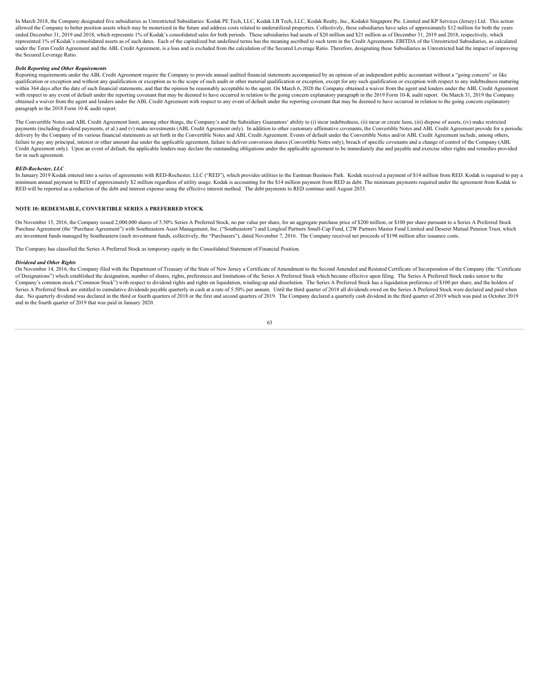In March 2018, the Company designated five subsidiaries as Unrestricted Subsidiaries: Kodak PE Tech, LLC, Kodak LB Tech, LLC, Kodak Realty, Inc., Kodakit Singapore Pte. Limited and KP Services (Jersey) Ltd. This action allowed the Company to better position assets which may be monetized in the future and address costs related to underutilized properties. Collectively, these subsidiaries have sales of approximately \$12 million for both th ended December 31, 2019 and 2018, which represents 1% of Kodak's consolidated sales for both periods. These subsidiaries had assets of \$20 million and \$21 million as of December 31, 2019 and 2018, respectively, which represented 1% of Kodak's consolidated assets as of such dates. Each of the capitalized but undefined terms has the meaning ascribed to such term in the Credit Agreements. EBITDA of the Unrestricted Subsidiaries, as calcul under the Term Credit Agreement and the ABL Credit Agreement, is a loss and is excluded from the calculation of the Secured Leverage Ratio. Therefore, designating these Subsidiaries as Unrestricted had the impact of improv the Secured Leverage Ratio.

### *Debt Reporting and Other Requirements*

Reporting requirements under the ABL Credit Agreement require the Company to provide annual audited financial statements accompanied by an opinion of an independent public accountant without a "going concern" or like qualification or exception and without any qualification or exception as to the scope of such audit or other material qualification or exception, except for any such qualification or exception with respect to any indebtedn within 364 days after the date of such financial statements, and that the opinion be reasonably acceptable to the agent. On March 6, 2020 the Company obtained a waiver from the agent and lenders under the ABL Credit Agreem with respect to any event of default under the reporting covenant that may be deemed to have occurred in relation to the going concern explanatory paragraph in the 2019 Form 10-K audit report. On March 31, 2019 the Company obtained a waiver from the agent and lenders under the ABL Credit Agreement with respect to any event of default under the reporting covenant that may be deemed to have occurred in relation to the going concern explanatory paragraph in the 2018 Form 10-K audit report.

The Convertible Notes and ABL Credit Agreement limit, among other things, the Company's and the Subsidiary Guarantors' ability to (i) incur indebtedness, (ii) incur or create liens, (iii) dispose of assets, (iv) make restr payments (including dividend payments, et al.) and (v) make investments (ABL Credit Agreement only). In addition to other customary affirmative covenants, the Convertible Notes and ABL Credit Agreement provide for a period .<br>delivery by the Company of its various financial statements as set forth in the Convertible Notes and ABL Credit Agreement. Events of default under the Convertible Notes and/or ABL Credit Agreement include, among others, failure to pay any principal, interest or other amount due under the applicable agreement, failure to deliver conversion shares (Convertible Notes only), breach of specific covenants and a change of control of the Company Credit Agreement only). Upon an event of default, the applicable lenders may declare the outstanding obligations under the applicable agreement to be immediately due and payable and exercise other rights and remedies provi for in such agreement.

RED-Rochester, LLC<br>In January 2019 Kodak entered into a series of agreements with RED-Rochester, LLC ("RED"), which provides utilities to the Eastman Business Park. Kodak received a payment of \$14 million from RED. Kodak i minimum annual payment to RED of approximately \$2 million regardless of utility usage. Kodak is accounting for the \$14 million payment from RED as debt. The minimum payments required under the agreement from Kodak to RED will be reported as a reduction of the debt and interest expense using the effective interest method. The debt payments to RED continue until August 2033.

### **NOTE 10: REDEEMABLE, CONVERTIBLE SERIES A PREFERRED STOCK**

On November 15, 2016, the Company issued 2,000,000 shares of 5.50% Series A Preferred Stock, no par value per share, for an aggregate purchase price of \$200 million, or \$100 per share pursuant to a Series A Preferred Stock Purchase Agreement (the "Purchase Agreement") with Southeastern Asset Management, Inc. ("Southeastern") and Longleaf Partners Small-Cap Fund, C2W Partners Master Fund Limited and Deseret Mutual Pension Trust, which are investment funds managed by Southeastern (such investment funds, collectively, the "Purchasers"), dated November 7, 2016. The Company received net proceeds of \$198 million after issuance costs.

The Company has classified the Series A Preferred Stock as temporary equity in the Consolidated Statement of Financial Position.

# *Dividend and Other Rights*

On November 14, 2016, the Company filed with the Department of Treasury of the State of New Jersey a Certificate of Amendment to the Second Amended and Restated Certificate of Incorporation of the Company (the "Certificate of Designations") which established the designation, number of shares, rights, preferences and limitations of the Series A Preferred Stock which became effective upon filing. The Series A Preferred Stock ranks senior to the Company's common stock ("Common Stock") with respect to dividend rights and rights on liquidation, winding-up and dissolution. The Series A Preferred Stock has a liquidation preference of \$100 per share, and the holders of Series A Preferred Stock are entitled to cumulative dividends payable quarterly in cash at a rate of 5.50% per annum. Until the third quarter of 2018 all dividends owed on the Series A Preferred Stock were declared and pai due. No quarterly dividend was declared in the third or fourth quarters of 2018 or the first and second quarters of 2019. The Company declared a quarterly cash dividend in the third quarter of 2019 which was paid in Octobe and in the fourth quarter of 2019 that was paid in January 2020.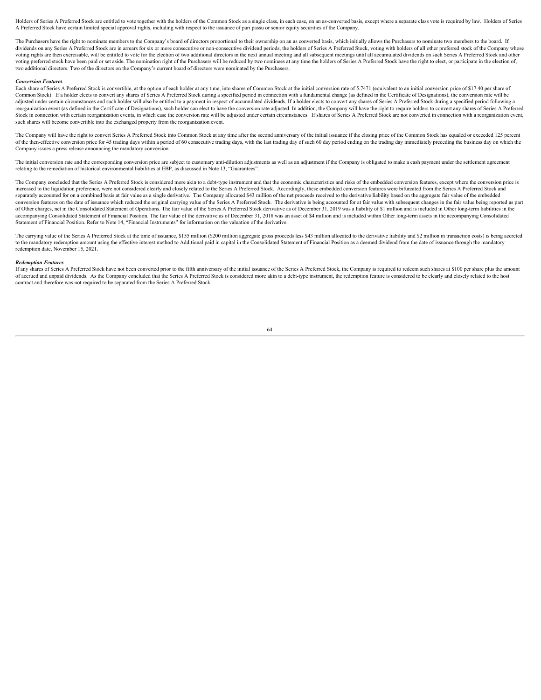Holders of Series A Preferred Stock are entitled to vote together with the holders of the Common Stock as a single class, in each case, on an as-converted basis, except where a separate class vote is required by law. Holde A Preferred Stock have certain limited special approval rights, including with respect to the issuance of pari passu or senior equity securities of the Company.

The Purchasers have the right to nominate members to the Company's board of directors proportional to their ownership on an as converted basis, which initially allows the Purchasers to nominate two members to the board. If dividends on any Series A Preferred Stock are in arrears for six or more consecutive or non-consecutive dividend periods, the holders of Series A Preferred Stock, voting with holders of all other preferred stock of the Com voting rights are then exercisable, will be entitled to vote for the election of two additional directors in the next annual meeting and all subsequent meetings until all accumulated dividends on such Series A Preferred St voting preferred stock have been paid or set aside. The nomination right of the Purchasers will be reduced by two nominees at any time the holders of Series A Preferred Stock have the right to elect, or participate in the two additional directors. Two of the directors on the Company's current board of directors were nominated by the Purchasers.

#### *Conversion Feature***s**

Each share of Series A Preferred Stock is convertible, at the option of each holder at any time, into shares of Common Stock at the initial conversion rate of 5.7471 (equivalent to an initial conversion price of \$17.40 per Common Stock). If a holder elects to convert any shares of Series A Preferred Stock during a specified period in connection with a fundamental change (as defined in the Certificate of Designations), the conversion rate wil adjusted under certain circumstances and such holder will also be entitled to a payment in respect of accumulated dividends. If a holder elects to convert any shares of Series A Preferred Stock during a specified period fo reorganization event (as defined in the Certificate of Designations) such holder can elect to have the conversion rate adjusted. In addition the Company will have the right to require holders to convert any shares of Serie Stock in connection with certain reorganization events, in which case the conversion rate will be adjusted under certain circumstances. If shares of Series A Preferred Stock are not converted in connection with a reorganiz such shares will become convertible into the exchanged property from the reorganization event.

The Company will have the right to convert Series A Preferred Stock into Common Stock at any time after the second anniversary of the initial issuance if the closing price of the Common Stock has equaled or exceeded 125 pe of the then-effective conversion price for 45 trading days within a period of 60 consecutive trading days, with the last trading day of such 60 day period ending on the trading day immediately preceding the business day on Company issues a press release announcing the mandatory conversion.

The initial conversion rate and the corresponding conversion price are subject to customary anti-dilution adjustments as well as an adjustment if the Company is obligated to make a cash payment under the settlement agreeme relating to the remediation of historical environmental liabilities at EBP, as discussed in Note 13, "Guarantees".

The Company concluded that the Series A Preferred Stock is considered more akin to a debt-type instrument and that the economic characteristics and risks of the embedded conversion features, except where the conversion pri increased to the liquidation preference, were not considered clearly and closely related to the Series A Preferred Stock. Accordingly, these embedded conversion features were bifurcated from the Series A Preferred Stock and separately accounted for on a combined basis at fair value as a single derivative. The Company allocated \$43 million of the net proceeds received to the derivative liability based on the aggregate fair value of the embedde conversion features on the date of issuance which reduced the original carrying value of the Series A Preferred Stock. The derivative is being accounted for at fair value with subsequent changes in the fair value being rep of Other charges, net in the Consolidated Statement of Operations. The fair value of the Series A Preferred Stock derivative as of December 31, 2019 was a liability of \$1 million and is included in Other long-term liabilit accompanying Consolidated Statement of Financial Position. The fair value of the derivative as of December 31, 2018 was an asset of \$4 million and is included within Other long-term assets in the accompanying Consolidated Statement of Financial Position. Refer to Note 14, "Financial Instruments" for information on the valuation of the derivative.

The carrying value of the Series A Preferred Stock at the time of issuance, \$155 million (\$200 million aggregate gross proceeds less \$43 million allocated to the derivative liability and \$2 million in transaction costs) is to the mandatory redemption amount using the effective interest method to Additional paid in capital in the Consolidated Statement of Financial Position as a deemed dividend from the date of issuance through the mandatory redemption date, November 15, 2021.

#### *Redemption Features*

If any shares of Series A Preferred Stock have not been converted prior to the fifth anniversary of the initial issuance of the Series A Preferred Stock, the Company is required to redeem such shares at \$100 per share plus of accrued and unpaid dividends. As the Company concluded that the Series A Preferred Stock is considered more akin to a debt-type instrument, the redemption feature is considered to be clearly and closely related to the h contract and therefore was not required to be separated from the Series A Preferred Stock.<br>64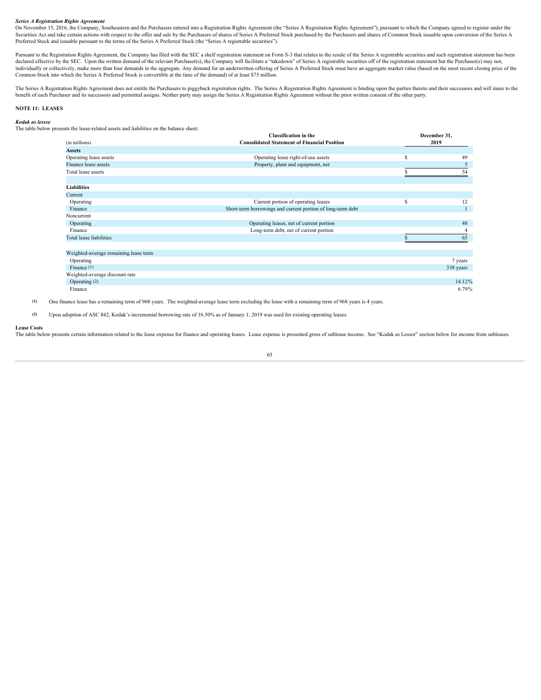# *Series A Registration Rights Agreement*

On November 15, 2016, the Company, Southeastern and the Purchasers entered into a Registration Rights Agreement (the "Series A Registration Rights Agreement"), pursuant to which the Company agreed to register under the Securities Act and take certain actions with respect to the offer and sale by the Purchasers of shares of Series A Preferred Stock purchased by the Purchasers and shares of Common Stock issuable upon conversion of the Seri Preferred Stock and issuable pursuant to the terms of the Series A Preferred Stock (the "Series A registrable securities").

Pursuant to the Registration Rights Agreement, the Company has filed with the SEC a shelf registration statement on Form S-3 that relates to the resale of the Series A registrable securities and such registration statement declared effective by the SEC. Upon the written demand of the relevant Purchaser(s), the Company will facilitate a "takedown" of Series A registrable securities off of the registration statement but the Purchaser(s) may no Common Stock into which the Series A Preferred Stock is convertible at the time of the demand) of at least \$75 million.

The Series A Registration Rights Agreement does not entitle the Purchasers to piggyback registration rights. The Series A Registration Rights Agreement is binding upon the parties thereto and their successors and will inur benefit of each Purchaser and its successors and permitted assigns. Neither party may assign the Series A Registration Rights Agreement without the prior written consent of the other party.

# **NOTE 11: LEASES**

# *Kodak as lessee*

The table below presents the lease-related assets and liabilities on the balance sheet:

|                                       | <b>Classification</b> in the                                | December 31, |
|---------------------------------------|-------------------------------------------------------------|--------------|
| (in millions)                         | <b>Consolidated Statement of Financial Position</b>         | 2019         |
| <b>Assets</b>                         |                                                             |              |
| Operating lease assets                | Operating lease right-of-use assets                         |              |
| Finance lease assets                  | Property, plant and equipment, net                          |              |
| Total lease assets                    |                                                             |              |
|                                       |                                                             |              |
| Liabilities                           |                                                             |              |
| Current                               |                                                             |              |
| Operating                             | Current portion of operating leases                         | 12           |
| Finance                               | Short-term borrowings and current portion of long-term debt | $\mathbf{1}$ |
| Noncurrent                            |                                                             |              |
| Operating                             | Operating leases, net of current portion                    | 48           |
| Finance                               | Long-term debt, net of current portion                      |              |
| <b>Total lease liabilities</b>        |                                                             |              |
|                                       |                                                             |              |
| Weighted-average remaining lease term |                                                             |              |
| Operating                             |                                                             | 7 years      |
| Finance $(1)$                         |                                                             | 338 years    |
| Weighted-average discount rate        |                                                             |              |
| Operating (2)                         |                                                             | 14.12%       |
| Finance                               |                                                             | 6.79%        |

**(1)** One finance lease has a remaining term of 968 years. The weighted-average lease term excluding the lease with a remaining term of 968 years is 4 years.

**(2)** Upon adoption of ASC 842, Kodak's incremental borrowing rate of 16.50% as of January 1, 2019 was used for existing operating leases.

#### **Lease Costs**

The table below presents certain information related to the lease expense for finance and operating leases. Lease expense is presented gross of sublease income. See "Kodak as Lessor" section below for income from subleases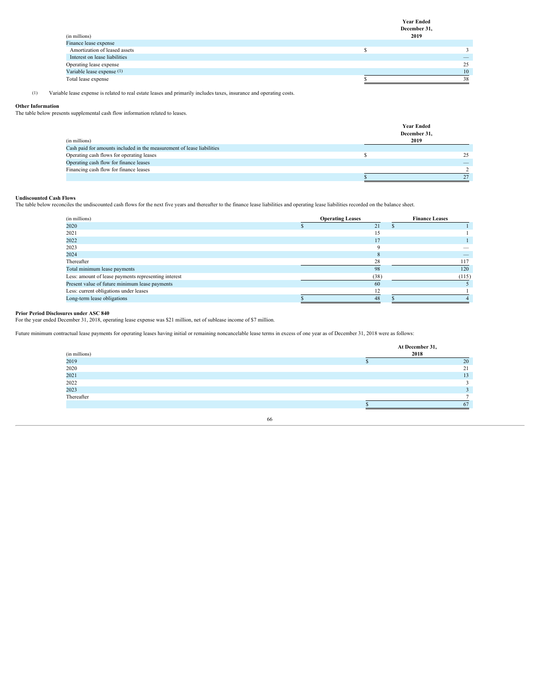**Year Ended December 31,**

| (in millions)                 | 2019 |
|-------------------------------|------|
| Finance lease expense         |      |
| Amortization of leased assets |      |
| Interest on lease liabilities |      |
| Operating lease expense       |      |
| Variable lease expense (1)    |      |
| Total lease expense           |      |

(1) Variable lease expense is related to real estate leases and primarily includes taxes, insurance and operating costs.

# **Other Information**

The table below presents supplemental cash flow information related to leases.

|                                                                        | <b>Year Ended</b><br>December 31, |
|------------------------------------------------------------------------|-----------------------------------|
| (in millions)                                                          | 2019                              |
| Cash paid for amounts included in the measurement of lease liabilities |                                   |
| Operating cash flows for operating leases                              |                                   |
| Operating cash flow for finance leases                                 |                                   |
| Financing cash flow for finance leases                                 |                                   |
|                                                                        |                                   |

# **Undiscounted Cash Flows**

The table below reconciles the undiscounted cash flows for the next five years and thereafter to the finance lease liabilities and operating lease liabilities recorded on the balance sheet.

| <b>Operating Leases</b> | <b>Finance Leases</b>    |
|-------------------------|--------------------------|
|                         |                          |
|                         |                          |
|                         |                          |
|                         | $\overline{\phantom{a}}$ |
|                         |                          |
|                         |                          |
|                         | 120                      |
| (38                     | (115                     |
| -60                     |                          |
|                         |                          |
| 4S                      |                          |
|                         |                          |

# **Prior Period Disclosures under ASC 840**

For the year ended December 31, 2018, operating lease expense was \$21 million, net of sublease income of \$7 million.

Future minimum contractual lease payments for operating leases having initial or remaining noncancelable lease terms in excess of one year as of December 31, 2018 were as follows:

| (in millions) | At December 31,<br>2018 |    |
|---------------|-------------------------|----|
| 2019          |                         |    |
| 2020          |                         |    |
| 2021<br>2022  |                         | 13 |
|               |                         |    |
| 2023          |                         |    |
| Thereafter    |                         |    |
|               |                         |    |
|               |                         |    |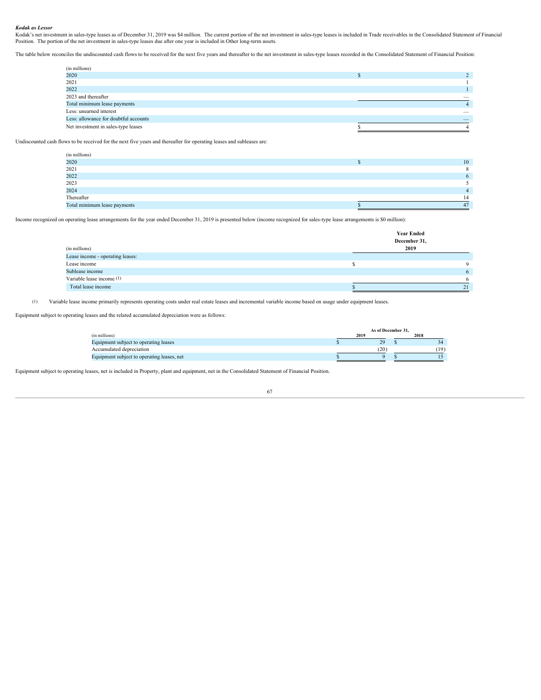# *Kodak as Lessor*

Kodak's net investment in sales-type leases as of December 31, 2019 was \$4 million. The current portion of the net investment in sales-type leases is included in Trade receivables in the Consolidated Statement of Financial Position. The portion of the net investment in sales-type leases due after one year is included in Other long-term assets.

The table below reconciles the undiscounted cash flows to be received for the next five years and thereafter to the net investment in sales-type leases recorded in the Consolidated Statement of Financial Position:

| (in millions)                         |        |
|---------------------------------------|--------|
| 2020                                  |        |
| 2021                                  |        |
| 2022                                  |        |
| 2023 and thereafter                   |        |
| Total minimum lease payments          |        |
| Less: unearned interest               | $\sim$ |
| Less: allowance for doubtful accounts |        |
| Net investment in sales-type leases   |        |

Undiscounted cash flows to be received for the next five years and thereafter for operating leases and subleases are:

| 2020<br>10<br>2021<br>2022<br>2023<br>2024<br>Thereafter | (in millions) |  |  |
|----------------------------------------------------------|---------------|--|--|
|                                                          |               |  |  |
|                                                          |               |  |  |
|                                                          |               |  |  |
|                                                          |               |  |  |
|                                                          |               |  |  |
|                                                          |               |  |  |
| Total minimum lease payments                             |               |  |  |

Income recognized on operating lease arrangements for the year ended December 31, 2019 is presented below (income recognized for sales-type lease arrangements is \$0 million):

|                                  | <b>Year Ended</b> |    |
|----------------------------------|-------------------|----|
|                                  | December 31,      |    |
| (in millions)                    | 2019              |    |
| Lease income - operating leases: |                   |    |
| Lease income                     |                   |    |
| Sublease income                  |                   |    |
| Variable lease income (1)        |                   |    |
| Total lease income               |                   | 21 |
|                                  |                   |    |

(1) Variable lease income primarily represents operating costs under real estate leases and incremental variable income based on usage under equipment leases.

Equipment subject to operating leases and the related accumulated depreciation were as follows:

|                                            | As of December 31. |              |  |       |
|--------------------------------------------|--------------------|--------------|--|-------|
| (in millions)                              | 2019               |              |  | 2018  |
| Equipment subject to operating leases      |                    | $20^{\circ}$ |  |       |
| Accumulated depreciation                   |                    | (20)         |  | (19)  |
| Equipment subject to operating leases, net |                    |              |  | 1 J . |

Equipment subject to operating leases, net is included in Property, plant and equipment, net in the Consolidated Statement of Financial Position.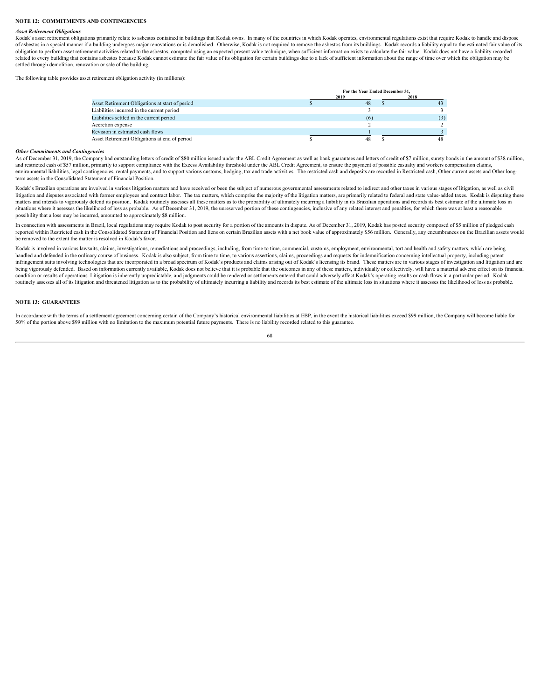#### **NOTE 12: COMMITMENTS AND CONTINGENCIES**

#### *Asset Retirement Obligations*

Kodak's asset retirement obligations primarily relate to asbestos contained in buildings that Kodak owns. In many of the countries in which Kodak operates, environmental regulations exist that require Kodak to handle and d of asbestos in a special manner if a building undergoes major renovations or is demolished. Otherwise, Kodak is not required to remove the asbestos from its buildings. Kodak records a liability equal to the estimated fair obligation to perform asset retirement activities related to the asbestos, computed using an expected present value technique, when sufficient information exists to calculate the fair value. Kodak does not have a liability related to every building that contains asbestos because Kodak cannot estimate the fair value of its obligation for certain buildings due to a lack of sufficient information about the range of time over which the obligatio settled through demolition, renovation or sale of the building.

The following table provides asset retirement obligation activity (in millions):

|     | 2018 |                                 |
|-----|------|---------------------------------|
| 48  |      |                                 |
|     |      |                                 |
| (6) |      |                                 |
|     |      |                                 |
|     |      |                                 |
| 48  |      |                                 |
|     | 2019 | For the Year Ended December 31, |

#### *Other Commitments and Contingencies*

As of December 31, 2019, the Company had outstanding letters of credit of \$80 million issued under the ABL Credit Agreement as well as bank guarantees and letters of credit of \$7 million, surety bonds in the amount of \$38 and restricted cash of \$57 million, primarily to support compliance with the Excess Availability threshold under the ABL Credit Agreement, to ensure the payment of possible casualty and workers compensation claims environmental liabilities, legal contingencies, rental payments, and to support various customs, hedging, tax and trade activities. The restricted cash and deposits are recorded in Restricted cash, Other current assets and term assets in the Consolidated Statement of Financial Position.

Kodak's Brazilian operations are involved in various litigation matters and have received or been the subject of numerous governmental assessments related to indirect and other taxes in various stages of litigation, as wel litigation and disputes associated with former employees and contract labor. The tax matters, which comprise the majority of the litigation matters, are primarily related to federal and state value-added taxes. Kodak is di matters and intends to vigorously defend its position. Kodak routinely assesses all these matters as to the probability of ultimately incurring a liability in its Brazilian operations and records its best estimate of the u possibility that a loss may be incurred, amounted to approximately \$8 million.

In connection with assessments in Brazil, local regulations may require Kodak to post security for a portion of the amounts in dispute. As of December 31, 2019, Kodak has posted security composed of \$5 million of pledged c reported within Restricted cash in the Consolidated Statement of Financial Position and liens on certain Brazilian assets with a net book value of approximately \$56 million. Generally, any encumbrances on the Brazilian ass be removed to the extent the matter is resolved in Kodak's favor.

Kodak is involved in various lawsuits, claims, investigations, remediations and proceedings, including, from time to time, commercial, customs, employment, environmental, tort and health and safety matters, which are being handled and defended in the ordinary course of business. Kodak is also subject, from time to time, to various assertions, claims, proceedings and requests for indemnification concerning intellectual property, including pat infringement suits involving technologies that are incorporated in a broad spectrum of Kodak's products and claims arising out of Kodak's licensing its brand. These matters are in various stages of investigation and litiga being vigorously defended. Based on information currently available, Kodak does not believe that it is probable that the outcomes in any of these matters, individually or collectively, will have a material adverse effect o condition or results of operations. Litigation is inherently unpredictable, and judgments could be rendered or settlements entered that could adversely affect Kodak's operating results or cash flows in a particular period. routinely assesses all of its litigation and threatened litigation as to the probability of ultimately incurring a liability and records its best estimate of the ultimate loss in situations where it assesses the likelihood

### **NOTE 13: GUARANTEES**

In accordance with the terms of a settlement agreement concerning certain of the Company's historical environmental liabilities at EBP, in the event the historical liabilities exceed \$99 million, the Company will become li 50% of the portion above \$99 million with no limitation to the maximum potential future payments. There is no liability recorded related to this guarantee.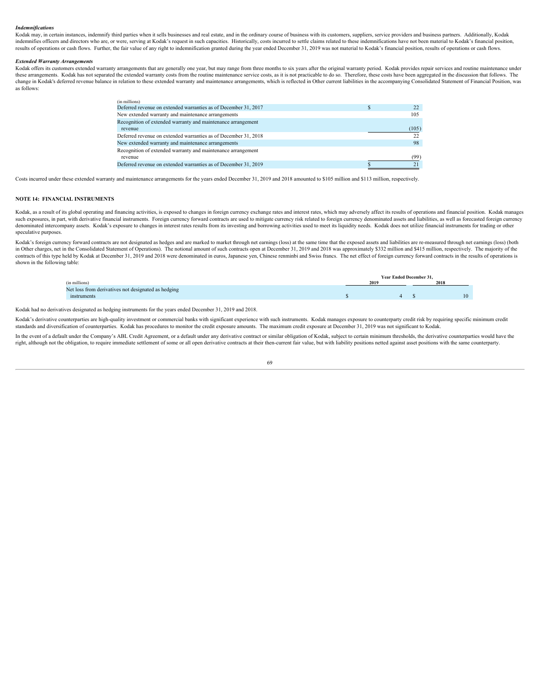# *Indemnifications*

Kodak may, in certain instances, indemnify third parties when it sells businesses and real estate, and in the ordinary course of business with its customers, suppliers, service providers and business partners. Additionally indemnifies officers and directors who are, or were, serving at Kodak's request in such capacities. Historically, costs incurred to settle claims related to these indemnifications have not been material to Kodak's financia results of operations or cash flows. Further, the fair value of any right to indemnification granted during the year ended December 31, 2019 was not material to Kodak's financial position, results of operations or cash flo

#### *Extended Warranty Arrangements*

Kodak offers its customers extended warranty arrangements that are generally one year, but may range from three months to six years after the original warranty period. Kodak provides repair services and routine maintenance these arrangements. Kodak has not separated the extended warranty costs from the routine maintenance service costs, as it is not practicable to do so. Therefore, these costs have been aggregated in the discussion that foll change in Kodak's deferred revenue balance in relation to these extended warranty and maintenance arrangements, which is reflected in Other current liabilities in the accompanying Consolidated Statement of Financial Positi as follows:

| 22            |
|---------------|
| 105           |
|               |
| (105)         |
| $\mathcal{D}$ |
| 98            |
|               |
| (99)          |
| 21            |
|               |

Costs incurred under these extended warranty and maintenance arrangements for the years ended December 31, 2019 and 2018 amounted to \$105 million and \$113 million, respectively.

# **NOTE 14: FINANCIAL INSTRUMENTS**

Kodak, as a result of its global operating and financing activities, is exposed to changes in foreign currency exchange rates and interest rates, which may adversely affect its results of operations and financial position. such exposures, in part, with derivative financial instruments. Foreign currency forward contracts are used to mitigate currency risk related to foreign currency denominated assets and liabilities, as well as forecasted fo denominated intercompany assets. Kodak's exposure to changes in interest rates results from its investing and borrowing activities used to meet its liquidity needs. Kodak does not utilize financial instruments for trading speculative purposes.

Kodak's foreign currency forward contracts are not designated as hedges and are marked to market through net earnings (loss) at the same time that the exposed assets and liabilities are re-measured through net earnings (lo in Other charges, net in the Consolidated Statement of Operations). The notional amount of such contracts open at December 31, 2019 and 2018 was approximately \$332 million and \$415 million, respectively. The majority of the contracts of this type held by Kodak at December 31, 2019 and 2018 were denominated in euros, Japanese yen, Chinese renminbi and Swiss francs. The net effect of foreign currency forward contracts in the results of operatio shown in the following table:

|                                                     | Year Ended December 31, |  |      |
|-----------------------------------------------------|-------------------------|--|------|
| (in millions)                                       | 2019                    |  | 2018 |
| Net loss from derivatives not designated as hedging |                         |  |      |
| instruments                                         |                         |  | 10   |

Kodak had no derivatives designated as hedging instruments for the years ended December 31, 2019 and 2018.

Kodak's derivative counterparties are high-quality investment or commercial banks with significant experience with such instruments. Kodak manages exposure to counterparty credit risk by requiring specific minimum credit standards and diversification of counterparties. Kodak has procedures to monitor the credit exposure amounts. The maximum credit exposure at December 31, 2019 was not significant to Kodak.

In the event of a default under the Company's ABL Credit Agreement, or a default under any derivative contract or similar obligation of Kodak, subject to certain minimum thresholds, the derivative counterparties would have right, although not the obligation, to require immediate settlement of some or all open derivative contracts at their then-current fair value, but with liability positions netted against asset positions with the same count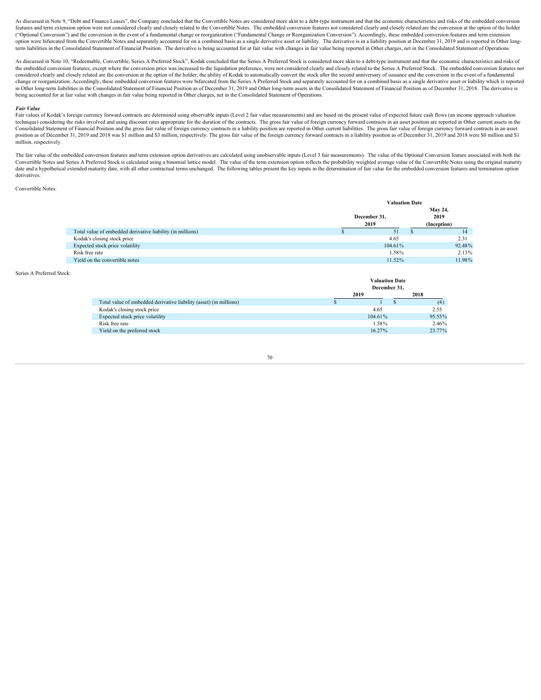As discussed in Note 9, "Debt and Finance Leases", the Company concluded that the Convertible Notes are considered more akin to a debt-type instrument and that the economic characteristics and risks of the embedded convers features and term extension option were not considered clearly and closely related to the Convertible Notes. The embedded conversion features not considered clearly and closely related are the conversion at the option of t ("Optional Conversion") and the conversion in the event of a fundamental change or reorganization ("Fundamental Change or Reorganization Conversion"). Accordingly, these embedded conversion features and term extension option were bifurcated from the Convertible Notes and separately accounted for on a combined basis as a single derivative asset or liability. The derivative is in a liability position at December 31, 2019 and is reported i term liabilities in the Consolidated Statement of Financial Position. The derivative is being accounted for at fair value with changes in fair value being reported in Other charges, net in the Consolidated Statement of Ope

As discussed in Note 10, "Redeemable, Convertible, Series A Preferred Stock", Kodak concluded that the Series A Preferred Stock is considered more akin to a debt-type instrument and that the economic characteristics and ri the embedded conversion features, except where the conversion price was increased to the liquidation preference, were not considered clearly and closely related to the Series A Preferred Stock. The embedded conversion feat considered clearly and closely related are the conversion at the option of the holder; the ability of Kodak to automatically convert the stock after the second anniversary of issuance and the conversion in the event of a f change or reorganization. Accordingly, these embedded conversion features were bifurcated from the Series A Preferred Stock and separately accounted for on a combined basis as a single derivative asset or liability which i in Other long-term liabilities in the Consolidated Statement of Financial Position as of December 31, 2019 and Other long-term assets in the Consolidated Statement of Financial Position as of December 31, 2018. The derivat being accounted for at fair value with changes in fair value being reported in Other charges, net in the Consolidated Statement of Operations.

Fair Value<br>Fair values of Kodak's foreign currency forward contracts are determined using observable inputs (Level 2 fair value measurements) and are based on the present value of expected future cash flows (an income appr technique) considering the risks involved and using discount rates appropriate for the duration of the contracts. The gross fair value of foreign currency forward contracts in an asset position are reported in Other curren Consolidated Statement of Financial Position and the gross fair value of foreign currency contracts in a liability position are reported in Other current liabilities. The gross fair value of foreign currency forward contra position as of December 31, 2019 and 2018 was \$1 million and \$3 million, respectively. The gross fair value of the foreign currency forward contracts in a liability position as of December 31, 2019 and 2018 were \$0 million million, respectively.

The fair value of the embedded conversion features and term extension option derivatives are calculated using unobservable inputs (Level 3 fair measurements). The value of the Optional Conversion feature associated with bo date and a hypothetical extended maturity date, with all other contractual terms unchanged. The following tables present the key inputs in the determination of fair value for the embedded conversion features and terminatio derivatives.

Convertible Notes:

|                                                            | <b>Valuation Date</b>    |  |             |  |
|------------------------------------------------------------|--------------------------|--|-------------|--|
|                                                            |                          |  | May 24,     |  |
|                                                            | December 31,             |  | 2019        |  |
|                                                            | 2019                     |  | (Inception) |  |
| Total value of embedded derivative liability (in millions) | $\overline{\phantom{0}}$ |  | 14          |  |
| Kodak's closing stock price                                | 4.65                     |  | 2.31        |  |
| Expected stock price volatility                            | 104.61%                  |  | 92.48%      |  |
| Risk free rate                                             | 1.58%                    |  | 2.13%       |  |
| Yield on the convertible notes                             | 11.52%                   |  | 11.98%      |  |

Series A Preferred Stock:

|                                                                    |  | <b>Valuation Date</b><br>December 31,<br>2019 |  |        |  |  |
|--------------------------------------------------------------------|--|-----------------------------------------------|--|--------|--|--|
|                                                                    |  |                                               |  | 2018   |  |  |
| Total value of embedded derivative liability (asset) (in millions) |  |                                               |  | (4)    |  |  |
| Kodak's closing stock price                                        |  | 4.65                                          |  | 2.55   |  |  |
| Expected stock price volatility                                    |  | 104.61%                                       |  | 95.55% |  |  |
| Risk free rate                                                     |  | 1.58%                                         |  | 2.46%  |  |  |
| Yield on the preferred stock                                       |  | 16.27%                                        |  | 23.77% |  |  |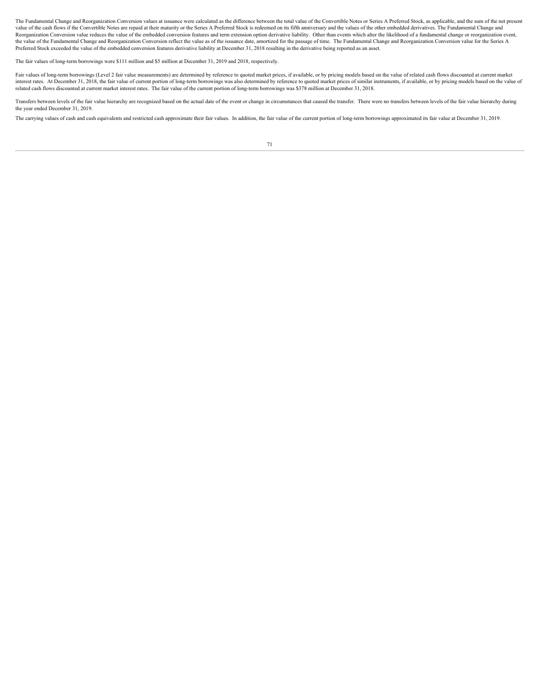The Fundamental Change and Reorganization Conversion values at issuance were calculated as the difference between the total value of the Convertible Notes or Series A Preferred Stock, as applicable, and the sum of the net value of the cash flows if the Convertible Notes are repaid at their maturity or the Series A Preferred Stock is redeemed on its fifth anniversary and the values of the other embedded derivatives. The Fundamental Change an Reorganization Conversion value reduces the value of the embedded conversion features and term extension option derivative liability. Other than events which alter the likelihood of a fundamental change or reorganization e the value of the Fundamental Change and Reorganization Conversion reflect the value as of the issuance date, amortized for the passage of time. The Fundamental Change and Reorganization Conversion value for the Series A Preferred Stock exceeded the value of the embedded conversion features derivative liability at December 31, 2018 resulting in the derivative being reported as an asset.

The fair values of long-term borrowings were \$111 million and \$5 million at December 31, 2019 and 2018, respectively.

Fair values of long-term borrowings (Level 2 fair value measurements) are determined by reference to quoted market prices, if available, or by pricing models based on the value of related cash flows discounted at current m interest rates. At December 31, 2018, the fair value of current portion of long-term borrowings was also determined by reference to quoted market prices of similar instruments, if available, or by pricing models based on t related cash flows discounted at current market interest rates. The fair value of the current portion of long-term borrowings was \$378 million at December 31, 2018.

Transfers between levels of the fair value hierarchy are recognized based on the actual date of the event or change in circumstances that caused the transfer. There were no transfers between levels of the fair value hierar the year ended December 31, 2019.

The carrying values of cash and cash equivalents and restricted cash approximate their fair values. In addition, the fair value of the current portion of long-term borrowings approximated its fair value at December 31, 2019.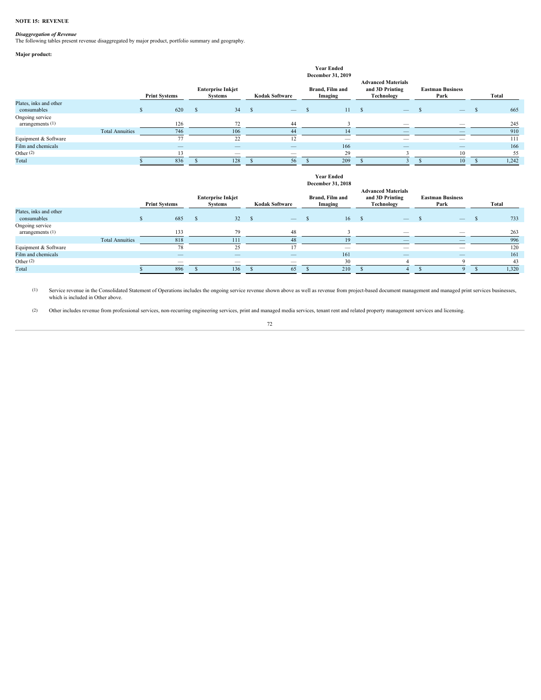#### **NOTE 15: REVENUE**

*Disaggregation of Revenue* The following tables present revenue disaggregated by major product, portfolio summary and geography.

# **Major product:**

|                                       |                        |                      |                          |                                            |                  |                          | <b>Year Ended</b><br>December 31, 2019 |        |                                                            |                                 |       |
|---------------------------------------|------------------------|----------------------|--------------------------|--------------------------------------------|------------------|--------------------------|----------------------------------------|--------|------------------------------------------------------------|---------------------------------|-------|
|                                       |                        | <b>Print Systems</b> |                          | <b>Enterprise Inkjet</b><br><b>Systems</b> |                  | <b>Kodak Software</b>    | Brand, Film and<br>Imaging             |        | <b>Advanced Materials</b><br>and 3D Printing<br>Technology | <b>Eastman Business</b><br>Park | Total |
| Plates, inks and other<br>consumables |                        |                      | 620                      |                                            | $34 \frac{1}{2}$ |                          |                                        | $11 -$ | $\overline{\phantom{a}}$                                   | $\overline{\phantom{a}}$        | 665   |
| Ongoing service<br>arrangements (1)   |                        |                      | 126                      |                                            |                  | 44                       |                                        |        |                                                            | $\overline{\phantom{a}}$        | 245   |
|                                       | <b>Total Annuities</b> |                      | 746                      | 106                                        |                  |                          |                                        |        |                                                            |                                 | 910   |
| Equipment & Software                  |                        |                      |                          | 22                                         |                  |                          | $\overline{\phantom{a}}$               |        | $\overline{\phantom{a}}$                                   | $\hspace{0.1mm}-\hspace{0.1mm}$ | 111   |
| Film and chemicals                    |                        |                      | $\overline{\phantom{m}}$ | $\overline{\phantom{a}}$                   |                  | $\overline{\phantom{a}}$ | 166                                    |        | $\overline{\phantom{0}}$                                   | $\overline{\phantom{m}}$        | 166   |
| Other $(2)$                           |                        |                      |                          | $\hspace{0.1mm}-\hspace{0.1mm}$            |                  | $\overline{\phantom{a}}$ | $\mathcal{L}$                          |        |                                                            |                                 | 55    |
| Total                                 |                        |                      | 836                      | 128                                        |                  |                          | 209                                    |        |                                                            |                                 | 1,242 |
|                                       |                        |                      |                          |                                            |                  |                          |                                        |        |                                                            |                                 |       |

#### **Year Ended December 31, 2018**

|                                       |                        | <b>Print Systems</b> |                                 | <b>Enterprise Inkjet</b><br><b>Systems</b> |                          | Kodak Software                  | Brand, Film and<br>Imaging |                                 | <b>Advanced Materials</b><br>Technology | and 3D Printing | <b>Eastman Business</b><br>Park | Total |
|---------------------------------------|------------------------|----------------------|---------------------------------|--------------------------------------------|--------------------------|---------------------------------|----------------------------|---------------------------------|-----------------------------------------|-----------------|---------------------------------|-------|
| Plates, inks and other<br>consumables |                        |                      | 685                             |                                            | 32                       | $\overline{\phantom{0}}$        |                            | 16S                             |                                         |                 |                                 | 733   |
| Ongoing service<br>arrangements $(1)$ |                        |                      | 133                             |                                            | 70                       |                                 |                            |                                 |                                         | -               |                                 | 263   |
|                                       | <b>Total Annuities</b> |                      |                                 |                                            | 111                      |                                 |                            |                                 |                                         | –               |                                 | 996   |
| Equipment & Software                  |                        |                      |                                 |                                            | 25                       |                                 |                            | $\hspace{0.1mm}-\hspace{0.1mm}$ |                                         |                 | $\hspace{0.1mm}-\hspace{0.1mm}$ | 120   |
| Film and chemicals                    |                        |                      | $\overline{\phantom{m}}$        |                                            | $\overline{\phantom{a}}$ | $\overline{\phantom{a}}$        |                            | 161                             |                                         |                 |                                 | 161   |
| Other (2)                             |                        |                      | $\hspace{0.1mm}-\hspace{0.1mm}$ |                                            | $\overline{\phantom{a}}$ | $\hspace{0.1mm}-\hspace{0.1mm}$ |                            | 20                              |                                         |                 |                                 |       |
| Total                                 |                        |                      | 896                             |                                            | 136                      | 65                              |                            | 210                             |                                         |                 |                                 | 1,320 |

(1) Service revenue in the Consolidated Statement of Operations includes the ongoing service revenue shown above as well as revenue from project-based document management and managed print services businesses,<br>which is inc

(2) Other includes revenue from professional services, non-recurring engineering services, print and managed media services, tenant rent and related property management services and licensing.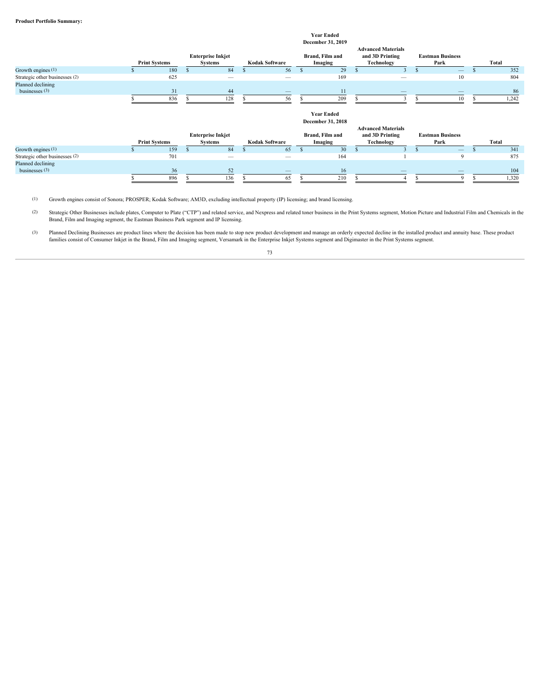|                                                                         |                      |            |                                            |                                | <b>Year Ended</b><br>December 31, 2019 |                                                            |                                 |            |
|-------------------------------------------------------------------------|----------------------|------------|--------------------------------------------|--------------------------------|----------------------------------------|------------------------------------------------------------|---------------------------------|------------|
|                                                                         | <b>Print Systems</b> |            | <b>Enterprise Inkjet</b><br><b>Systems</b> | <b>Kodak Software</b>          | Brand, Film and<br>Imaging             | <b>Advanced Materials</b><br>and 3D Printing<br>Technology | <b>Eastman Business</b><br>Park | Total      |
| Growth engines (1)                                                      |                      | 180        | 84                                         | 56                             | 29                                     |                                                            | $\qquad \qquad -$               | 352        |
| Strategic other businesses (2)                                          |                      | 625        |                                            | $\qquad \qquad$                | 169                                    | $\overline{\phantom{a}}$                                   | 10                              | 804        |
| Planned declining<br>businesses $(3)$                                   |                      | 31         | 44                                         | $\qquad \qquad -$              | 11                                     | $\overline{\phantom{m}}$                                   | $\overline{\phantom{a}}$        | 86         |
|                                                                         |                      | 836        | 128                                        | 56                             | 209                                    |                                                            | 10 <sup>1</sup>                 | 1,242      |
|                                                                         |                      |            |                                            |                                | <b>Year Ended</b>                      |                                                            |                                 |            |
|                                                                         |                      |            | <b>Enterprise Inkjet</b>                   |                                | December 31, 2018<br>Brand, Film and   | <b>Advanced Materials</b><br>and 3D Printing               | <b>Eastman Business</b>         |            |
|                                                                         | <b>Print Systems</b> |            | <b>Systems</b>                             | <b>Kodak Software</b>          | Imaging                                | Technology                                                 | Park                            | Total      |
| Growth engines (1)                                                      |                      | 159<br>701 | 84                                         | 65<br>$\overline{\phantom{a}}$ | 30<br>164                              |                                                            |                                 | 341<br>875 |
| Strategic other businesses (2)<br>Planned declining<br>businesses $(3)$ |                      | 36         | 52                                         | _                              | 16                                     |                                                            |                                 | 104        |

(1) Growth engines consist of Sonora; PROSPER; Kodak Software; AM3D, excluding intellectual property (IP) licensing; and brand licensing.

(2) Strategic Other Businesses include plates, Computer to Plate ("CTP") and related service, and Nexpress and related toner business in the Print Systems segment, Motion Picture and Industrial Film and Chemicals in the<br>Br

(3) Planned Declining Businesses are product lines where the decision has been made to stop new product development and manage an orderly expected decline in the installed product and annuity base. These product families c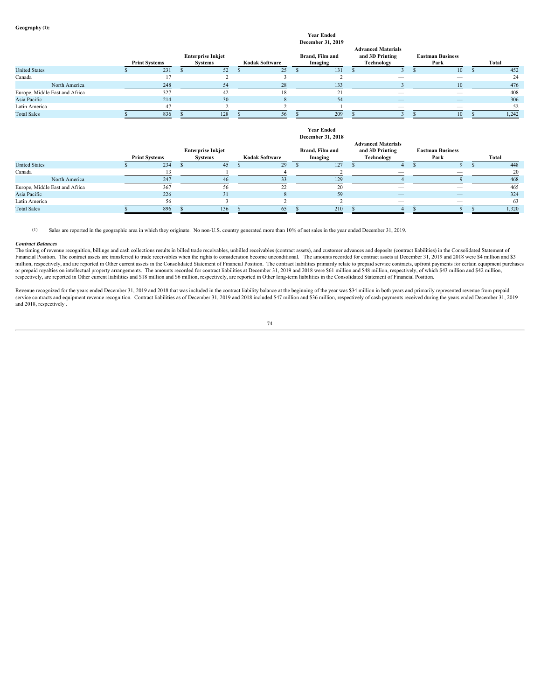# **Year Ended**<br>comber 31, 2010

|                                |               |                      |                          |                       | <b>December 31, 2019</b> |                                              |                                 |       |
|--------------------------------|---------------|----------------------|--------------------------|-----------------------|--------------------------|----------------------------------------------|---------------------------------|-------|
|                                |               |                      | <b>Enterprise Inkjet</b> |                       | Brand, Film and          | <b>Advanced Materials</b><br>and 3D Printing | <b>Eastman Business</b>         |       |
|                                |               | <b>Print Systems</b> | <b>Systems</b>           | <b>Kodak Software</b> | Imaging                  | Technology                                   | Park                            | Total |
| <b>United States</b>           |               | 231                  |                          | 25 <sup>7</sup>       | 131                      |                                              | 10                              | 452   |
| Canada                         |               |                      |                          |                       |                          |                                              | $\overline{\phantom{a}}$        |       |
|                                | North America |                      |                          |                       | 133                      |                                              |                                 | 476   |
| Europe, Middle East and Africa |               |                      |                          |                       |                          |                                              | $\hspace{0.1mm}-\hspace{0.1mm}$ | 408   |
| Asia Pacific                   |               | 214                  | 30                       |                       | 54                       | $\overline{\phantom{a}}$                     |                                 | 306   |
| Latin America                  |               |                      |                          |                       |                          | $\hspace{0.1mm}-\hspace{0.1mm}$              | $\hspace{0.1mm}-\hspace{0.1mm}$ |       |
| <b>Total Sales</b>             |               | 836                  | 128                      | 56                    | 209                      |                                              |                                 | 1,242 |
|                                |               |                      |                          |                       |                          |                                              |                                 |       |
|                                |               |                      |                          |                       | <b>Year Ended</b>        |                                              |                                 |       |
|                                |               |                      |                          |                       | December 31, 2018        |                                              |                                 |       |
|                                |               |                      |                          |                       |                          | <b>Advanced Materials</b>                    |                                 |       |

|                                |                      |     |                          |    |                       |                 |     | <b>Advanced Materials</b> |                          |       |
|--------------------------------|----------------------|-----|--------------------------|----|-----------------------|-----------------|-----|---------------------------|--------------------------|-------|
|                                |                      |     | <b>Enterprise Inkjet</b> |    |                       | Brand, Film and |     | and 3D Printing           | <b>Eastman Business</b>  |       |
|                                | <b>Print Systems</b> |     | <b>Systems</b>           |    | <b>Kodak Software</b> | Imaging         |     | Technology                | Park                     | Total |
| <b>United States</b>           |                      | 234 |                          | 45 | 29                    |                 | 127 |                           |                          | 448   |
| Canada                         |                      |     |                          |    |                       |                 |     |                           |                          |       |
| North America                  |                      |     |                          |    |                       |                 |     |                           |                          |       |
| Europe, Middle East and Africa |                      |     |                          |    |                       |                 |     | $\overline{\phantom{a}}$  | $\overline{\phantom{a}}$ | 463   |
| Asia Pacific                   |                      | 226 |                          | 51 |                       |                 |     |                           | $\qquad \qquad - \qquad$ | 324   |
| Latin America                  |                      |     |                          |    |                       |                 |     |                           |                          |       |
| <b>Total Sales</b>             |                      | 896 | 136                      |    | -65                   |                 | 210 |                           |                          | 1,320 |

(1) Sales are reported in the geographic area in which they originate. No non-U.S. country generated more than 10% of net sales in the year ended December 31, 2019.

#### *Contract Balances*

The timing of revenue recognition, billings and cash collections results in billed trade receivables, unbilled receivables (contract assets), and customer advances and deposits (contract liabilities) in the Consolidated St Financial Position. The contract assets are transferred to trade receivables when the rights to consideration become unconditional. The amounts recorded for contract assets at December 31, 2019 and 2018 were \$4 million and million, respectively, and are reported in Other current assets in the Consolidated Statement of Financial Position. The contract liabilities primarily relate to prepaid service contracts, upfront payments for certain equi or prepaid royalties on intellectual property arrangements. The amounts recorded for contract liabilities at December 31, 2019 and 2018 were \$61 million and \$48 million, respectively, of which \$43 million and \$42 million, respectively, are reported in Other current liabilities and \$18 million and \$6 million, respectively, are reported in Other long-term liabilities in the Consolidated Statement of Financial Position.

Revenue recognized for the years ended December 31, 2019 and 2018 that was included in the contract liability balance at the beginning of the year was \$34 million in both years and primarily represented revenue from prepai and 2018, respectively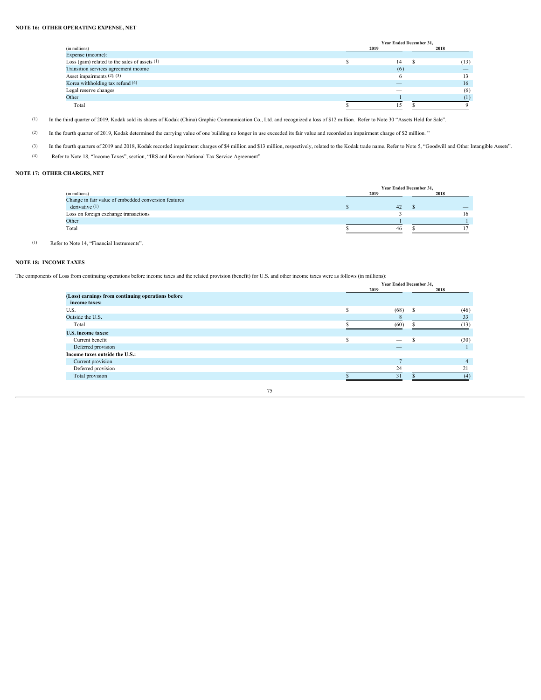# **NOTE 16: OTHER OPERATING EXPENSE, NET**

|                                                | Year Ended December 31,         |      |
|------------------------------------------------|---------------------------------|------|
| (in millions)                                  | 2019                            | 2018 |
| Expense (income):                              |                                 |      |
| Loss (gain) related to the sales of assets (1) | 14                              | (13) |
| Transition services agreement income           |                                 |      |
| Asset impairments (2), (3)                     |                                 |      |
| Korea withholding tax refund (4)               | $\overline{\phantom{a}}$        | 16   |
| Legal reserve changes                          | $\hspace{0.1mm}-\hspace{0.1mm}$ |      |
| Other                                          |                                 |      |
| Total                                          |                                 |      |

(1) In the third quarter of 2019, Kodak sold its shares of Kodak (China) Graphic Communication Co., Ltd. and recognized a loss of \$12 million. Refer to Note 30 "Assets Held for Sale".

(2) In the fourth quarter of 2019, Kodak determined the carrying value of one building no longer in use exceeded its fair value and recorded an impairment charge of \$2 million."

- (3) In the fourth quarters of 2019 and 2018, Kodak recorded impairment charges of \$4 million and \$13 million, respectively, related to the Kodak trade name. Refer to Note 5, "Goodwill and Other Intangible Assets".
- (4) Refer to Note 18, "Income Taxes", section, "IRS and Korean National Tax Service Agreement".

# **NOTE 17: OTHER CHARGES, NET**

|                                                      | Year Ended December 31, |      |
|------------------------------------------------------|-------------------------|------|
| (in millions)                                        | 2019                    | 2019 |
| Change in fair value of embedded conversion features |                         |      |
| derivative $(1)$                                     |                         | _    |
| Loss on foreign exchange transactions                |                         |      |
| Other                                                |                         |      |
| Total                                                | 46                      |      |
|                                                      |                         |      |

(1) Refer to Note 14, "Financial Instruments".

# **NOTE 18: INCOME TAXES**

The components of Loss from continuing operations before income taxes and the related provision (benefit) for U.S. and other income taxes were as follows (in millions):

|                                                   | Year Ended December 31,  |      |
|---------------------------------------------------|--------------------------|------|
|                                                   | 2019                     | 2018 |
| (Loss) earnings from continuing operations before |                          |      |
| income taxes:                                     |                          |      |
| U.S.                                              | (68)                     | (46) |
| Outside the U.S.                                  |                          |      |
| Total                                             | (60)                     |      |
| <b>U.S. income taxes:</b>                         |                          |      |
| Current benefit                                   | $\overline{\phantom{a}}$ | (30) |
| Deferred provision                                |                          |      |
| Income taxes outside the U.S.:                    |                          |      |
| Current provision                                 |                          |      |
| Deferred provision                                | 24                       |      |
| Total provision                                   |                          |      |
|                                                   |                          |      |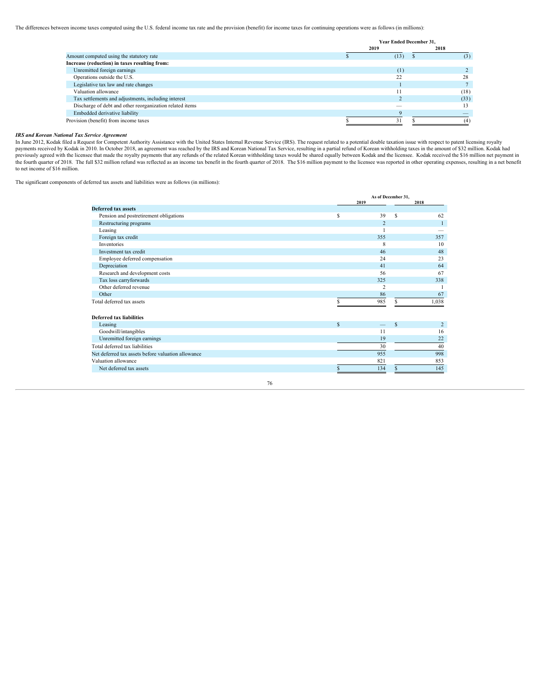The differences between income taxes computed using the U.S. federal income tax rate and the provision (benefit) for income taxes for continuing operations were as follows (in millions):

|                                                          | Year Ended December 31,  |      |
|----------------------------------------------------------|--------------------------|------|
|                                                          | 2019                     | 2018 |
| Amount computed using the statutory rate                 | (13)                     | (3)  |
| Increase (reduction) in taxes resulting from:            |                          |      |
| Unremitted foreign earnings                              | (1)                      |      |
| Operations outside the U.S.                              |                          |      |
| Legislative tax law and rate changes                     |                          |      |
| Valuation allowance                                      |                          | (18) |
| Tax settlements and adjustments, including interest      |                          | (33) |
| Discharge of debt and other reorganization related items | $\overline{\phantom{a}}$ |      |
| Embedded derivative liability                            |                          |      |
| Provision (benefit) from income taxes                    |                          |      |

# *IRS and Korean National Tax Service Agreement*

In June 2012, Kodak filed a Request for Competent Authority Assistance with the United States Internal Revenue Service (IRS). The request related to a potential double taxation issue with respect to patent licensing royalty payments received by Kodak in 2010. In October 2018, an agreement was reached by the IRS and Korean National Tax Service, resulting in a partial refund of Korean withholding taxes in the amount of \$32 million. Kodak had<br>pr to net income of \$16 million.

The significant components of deferred tax assets and liabilities were as follows (in millions):

|      | 2018                                                                                                                                        |
|------|---------------------------------------------------------------------------------------------------------------------------------------------|
|      |                                                                                                                                             |
| - S  | 62                                                                                                                                          |
|      |                                                                                                                                             |
|      | -                                                                                                                                           |
|      | 357                                                                                                                                         |
|      | 10                                                                                                                                          |
|      | 48                                                                                                                                          |
|      | 23                                                                                                                                          |
|      | 64                                                                                                                                          |
|      | 67                                                                                                                                          |
|      | 338                                                                                                                                         |
|      |                                                                                                                                             |
|      | 67                                                                                                                                          |
|      | 1,038                                                                                                                                       |
|      |                                                                                                                                             |
|      |                                                                                                                                             |
|      | 16                                                                                                                                          |
|      | 22                                                                                                                                          |
|      | 40                                                                                                                                          |
|      | 998                                                                                                                                         |
|      | 853                                                                                                                                         |
|      | 145                                                                                                                                         |
| 2019 | As of December 31,<br>39<br>355<br>-8<br>46<br>24<br>41<br>56<br>325<br>$\sim$<br>86<br>985<br>$-$ s<br>11<br>19<br>30<br>955<br>821<br>134 |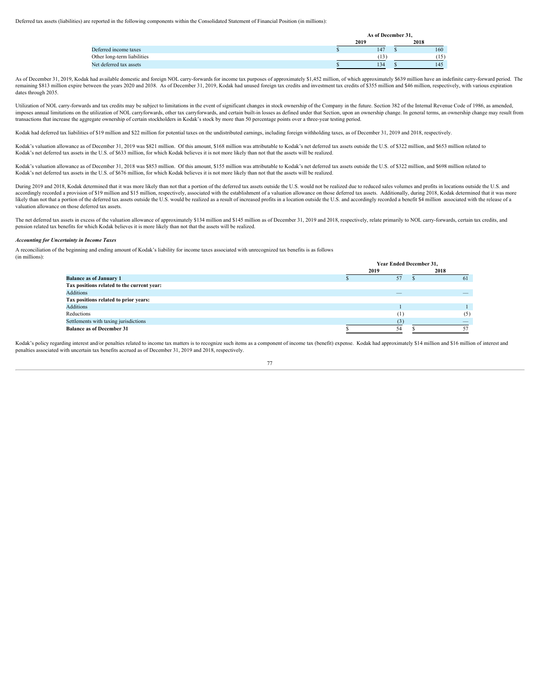Deferred tax assets (liabilities) are reported in the following components within the Consolidated Statement of Financial Position (in millions):

|                             | As of December 31. |      |
|-----------------------------|--------------------|------|
|                             | 2019               | 2018 |
| Deferred income taxes       | 147                | 160  |
| Other long-term liabilities | (12)<br>13         | (15) |
| Net deferred tax assets     | 134                | 145  |

As of December 31, 2019, Kodak had available domestic and foreign NOL carry-forwards for income tax purposes of approximately \$1,452 million, of which approximately \$639 million have an indefinite carry-forward period. The remaining \$813 million expire between the years 2020 and 2038. As of December 31, 2019, Kodak had unused foreign tax credits and investment tax credits of \$355 million and \$46 million, respectively, with various expiration dates through 2035.

Utilization of NOL carry-forwards and tax credits may be subject to limitations in the event of significant changes in stock ownership of the Company in the future. Section 382 of the Internal Revenue Code of 1986, as amen imposes annual limitations on the utilization of NOL carryforwards, other tax carryforwards, and certain built-in losses as defined under that Section, upon an ownership change. In general terms, an ownership change may re transactions that increase the aggregate ownership of certain stockholders in Kodak's stock by more than 50 percentage points over a three-year testing period.

Kodak had deferred tax liabilities of \$19 million and \$22 million for potential taxes on the undistributed earnings, including foreign withholding taxes, as of December 31, 2019 and 2018, respectively.

Kodak's valuation allowance as of December 31, 2019 was \$821 million. Of this amount, \$168 million was attributable to Kodak's net deferred tax assets outside the U.S. of \$322 million, and \$653 million related to Kodak's net deferred tax assets in the U.S. of \$633 million, for which Kodak believes it is not more likely than not that the assets will be realized.

Kodak's valuation allowance as of December 31, 2018 was \$853 million. Of this amount, \$155 million was attributable to Kodak's net deferred tax assets outside the U.S. of \$322 million, and \$698 million related to Kodak's net deferred tax assets in the U.S. of \$676 million, for which Kodak believes it is not more likely than not that the assets will be realized.

During 2019 and 2018, Kodak determined that it was more likely than not that a portion of the deferred tax assets outside the U.S. would not be realized due to reduced sales volumes and profits in locations outside the U.S accordingly recorded a provision of \$19 million and \$15 million, respectively, associated with the establishment of a valuation allowance on those deferred tax assets. Additionally, during 2018, Kodak determined that it wa likely than not that a portion of the deferred tax assets outside the U.S. would be realized as a result of increased profits in a location outside the U.S. and accordingly recorded a benefit \$4 million associated with the valuation allowance on those deferred tax assets.

The net deferred tax assets in excess of the valuation allowance of approximately \$134 million and \$145 million as of December 31, 2019 and 2018, respectively, relate primarily to NOL carry-forwards, certain tax credits, a pension related tax benefits for which Kodak believes it is more likely than not that the assets will be realized.

#### *Accounting for Uncertainty in Income Taxes*

A reconciliation of the beginning and ending amount of Kodak's liability for income taxes associated with unrecognized tax benefits is as follows (in millions):

|                                            |      | <b>Year Ended December 31,</b> |      |     |
|--------------------------------------------|------|--------------------------------|------|-----|
|                                            | 2019 |                                | 2018 |     |
| <b>Balance as of January 1</b>             |      |                                |      |     |
| Tax positions related to the current year: |      |                                |      |     |
| <b>Additions</b>                           |      | $\overline{\phantom{a}}$       |      |     |
| Tax positions related to prior years:      |      |                                |      |     |
| <b>Additions</b>                           |      |                                |      |     |
| Reductions                                 |      |                                |      | (5) |
| Settlements with taxing jurisdictions      |      |                                |      |     |
| <b>Balance as of December 31</b>           |      | 54                             |      |     |

Kodak's policy regarding interest and/or penalties related to income tax matters is to recognize such items as a component of income tax (benefit) expense. Kodak had approximately \$14 million and \$16 million of interest an penalties associated with uncertain tax benefits accrued as of December 31, 2019 and 2018, respectively.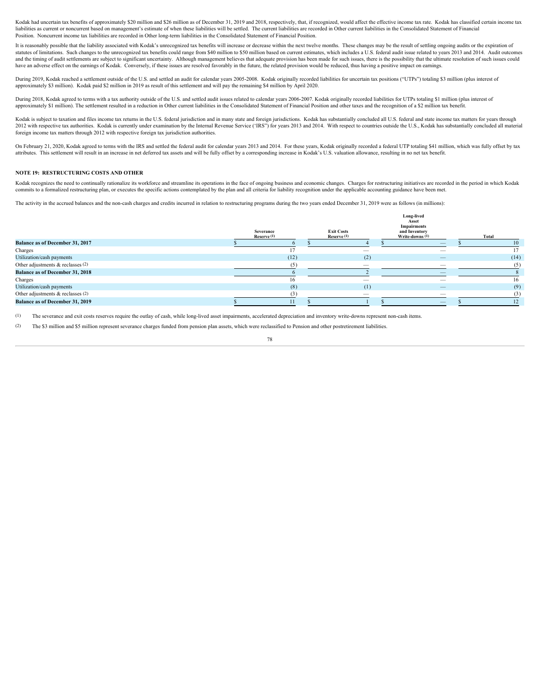Kodak had uncertain tax benefits of approximately \$20 million and \$26 million as of December 31, 2019 and 2018, respectively, that, if recognized, would affect the effective income tax rate. Kodak has classified certain in liabilities as current or noncurrent based on management's estimate of when these liabilities will be settled. The current liabilities are recorded in Other current liabilities in the Consolidated Statement of Financial Position. Noncurrent income tax liabilities are recorded in Other long-term liabilities in the Consolidated Statement of Financial Position.

It is reasonably possible that the liability associated with Kodak's unrecognized tax benefits will increase or decrease within the next twelve months. These changes may be the result of settling ongoing audits or the expi statutes of limitations. Such changes to the unrecognized tax benefits could range from \$40 million to \$50 million based on current estimates, which includes a U.S. federal audit issue related to years 2013 and 2014. Audit and the timing of audit settlements are subject to significant uncertainty. Although management believes that adequate provision has been made for such issues, there is the possibility that the ultimate resolution of such have an adverse effect on the earnings of Kodak. Conversely, if these issues are resolved favorably in the future, the related provision would be reduced, thus having a positive impact on earnings.

During 2019, Kodak reached a settlement outside of the U.S. and settled an audit for calendar years 2005-2008. Kodak originally recorded liabilities for uncertain tax positions ("UTPs") totaling \$3 million (plus interest o approximately \$3 million). Kodak paid \$2 million in 2019 as result of this settlement and will pay the remaining \$4 million by April 2020.

During 2018, Kodak agreed to terms with a tax authority outside of the U.S. and settled audit issues related to calendar years 2006-2007. Kodak originally recorded liabilities for UTPs totaling \$1 million (plus interest of approximately \$1 million). The settlement resulted in a reduction in Other current liabilities in the Consolidated Statement of Financial Position and other taxes and the recognition of a \$2 million tax benefit.

Kodak is subject to taxation and files income tax returns in the U.S. federal jurisdiction and in many state and foreign jurisdictions. Kodak has substantially concluded all U.S. federal and state income tax matters for ye 2012 with respective tax authorities. Kodak is currently under examination by the Internal Revenue Service ('IRS") for years 2013 and 2014. With respect to countries outside the U.S., Kodak has substantially concluded all foreign income tax matters through 2012 with respective foreign tax jurisdiction authorities.

On February 21, 2020, Kodak agreed to terms with the IRS and settled the federal audit for calendar years 2013 and 2014. For these years, Kodak originally recorded a federal UTP totaling \$41 million, which was fully offset attributes. This settlement will result in an increase in net deferred tax assets and will be fully offset by a corresponding increase in Kodak's U.S. valuation allowance, resulting in no net tax benefit.

#### **NOTE 19: RESTRUCTURING COSTS AND OTHER**

Kodak recognizes the need to continually rationalize its workforce and streamline its operations in the face of ongoing business and economic changes. Charges for restructuring initiatives are recorded in the period in whi commits to a formalized restructuring plan, or executes the specific actions contemplated by the plan and all criteria for liability recognition under the applicable accounting guidance have been met.

The activity in the accrued balances and the non-cash charges and credits incurred in relation to restructuring programs during the two years ended December 31, 2019 were as follows (in millions):

|                                        |                          |                                  | Long-lived<br>Asset<br><b>Impairments</b> |       |
|----------------------------------------|--------------------------|----------------------------------|-------------------------------------------|-------|
|                                        | Severance<br>Reserve (1) | <b>Exit Costs</b><br>Reserve (1) | and Inventory<br>Write-downs (1)          | Total |
| <b>Balance as of December 31, 2017</b> |                          |                                  | $\overline{\phantom{m}}$                  |       |
| Charges                                |                          |                                  |                                           |       |
| Utilization/cash payments              | (12)                     | (2)                              | $\overline{\phantom{a}}$                  | (14)  |
| Other adjustments & reclasses (2)      | (5)                      | -                                | $\hspace{0.1mm}-\hspace{0.1mm}$           |       |
| <b>Balance as of December 31, 2018</b> |                          |                                  |                                           |       |
| Charges                                |                          |                                  | $\hspace{0.1mm}-\hspace{0.1mm}$           |       |
| Utilization/cash payments              | (8)                      | (1)                              |                                           | (9)   |
| Other adjustments & reclasses (2)      | (3)                      | $\overline{\phantom{a}}$         |                                           |       |
| <b>Balance as of December 31, 2019</b> |                          |                                  | $\overline{\phantom{a}}$                  |       |
|                                        |                          |                                  |                                           |       |

(1) The severance and exit costs reserves require the outlay of cash, while long-lived asset impairments, accelerated depreciation and inventory write-downs represent non-cash items.

(2) The \$3 million and \$5 million represent severance charges funded from pension plan assets, which were reclassified to Pension and other postretirement liabilities.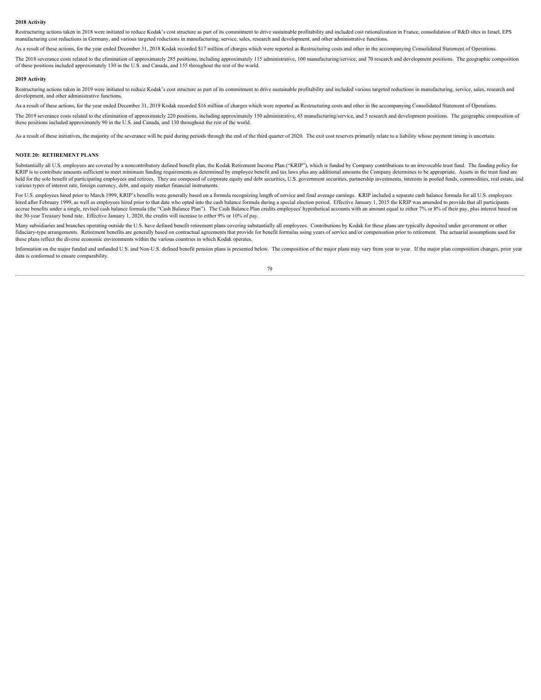#### **2018 Activity**

Restructuring actions taken in 2018 were initiated to reduce Kodak's cost structure as part of its commitment to drive sustainable profitability and included cost rationalization in France, consolidation of R&D sites in Is manufacturing cost reductions in Germany, and various targeted reductions in manufacturing, service, sales, research and development, and other administrative functions.

As a result of these actions, for the year ended December 31, 2018 Kodak recorded \$17 million of charges which were reported as Restructuring costs and other in the accompanying Consolidated Statement of Operations.

The 2018 severance costs related to the elimination of approximately 285 positions, including approximately 115 administrative, 100 manufacturing/service, and 70 research and development positions. The geographic compositi of these positions included approximately 130 in the U.S. and Canada, and 155 throughout the rest of the world.

#### **2019 Activity**

Restructuring actions taken in 2019 were initiated to reduce Kodak's cost structure as part of its commitment to drive sustainable profitability and included various targeted reductions in manufacturing, service, sales, re development, and other administrative functions.

As a result of these actions, for the year ended December 31, 2019 Kodak recorded \$16 million of charges which were reported as Restructuring costs and other in the accompanying Consolidated Statement of Operations.

The 2019 severance costs related to the elimination of approximately 220 positions, including approximately 150 administrative, 65 manufacturing/service, and 5 research and development positions. The geographic composition these positions included approximately 90 in the U.S. and Canada, and 130 throughout the rest of the world.

As a result of these initiatives, the majority of the severance will be paid during periods through the end of the third quarter of 2020. The exit cost reserves primarily relate to a liability whose payment timing is uncer

#### **NOTE 20: RETIREMENT PLANS**

Substantially all U.S. employees are covered by a noncontributory defined benefit plan, the Kodak Retirement Income Plan ("KRIP"), which is funded by Company contributions to an irrevocable trust fund. The funding policy f KRIP is to contribute amounts sufficient to meet minimum funding requirements as determined by employee benefit and tax laws plus any additional amounts the Company determines to be appropriate. Assets in the trust fund ar held for the sole benefit of participating employees and retirees. They are composed of corporate equity and debt securities, U.S. government securities, partnership investments, interests in pooled funds, commodities, rea various types of interest rate, foreign currency, debt, and equity market financial instruments.

For U.S. employees hired prior to March 1999, KRIP's benefits were generally based on a formula recognizing length of service and final average earnings. KRIP included a separate cash balance formula for all U.S. employees hired after February 1999, as well as employees hired prior to that date who opted into the cash balance formula during a special election period. Effective January 1, 2015 the KRIP was amended to provide that all particip accrue benefits under a single, revised cash balance formula (the "Cash Balance Plan"). The Cash Balance Plan credits employees' hypothetical accounts with an amount equal to either 7% or 8% of their pay, plus interest bas the 30-year Treasury bond rate. Effective January 1, 2020, the credits will increase to either 9% or 10% of pay.

Many subsidiaries and branches operating outside the U.S. have defined benefit retirement plans covering substantially all employees. Contributions by Kodak for these plans are typically deposited under government or other fiduciary-type arrangements. Retirement benefits are generally based on contractual agreements that provide for benefit formulas using years of service and/or compensation prior to retirement. The actuarial assumptions use these plans reflect the diverse economic environments within the various countries in which Kodak operates.

Information on the major funded and unfunded U.S. and Non-U.S. defined benefit pension plans is presented below. The composition of the major plans may vary from year to year. If the major plan composition changes, prior y data is conformed to ensure comparability.

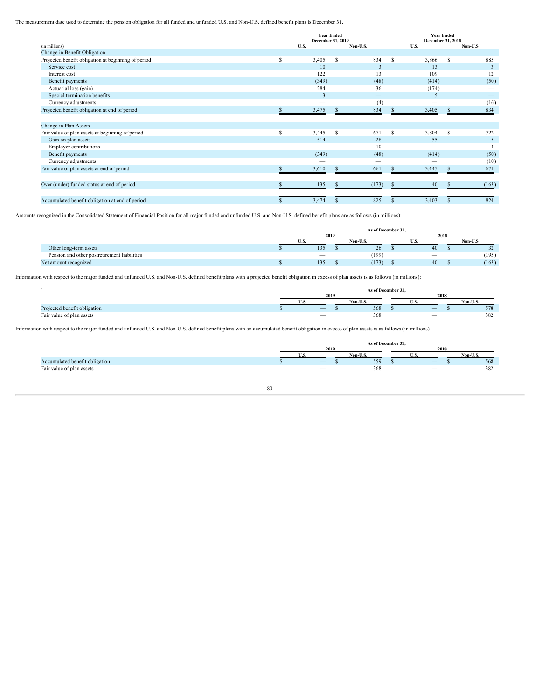The measurement date used to determine the pension obligation for all funded and unfunded U.S. and Non-U.S. defined benefit plans is December 31.

|                                                     | <b>Year Ended</b><br>December 31, 2019 |                                 | <b>Year Ended</b><br>December 31, 2018 |                                 |
|-----------------------------------------------------|----------------------------------------|---------------------------------|----------------------------------------|---------------------------------|
| (in millions)                                       | U.S.                                   | Non-U.S.                        | U.S.                                   | Non-U.S.                        |
| Change in Benefit Obligation                        |                                        |                                 |                                        |                                 |
| Projected benefit obligation at beginning of period | 3,405<br>- S                           | 834<br>- S                      | 3,866 \$                               | 885                             |
| Service cost                                        | 10                                     |                                 | 13                                     |                                 |
| Interest cost                                       | 122                                    | 13                              | 109                                    | 12                              |
| Benefit payments                                    | (349)                                  | (48)                            | (414)                                  | (50)                            |
| Actuarial loss (gain)                               | 284                                    | 36                              | (174)                                  | $\hspace{0.1mm}-\hspace{0.1mm}$ |
| Special termination benefits                        |                                        | $\overline{\phantom{a}}$        |                                        | $\overline{\phantom{0}}$        |
| Currency adjustments                                |                                        | (4)                             | $\overline{\phantom{a}}$               | (16)                            |
| Projected benefit obligation at end of period       | 3,475                                  | 834                             | 3,405                                  | 834                             |
|                                                     |                                        |                                 |                                        |                                 |
| Change in Plan Assets                               |                                        |                                 |                                        |                                 |
| Fair value of plan assets at beginning of period    | 3,445<br>- S                           | 671                             | 3,804 \$                               | 722                             |
| Gain on plan assets                                 | 514                                    | 28                              | 55                                     |                                 |
| Employer contributions                              | $\overline{\phantom{a}}$               | 10                              | $\overline{\phantom{a}}$               |                                 |
| Benefit payments                                    | (349)                                  | (48)                            | (414)                                  | (50)                            |
| Currency adjustments                                | $\hspace{0.1mm}-\hspace{0.1mm}$        | $\hspace{0.1mm}-\hspace{0.1mm}$ | $\hspace{0.1mm}-\hspace{0.1mm}$        | (10)                            |
| Fair value of plan assets at end of period          | 3,610                                  | 661                             | 3,445                                  | 671                             |
|                                                     |                                        |                                 |                                        |                                 |
| Over (under) funded status at end of period         | 135                                    | (173)                           | 40                                     | (163)                           |
|                                                     |                                        |                                 |                                        |                                 |
| Accumulated benefit obligation at end of period     | 3,474                                  | 825                             | 3,403                                  | 824                             |
|                                                     |                                        |                                 |                                        |                                 |

Amounts recognized in the Consolidated Statement of Financial Position for all major funded and unfunded U.S. and Non-U.S. defined benefit plans are as follows (in millions):

|                                              |     | As of December 31, |  |           |       |
|----------------------------------------------|-----|--------------------|--|-----------|-------|
|                                              |     |                    |  | - , , , , |       |
|                                              |     |                    |  |           |       |
| Other long-term assets                       | 135 | $\sim$             |  |           |       |
| Pension and other postretirement liabilities |     | (199)              |  |           | (195) |
| Net amount recognized                        | 135 | (173)              |  |           | (163) |

Information with respect to the major funded and unfunded U.S. and Non-U.S. defined benefit plans with a projected benefit obligation in excess of plan assets is as follows (in millions):

|                              |                          | As of December 31, |        |               |
|------------------------------|--------------------------|--------------------|--------|---------------|
|                              | 2016                     |                    |        |               |
|                              |                          |                    |        | $-1$<br>Non-U |
| Projected benefit obligation | $\overline{\phantom{a}}$ | 568                | $\sim$ | .             |
| Fair value of plan assets    |                          |                    |        |               |

Information with respect to the major funded and unfunded U.S. and Non-U.S. defined benefit plans with an accumulated benefit obligation in excess of plan assets is as follows (in millions):

|                       |                                 | s of December " |                          |         |
|-----------------------|---------------------------------|-----------------|--------------------------|---------|
|                       | 0.010<br>-400                   |                 | ,,,,<br>20 I A           |         |
|                       |                                 |                 |                          |         |
| ed benefit<br>$0h$ 10 | $\hspace{0.1mm}-\hspace{0.1mm}$ | 559             |                          | 569<br> |
| ™of plan asse<br>.    |                                 | ---             | $\overline{\phantom{a}}$ | .       |
|                       |                                 |                 |                          |         |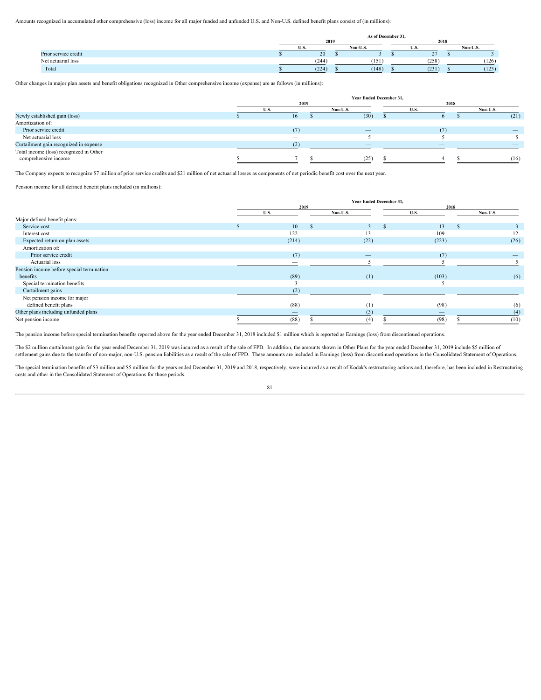Amounts recognized in accumulated other comprehensive (loss) income for all major funded and unfunded U.S. and Non-U.S. defined benefit plans consist of (in millions):

| 2019 |                |       |                    |          |  |
|------|----------------|-------|--------------------|----------|--|
|      | Non-U.S.       |       |                    | Non-U.S. |  |
|      |                |       |                    |          |  |
|      | (151)          | (258) |                    | (126)    |  |
|      | (148)          | (231) |                    | (123)    |  |
|      | (244)<br>(224) |       | As of December 31, |          |  |

Other changes in major plan assets and benefit obligations recognized in Other comprehensive income (expense) are as follows (in millions):

|                                         |      |         | Year Ended December 31, |  |         |
|-----------------------------------------|------|---------|-------------------------|--|---------|
|                                         | 2019 |         |                         |  |         |
|                                         |      | Non-H S |                         |  | Non-U.S |
| Newly established gain (loss)           |      |         | (30)                    |  | (21)    |
| Amortization of:                        |      |         |                         |  |         |
| Prior service credit                    | (7)  |         |                         |  |         |
| Net actuarial loss                      |      |         |                         |  |         |
| Curtailment gain recognized in expense  |      |         |                         |  |         |
| Total income (loss) recognized in Other |      |         |                         |  |         |
| comprehensive income                    |      |         | (25)                    |  | (16)    |
|                                         |      |         |                         |  |         |

The Company expects to recognize \$7 million of prior service credits and \$21 million of net actuarial losses as components of net periodic benefit cost over the next year.

Pension income for all defined benefit plans included (in millions):

|                                           |                                 |                          | Year Ended December 31, |                          |                          |
|-------------------------------------------|---------------------------------|--------------------------|-------------------------|--------------------------|--------------------------|
|                                           | 2019                            |                          |                         | 2018                     |                          |
|                                           | U.S.                            | Non-U.S.                 | U.S.                    |                          | Non-U.S.                 |
| Major defined benefit plans:              |                                 |                          |                         |                          |                          |
| Service cost                              | $10-10$                         |                          |                         | 13                       |                          |
| Interest cost                             | 122                             | 13                       |                         | 109                      | 12                       |
| Expected return on plan assets            | (214)                           | (22)                     |                         | (223)                    | (26)                     |
| Amortization of:                          |                                 |                          |                         |                          |                          |
| Prior service credit                      | (7)                             |                          |                         | (7)                      |                          |
| Actuarial loss                            | $\hspace{0.1mm}-\hspace{0.1mm}$ |                          |                         |                          |                          |
| Pension income before special termination |                                 |                          |                         |                          |                          |
| benefits                                  | (89)                            | (1)                      |                         | (103)                    | (6)                      |
| Special termination benefits              |                                 | $\overline{\phantom{a}}$ |                         |                          | $\overline{\phantom{a}}$ |
| Curtailment gains                         | (2)                             |                          |                         | $\overline{\phantom{a}}$ |                          |
| Net pension income for major              |                                 |                          |                         |                          |                          |
| defined benefit plans                     | (88)                            | (1)                      |                         | (98)                     | (6)                      |
| Other plans including unfunded plans      | $\overline{\phantom{a}}$        | (3)                      |                         | $\overline{\phantom{a}}$ | (4)                      |
| Net pension income                        | (88)                            |                          |                         | (98)                     |                          |

The pension income before special termination benefits reported above for the year ended December 31, 2018 included \$1 million which is reported as Earnings (loss) from discontinued operations.

The \$2 million curtailment gain for the year ended December 31, 2019 was incurred as a result of the sale of FPD. In addition, the amounts shown in Other Plans for the year ended December 31, 2019 include \$5 million of settlement gains due to the transfer of non-major, non-U.S. pension liabilities as a result of the sale of FPD. These amounts are included in Earnings (loss) from discontinued operations in the Consolidated Statement of Op

The special termination benefits of \$3 million and \$5 million for the years ended December 31, 2019 and 2018, respectively, were incurred as a result of Kodak's restructuring actions and, therefore, has been included in Re costs and other in the Consolidated Statement of Operations for those periods.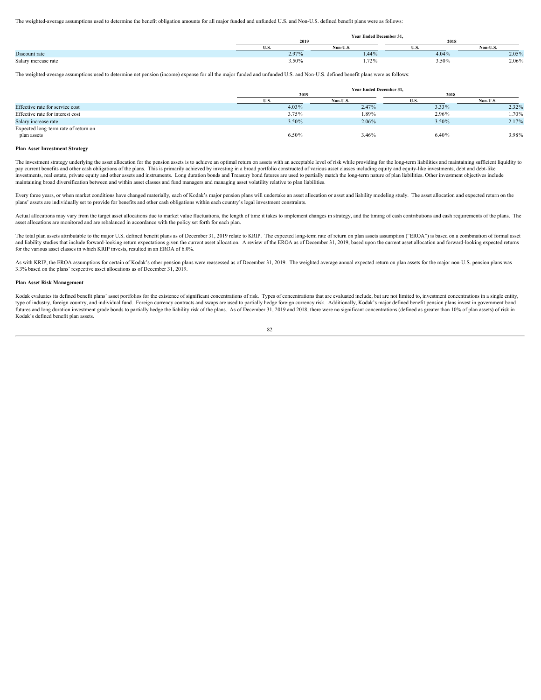The weighted-average assumptions used to determine the benefit obligation amounts for all major funded and unfunded U.S. and Non-U.S. defined benefit plans were as follows:

|                      |                        | Vear Ended December 31,<br>the contract of the contract of the contract of the contract of the contract of the contract of the contract of |                        |          |
|----------------------|------------------------|--------------------------------------------------------------------------------------------------------------------------------------------|------------------------|----------|
|                      | 201                    |                                                                                                                                            | 2018                   |          |
|                      |                        |                                                                                                                                            |                        | $\cdots$ |
| Discount rate        | 0.070<br>$2.91\%$      | 1.44%                                                                                                                                      | 4.04%                  | 2.05%    |
| Salary increase rate | $\sim$ 0.0<br>$3.50\%$ | $-22$<br>1.727                                                                                                                             | $F \cap T$<br>$3.50\%$ | 2.06%    |

The weighted-average assumptions used to determine net pension (income) expense for all the major funded and unfunded U.S. and Non-U.S. defined benefit plans were as follows:

|                                      |       | Year Ended December 31, |       |       |
|--------------------------------------|-------|-------------------------|-------|-------|
|                                      | 2019  |                         | 2018  |       |
|                                      |       |                         |       |       |
| Effective rate for service cost      | 4.03% | 2.47%                   | 3.33% | 2.32% |
| Effective rate for interest cost     | 3.75% | 1.89%                   | 2.96% | 1.70% |
| Salary increase rate                 | 3.50% | 2.06%                   | 3.50% | 2.17% |
| Expected long-term rate of return on |       |                         |       |       |
| plan assets                          | 6.50% | 3.46%                   | 6.40% | 3.98% |
|                                      |       |                         |       |       |

# **Plan Asset Investment Strategy**

The investment strategy underlying the asset allocation for the pension assets is to achieve an optimal return on assets with an acceptable level of risk while providing for the long-term liabilities and maintaining suffic pay current benefits and other cash obligations of the plans. This is primarily achieved by investing in a broad portfolio constructed of various asset classes including equity and equity-like investments, debt and debt-like investments, real estate, private equity and other assets and instruments. Long duration bonds and Treasury bond futures are used to partially match the long-term nature of plan liabilities. Other investment objectives inc maintaining broad diversification between and within asset classes and fund managers and managing asset volatility relative to plan liabilities.

Every three years, or when market conditions have changed materially, each of Kodak's major pension plans will undertake an asset allocation or asset and liability modeling study. The asset allocation and expected return o plans' assets are individually set to provide for benefits and other cash obligations within each country's legal investment constraints.

Actual allocations may vary from the target asset allocations due to market value fluctuations, the length of time it takes to implement changes in strategy, and the timing of cash contributions and cash requirements of th asset allocations are monitored and are rebalanced in accordance with the policy set forth for each plan.

The total plan assets attributable to the major U.S. defined benefit plans as of December 31, 2019 relate to KRIP. The expected long-term rate of return on plan assets assumption ("EROA") is based on a combination of forma and liability studies that include forward-looking return expectations given the current asset allocation. A review of the EROA as of December 31, 2019, based upon the current asset allocation and forward-looking expected for the various asset classes in which KRIP invests, resulted in an EROA of 6.0%.

As with KRIP, the EROA assumptions for certain of Kodak's other pension plans were reassessed as of December 31, 2019. The weighted average annual expected return on plan assets for the major non-U.S. pension plans was 3.3% based on the plans' respective asset allocations as of December 31, 2019.

#### **Plan Asset Risk Management**

Kodak evaluates its defined benefit plans' asset portfolios for the existence of significant concentrations of risk. Types of concentrations that are evaluated include, but are not limited to, investment concentrations in type of industry, foreign country, and individual fund. Foreign currency contracts and swaps are used to partially hedge foreign currency risk. Additionally, Kodak's major defined benefit pension plans invest in government futures and long duration investment grade bonds to partially hedge the liability risk of the plans. As of December 31, 2019 and 2018, there were no significant concentrations (defined as greater than 10% of plan assets) o Kodak's defined benefit plan assets.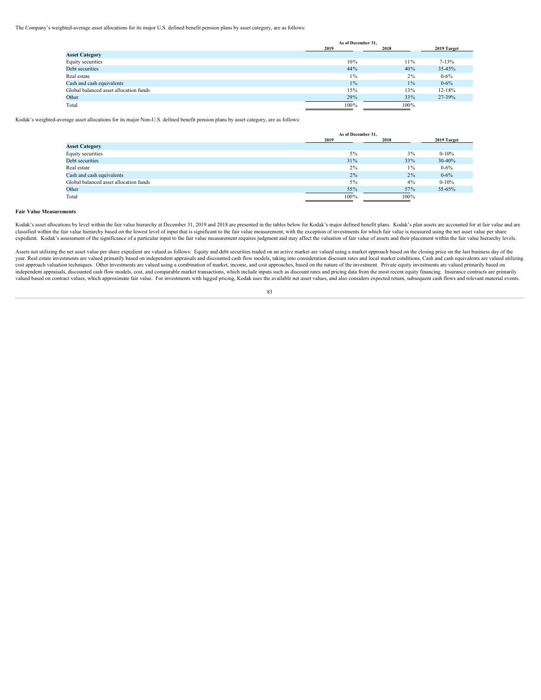The Company's weighted-average asset allocations for its major U.S. defined benefit pension plans by asset category, are as follows:

|                                        | As of December 31, |        |             |
|----------------------------------------|--------------------|--------|-------------|
|                                        | 2019               | 2018   | 2019 Target |
| <b>Asset Category</b>                  |                    |        |             |
| Equity securities                      | 10%                | $11\%$ | $7 - 13%$   |
| Debt securities                        | 44%                | 40%    | 35-45%      |
| Real estate                            | $1\%$              | $2\%$  | $0 - 6\%$   |
| Cash and cash equivalents              | $1\%$              | $1\%$  | $0 - 6\%$   |
| Global balanced asset allocation funds | 15%                | 13%    | 12-18%      |
| Other                                  | 29%                | 33%    | 27-39%      |
| Total                                  | $100\%$            | 100%   |             |

Kodak's weighted-average asset allocations for its major Non-U.S. defined benefit pension plans by asset category, are as follows:

|                                        | As of December 31, |       |             |
|----------------------------------------|--------------------|-------|-------------|
|                                        | 2019               | 2018  | 2019 Target |
| <b>Asset Category</b>                  |                    |       |             |
| Equity securities                      | 5%                 | $3\%$ | $0 - 10\%$  |
| Debt securities                        | 31%                | 33%   | 30-40%      |
| Real estate                            | 2%                 | $1\%$ | $0 - 6\%$   |
| Cash and cash equivalents              | 2%                 | 2%    | $0 - 6\%$   |
| Global balanced asset allocation funds | 5%                 | 4%    | $0 - 10\%$  |
| Other                                  | 55%                | 57%   | 55-65%      |
| Total                                  | 100%               | 100%  |             |

### **Fair Value Measurements**

Kodak's asset allocations by level within the fair value hierarchy at December 31, 2019 and 2018 are presented in the tables below for Kodak's major defined benefit plans. Kodak's plan assets are accounted for at fair valu classified within the fair value hierarchy based on the lowest level of input that is significant to the fair value measurement, with the exception of investments for which fair value is measured using the net asset value expedient. Kodak's assessment of the significance of a particular input to the fair value measurement requires judgment and may affect the valuation of fair value of assets and their placement within the fair value hierarc

Assets not utilizing the net asset value per share expedient are valued as follows: Equity and debt securities traded on an active market are valued using a market approach based on the closing price on the last business d year. Real estate investments are valued primarily based on independent appraisals and discounted cash flow models, taking into consideration discount rates and local market conditions. Cash and cash equivalents are valued cost approach valuation techniques. Other investments are valued using a combination of market, income, and cost approaches, based on the nature of the investment. Private equity investments are valued primarily based on independent appraisals, discounted cash flow models, cost, and comparable market transactions, which include inputs such as discount rates and pricing data from the most recent equity financing. Insurance contracts are pri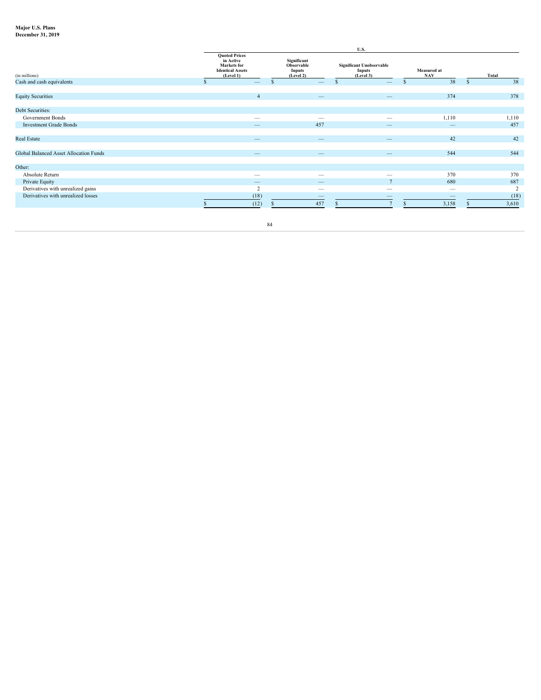# **Major U.S. Plans December 31, 2019**

|                                        |                                                                                                 |                                                         | U.S.                                                          |                                 |       |
|----------------------------------------|-------------------------------------------------------------------------------------------------|---------------------------------------------------------|---------------------------------------------------------------|---------------------------------|-------|
| (in millions)                          | <b>Quoted Prices</b><br>in Active<br><b>Markets</b> for<br><b>Identical Assets</b><br>(Level 1) | Significant<br>Observable<br><b>Inputs</b><br>(Level 2) | <b>Significant Unobservable</b><br><b>Inputs</b><br>(Level 3) | Measured at<br><b>NAV</b>       | Total |
| Cash and cash equivalents              | $\overline{\phantom{a}}$                                                                        | $\qquad \qquad -$                                       | $\overline{\phantom{a}}$                                      | 38                              | 38    |
| <b>Equity Securities</b>               |                                                                                                 | $\overline{\phantom{0}}$                                | $\overline{\phantom{0}}$                                      | 374                             | 378   |
| Debt Securities:                       |                                                                                                 |                                                         |                                                               |                                 |       |
| <b>Government Bonds</b>                | $\overline{\phantom{a}}$                                                                        | $\overline{\phantom{a}}$                                | $\overline{\phantom{a}}$                                      | 1,110                           | 1,110 |
| <b>Investment Grade Bonds</b>          | $\overline{\phantom{a}}$                                                                        | 457                                                     | $\overline{\phantom{a}}$                                      | $\overline{\phantom{a}}$        | 457   |
|                                        |                                                                                                 |                                                         |                                                               |                                 |       |
| Real Estate                            | $\overline{\phantom{a}}$                                                                        | $\overline{\phantom{0}}$                                | $\overline{\phantom{0}}$                                      | 42                              | 42    |
|                                        |                                                                                                 |                                                         |                                                               |                                 |       |
| Global Balanced Asset Allocation Funds |                                                                                                 |                                                         | $\overline{\phantom{0}}$                                      | 544                             | 544   |
| Other:                                 |                                                                                                 |                                                         |                                                               |                                 |       |
| Absolute Return                        | $\overline{\phantom{a}}$                                                                        | $\overline{\phantom{a}}$                                | $\overline{\phantom{a}}$                                      | 370                             | 370   |
| Private Equity                         | $\overline{\phantom{m}}$                                                                        | $\hspace{0.1mm}-\hspace{0.1mm}$                         | $\overline{ }$                                                | 680                             | 687   |
| Derivatives with unrealized gains      |                                                                                                 | $\hspace{0.1mm}-\hspace{0.1mm}$                         | $\overline{\phantom{a}}$                                      | $\hspace{0.1mm}-\hspace{0.1mm}$ |       |
| Derivatives with unrealized losses     | (18)                                                                                            | $\overline{\phantom{a}}$                                | $\overline{\phantom{0}}$                                      | $\overline{\phantom{a}}$        | (18)  |
|                                        | (12)                                                                                            | 457                                                     |                                                               | 3,158                           | 3,610 |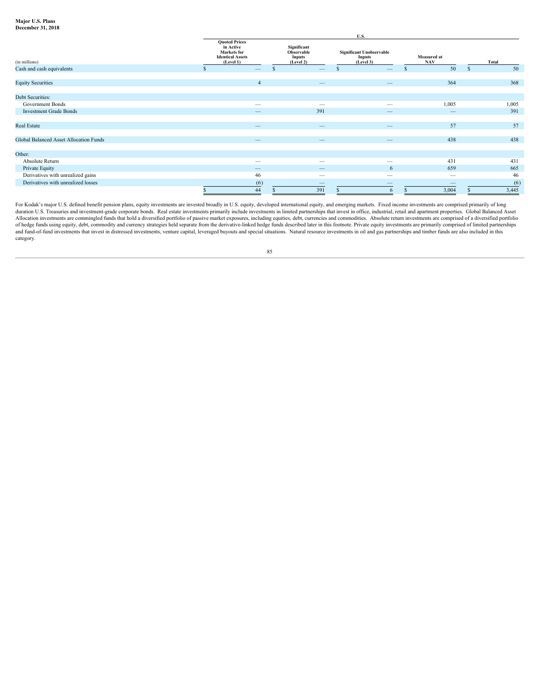#### **Major U.S. Plans December 31, 2018**

|                                        |                                                                                                 |                                                         | U.S.                                                                                                                                                                                                                                                                                                                                                                                          |                                  |       |
|----------------------------------------|-------------------------------------------------------------------------------------------------|---------------------------------------------------------|-----------------------------------------------------------------------------------------------------------------------------------------------------------------------------------------------------------------------------------------------------------------------------------------------------------------------------------------------------------------------------------------------|----------------------------------|-------|
| (in millions)                          | <b>Quoted Prices</b><br>in Active<br><b>Markets</b> for<br><b>Identical Assets</b><br>(Level 1) | Significant<br>Observable<br><b>Inputs</b><br>(Level 2) | <b>Significant Unobservable</b><br><b>Inputs</b><br>(Level 3)                                                                                                                                                                                                                                                                                                                                 | <b>Measured at</b><br><b>NAV</b> | Total |
| Cash and cash equivalents              | $\qquad \qquad -$                                                                               | $\qquad \qquad -$                                       |                                                                                                                                                                                                                                                                                                                                                                                               | 50                               | 50    |
| <b>Equity Securities</b>               |                                                                                                 |                                                         |                                                                                                                                                                                                                                                                                                                                                                                               | 364                              | 368   |
|                                        |                                                                                                 | $\qquad \qquad -$                                       | $\overline{\phantom{a}}$                                                                                                                                                                                                                                                                                                                                                                      |                                  |       |
| Debt Securities:                       |                                                                                                 |                                                         |                                                                                                                                                                                                                                                                                                                                                                                               |                                  |       |
| Government Bonds                       | $\hspace{0.1mm}-\hspace{0.1mm}$                                                                 | $\overline{\phantom{a}}$                                | $\overline{\phantom{a}}$                                                                                                                                                                                                                                                                                                                                                                      | 1,005                            | 1,005 |
| <b>Investment Grade Bonds</b>          | $\qquad \qquad -$                                                                               | 391                                                     | $\overline{\phantom{a}}$                                                                                                                                                                                                                                                                                                                                                                      |                                  | 391   |
|                                        |                                                                                                 |                                                         |                                                                                                                                                                                                                                                                                                                                                                                               |                                  |       |
| Real Estate                            | $\overline{\phantom{a}}$                                                                        | $\qquad \qquad -$                                       | $\hspace{1.0cm} \overline{\hspace{1.0cm} \hspace{1.0cm} \hspace{1.0cm} } \hspace{1.0cm} \hspace{1.0cm} \overline{\hspace{1.0cm} \hspace{1.0cm} \hspace{1.0cm} } \hspace{1.0cm} \hspace{1.0cm} \overline{\hspace{1.0cm} \hspace{1.0cm} \hspace{1.0cm} } \hspace{1.0cm} \hspace{1.0cm} \overline{\hspace{1.0cm} \hspace{1.0cm} \hspace{1.0cm} } \hspace{1.0cm} \hspace{1.0cm} \hspace{1.0cm} }$ | 57                               | 57    |
|                                        |                                                                                                 |                                                         |                                                                                                                                                                                                                                                                                                                                                                                               |                                  |       |
| Global Balanced Asset Allocation Funds | $\qquad \qquad -$                                                                               | $\hspace{0.1mm}-\hspace{0.1mm}$                         | $\overline{\phantom{a}}$                                                                                                                                                                                                                                                                                                                                                                      | 438                              | 438   |
| Other:                                 |                                                                                                 |                                                         |                                                                                                                                                                                                                                                                                                                                                                                               |                                  |       |
| Absolute Return                        | $\hspace{0.1mm}-\hspace{0.1mm}$                                                                 | $\overline{\phantom{a}}$                                | $\overline{\phantom{a}}$                                                                                                                                                                                                                                                                                                                                                                      | 431                              | 431   |
| Private Equity                         | $\hspace{0.1mm}-\hspace{0.1mm}$                                                                 | $\hspace{0.1mm}-\hspace{0.1mm}$                         | <sub>n</sub>                                                                                                                                                                                                                                                                                                                                                                                  | 659                              | 665   |
| Derivatives with unrealized gains      | 46                                                                                              | $\hspace{0.1mm}-\hspace{0.1mm}$                         | $\overline{\phantom{a}}$                                                                                                                                                                                                                                                                                                                                                                      | $\overline{\phantom{a}}$         | 46    |
| Derivatives with unrealized losses     | (6)                                                                                             | $\overline{\phantom{a}}$                                | $\overline{\phantom{a}}$                                                                                                                                                                                                                                                                                                                                                                      | $\hspace{0.1mm}-\hspace{0.1mm}$  | (6)   |
|                                        | 44                                                                                              | 391                                                     |                                                                                                                                                                                                                                                                                                                                                                                               | 3,004                            | 3,445 |

For Kodak's major U.S. defined benefit pension plans, equity investments are invested broadly in U.S. equity, developed international equity, and emerging markets. Fixed income investments are comprised primarily of long duration U.S. Treasuries and investment-grade corporate bonds. Real estate investments primarily include investments in limited partnerships that invest in office, industrial, retail and apartment properties. Global Balanc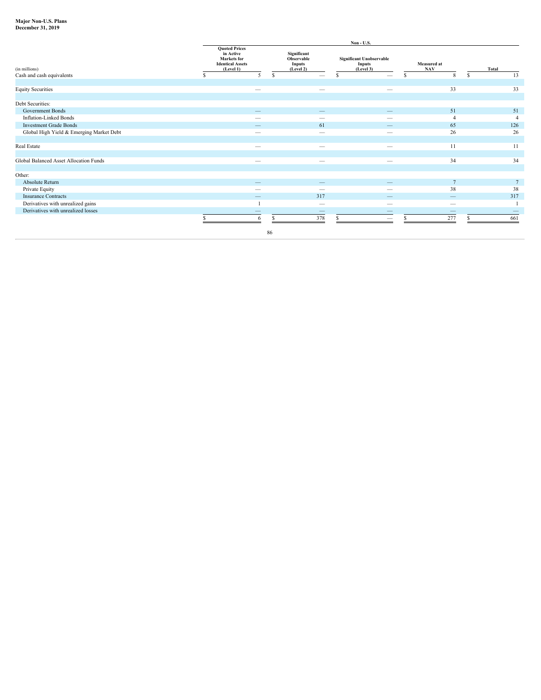# **Major Non-U.S. Plans**

| <b>December 31. 2019</b><br>. |  |
|-------------------------------|--|
|-------------------------------|--|

|                                            |                                                                                                 |                                                  | Non - U.S.                                                                                                            |                           |                                 |                 |
|--------------------------------------------|-------------------------------------------------------------------------------------------------|--------------------------------------------------|-----------------------------------------------------------------------------------------------------------------------|---------------------------|---------------------------------|-----------------|
| (in millions)<br>Cash and cash equivalents | <b>Quoted Prices</b><br>in Active<br><b>Markets</b> for<br><b>Identical Assets</b><br>(Level 1) | Significant<br>Observable<br>Inputs<br>(Level 2) | <b>Significant Unobservable</b><br><b>Inputs</b><br>(Level 3)<br>$\overline{\phantom{0}}$<br>$\overline{\phantom{a}}$ | Measured at<br><b>NAV</b> | Total                           |                 |
|                                            |                                                                                                 |                                                  |                                                                                                                       |                           |                                 |                 |
| <b>Equity Securities</b>                   | $\overline{\phantom{a}}$                                                                        |                                                  | $\hspace{0.1mm}-\hspace{0.1mm}$<br>$\hspace{0.1mm}-\hspace{0.1mm}$                                                    |                           | 33                              | 33              |
|                                            |                                                                                                 |                                                  |                                                                                                                       |                           |                                 |                 |
| Debt Securities:                           |                                                                                                 |                                                  |                                                                                                                       |                           |                                 |                 |
| Government Bonds                           | $\overline{\phantom{a}}$                                                                        |                                                  | $\overline{\phantom{a}}$<br>$\overline{\phantom{a}}$                                                                  |                           | 51                              | 51              |
| <b>Inflation-Linked Bonds</b>              | $\hspace{0.1mm}-\hspace{0.1mm}$                                                                 |                                                  | $\hspace{0.1mm}-\hspace{0.1mm}$<br>$\hspace{0.1mm}-\hspace{0.1mm}$                                                    |                           |                                 |                 |
| <b>Investment Grade Bonds</b>              |                                                                                                 |                                                  | 61<br>$\overline{\phantom{a}}$                                                                                        |                           | 65                              | 126             |
| Global High Yield & Emerging Market Debt   | $\overline{\phantom{a}}$                                                                        |                                                  | $\overline{\phantom{a}}$<br>$\overline{\phantom{a}}$                                                                  |                           | 26                              | 26              |
|                                            |                                                                                                 |                                                  |                                                                                                                       |                           |                                 |                 |
| Real Estate                                | $\hspace{0.1mm}-\hspace{0.1mm}$                                                                 |                                                  | $\hspace{0.1mm}-\hspace{0.1mm}$<br>$\hspace{0.1mm}-\hspace{0.1mm}$                                                    |                           | 11                              |                 |
|                                            |                                                                                                 |                                                  |                                                                                                                       |                           |                                 |                 |
| Global Balanced Asset Allocation Funds     | $\overline{\phantom{a}}$                                                                        |                                                  | $\overline{\phantom{a}}$<br>$\overline{\phantom{a}}$                                                                  |                           | 34                              | 34              |
|                                            |                                                                                                 |                                                  |                                                                                                                       |                           |                                 |                 |
| Other:                                     |                                                                                                 |                                                  |                                                                                                                       |                           |                                 |                 |
| Absolute Return                            |                                                                                                 |                                                  | $\overline{\phantom{m}}$<br>$\qquad \qquad -$                                                                         |                           |                                 | $7\overline{ }$ |
| Private Equity                             | $\overline{\phantom{a}}$                                                                        |                                                  | $\overline{\phantom{a}}$<br>$\hspace{0.1mm}-\hspace{0.1mm}$                                                           |                           | 38                              | 38              |
| <b>Insurance Contracts</b>                 | $\overline{\phantom{a}}$                                                                        | 317                                              |                                                                                                                       |                           | $\overline{\phantom{0}}$        | 317             |
| Derivatives with unrealized gains          |                                                                                                 |                                                  | $\hspace{0.1mm}-\hspace{0.1mm}$<br>$\hspace{0.1mm}-\hspace{0.1mm}$                                                    |                           | $\hspace{0.1mm}-\hspace{0.1mm}$ |                 |
| Derivatives with unrealized losses         | $\qquad \qquad -$                                                                               |                                                  | $\overline{\phantom{a}}$<br>$\hspace{0.1mm}-\hspace{0.1mm}$                                                           |                           | $\overline{\phantom{0}}$        |                 |
|                                            |                                                                                                 | 378                                              | $\overline{\phantom{a}}$                                                                                              |                           | 277                             | 661             |
|                                            |                                                                                                 |                                                  |                                                                                                                       |                           |                                 |                 |
|                                            |                                                                                                 | 86                                               |                                                                                                                       |                           |                                 |                 |
|                                            |                                                                                                 |                                                  |                                                                                                                       |                           |                                 |                 |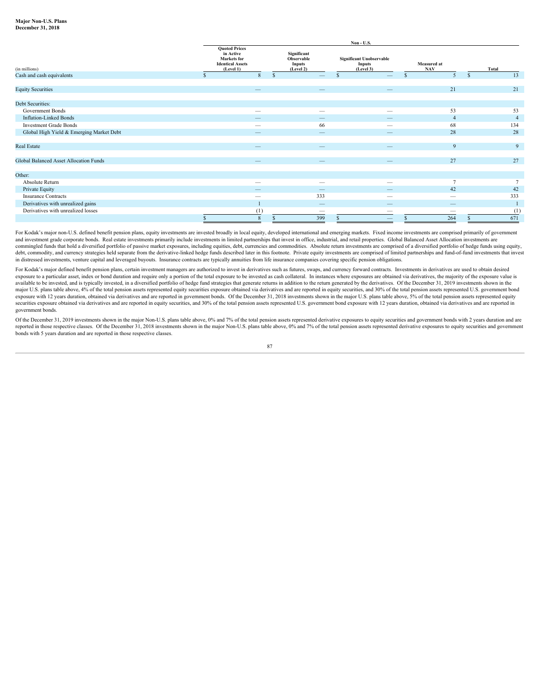#### **Major Non-U.S. Plans December 31, 2018**

|                                          |                                                                                                 |                                                         | $Non- U.S.$                                                                                                                                                                                                                                                                                                                                                                                   |                           |                |  |
|------------------------------------------|-------------------------------------------------------------------------------------------------|---------------------------------------------------------|-----------------------------------------------------------------------------------------------------------------------------------------------------------------------------------------------------------------------------------------------------------------------------------------------------------------------------------------------------------------------------------------------|---------------------------|----------------|--|
| (in millions)                            | <b>Quoted Prices</b><br>in Active<br><b>Markets</b> for<br><b>Identical Assets</b><br>(Level 1) | Significant<br>Observable<br><b>Inputs</b><br>(Level 2) | <b>Significant Unobservable</b><br><b>Inputs</b><br>(Level 3)                                                                                                                                                                                                                                                                                                                                 | Measured at<br><b>NAV</b> | Total          |  |
| Cash and cash equivalents                |                                                                                                 |                                                         | $\overline{\phantom{0}}$                                                                                                                                                                                                                                                                                                                                                                      |                           | 13             |  |
|                                          |                                                                                                 |                                                         |                                                                                                                                                                                                                                                                                                                                                                                               |                           |                |  |
| <b>Equity Securities</b>                 |                                                                                                 | $\overline{\phantom{a}}$                                | $\overline{\phantom{a}}$                                                                                                                                                                                                                                                                                                                                                                      | 21                        | 21             |  |
|                                          |                                                                                                 |                                                         |                                                                                                                                                                                                                                                                                                                                                                                               |                           |                |  |
| Debt Securities:                         |                                                                                                 |                                                         |                                                                                                                                                                                                                                                                                                                                                                                               |                           |                |  |
| Government Bonds                         | $\hspace{0.1mm}-\hspace{0.1mm}$                                                                 | $\overline{\phantom{a}}$                                | $\hspace{0.1mm}-\hspace{0.1mm}$                                                                                                                                                                                                                                                                                                                                                               | 53                        | 53             |  |
| Inflation-Linked Bonds                   | $\overline{\phantom{a}}$                                                                        | $\overline{\phantom{a}}$                                | $\overline{\phantom{0}}$                                                                                                                                                                                                                                                                                                                                                                      |                           | $\overline{4}$ |  |
| <b>Investment Grade Bonds</b>            | $\overline{\phantom{a}}$                                                                        | 66                                                      | $\hspace{0.1mm}-\hspace{0.1mm}$                                                                                                                                                                                                                                                                                                                                                               | 68                        | 134            |  |
| Global High Yield & Emerging Market Debt |                                                                                                 | $\overline{\phantom{0}}$                                |                                                                                                                                                                                                                                                                                                                                                                                               | 28                        | 28             |  |
|                                          |                                                                                                 |                                                         |                                                                                                                                                                                                                                                                                                                                                                                               |                           |                |  |
| Real Estate                              |                                                                                                 |                                                         |                                                                                                                                                                                                                                                                                                                                                                                               |                           | $\overline{9}$ |  |
|                                          |                                                                                                 |                                                         |                                                                                                                                                                                                                                                                                                                                                                                               |                           |                |  |
| Global Balanced Asset Allocation Funds   | -                                                                                               |                                                         | $\qquad \qquad -$                                                                                                                                                                                                                                                                                                                                                                             | 27                        | 27             |  |
|                                          |                                                                                                 |                                                         |                                                                                                                                                                                                                                                                                                                                                                                               |                           |                |  |
| Other:                                   |                                                                                                 |                                                         |                                                                                                                                                                                                                                                                                                                                                                                               |                           |                |  |
| Absolute Return                          | $\hspace{0.1mm}-\hspace{0.1mm}$                                                                 | $\overline{\phantom{a}}$                                |                                                                                                                                                                                                                                                                                                                                                                                               |                           |                |  |
| Private Equity                           | $\overline{\phantom{a}}$                                                                        | $\overline{\phantom{m}}$                                |                                                                                                                                                                                                                                                                                                                                                                                               | 42                        | 42             |  |
| <b>Insurance Contracts</b>               | $\hspace{0.1mm}-\hspace{0.1mm}$                                                                 | 333                                                     |                                                                                                                                                                                                                                                                                                                                                                                               | $\overline{\phantom{a}}$  | 333            |  |
| Derivatives with unrealized gains        |                                                                                                 | $\overline{\phantom{a}}$                                | $\hspace{1.0cm} \overline{\hspace{1.0cm} \hspace{1.0cm} \hspace{1.0cm} } \hspace{1.0cm} \hspace{1.0cm} \overline{\hspace{1.0cm} \hspace{1.0cm} \hspace{1.0cm} } \hspace{1.0cm} \hspace{1.0cm} \overline{\hspace{1.0cm} \hspace{1.0cm} \hspace{1.0cm} } \hspace{1.0cm} \hspace{1.0cm} \overline{\hspace{1.0cm} \hspace{1.0cm} \hspace{1.0cm} } \hspace{1.0cm} \hspace{1.0cm} \hspace{1.0cm} }$ | $\overline{\phantom{a}}$  |                |  |
| Derivatives with unrealized losses       | (1)                                                                                             | $\overline{\phantom{a}}$                                | $\hspace{0.1mm}-\hspace{0.1mm}$                                                                                                                                                                                                                                                                                                                                                               | $\overline{\phantom{a}}$  | (1)            |  |
|                                          | 8                                                                                               | 399                                                     | $\overline{\phantom{0}}$                                                                                                                                                                                                                                                                                                                                                                      | 264                       | 671            |  |

For Kodak's major non-U.S. defined benefit pension plans, equity investments are invested broadly in local equity, developed international and emerging markets. Fixed income investments are comprised primarily of governmen and investment grade corporate bonds. Real estate investments primarily include investments in limited partnerships that invest in office, industrial, and retail properties. Global Balanced Asset Allocation investments are commingled funds that hold a diversified portfolio of passive market exposures, including equities, debt. currencies and commodities. Absolute return investments are comprised of a diversified portfolio of hedge funds usin debt, commodity, and currency strategies held separate from the derivative-linked hedge funds described later in this footnote. Private equity investments are comprised of limited partnerships and fund-of-fund investments in distressed investments, venture capital and leveraged buyouts. Insurance contracts are typically annuities from life insurance companies covering specific pension obligations.

For Kodak's major defined benefit pension plans, certain investment managers are authorized to invest in derivatives such as futures, swaps, and currency forward contracts. Investments in derivatives are used to obtain des exposure to a particular asset, index or bond duration and require only a portion of the total exposure to be invested as cash collateral. In instances where exposures are obtained via derivatives, the majority of the expo major U.S. plans table above, 4% of the total pension assets represented equity securities exposure obtained via derivatives and are reported in equity securities, and 30% of the total pension assets represented U.S. gover exposure with 12 years duration, obtained via derivatives and are reported in government bonds. Of the December 31, 2018 investments shown in the major U.S. plans table above, 5% of the total pension assets represented equ securities exposure obtained via derivatives and are reported in equity securities, and 30% of the total pension assets represented U.S. government bond exposure with 12 years duration, obtained via derivatives and are rep government bonds.

Of the December 31, 2019 investments shown in the major Non-U.S. plans table above, 0% and 7% of the total pension assets represented derivative exposures to equity securities and government bonds with 2 years duration and reported in those respective classes. Of the December 31, 2018 investments shown in the major Non-U.S. plans table above, 0% and 7% of the total pension assets represented derivative exposures to equity securities and gove bonds with 5 years duration and are reported in those respective classes.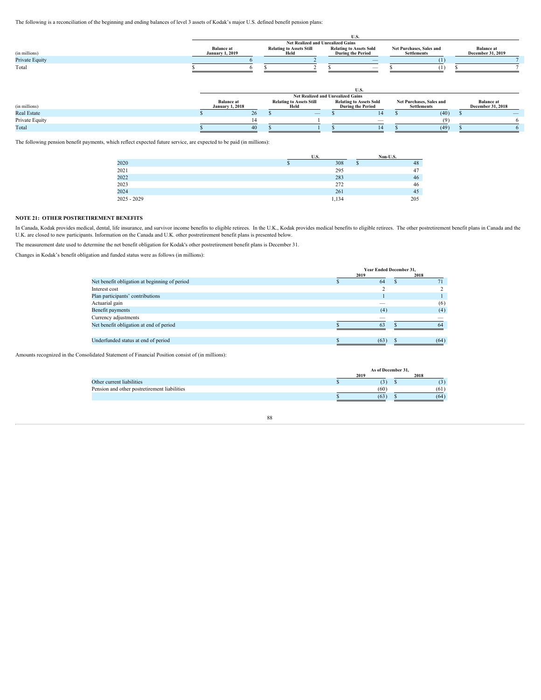The following is a reconciliation of the beginning and ending balances of level 3 assets of Kodak's major U.S. defined benefit pension plans:

|                |                        | Net Realized and Unrealized Gains |                                |                          |                   |
|----------------|------------------------|-----------------------------------|--------------------------------|--------------------------|-------------------|
|                | <b>Balance</b> at      | <b>Relating to Assets Still</b>   | <b>Relating to Assets Sold</b> | Net Purchases, Sales and | <b>Balance</b> at |
| (in millions)  | <b>January 1, 2019</b> |                                   | <b>During the Period</b>       | Settlements              | December 31, 2019 |
| Private Equity |                        |                                   | $\overline{\phantom{a}}$       |                          |                   |
| Total          |                        |                                   |                                |                          |                   |
|                |                        |                                   |                                |                          |                   |
|                |                        |                                   |                                |                          |                   |

|                |                               | Net Realized and Unrealized Gains |                                |                          |                                         |  |
|----------------|-------------------------------|-----------------------------------|--------------------------------|--------------------------|-----------------------------------------|--|
|                | Balance at<br>January 1, 2018 | <b>Relating to Assets Still</b>   | <b>Relating to Assets Sold</b> | Net Purchases, Sales and | <b>Balance at<br/>December 31, 2018</b> |  |
| (in millions)  |                               |                                   | During the Period              | Settlements              |                                         |  |
| Real Estate    |                               | $\hspace{0.1mm}-\hspace{0.1mm}$   |                                | (40)                     |                                         |  |
| Private Equity |                               |                                   | -                              |                          |                                         |  |
| Total          |                               |                                   |                                | (49)                     |                                         |  |

The following pension benefit payments, which reflect expected future service, are expected to be paid (in millions):

|               | U.O.  | Non-U.S.       |
|---------------|-------|----------------|
| 2020          | 308   | 40             |
| 2021          | 295   | 4 <sub>1</sub> |
| 2022          | 283   | 40             |
| 2023          | 272   | 40             |
| 2024          | 261   | 45             |
| $2025 - 2029$ | 1,134 | 205            |
|               |       |                |

# **NOTE 21: OTHER POSTRETIREMENT BENEFITS**

In Canada, Kodak provides medical, dental, life insurance, and survivor income benefits to eligible retirees. In the U.K., Kodak provides medical benefits to eligible retirees. The other postretirement benefit plans in Can U.K. are closed to new participants. Information on the Canada and U.K. other postretirement benefit plans is presented below.

The measurement date used to determine the net benefit obligation for Kodak's other postretirement benefit plans is December 31.

Changes in Kodak's benefit obligation and funded status were as follows (in millions):

|                                               | Year Ended December 31,         |      |  |
|-----------------------------------------------|---------------------------------|------|--|
|                                               | 2019                            | 2018 |  |
| Net benefit obligation at beginning of period | 64                              |      |  |
| Interest cost                                 |                                 |      |  |
| Plan participants' contributions              |                                 |      |  |
| Actuarial gain                                | $\hspace{0.1mm}-\hspace{0.1mm}$ | (6   |  |
| Benefit payments                              | (4)                             | (4)  |  |
| Currency adjustments                          |                                 |      |  |
| Net benefit obligation at end of period       | 63                              |      |  |
|                                               |                                 |      |  |
| Underfunded status at end of period           | (63)                            | (64) |  |

Amounts recognized in the Consolidated Statement of Financial Position consist of (in millions):

|                                              | As of December 31. |      |
|----------------------------------------------|--------------------|------|
|                                              | 2019               | 2018 |
| Other current liabilities                    | $\sim$             |      |
| Pension and other postretirement liabilities | (60)               | (61) |
|                                              | (63)               | (64) |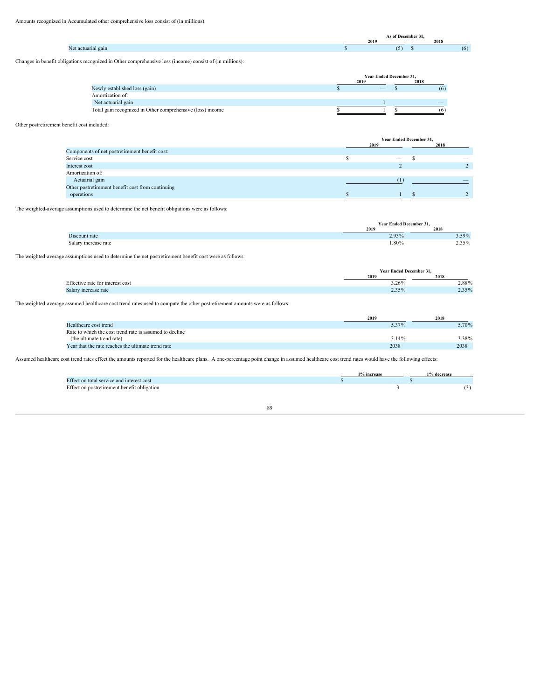# Amounts recognized in Accumulated other comprehensive loss consist of (in millions):

| 2018<br>(5)<br>(6) |                    |      | - <i>C</i> Decen-<br>the contract of the contract of the contract of the contract of the contract of the contract of the contract of |  |
|--------------------|--------------------|------|--------------------------------------------------------------------------------------------------------------------------------------|--|
|                    |                    | 2019 |                                                                                                                                      |  |
|                    | Net actuarial gain |      |                                                                                                                                      |  |

Changes in benefit obligations recognized in Other comprehensive loss (income) consist of (in millions):

|                                                            |       | <b>Year Ended December 31,</b> |     |
|------------------------------------------------------------|-------|--------------------------------|-----|
|                                                            | 0.010 |                                |     |
| Newly established loss (gain)                              |       |                                |     |
| Amortization of:                                           |       |                                |     |
| Net actuarial gain                                         |       |                                | $-$ |
| Total gain recognized in Other comprehensive (loss) income |       |                                |     |

# Other postretirement benefit cost included:

|                                                   | Year Ended December 31, |      |
|---------------------------------------------------|-------------------------|------|
|                                                   | 2019                    | 2018 |
| Components of net postretirement benefit cost:    |                         |      |
| Service cost                                      |                         |      |
| Interest cost                                     |                         |      |
| Amortization of:                                  |                         |      |
| Actuarial gain                                    |                         |      |
| Other postretirement benefit cost from continuing |                         |      |
| operations                                        |                         |      |

The weighted-average assumptions used to determine the net benefit obligations were as follows:

|                      | <b>Year Ended December 31.</b> |       |
|----------------------|--------------------------------|-------|
|                      |                                |       |
| Discount rate        | 2.93%                          | 3.59% |
| Salary increase rate | 1.80%                          | 2.35% |

The weighted-average assumptions used to determine the net postretirement benefit cost were as follows:

|                                  | Year Ended December 31, |                      |
|----------------------------------|-------------------------|----------------------|
|                                  | 2019                    |                      |
| Effective rate for interest cost | 3.26%                   |                      |
| Salary increase rate             | 2.35%                   | $2.88\%$<br>$2.35\%$ |
|                                  |                         |                      |

The weighted-average assumed healthcare cost trend rates used to compute the other postretirement amounts were as follows:

|                                                         |       | 2018  |
|---------------------------------------------------------|-------|-------|
| Healthcare cost trend                                   | 5.37% | 5.70% |
| Rate to which the cost trend rate is assumed to decline |       |       |
| (the ultimate trend rate)                               | 3.14% | 3.38% |
| Year that the rate reaches the ultimate trend rate      | 2038  | 2038  |

Assumed healthcare cost trend rates effect the amounts reported for the healthcare plans. A one-percentage point change in assumed healthcare cost trend rates would have the following effects:

|                                             | 1% increase                     | 1% decrease |
|---------------------------------------------|---------------------------------|-------------|
| Effect on total service and interest cost   | $\hspace{0.1mm}-\hspace{0.1mm}$ | $-$         |
| Effect on postretirement benefit obligation |                                 |             |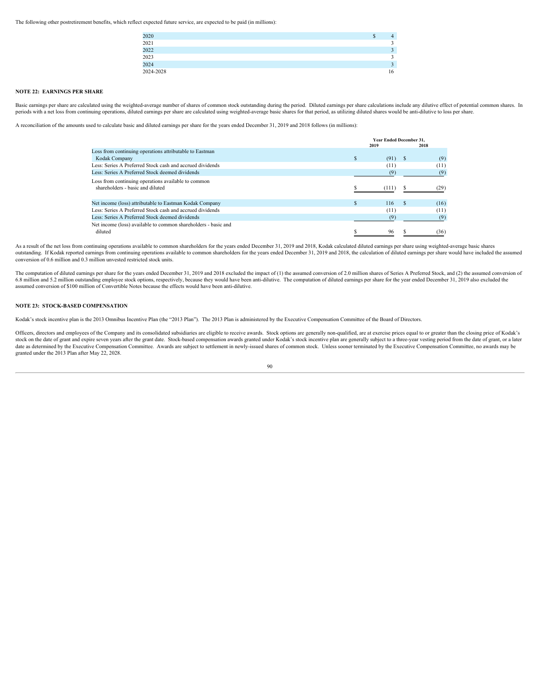The following other postretirement benefits, which reflect expected future service, are expected to be paid (in millions):

| 2020         |    |
|--------------|----|
| 2021<br>2022 |    |
|              |    |
|              |    |
| 2023<br>2024 |    |
| 2024-2028    | 16 |

# **NOTE 22: EARNINGS PER SHARE**

Basic earnings per share are calculated using the weighted-average number of shares of common stock outstanding during the period. Diluted earnings per share calculations include any dilutive effect of potential common sha periods with a net loss from continuing operations, diluted earnings per share are calculated using weighted-average basic shares for that period, as utilizing diluted shares would be anti-dilutive to loss per share.

A reconciliation of the amounts used to calculate basic and diluted earnings per share for the years ended December 31, 2019 and 2018 follows (in millions):

|                                                                | <b>Year Ended December 31.</b> |           |  |      |  |  |
|----------------------------------------------------------------|--------------------------------|-----------|--|------|--|--|
|                                                                |                                | 2019      |  | 2018 |  |  |
| Loss from continuing operations attributable to Eastman        |                                |           |  |      |  |  |
| Kodak Company                                                  |                                | $(91)$ \$ |  | (9)  |  |  |
| Less: Series A Preferred Stock cash and accrued dividends      |                                | (11)      |  | (11) |  |  |
| Less: Series A Preferred Stock deemed dividends                |                                | (9)       |  |      |  |  |
| Loss from continuing operations available to common            |                                |           |  |      |  |  |
| shareholders - basic and diluted                               |                                |           |  |      |  |  |
|                                                                |                                |           |  |      |  |  |
| Net income (loss) attributable to Eastman Kodak Company        |                                | 116       |  | (16) |  |  |
| Less: Series A Preferred Stock cash and accrued dividends      |                                | (11)      |  | (11) |  |  |
| Less: Series A Preferred Stock deemed dividends                |                                |           |  |      |  |  |
| Net income (loss) available to common shareholders - basic and |                                |           |  |      |  |  |
| diluted                                                        |                                | 96        |  | (36) |  |  |

As a result of the net loss from continuing operations available to common shareholders for the years ended December 31, 2019 and 2018, Kodak calculated diluted earnings per share using weighted-average basic shares outstanding. If Kodak reported earnings from continuing operations available to common shareholders for the years ended December 31, 2019 and 2018, the calculation of diluted earnings per share would have included the assu conversion of 0.6 million and 0.3 million unvested restricted stock units.

The computation of diluted earnings per share for the years ended December 31, 2019 and 2018 excluded the impact of (1) the assumed conversion of 2.0 million shares of Series A Preferred Stock, and (2) the assumed conversi 6.8 million and 5.2 million outstanding employee stock options, respectively, because they would have been anti-dilutive. The computation of diluted earnings per share for the year ended December 31, 2019 also excluded the assumed conversion of \$100 million of Convertible Notes because the effects would have been anti-dilutive.

# **NOTE 23: STOCK-BASED COMPENSATION**

Kodak's stock incentive plan is the 2013 Omnibus Incentive Plan (the "2013 Plan"). The 2013 Plan is administered by the Executive Compensation Committee of the Board of Directors.

Officers, directors and employees of the Company and its consolidated subsidiaries are eligible to receive awards. Stock options are generally non-qualified, are at exercise prices equal to or greater than the closing pric stock on the date of grant and expire seven years after the grant date. Stock-based compensation awards granted under Kodak's stock incentive plan are generally subject to a three-year vesting period from the date of grant date as determined by the Executive Compensation Committee. Awards are subject to settlement in newly-issued shares of common stock. Unless sooner terminated by the Executive Compensation Committee, no awards may be granted under the 2013 Plan after May 22, 2028.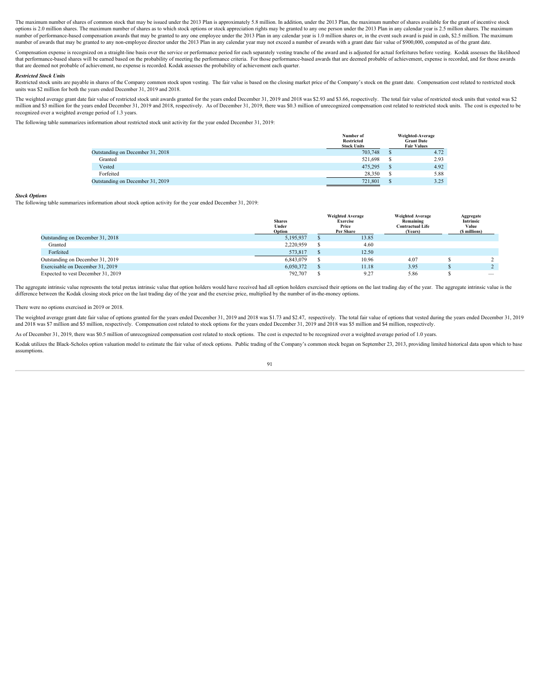The maximum number of shares of common stock that may be issued under the 2013 Plan is approximately 5.8 million. In addition, under the 2013 Plan, the maximum number of shares available for the grant of incentive stock options is 2.0 million shares. The maximum number of shares as to which stock options or stock appreciation rights may be granted to any one person under the 2013 Plan in any calendar year is 2.5 million shares. The maximu number of performance-based compensation awards that may be granted to any one employee under the 2013 Plan in any calendar year is 1.0 million shares or, in the event such award is paid in cash, \$2.5 million. The maximum number of awards that may be granted to any non-employee director under the 2013 Plan in any calendar year may not exceed a number of awards with a grant date fair value of \$900,000, computed as of the grant date.

Compensation expense is recognized on a straight-line basis over the service or performance period for each separately vesting tranche of the award and is adjusted for actual forfeitures before vesting. Kodak assesses the that performance-based shares will be earned based on the probability of meeting the performance criteria. For those performance-based awards that are deemed probable of achievement, expense is recorded, and for those awards that are deemed not probable of achievement, no expense is recorded. Kodak assesses the probability of achievement each quarter.

#### *Restricted Stock Units*

Restricted stock units are payable in shares of the Company common stock upon vesting. The fair value is based on the closing market price of the Company's stock on the grant date. Compensation cost related to restricted s units was \$2 million for both the years ended December 31, 2019 and 2018.

The weighted average grant date fair value of restricted stock unit awards granted for the years ended December 31, 2019 and 2018 was \$2.93 and \$3.66, respectively. The total fair value of restricted stock units that veste million and \$3 million for the years ended December 31, 2019 and 2018, respectively. As of December 31, 2019, there was \$0.3 million of unrecognized compensation cost related to restricted stock units. The cost is expected recognized over a weighted average period of 1.3 years.

The following table summarizes information about restricted stock unit activity for the year ended December 31, 2019:

|                                  | Number of<br><b>Restricted</b><br><b>Stock Units</b> | Weighted-Average<br><b>Grant Date</b><br><b>Fair Values</b> |
|----------------------------------|------------------------------------------------------|-------------------------------------------------------------|
| Outstanding on December 31, 2018 | 703,748                                              | 4.72                                                        |
| Granted                          | 521,698                                              | 2.93                                                        |
| Vested                           | 475,295                                              | 4.92                                                        |
| Forfeited                        | 28,350                                               | 5.88                                                        |
| Outstanding on December 31, 2019 | 721,801                                              | 3.25                                                        |

#### *Stock Options*

The following table summarizes information about stock option activity for the year ended December 31, 2019:

|                                    | <b>Shares</b><br>Under | <b>Weighted Average</b><br>Exercise<br>Price<br>Per Share | <b>Weighted Average</b><br>Remaining<br><b>Contractual Life</b><br>(Years) | Aggregate<br>Intrinsic<br>Value<br>millions) |
|------------------------------------|------------------------|-----------------------------------------------------------|----------------------------------------------------------------------------|----------------------------------------------|
| Outstanding on December 31, 2018   | 5,195,937              | 13.85                                                     |                                                                            |                                              |
| Granted                            | 2,220,959              | 4.60                                                      |                                                                            |                                              |
| Forfeited                          | 573,817                | 12.50                                                     |                                                                            |                                              |
| Outstanding on December 31, 2019   | 6,843,079              | 10.96                                                     | 4.07                                                                       |                                              |
| Exercisable on December 31, 2019   | 6,050,372              | 11.18                                                     | 3.95                                                                       |                                              |
| Expected to vest December 31, 2019 | 792,707                | 9.27                                                      | 5.86                                                                       |                                              |

The aggregate intrinsic value represents the total pretax intrinsic value that option holders would have received had all option holders exercised their options on the last trading day of the year. The aggregate intrinsic difference between the Kodak closing stock price on the last trading day of the year and the exercise price, multiplied by the number of in-the-money options.

#### There were no options exercised in 2019 or 2018.

The weighted average grant date fair value of options granted for the years ended December 31, 2019 and 2018 was \$1.73 and \$2.47, respectively. The total fair value of options that vested during the years ended December 31 and 2018 was \$7 million and \$5 million, respectively. Compensation cost related to stock options for the years ended December 31, 2019 and 2018 was \$5 million and \$4 million, respectively.

As of December 31, 2019, there was \$0.5 million of unrecognized compensation cost related to stock options. The cost is expected to be recognized over a weighted average period of 1.0 years.

Kodak utilizes the Black-Scholes option valuation model to estimate the fair value of stock options. Public trading of the Company's common stock began on September 23, 2013, providing limited historical data upon which to assumptions.<br>91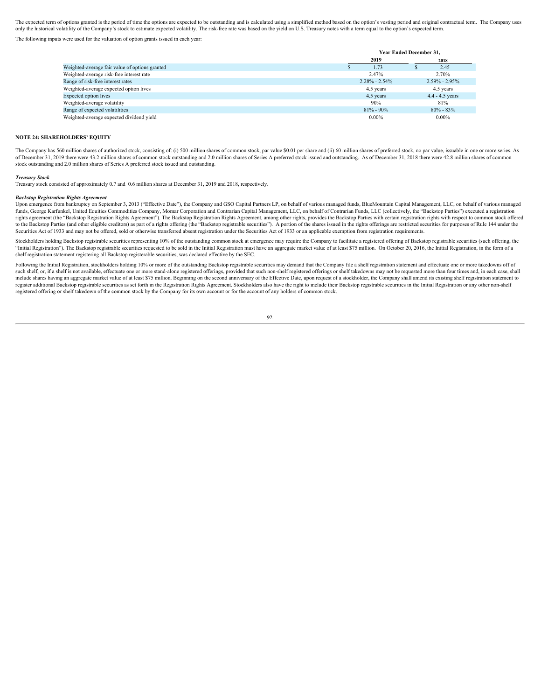The expected term of options granted is the period of time the options are expected to be outstanding and is calculated using a simplified method based on the option's vesting period and original contractual term. The Comp only the historical volatility of the Company's stock to estimate expected volatility. The risk-free rate was based on the yield on U.S. Treasury notes with a term equal to the option's expected term.

The following inputs were used for the valuation of option grants issued in each year:

|                                                |                   | Year Ended December 31, |
|------------------------------------------------|-------------------|-------------------------|
|                                                | 2019              | 2018                    |
| Weighted-average fair value of options granted | 1.73              | 2.45                    |
| Weighted-average risk-free interest rate       | 2.47%             | 2.70%                   |
| Range of risk-free interest rates              | $2.28\% - 2.54\%$ | $2.59\% - 2.95\%$       |
| Weighted-average expected option lives         | 4.5 years         | 4.5 years               |
| <b>Expected option lives</b>                   | 4.5 years         | $4.4 - 4.5$ years       |
| Weighted-average volatility                    | 90%               | 81%                     |
| Range of expected volatilities                 | $81\% - 90\%$     | $80\% - 83\%$           |
| Weighted-average expected dividend yield       | $0.00\%$          | $0.00\%$                |
|                                                |                   |                         |

#### **NOTE 24: SHAREHOLDERS' EQUITY**

The Company has 560 million shares of authorized stock, consisting of: (i) 500 million shares of common stock, par value \$0.01 per share and (ii) 60 million shares of preferred stock, no par value, issuable in one or more of December 31, 2019 there were 43.2 million shares of common stock outstanding and 2.0 million shares of Series A preferred stock issued and outstanding. As of December 31, 2018 there were 42.8 million shares of common stock outstanding and 2.0 million shares of Series A preferred stock issued and outstanding.

*Treasury Stock* Treasury stock consisted of approximately 0.7 and 0.6 million shares at December 31, 2019 and 2018, respectively.

### *Backstop Registration Rights Agreement*

Upon emergence from bankruptcy on September 3, 2013 ("Effective Date"), the Company and GSO Capital Partners LP, on behalf of various managed funds, BlueMountain Capital Management, LLC, on behalf of various managed funds, George Karfunkel, United Equities Commodities Company, Momar Corporation and Contrarian Capital Management, LLC, on behalf of Contrarian Funds, LLC (collectively, the "Backstop Parties") executed a registration rights agreement (the "Backstop Registration Rights Agreement"). The Backstop Registration Rights Agreement, among other rights, provides the Backstop Parties with certain registration rights with respect to common stock o to the Backstop Parties (and other eligible creditors) as part of a rights offering (the "Backstop registrable securities"). A portion of the shares issued in the rights offerings are restricted securities for purposes of Securities Act of 1933 and may not be offered, sold or otherwise transferred absent registration under the Securities Act of 1933 or an applicable exemption from registration requirements.

Stockholders holding Backstop registrable securities representing 10% of the outstanding common stock at emergence may require the Company to facilitate a registered offering of Backstop registrable securities (such offeri "Initial Registration"). The Backstop registrable securities requested to be sold in the Initial Registration must have an aggregate market value of at least \$75 million. On October 20, 2016, the Initial Registration, in t shelf registration statement registering all Backstop registerable securities, was declared effective by the SEC.

Following the Initial Registration, stockholders holding 10% or more of the outstanding Backstop registrable securities may demand that the Company file a shelf registration statement and effectuate one or more takedowns o such shelf, or, if a shelf is not available, effectuate one or more stand-alone registered offerings, provided that such non-shelf registered offerings or shelf takedowns may not be requested more than four times and, in e include shares having an aggregate market value of at least \$75 million. Beginning on the second anniversary of the Effective Date, upon request of a stockholder, the Company shall amend its existing shelf registration sta register additional Backstop registrable securities as set forth in the Registration Rights Agreement. Stockholders also have the right to include their Backstop registrable securities in the Initial Registration or any ot registered offering or shelf takedown of the common stock by the Company for its own account or for the account of any holders of common stock.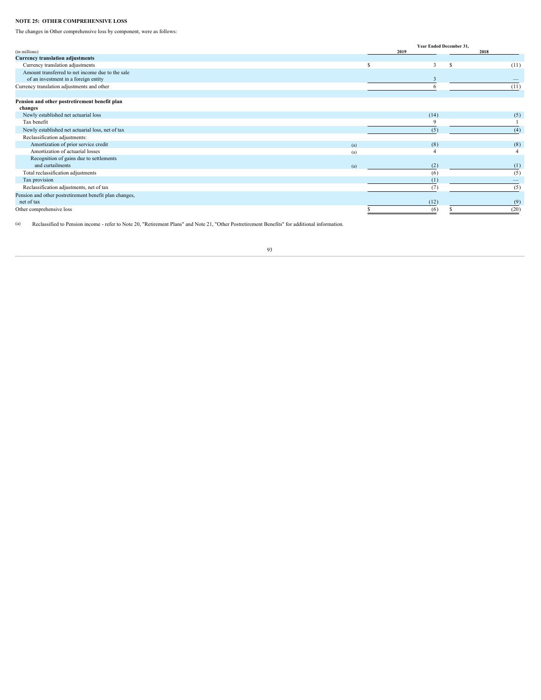# **NOTE 25: OTHER COMPREHENSIVE LOSS**

The changes in Other comprehensive loss by component, were as follows:

|                                                        |     | Year Ended December 31, |      |
|--------------------------------------------------------|-----|-------------------------|------|
| (in millions)                                          |     | 2019                    | 2018 |
| <b>Currency translation adjustments</b>                |     |                         |      |
| Currency translation adjustments                       |     |                         | (11) |
| Amount transferred to net income due to the sale       |     |                         |      |
| of an investment in a foreign entity                   |     |                         |      |
| Currency translation adjustments and other             |     |                         |      |
|                                                        |     |                         |      |
| Pension and other postretirement benefit plan          |     |                         |      |
| changes                                                |     |                         |      |
| Newly established net actuarial loss                   |     | (14)                    | (5)  |
| Tax benefit                                            |     |                         |      |
| Newly established net actuarial loss, net of tax       |     | (5)                     |      |
| Reclassification adjustments:                          |     |                         |      |
| Amortization of prior service credit                   | (a) | (8)                     | (8)  |
| Amortization of actuarial losses                       | (a) |                         |      |
| Recognition of gains due to settlements                |     |                         |      |
| and curtailments                                       | (a) | (2)                     |      |
| Total reclassification adjustments                     |     | (6)                     |      |
| Tax provision                                          |     | (1)                     |      |
| Reclassification adjustments, net of tax               |     | (7)                     |      |
| Pension and other postretirement benefit plan changes, |     |                         |      |
| net of tax                                             |     | (12)                    |      |
| Other comprehensive loss                               |     | (6)                     |      |
|                                                        |     |                         |      |

(a) Reclassified to Pension income - refer to Note 20, "Retirement Plans" and Note 21, "Other Postretirement Benefits" for additional information.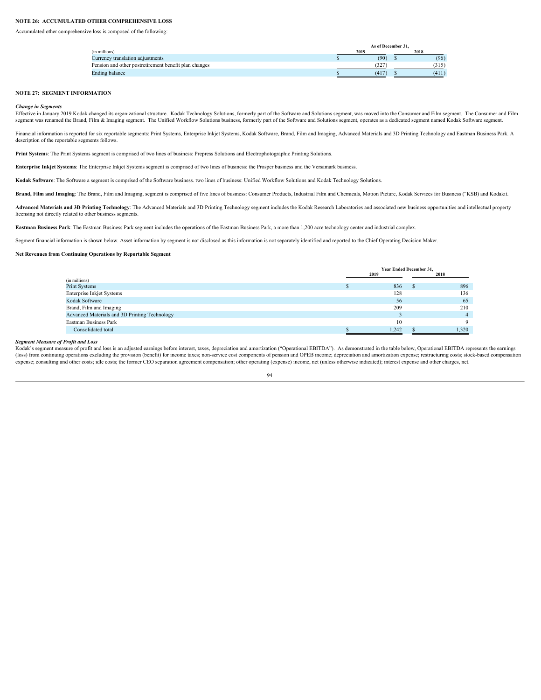# **NOTE 26: ACCUMULATED OTHER COMPREHENSIVE LOSS**

Accumulated other comprehensive loss is composed of the following:

|                                                       |      | As of December 31. |       |
|-------------------------------------------------------|------|--------------------|-------|
| (in millions)                                         | 2019 |                    | 2018  |
| Currency translation adjustments                      |      | (90)               | (96)  |
| Pension and other postretirement benefit plan changes |      | 327                | (315) |
| Ending balance                                        |      | (417)              | (411) |

# **NOTE 27: SEGMENT INFORMATION**

#### *Change in Segments*

Effective in January 2019 Kodak changed its organizational structure. Kodak Technology Solutions, formerly part of the Software and Solutions segment, was moved into the Consumer and Film segment. The Consumer and Film segment was renamed the Brand, Film & Imaging segment. The Unified Workflow Solutions business, formerly part of the Software and Solutions segment, operates as a dedicated segment named Kodak Software segment.

Financial information is reported for six reportable segments: Print Systems, Enterprise Inkjet Systems, Kodak Software, Brand, Film and Imaging, Advanced Materials and 3D Printing Technology and Eastman Business Park. A description of the reportable segments follows.

**Print Systems**: The Print Systems segment is comprised of two lines of business: Prepress Solutions and Electrophotographic Printing Solutions.

**Enterprise Inkjet Systems**: The Enterprise Inkjet Systems segment is comprised of two lines of business: the Prosper business and the Versamark business.

**Kodak Software**: The Software a segment is comprised of the Software business. two lines of business: Unified Workflow Solutions and Kodak Technology Solutions.

Brand, Film and Imaging: The Brand, Film and Imaging, segment is comprised of five lines of business: Consumer Products, Industrial Film and Chemicals, Motion Picture, Kodak Services for Business ("KSB) and Kodakit.

**Advanced Materials and 3D Printing Technology**: The Advanced Materials and 3D Printing Technology segment includes the Kodak Research Laboratories and associated new business opportunities and intellectual property licensing not directly related to other business segments.

**Eastman Business Park**: The Eastman Business Park segment includes the operations of the Eastman Business Park, a more than 1,200 acre technology center and industrial complex.

Segment financial information is shown below. Asset information by segment is not disclosed as this information is not separately identified and reported to the Chief Operating Decision Maker.

#### **Net Revenues from Continuing Operations by Reportable Segment**

|                                               | Year Ended December 31, |  |       |  |  |  |
|-----------------------------------------------|-------------------------|--|-------|--|--|--|
|                                               | 2019                    |  | 2018  |  |  |  |
| (in millions)                                 |                         |  |       |  |  |  |
| Print Systems                                 | 836                     |  | 896   |  |  |  |
| Enterprise Inkjet Systems                     | 128                     |  | 136   |  |  |  |
| Kodak Software                                | 56                      |  | 65    |  |  |  |
| Brand, Film and Imaging                       | 209                     |  | 210   |  |  |  |
| Advanced Materials and 3D Printing Technology |                         |  |       |  |  |  |
| Eastman Business Park                         |                         |  |       |  |  |  |
| Consolidated total                            | 1,242                   |  | 1,320 |  |  |  |

#### *Segment Measure of Profit and Loss*

Solution and the second that the second that does is an adjusted earnings before interest, taxes, depreciation and amortization ("Operational EBITDA"). As demonstrated in the table below, Operational EBITDA represents the (loss) from continuing operations excluding the provision (benefit) for income taxes; non-service cost components of pension and OPEB income; depreciation and amortization expense; restructuring costs; stock-based compensa expense; consulting and other costs; idle costs; the former CEO separation agreement compensation; other operating (expense) income, net (unless otherwise indicated); interest expense and other charges, net.

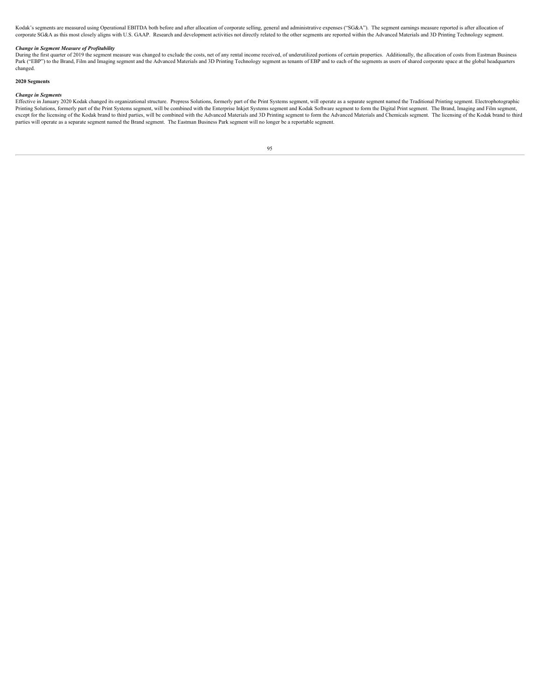Kodak's segments are measured using Operational EBITDA both before and after allocation of corporate selling, general and administrative expenses ("SG&A"). The segment earnings measure reported is after allocation of corporate SG&A as this most closely aligns with U.S. GAAP. Research and development activities not directly related to the other segments are reported within the Advanced Materials and 3D Printing Technology segment.

# *Change in Segment Measure of Profitability*

During the first quarter of 2019 the segment measure was changed to exclude the costs, net of any rental income received, of underutilized portions of certain properties. Additionally, the allocation of costs from Eastman Park ("EBP") to the Brand, Film and Imaging segment and the Advanced Materials and 3D Printing Technology segment as tenants of EBP and to each of the segments as users of shared corporate space at the global headquarters changed.

# **2020 Segments**

Change in Segments<br>Bifective in January 2020 Kodak changed its organizational structure. Prepress Solutions, formerly part of the Print Systems segment, will operate as a separate segment named the Traditional Printing seg parties will operate as a separate segment named the Brand segment. The Eastman Business Park segment will no longer be a reportable segment.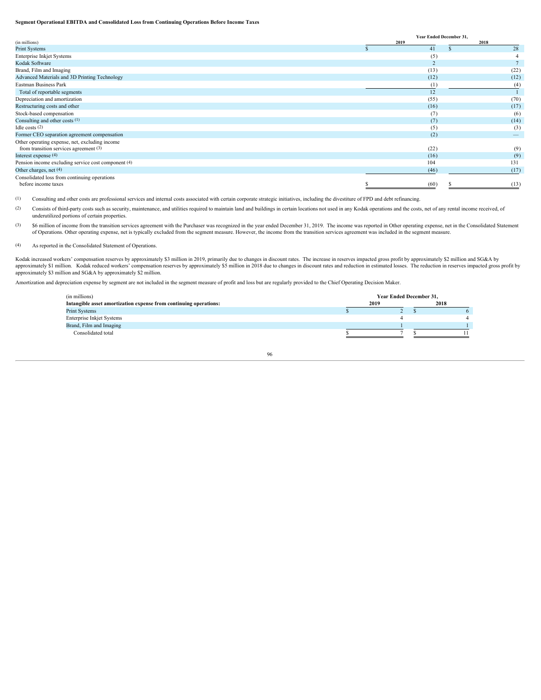#### **Segment Operational EBITDA and Consolidated Loss from Continuing Operations Before Income Taxes**

|                                                     |      | Year Ended December 31, |                          |
|-----------------------------------------------------|------|-------------------------|--------------------------|
| (in millions)                                       | 2019 |                         | 2018                     |
| Print Systems                                       |      | 41                      |                          |
| Enterprise Inkjet Systems                           |      | (5)                     |                          |
| Kodak Software                                      |      |                         |                          |
| Brand, Film and Imaging                             |      | (13)                    | (22)                     |
| Advanced Materials and 3D Printing Technology       |      | (12)                    | (12)                     |
| Eastman Business Park                               |      | (1)                     |                          |
| Total of reportable segments                        |      | 12                      |                          |
| Depreciation and amortization                       |      | (55)                    | (70)                     |
| Restructuring costs and other                       |      | (16)                    | (17)                     |
| Stock-based compensation                            |      | (7)                     | (6)                      |
| Consulting and other costs (1)                      |      | (7)                     | (14)                     |
| Idle costs $(2)$                                    |      | (5)                     | (3)                      |
| Former CEO separation agreement compensation        |      | (2)                     | $\overline{\phantom{a}}$ |
| Other operating expense, net, excluding income      |      |                         |                          |
| from transition services agreement (3)              |      | (22)                    | (9)                      |
| Interest expense (4)                                |      | (16)                    | (9)                      |
| Pension income excluding service cost component (4) |      | 104                     | 131                      |
| Other charges, net (4)                              |      | (46)                    | (17)                     |
| Consolidated loss from continuing operations        |      |                         |                          |
| before income taxes                                 |      | (60)                    |                          |

(1) Consulting and other costs are professional services and internal costs associated with certain corporate strategic initiatives, including the divestiture of FPD and debt refinancing.

(2) Consists of third-party costs such as security, maintenance, and utilities required to maintain land and buildings in certain locations not used in any Kodak operations and the costs, net of any rental income received, underutilized portions of certain properties.

(3) \$6 million of income from the transition services agreement with the Purchaser was recognized in the year ended December 31, 2019. The income was reported in Other operating expense, net in the Consolidated Statement of Operations. Other operating expense, net is typically excluded from the segment measure. However, the income from the transition services agreement was included in the segment measure.

# (4) As reported in the Consolidated Statement of Operations.

Kodak increased workers' compensation reserves by approximately \$3 million in 2019, primarily due to changes in discount rates. The increase in reserves impacted gross profit by approximately \$2 million and SG&A by approximately \$1 million. Kodak reduced workers' compensation reserves by approximately \$5 million in 2018 due to changes in discount rates and reduction in estimated losses. The reduction in reserves impacted gross profit approximately \$3 million and SG&A by approximately \$2 million.

Amortization and depreciation expense by segment are not included in the segment measure of profit and loss but are regularly provided to the Chief Operating Decision Maker.

| Year Ended December 31, |  |  |      |  |  |  |
|-------------------------|--|--|------|--|--|--|
| 2019                    |  |  | 2018 |  |  |  |
|                         |  |  |      |  |  |  |
|                         |  |  |      |  |  |  |
|                         |  |  |      |  |  |  |
|                         |  |  |      |  |  |  |
|                         |  |  |      |  |  |  |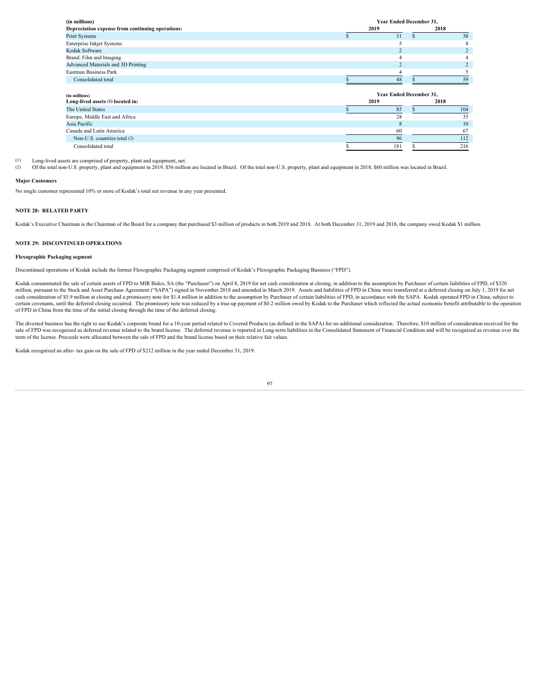| (in millions)                                    |      | Year Ended December 31, |      |     |  |  |  |
|--------------------------------------------------|------|-------------------------|------|-----|--|--|--|
| Depreciation expense from continuing operations: | 2019 |                         | 2018 |     |  |  |  |
| Print Systems                                    |      | 31                      |      | 38  |  |  |  |
| Enterprise Inkjet Systems                        |      |                         |      |     |  |  |  |
| Kodak Software                                   |      |                         |      |     |  |  |  |
| Brand, Film and Imaging                          |      |                         |      |     |  |  |  |
| Advanced Materials and 3D Printing               |      |                         |      |     |  |  |  |
| Eastman Business Park                            |      |                         |      |     |  |  |  |
| Consolidated total                               |      | 48                      |      |     |  |  |  |
|                                                  |      |                         |      |     |  |  |  |
| (in millions)                                    |      | Year Ended December 31, |      |     |  |  |  |
| Long-lived assets (1) located in:                | 2019 |                         | 2018 |     |  |  |  |
| The United States                                |      | 85                      |      | 104 |  |  |  |
| Europe, Middle East and Africa                   |      | 28                      |      | 35  |  |  |  |
| Asia Pacific                                     |      |                         |      | 10  |  |  |  |
| Canada and Latin America                         |      | 60                      |      | 67  |  |  |  |
|                                                  |      |                         |      |     |  |  |  |
| Non-U.S. countries total (2)                     |      | 96                      |      | 112 |  |  |  |

(1) Long-lived assets are comprised of property, plant and equipment, net.

(2) Of the total non-U.S. property, plant and equipment in 2019, \$56 million are located in Brazil. Of the total non-U.S. property, plant and equipment in 2018, \$60 million was located in Brazil.

#### **Major Customers**

No single customer represented 10% or more of Kodak's total net revenue in any year presented.

# **NOTE 28: RELATED PARTY**

Kodak's Executive Chairman is the Chairman of the Board for a company that purchased \$3 million of products in both 2019 and 2018. At both December 31, 2019 and 2018, the company owed Kodak \$1 million.

#### **NOTE 29: DISCONTINUED OPERATIONS**

# **Flexographic Packaging segment**

Discontinued operations of Kodak include the former Flexographic Packaging segment comprised of Kodak's Flexographic Packaging Business ("FPD").

Kodak consummated the sale of certain assets of FPD to MIR Bidco, SA (the "Purchaser") on April 8, 2019 for net cash consideration at closing, in addition to the assumption by Purchaser of certain liabilities of FPD, of \$3 million, pursuant to the Stock and Asset Purchase Agreement ("SAPA") signed in November 2018 and amended in March 2019. Assets and liabilities of FPD in China were transferred at a deferred closing on July 1, 2019 for net<br> certain covenants, until the deferred closing occurred. The promissory note was reduced by a true-up payment of \$0.2 million owed by Kodak to the Purchaser which reflected the actual economic benefit attributable to the op of FPD in China from the time of the initial closing through the time of the deferred closing.

The divested business has the right to use Kodak's corporate brand for a 10-year period related to Covered Products (as defined in the SAPA) for no additional consideration. Therefore, \$10 million of consideration received sale of FPD was recognized as deferred revenue related to the brand license. The deferred revenue is reported in Long-term liabilities in the Consolidated Statement of Financial Condition and will be recognized as revenue term of the license. Proceeds were allocated between the sale of FPD and the brand license based on their relative fair values.

Kodak recognized an after- tax gain on the sale of FPD of \$212 million in the year ended December 31, 2019.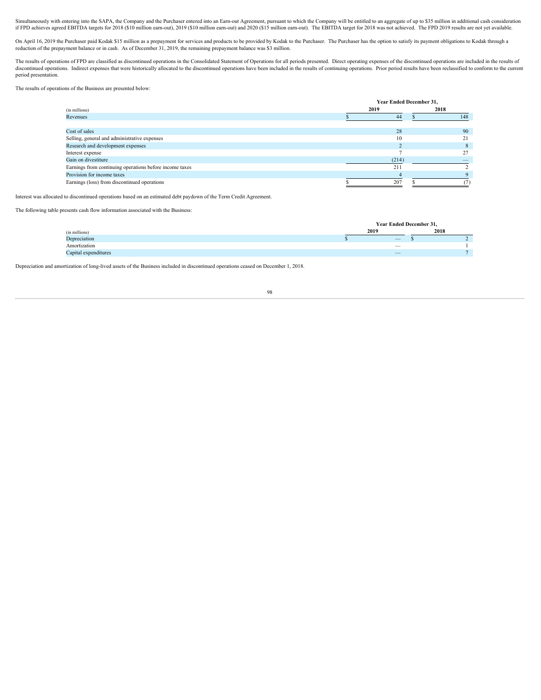Simultaneously with entering into the SAPA, the Company and the Purchaser entered into an Earn-out Agreement, pursuant to which the Company will be entitled to an aggregate of up to \$35 million in additional cash considera if FPD achieves agreed EBITDA targets for 2018 (\$10 million earn-out), 2019 (\$10 million earn-out) and 2020 (\$15 million earn-out). The EBITDA target for 2018 was not achieved. The FPD 2019 results are not yet available.

On April 16, 2019 the Purchaser paid Kodak \$15 million as a prepayment for services and products to be provided by Kodak to the Purchaser. The Purchaser has the option to satisfy its payment obligations to Kodak through a<br>

The results of operations of FPD are classified as discontinued operations in the Consolidated Statement of Operations for all periods presented. Direct operating expenses of the discontinued operations are included in the period presentation.

The results of operations of the Business are presented below:

|                                                         | Year Ended December 31, |      |  |  |
|---------------------------------------------------------|-------------------------|------|--|--|
| (in millions)                                           | 2019                    | 2018 |  |  |
| Revenues                                                |                         |      |  |  |
|                                                         |                         |      |  |  |
| Cost of sales                                           | 28                      | 90   |  |  |
| Selling, general and administrative expenses            |                         |      |  |  |
| Research and development expenses                       |                         |      |  |  |
| Interest expense                                        |                         |      |  |  |
| Gain on divestiture                                     | (214)                   |      |  |  |
| Earnings from continuing operations before income taxes | 211                     |      |  |  |
| Provision for income taxes                              |                         |      |  |  |
| Earnings (loss) from discontinued operations            | 207                     |      |  |  |

Interest was allocated to discontinued operations based on an estimated debt paydown of the Term Credit Agreement.

The following table presents cash flow information associated with the Business:

|                      | <b>Year Ended December 31.</b> |                          |      |  |
|----------------------|--------------------------------|--------------------------|------|--|
| (in millions)        |                                | 2019                     | 2018 |  |
| Depreciation         |                                | $\overline{\phantom{a}}$ |      |  |
| Amortization         |                                | $\overline{\phantom{a}}$ |      |  |
| Capital expenditures |                                | $\overline{\phantom{a}}$ |      |  |

Depreciation and amortization of long-lived assets of the Business included in discontinued operations ceased on December 1, 2018.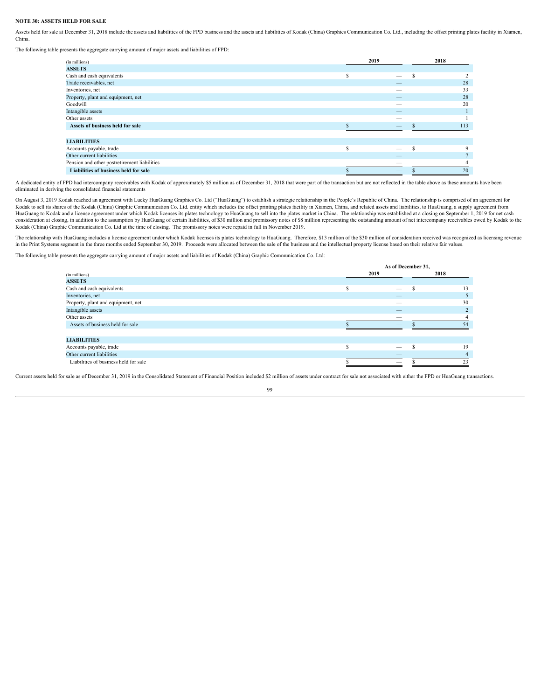#### **NOTE 30: ASSETS HELD FOR SALE**

Assets held for sale at December 31, 2018 include the assets and liabilities of the FPD business and the assets and liabilities of Kodak (China) Graphics Communication Co. Ltd., including the offset printing plates facilit China.

The following table presents the aggregate carrying amount of major assets and liabilities of FPD:

| (in millions)                                | 2019                            | 2018 |
|----------------------------------------------|---------------------------------|------|
| <b>ASSETS</b>                                |                                 |      |
| Cash and cash equivalents                    | $\overline{\phantom{0}}$        |      |
| Trade receivables, net                       |                                 | 28   |
| Inventories, net                             | $\hspace{0.1mm}-\hspace{0.1mm}$ | 33   |
| Property, plant and equipment, net           |                                 | 28   |
| Goodwill                                     |                                 | 20   |
| Intangible assets                            | $\overline{\phantom{m}}$        |      |
| Other assets                                 | $\hspace{0.1mm}-\hspace{0.1mm}$ |      |
| Assets of business held for sale             | -                               |      |
|                                              |                                 |      |
| <b>LIABILITIES</b>                           |                                 |      |
| Accounts payable, trade                      | $\overline{\phantom{0}}$        |      |
| Other current liabilities                    | $\hspace{0.1mm}-\hspace{0.1mm}$ |      |
| Pension and other postretirement liabilities | $\hspace{0.1mm}-\hspace{0.1mm}$ |      |
| Liabilities of business held for sale        | $\overline{\phantom{m}}$        |      |
|                                              |                                 |      |

A dedicated entity of FPD had intercompany receivables with Kodak of approximately \$5 million as of December 31, 2018 that were part of the transaction but are not reflected in the table above as these amounts have been eliminated in deriving the consolidated financial statements

On August 3, 2019 Kodak reached an agreement with Lucky HuaGuang Graphics Co. Ltd ("HuaGuang") to establish a strategic relationship in the People's Republic of China. The relationship is comprised of an agreement for Kodak to sell its shares of the Kodak (China) Graphic Communication Co. Ltd. entity which includes the offset printing plates facility in Xiamen, China, and related assets and liabilities, to HuaGuang, a supply agreement f HuaGuang to Kodak and a license agreement under which Kodak licenses its plates technology to HuaGuang to sell into the plates market in China. The relationship was established at a closing on September 1, 2019 for net cas

The relationship with HuaGuang includes a license agreement under which Kodak licenses its plates technology to HuaGuang. Therefore, \$13 million of the \$30 million of consideration received was recognized as licensing reve in the Print Systems segment in the three months ended September 30, 2019. Proceeds were allocated between the sale of the business and the intellectual property license based on their relative fair values.

The following table presents the aggregate carrying amount of major assets and liabilities of Kodak (China) Graphic Communication Co. Ltd:

|                                       | As of December 31, |                                 |      |  |  |  |
|---------------------------------------|--------------------|---------------------------------|------|--|--|--|
| (in millions)                         |                    | 2019                            | 2018 |  |  |  |
| <b>ASSETS</b>                         |                    |                                 |      |  |  |  |
| Cash and cash equivalents             |                    | $\overline{\phantom{a}}$        |      |  |  |  |
| Inventories, net                      |                    | $\hspace{0.1mm}-\hspace{0.1mm}$ |      |  |  |  |
| Property, plant and equipment, net    |                    | $\hspace{0.1mm}-\hspace{0.1mm}$ | 30   |  |  |  |
| Intangible assets                     |                    | $\hspace{0.1mm}-\hspace{0.1mm}$ |      |  |  |  |
| Other assets                          |                    |                                 |      |  |  |  |
| Assets of business held for sale      |                    | __                              |      |  |  |  |
|                                       |                    |                                 |      |  |  |  |
| <b>LIABILITIES</b>                    |                    |                                 |      |  |  |  |
| Accounts payable, trade               |                    | $\overline{\phantom{0}}$        | 19   |  |  |  |
| Other current liabilities             |                    |                                 |      |  |  |  |
| Liabilities of business held for sale |                    | $\overline{\phantom{a}}$        |      |  |  |  |

Current assets held for sale as of December 31, 2019 in the Consolidated Statement of Financial Position included \$2 million of assets under contract for sale not associated with either the FPD or HuaGuang transactions.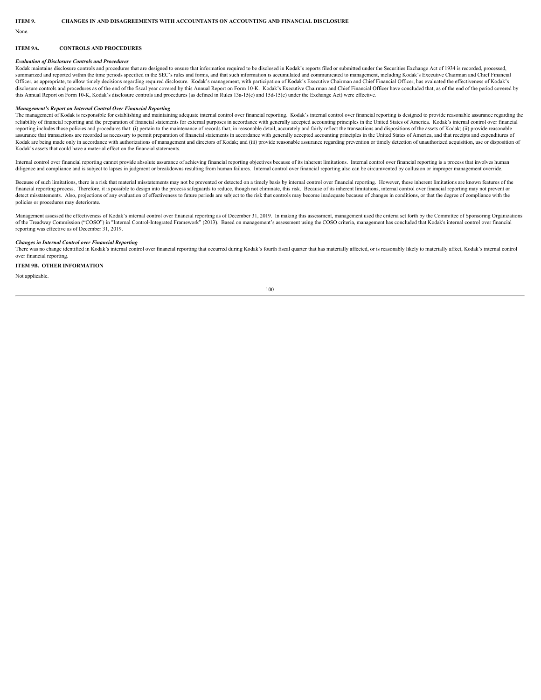None.

#### **ITEM 9A. CONTROLS AND PROCEDURES**

#### *Evaluation of Disclosure Controls and Procedures*

Kodak maintains disclosure controls and procedures that are designed to ensure that information required to be disclosed in Kodak's reports filed or submitted under the Securities Exchange Act of 1934 is recorded, processed, summarized and reported within the time periods specified in the SEC's rules and forms, and that such information is accumulated and communicated to management, including Kodak's Executive Chairman and Chief Financial Officer, as appropriate, to allow timely decisions regarding required disclosure. Kodak's management, with participation of Kodak's Executive Chairman and Chief Financial Officer, has evaluated the effectiveness of Kodak's disclosure controls and procedures as of the end of the fiscal year covered by this Annual Report on Form 10-K. Kodak's Executive Chairman and Chief Financial Officer have concluded that, as of the end of the period covere this Annual Report on Form 10-K, Kodak's disclosure controls and procedures (as defined in Rules 13a-15(e) and 15d-15(e) under the Exchange Act) were effective.

#### *Management's Report on Internal Control Over Financial Reporting*

The management of Kodak is responsible for establishing and maintaining adequate internal control over financial reporting. Kodak's internal control over financial reporting is designed to provide reasonable assurance rega reliability of financial reporting and the preparation of financial statements for external purposes in accordance with generally accepted accounting principles in the United States of America. Kodak's internal control ove reporting includes those policies and procedures that: (i) pertain to the maintenance of records that, in reasonable detail, accurately and fairly reflect the transactions and dispositions of the assets of Kodak; (ii) prov assurance that transactions are recorded as necessary to permit preparation of financial statements in accordance with generally accepted accounting principles in the United States of America, and that receipts and expendi Kodak are being made only in accordance with authorizations of management and directors of Kodak; and (iii) provide reasonable assurance regarding prevention or timely detection of mauthorized acquisition, use or dispositi Kodak's assets that could have a material effect on the financial statements.

Internal control over financial reporting cannot provide absolute assurance of achieving financial reporting objectives because of its inherent limitations. Internal control over financial reporting is a process that invol diligence and compliance and is subject to lapses in judgment or breakdowns resulting from human failures. Internal control over financial reporting also can be circumvented by collusion or improper management override.

Because of such limitations, there is a risk that material misstatements may not be prevented or detected on a timely basis by internal control over financial reporting. However, these inherent limitations are known featur financial reporting process. Therefore, it is possible to design into the process safeguards to reduce, though not eliminate, this risk. Because of its inherent limitations, internal control over financial reporting may no detect misstatements. Also, projections of any evaluation of effectiveness to future periods are subject to the risk that controls may become inadequate because of changes in conditions, or that the degree of compliance wi policies or procedures may deteriorate.

Management assessed the effectiveness of Kodak's internal control over financial reporting as of December 31, 2019. In making this assessment, management used the criteria set forth by the Committee of Sponsoring Organizat of the Treadway Commission ("COSO") in "Internal Control-Integrated Framework" (2013). Based on management's assessment using the COSO criteria, management has concluded that Kodak's internal control over financial reporting was effective as of December 31, 2019.

#### *Changes in Internal Control over Financial Reporting*

There was no change identified in Kodak's internal control over financial reporting that occurred during Kodak's fourth fiscal quarter that has materially affected, or is reasonably likely to materially affect, Kodak's int over financial reporting.

### **ITEM 9B. OTHER INFORMATION**

Not applicable.

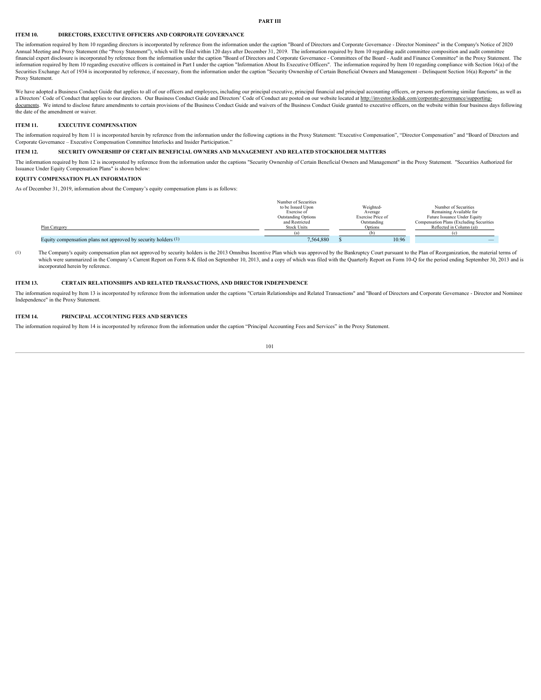## **PART III**

# **ITEM 10. DIRECTORS, EXECUTIVE OFFICERS AND CORPORATE GOVERNANCE**

The information required by Item 10 regarding directors is incorporated by reference from the information under the caption "Board of Directors and Corporate Governance - Director Nominees" in the Company's Notice of 2020 Annual Meeting and Proxy Statement (the "Proxy Statement"), which will be filed within 120 days after December 31, 2019. The information required by Item 10 regarding audit committee composition and audit committee financial expert disclosure is incorporated by reference from the information under the caption "Board of Directors and Corporate Governance - Committees of the Board - Audit and Finance Committee" in the Proxy Statement. information required by Item 10 regarding executive officers is contained in Part I under the caption "Information About Its Executive Officers". The information required by Item 10 regarding compliance with Section 16(a) Securities Exchange Act of 1934 is incorporated by reference, if necessary, from the information under the caption "Security Ownership of Certain Beneficial Owners and Management – Delinquent Section 16(a) Reports" in the Proxy Statement.

We have adopted a Business Conduct Guide that applies to all of our officers and employees, including our principal executive, principal financial and principal accounting officers, or persons performing similar functions, a Directors' Code of Conduct that applies to our directors. Our Business Conduct Guide and Directors' Code of Conduct are posted on our website located at http://investor.kodak.com/corporate-governance/supportingdocuments. We intend to disclose future amendments to certain provisions of the Business Conduct Guide and waivers of the Business Conduct Guide granted to executive officers, on the website within four business days follo the date of the amendment or waiver.

# **ITEM 11. EXECUTIVE COMPENSATION**

The information required by Item 11 is incorporated herein by reference from the information under the following captions in the Proxy Statement: "Executive Compensation", "Director Compensation" and "Board of Directors an Corporate Governance – Executive Compensation Committee Interlocks and Insider Participation."

# **ITEM 12. SECURITY OWNERSHIP OF CERTAIN BENEFICIAL OWNERS AND MANAGEMENT AND RELATED STOCKHOLDER MATTERS**

The information required by Item 12 is incorporated by reference from the information under the captions "Security Ownership of Certain Beneficial Owners and Management" in the Proxy Statement. "Securities Authorized for Issuance Under Equity Compensation Plans" is shown below:

# **EQUITY COMPENSATION PLAN INFORMATION**

As of December 31, 2019, information about the Company's equity compensation plans is as follows:

|                                                                | Number of Securities               |                   |                                          |
|----------------------------------------------------------------|------------------------------------|-------------------|------------------------------------------|
|                                                                | to be Issued Upon                  | Weighted          | Number of Securities                     |
|                                                                | Exercise of<br>Outstanding Options | Average           | Remaining Available for                  |
|                                                                |                                    | Exercise Price of | Future Issuance Under Equity             |
|                                                                | and Restricted                     | Outstanding       | Compensation Plans (Excluding Securities |
| Plan Category                                                  | <b>Stock Units</b>                 | Ontio.            | Reflected in Column (a))                 |
|                                                                |                                    |                   |                                          |
| Equity compensation plans not approved by security holders (1) | 7,564,880                          | 10.96             | $\overline{\phantom{a}}$                 |

(1) The Company's equity compensation plan not approved by security holders is the 2013 Omnibus Incentive Plan which was approved by the Bankruptcy Court pursuant to the Plan of Reorganization, the material terms of which were summarized in the Company's Current Report on Form 8-K filed on September 10, 2013, and a copy of which was filed with the Quarterly Report on Form 10-Q for the period ending September 30, 2013 and is incorporated herein by reference.

## **ITEM 13. CERTAIN RELATIONSHIPS AND RELATED TRANSACTIONS, AND DIRECTOR INDEPENDENCE**

The information required by Item 13 is incorporated by reference from the information under the captions "Certain Relationships and Related Transactions" and "Board of Directors and Corporate Governance - Director and Nomi Independence" in the Proxy Statement.

### **ITEM 14. PRINCIPAL ACCOUNTING FEES AND SERVICES**

The information required by Item 14 is incorporated by reference from the information under the caption "Principal Accounting Fees and Services" in the Proxy Statement.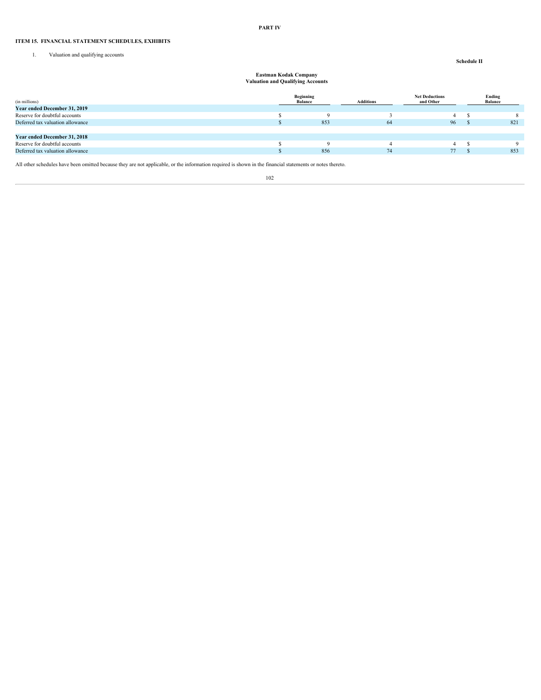#### **PART IV**

# **ITEM 15. FINANCIAL STATEMENT SCHEDULES, EXHIBITS**

1. Valuation and qualifying accounts

# **Schedule II**

# **Eastman Kodak Company Valuation and Qualifying Accounts**

|                                  | Beginning      |                  | <b>Net Deductions</b> | Ending         |
|----------------------------------|----------------|------------------|-----------------------|----------------|
| (in millions)                    | <b>Balance</b> | <b>Additions</b> | and Other             | <b>Balance</b> |
| Year ended December 31, 2019     |                |                  |                       |                |
| Reserve for doubtful accounts    |                |                  |                       |                |
| Deferred tax valuation allowance | 853            | 64               | 96                    | 821            |
|                                  |                |                  |                       |                |
| Year ended December 31, 2018     |                |                  |                       |                |
| Reserve for doubtful accounts    |                |                  |                       |                |
| Deferred tax valuation allowance | 856            | 74               | 77                    | 853            |
|                                  |                |                  |                       |                |

All other schedules have been omitted because they are not applicable, or the information required is shown in the financial statements or notes thereto.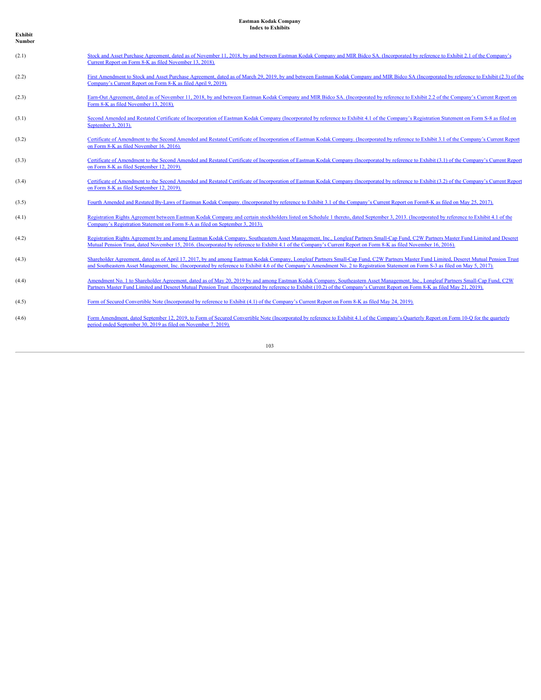**Exhibit Number**

| (2.1) | Stock and Asset Purchase Agreement, dated as of November 11, 2018, by and between Eastman Kodak Company and MIR Bidco SA. (Incorporated by reference to Exhibit 2.1 of the Company's<br>Current Report on Form 8-K as filed November 13, 2018).                                                                                                                               |
|-------|-------------------------------------------------------------------------------------------------------------------------------------------------------------------------------------------------------------------------------------------------------------------------------------------------------------------------------------------------------------------------------|
| (2.2) | First Amendment to Stock and Asset Purchase Agreement, dated as of March 29, 2019, by and between Eastman Kodak Company and MIR Bidco SA (Incorporated by reference to Exhibit (2.3) of the<br>Company's Current Report on Form 8-K as filed April 9, 2019).                                                                                                                  |
| (2.3) | Earn-Out Agreement, dated as of November 11, 2018, by and between Eastman Kodak Company and MIR Bidco SA. (Incorporated by reference to Exhibit 2.2 of the Company's Current Report on<br>Form 8-K as filed November 13, 2018).                                                                                                                                               |
| (3.1) | Second Amended and Restated Certificate of Incorporation of Eastman Kodak Company (Incorporated by reference to Exhibit 4.1 of the Company's Registration Statement on Form S-8 as filed on<br>September 3, 2013).                                                                                                                                                            |
| (3.2) | Certificate of Amendment to the Second Amended and Restated Certificate of Incorporation of Eastman Kodak Company. (Incorporated by reference to Exhibit 3.1 of the Company's Current Report<br>on Form 8-K as filed November 16, 2016).                                                                                                                                      |
| (3.3) | Certificate of Amendment to the Second Amended and Restated Certificate of Incorporation of Eastman Kodak Company (Incorporated by reference to Exhibit (3.1) of the Company's Current Report<br>on Form 8-K as filed September 12, 2019).                                                                                                                                    |
| (3.4) | Certificate of Amendment to the Second Amended and Restated Certificate of Incorporation of Eastman Kodak Company (Incorporated by reference to Exhibit (3.2) of the Company's Current Report<br>on Form 8-K as filed September 12, 2019).                                                                                                                                    |
| (3.5) | Fourth Amended and Restated By-Laws of Eastman Kodak Company. (Incorporated by reference to Exhibit 3.1 of the Company's Current Report on Form8-K as filed on May 25, 2017).                                                                                                                                                                                                 |
| (4.1) | Registration Rights Agreement between Eastman Kodak Company and certain stockholders listed on Schedule 1 thereto, dated September 3, 2013. (Incorporated by reference to Exhibit 4.1 of the<br>Company's Registration Statement on Form 8-A as filed on September 3, 2013).                                                                                                  |
| (4.2) | Registration Rights Agreement by and among Eastman Kodak Company, Southeastern Asset Management, Inc., Longleaf Partners Small-Cap Fund, C2W Partners Master Fund Limited and Deseret<br>Mutual Pension Trust, dated November 15, 2016. (Incorporated by reference to Exhibit 4.1 of the Company's Current Report on Form 8-K as filed November 16, 2016).                    |
| (4.3) | Shareholder Agreement, dated as of April 17, 2017, by and among Eastman Kodak Company, Longleaf Partners Small-Cap Fund, C2W Partners Master Fund Limited, Deseret Mutual Pension Trust<br>and Southeastern Asset Management, Inc. (Incorporated by reference to Exhibit 4.6 of the Company's Amendment No. 2 to Registration Statement on Form S-3 as filed on May 5, 2017). |
| (4.4) | Amendment No. 1 to Shareholder Agreement, dated as of May 20, 2019 by and among Eastman Kodak Company, Southeastern Asset Management, Inc., Longleaf Partners Small-Cap Fund, C2W<br>Partners Master Fund Limited and Deseret Mutual Pension Trust (Incorporated by reference to Exhibit (10.2) of the Company's Current Report on Form 8-K as filed May 21, 2019).           |
| (4.5) | Form of Secured Convertible Note (Incorporated by reference to Exhibit (4.1) of the Company's Current Report on Form 8-K as filed May 24, 2019).                                                                                                                                                                                                                              |
| (4.6) | Form Amendment, dated September 12, 2019, to Form of Secured Convertible Note (Incorporated by reference to Exhibit 4.1 of the Company's Quarterly Report on Form 10-O for the quarterly<br>period ended September 30, 2019 as filed on November 7, 2019).                                                                                                                    |
|       |                                                                                                                                                                                                                                                                                                                                                                               |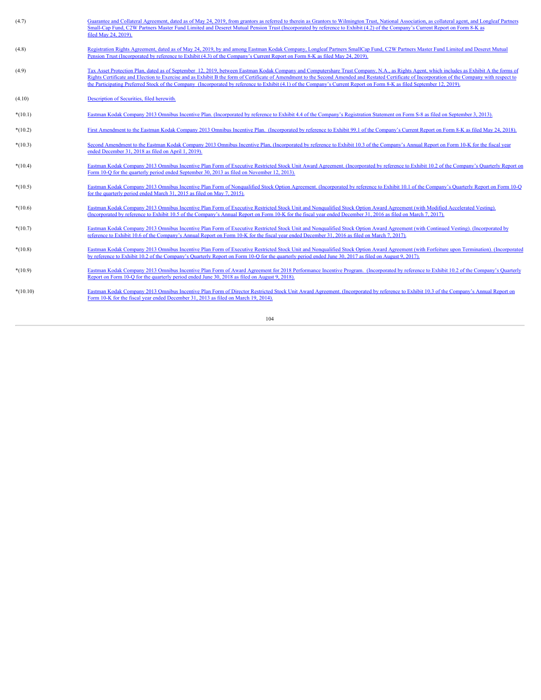| (4.7)      | Guarantee and Collateral Agreement, dated as of May 24, 2019, from grantors as referred to therein as Grantors to Wilmington Trust, National Association, as collateral agent, and Longleaf Partners<br>Small-Cap Fund, C2W Partners Master Fund Limited and Deseret Mutual Pension Trust (Incorporated by reference to Exhibit (4.2) of the Company's Current Report on Form 8-K as<br>filed May 24, 2019).                                                                                                                                                            |
|------------|-------------------------------------------------------------------------------------------------------------------------------------------------------------------------------------------------------------------------------------------------------------------------------------------------------------------------------------------------------------------------------------------------------------------------------------------------------------------------------------------------------------------------------------------------------------------------|
| (4.8)      | Registration Rights Agreement, dated as of May 24, 2019, by and among Eastman Kodak Company, Longleaf Partners SmallCap Fund, C2W Partners Master Fund Limited and Deseret Mutual<br>Pension Trust (Incorporated by reference to Exhibit (4.3) of the Company's Current Report on Form 8-K as filed May 24, 2019).                                                                                                                                                                                                                                                      |
| (4.9)      | Tax Asset Protection Plan, dated as of September 12, 2019, between Eastman Kodak Company and Computershare Trust Company, N.A., as Rights Agent, which includes as Exhibit A the forms of<br>Rights Certificate and Election to Exercise and as Exhibit B the form of Certificate of Amendment to the Second Amended and Restated Certificate of Incorporation of the Company with respect to<br>the Participating Preferred Stock of the Company (Incorporated by reference to Exhibit (4.1) of the Company's Current Report on Form 8-K as filed September 12, 2019). |
| (4.10)     | Description of Securities, filed herewith.                                                                                                                                                                                                                                                                                                                                                                                                                                                                                                                              |
| $*(10.1)$  | Eastman Kodak Company 2013 Omnibus Incentive Plan. (Incorporated by reference to Exhibit 4.4 of the Company's Registration Statement on Form S-8 as filed on September 3, 2013).                                                                                                                                                                                                                                                                                                                                                                                        |
| $*(10.2)$  | First Amendment to the Eastman Kodak Company 2013 Omnibus Incentive Plan. (Incorporated by reference to Exhibit 99.1 of the Company's Current Report on Form 8-K as filed May 24, 2018).                                                                                                                                                                                                                                                                                                                                                                                |
| $*(10.3)$  | Second Amendment to the Eastman Kodak Company 2013 Omnibus Incentive Plan, (Incorporated by reference to Exhibit 10.3 of the Company's Annual Report on Form 10-K for the fiscal year<br>ended December 31, 2018 as filed on April 1, 2019).                                                                                                                                                                                                                                                                                                                            |
| $*(10.4)$  | Eastman Kodak Company 2013 Omnibus Incentive Plan Form of Executive Restricted Stock Unit Award Agreement. (Incorporated by reference to Exhibit 10.2 of the Company's Quarterly Report on<br>Form 10-Q for the quarterly period ended September 30, 2013 as filed on November 12, 2013).                                                                                                                                                                                                                                                                               |
| $*(10.5)$  | Eastman Kodak Company 2013 Omnibus Incentive Plan Form of Nonqualified Stock Option Agreement. (Incorporated by reference to Exhibit 10.1 of the Company's Quarterly Report on Form 10-O<br>for the quarterly period ended March 31, 2015 as filed on May 7, 2015).                                                                                                                                                                                                                                                                                                     |
| $*(10.6)$  | Eastman Kodak Company 2013 Omnibus Incentive Plan Form of Executive Restricted Stock Unit and Nonqualified Stock Option Award Agreement (with Modified Accelerated Vesting).<br>(Incorporated by reference to Exhibit 10.5 of the Company's Annual Report on Form 10-K for the fiscal year ended December 31, 2016 as filed on March 7, 2017).                                                                                                                                                                                                                          |
| $*(10.7)$  | Eastman Kodak Company 2013 Omnibus Incentive Plan Form of Executive Restricted Stock Unit and Nonqualified Stock Option Award Agreement (with Continued Vesting). (Incorporated by<br>reference to Exhibit 10.6 of the Company's Annual Report on Form 10-K for the fiscal year ended December 31, 2016 as filed on March 7, 2017).                                                                                                                                                                                                                                     |
| $*(10.8)$  | Eastman Kodak Company 2013 Omnibus Incentive Plan Form of Executive Restricted Stock Unit and Nonqualified Stock Option Award Agreement (with Forfeiture upon Termination). (Incorporated<br>by reference to Exhibit 10.2 of the Company's Quarterly Report on Form 10-Q for the quarterly period ended June 30, 2017 as filed on August 9, 2017).                                                                                                                                                                                                                      |
| $*(10.9)$  | Eastman Kodak Company 2013 Omnibus Incentive Plan Form of Award Agreement for 2018 Performance Incentive Program. (Incorporated by reference to Exhibit 10.2 of the Company's Quarterly<br>Report on Form 10-O for the quarterly period ended June 30, 2018 as filed on August 9, 2018).                                                                                                                                                                                                                                                                                |
| $*(10.10)$ | Eastman Kodak Company 2013 Omnibus Incentive Plan Form of Director Restricted Stock Unit Award Agreement. (Incorporated by reference to Exhibit 10.3 of the Company's Annual Report on<br>Form 10-K for the fiscal year ended December 31, 2013 as filed on March 19, 2014).                                                                                                                                                                                                                                                                                            |
|            |                                                                                                                                                                                                                                                                                                                                                                                                                                                                                                                                                                         |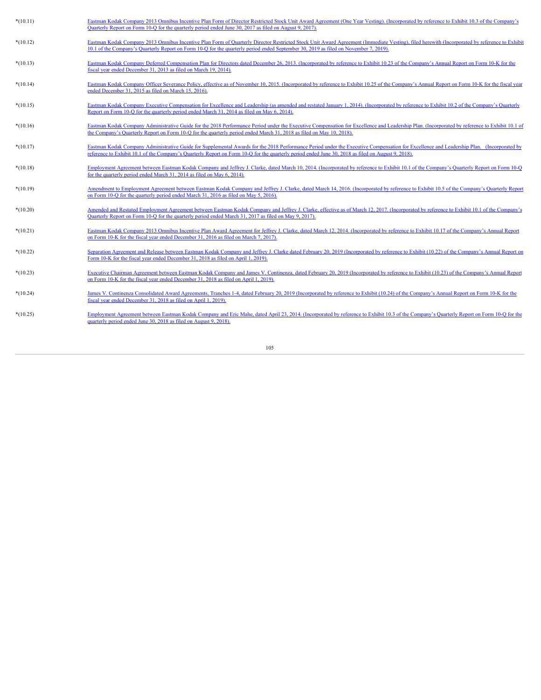| $*(10.11)$ | Eastman Kodak Company 2013 Omnibus Incentive Plan Form of Director Restricted Stock Unit Award Agreement (One Year Vesting). (Incorporated by reference to Exhibit 10.3 of the Company's<br>Ouarterly Report on Form 10-Q for the quarterly period ended June 30, 2017 as filed on August 9, 2017).                                            |
|------------|------------------------------------------------------------------------------------------------------------------------------------------------------------------------------------------------------------------------------------------------------------------------------------------------------------------------------------------------|
| $*(10.12)$ | Eastman Kodak Company 2013 Omnibus Incentive Plan Form of Quarterly Director Restricted Stock Unit Award Agreement (Immediate Vesting), filed herewith (Incorporated by reference to Exhibit<br>10.1 of the Company's Quarterly Report on Form 10-Q for the quarterly period ended September 30, 2019 as filed on November 7, 2019).           |
| $*(10.13)$ | Eastman Kodak Company Deferred Compensation Plan for Directors dated December 26, 2013. (Incorporated by reference to Exhibit 10.23 of the Company's Annual Report on Form 10-K for the<br>fiscal year ended December 31, 2013 as filed on March 19, 2014).                                                                                    |
| $*(10.14)$ | Eastman Kodak Company Officer Severance Policy, effective as of November 10, 2015. (Incorporated by reference to Exhibit 10.25 of the Company's Annual Report on Form 10-K for the fiscal year<br>ended December 31, 2015 as filed on March 15, 2016).                                                                                         |
| $*(10.15)$ | Eastman Kodak Company Executive Compensation for Excellence and Leadership (as amended and restated January 1, 2014). (Incorporated by reference to Exhibit 10.2 of the Company's Ouarterly<br>Report on Form 10-Q for the quarterly period ended March 31, 2014 as filed on May 6, 2014).                                                     |
| $*(10.16)$ | Eastman Kodak Company Administrative Guide for the 2018 Performance Period under the Executive Compensation for Excellence and Leadership Plan. (Incorporated by reference to Exhibit 10.1 of<br>the Company's Quarterly Report on Form 10-Q for the quarterly period ended March 31, 2018 as filed on May 10, 2018).                          |
| $*(10.17)$ | Eastman Kodak Company Administrative Guide for Supplemental Awards for the 2018 Performance Period under the Executive Compensation for Excellence and Leadership Plan. (Incorporated by<br>reference to Exhibit 10.1 of the Company's Quarterly Report on Form 10-Q for the quarterly period ended June 30, 2018 as filed on August 9, 2018). |
| $*(10.18)$ | Employment Agreement between Eastman Kodak Company and Jeffrey J. Clarke, dated March 10, 2014. (Incorporated by reference to Exhibit 10.1 of the Company's Quarterly Report on Form 10-Q<br>for the quarterly period ended March 31, 2014 as filed on May 6, 2014).                                                                           |
| $*(10.19)$ | Amendment to Employment Agreement between Eastman Kodak Company and Jeffrey J. Clarke, dated March 14, 2016. (Incorporated by reference to Exhibit 10.5 of the Company's Quarterly Report<br>on Form 10-O for the quarterly period ended March 31, 2016 as filed on May 5, 2016).                                                              |
| $*(10.20)$ | Amended and Restated Employment Agreement between Eastman Kodak Company and Jeffrey J. Clarke, effective as of March 12, 2017. (Incorporated by reference to Exhibit 10.1 of the Company's<br>Quarterly Report on Form 10-Q for the quarterly period ended March 31, 2017 as filed on May 9, 2017).                                            |
| $*(10.21)$ | Eastman Kodak Company 2013 Omnibus Incentive Plan Award Agreement for Jeffrey J. Clarke, dated March 12, 2014. (Incorporated by reference to Exhibit 10.17 of the Company's Annual Report<br>on Form 10-K for the fiscal year ended December 31, 2016 as filed on March 7, 2017).                                                              |
| $*(10.22)$ | Separation Agreement and Release between Eastman Kodak Company and Jeffrey J. Clarke dated February 20, 2019 (Incorporated by reference to Exhibit (10.22) of the Company's Annual Report on<br>Form 10-K for the fiscal year ended December 31, 2018 as filed on April 1, 2019).                                                              |
| $*(10.23)$ | Executive Chairman Agreement between Eastman Kodak Company and James V. Continenza, dated February 20, 2019 (Incorporated by reference to Exhibit (10.23) of the Company's Annual Report<br>on Form 10-K for the fiscal year ended December 31, 2018 as filed on April 1, 2019).                                                               |
| $*(10.24)$ | James V. Continenza Consolidated Award Agreements, Tranches 1-4, dated February 20, 2019 (Incorporated by reference to Exhibit (10.24) of the Company's Annual Report on Form 10-K for the<br>fiscal year ended December 31, 2018 as filed on April 1, 2019).                                                                                  |
| $*(10.25)$ | Employment Agreement between Eastman Kodak Company and Eric Mahe, dated April 23, 2014. (Incorporated by reference to Exhibit 10.3 of the Company's Quarterly Report on Form 10-Q for the<br>quarterly period ended June 30, 2018 as filed on August 9, 2018).                                                                                 |
|            |                                                                                                                                                                                                                                                                                                                                                |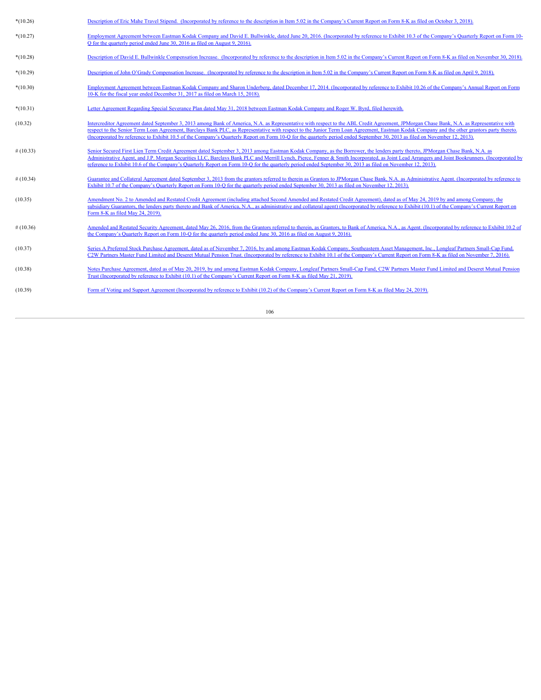| $*(10.26)$  | Description of Eric Mahe Travel Stipend. (Incorporated by reference to the description in Item 5.02 in the Company's Current Report on Form 8-K as filed on October 3, 2018).                                                                                                                                                                                                                                                                                                                                                                                          |
|-------------|------------------------------------------------------------------------------------------------------------------------------------------------------------------------------------------------------------------------------------------------------------------------------------------------------------------------------------------------------------------------------------------------------------------------------------------------------------------------------------------------------------------------------------------------------------------------|
| $*(10.27)$  | Employment Agreement between Eastman Kodak Company and David E. Bullwinkle, dated June 20, 2016. (Incorporated by reference to Exhibit 10.3 of the Company's Ouarterly Report on Form 10-<br>O for the quarterly period ended June 30, 2016 as filed on August 9, 2016).                                                                                                                                                                                                                                                                                               |
| $*(10.28)$  | Description of David E. Bullwinkle Compensation Increase. (Incorporated by reference to the description in Item 5.02 in the Company's Current Report on Form 8-K as filed on November 30, 2018).                                                                                                                                                                                                                                                                                                                                                                       |
| $*(10.29)$  | Description of John O'Grady Compensation Increase. (Incorporated by reference to the description in Item 5.02 in the Company's Current Report on Form 8-K as filed on April 9, 2018).                                                                                                                                                                                                                                                                                                                                                                                  |
| $*(10.30)$  | Employment Agreement between Eastman Kodak Company and Sharon Underberg, dated December 17, 2014. (Incorporated by reference to Exhibit 10.26 of the Company's Annual Report on Form<br>10-K for the fiscal year ended December 31, 2017 as filed on March 15, 2018).                                                                                                                                                                                                                                                                                                  |
| $*(10.31)$  | Letter Agreement Regarding Special Severance Plan dated May 31, 2018 between Eastman Kodak Company and Roger W. Byrd, filed herewith                                                                                                                                                                                                                                                                                                                                                                                                                                   |
| (10.32)     | Intercreditor Agreement dated September 3, 2013 among Bank of America, N.A. as Representative with respect to the ABL Credit Agreement, JPMorgan Chase Bank, N.A. as Representative with<br>respect to the Senior Term Loan Agreement, Barclays Bank PLC, as Representative with respect to the Junior Term Loan Agreement, Eastman Kodak Company and the other grantors party thereto.<br>(Incorporated by reference to Exhibit 10.5 of the Company's Quarterly Report on Form 10-Q for the quarterly period ended September 30, 2013 as filed on November 12, 2013). |
| #(10.33)    | Senior Secured First Lien Term Credit Agreement dated September 3, 2013 among Eastman Kodak Company, as the Borrower, the lenders party thereto, JPMorgan Chase Bank, N.A. as<br>Administrative Agent, and J.P. Morgan Securities LLC. Barclays Bank PLC and Merrill Lynch. Pierce, Fenner & Smith Incorporated, as Joint Lead Arrangers and Joint Bookrunners. (Incorporated by<br>reference to Exhibit 10.6 of the Company's Quarterly Report on Form 10-Q for the quarterly period ended September 30, 2013 as filed on November 12, 2013).                         |
| #(10.34)    | Guarantee and Collateral Agreement dated September 3, 2013 from the grantors referred to therein as Grantors to JPMorgan Chase Bank, N.A. as Administrative Agent. (Incorporated by reference to<br>Exhibit 10.7 of the Company's Quarterly Report on Form 10-Q for the quarterly period ended September 30, 2013 as filed on November 12, 2013).                                                                                                                                                                                                                      |
| (10.35)     | Amendment No. 2 to Amended and Restated Credit Agreement (including attached Second Amended and Restated Credit Agreement), dated as of May 24, 2019 by and among Company, the<br>subsidiary Guarantors, the lenders party thereto and Bank of America, N.A., as administrative and collateral agent) (Incorporated by reference to Exhibit (10.1) of the Company's Current Report on<br>Form 8-K as filed May 24, 2019).                                                                                                                                              |
| $\#(10.36)$ | Amended and Restated Security Agreement, dated May 26, 2016, from the Grantors referred to therein, as Grantors, to Bank of America, N.A., as Agent. (Incorporated by reference to Exhibit 10.2 of<br>the Company's Quarterly Report on Form 10-Q for the quarterly period ended June 30, 2016 as filed on August 9, 2016).                                                                                                                                                                                                                                            |
| (10.37)     | Series A Preferred Stock Purchase Agreement, dated as of November 7, 2016, by and among Eastman Kodak Company, Southeastern Asset Management, Inc., Longleaf Partners Small-Cap Fund<br>C2W Partners Master Fund Limited and Deseret Mutual Pension Trust. (Incorporated by reference to Exhibit 10.1 of the Company's Current Report on Form 8-K as filed on November 7, 2016).                                                                                                                                                                                       |
| (10.38)     | Notes Purchase Agreement, dated as of May 20, 2019, by and among Eastman Kodak Company, Longleaf Partners Small-Cap Fund, C2W Partners Master Fund Limited and Deseret Mutual Pension<br>Trust (Incorporated by reference to Exhibit (10.1) of the Company's Current Report on Form 8-K as filed May 21, 2019).                                                                                                                                                                                                                                                        |
| (10.39)     | Form of Voting and Support Agreement (Incorporated by reference to Exhibit (10.2) of the Company's Current Report on Form 8-K as filed May 24, 2019).                                                                                                                                                                                                                                                                                                                                                                                                                  |
|             | 106                                                                                                                                                                                                                                                                                                                                                                                                                                                                                                                                                                    |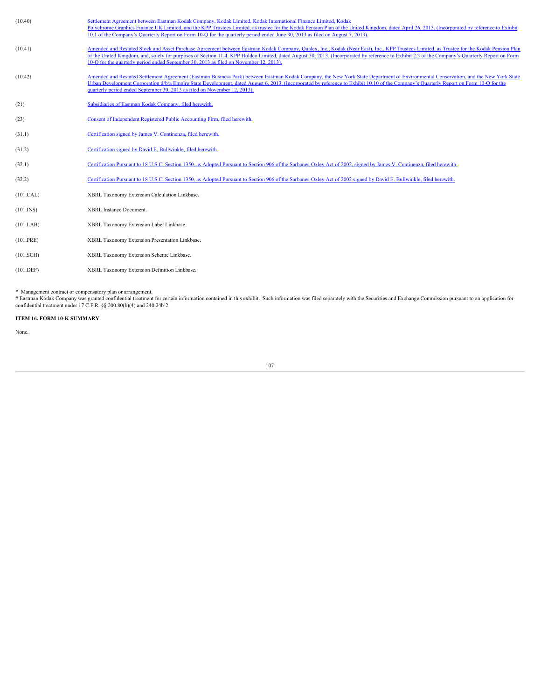| (10.40)         | Settlement Agreement between Eastman Kodak Company, Kodak Limited, Kodak International Finance Limited, Kodak<br>Polychrome Graphics Finance UK Limited, and the KPP Trustees Limited, as trustee for the Kodak Pension Plan of the United Kingdom, dated April 26, 2013. (Incorporated by reference to Exhibit<br>10.1 of the Company's Quarterly Report on Form 10-Q for the quarterly period ended June 30, 2013 as filed on August 7, 2013).                                       |
|-----------------|----------------------------------------------------------------------------------------------------------------------------------------------------------------------------------------------------------------------------------------------------------------------------------------------------------------------------------------------------------------------------------------------------------------------------------------------------------------------------------------|
| (10.41)         | Amended and Restated Stock and Asset Purchase Agreement between Eastman Kodak Company, Qualex, Inc., Kodak (Near East), Inc., KPP Trustees Limited, as Trustee for the Kodak Pension Plan<br>of the United Kingdom, and, solely for purposes of Section 11.4, KPP Holdco Limited, dated August 30, 2013. (Incorporated by reference to Exhibit 2.3 of the Company's Quarterly Report on Form<br>10-O for the quarterly period ended September 30, 2013 as filed on November 12, 2013). |
| (10.42)         | Amended and Restated Settlement Agreement (Eastman Business Park) between Eastman Kodak Company, the New York State Department of Environmental Conservation, and the New York State<br>Urban Development Corporation d/b/a Empire State Development, dated August 6, 2013. (Incorporated by reference to Exhibit 10.10 of the Company's Quarterly Report on Form 10-Q for the<br>quarterly period ended September 30, 2013 as filed on November 12, 2013).                            |
| (21)            | Subsidiaries of Eastman Kodak Company, filed herewith.                                                                                                                                                                                                                                                                                                                                                                                                                                 |
| (23)            | Consent of Independent Registered Public Accounting Firm, filed herewith.                                                                                                                                                                                                                                                                                                                                                                                                              |
| (31.1)          | Certification signed by James V. Continenza, filed herewith.                                                                                                                                                                                                                                                                                                                                                                                                                           |
| (31.2)          | Certification signed by David E. Bullwinkle, filed herewith.                                                                                                                                                                                                                                                                                                                                                                                                                           |
| (32.1)          | Certification Pursuant to 18 U.S.C. Section 1350, as Adopted Pursuant to Section 906 of the Sarbanes-Oxley Act of 2002, signed by James V. Continenza, filed herewith.                                                                                                                                                                                                                                                                                                                 |
| (32.2)          | Certification Pursuant to 18 U.S.C. Section 1350, as Adopted Pursuant to Section 906 of the Sarbanes-Oxley Act of 2002 signed by David E. Bullwinkle, filed herewith.                                                                                                                                                                                                                                                                                                                  |
| (101.CAL)       | XBRL Taxonomy Extension Calculation Linkbase.                                                                                                                                                                                                                                                                                                                                                                                                                                          |
| $(101.$ INS $)$ | <b>XBRL</b> Instance Document                                                                                                                                                                                                                                                                                                                                                                                                                                                          |
| (101.LAB)       | XBRL Taxonomy Extension Label Linkbase.                                                                                                                                                                                                                                                                                                                                                                                                                                                |
| (101.PRE)       | XBRL Taxonomy Extension Presentation Linkbase.                                                                                                                                                                                                                                                                                                                                                                                                                                         |
| (101.SCH)       | XBRL Taxonomy Extension Scheme Linkbase.                                                                                                                                                                                                                                                                                                                                                                                                                                               |
| (101.DEF)       | XBRL Taxonomy Extension Definition Linkbase.                                                                                                                                                                                                                                                                                                                                                                                                                                           |
|                 |                                                                                                                                                                                                                                                                                                                                                                                                                                                                                        |

\* Management contract or compensatory plan or arrangement.<br># Eastman Kodak Company was granted confidential treatment for certain information contained in this exhibit. Such information was filed separately with the Securi

# **ITEM 16. FORM 10-K SUMMARY**

None.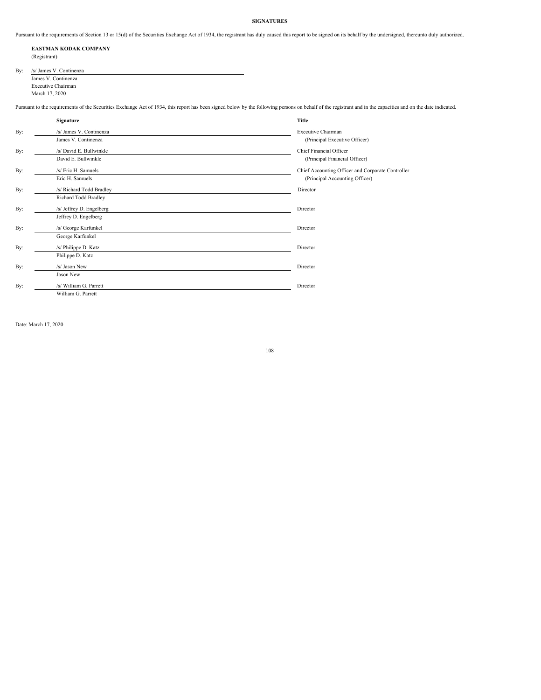# **SIGNATURES**

Pursuant to the requirements of Section 13 or 15(d) of the Securities Exchange Act of 1934, the registrant has duly caused this report to be signed on its behalf by the undersigned, thereunto duly authorized.

## **EASTMAN KODAK COMPANY** (Registrant)

| By: | /s/ James V. Continenza |
|-----|-------------------------|
|     | James V. Continenza     |
|     | Executive Chairman      |
|     |                         |
|     |                         |

Pursuant to the requirements of the Securities Exchange Act of 1934, this report has been signed below by the following persons on behalf of the registrant and in the capacities and on the date indicated.

|     | Signature                | Title                                             |
|-----|--------------------------|---------------------------------------------------|
| By: | /s/ James V. Continenza  | <b>Executive Chairman</b>                         |
|     | James V. Continenza      | (Principal Executive Officer)                     |
| By: | /s/ David E. Bullwinkle  | Chief Financial Officer                           |
|     | David E. Bullwinkle      | (Principal Financial Officer)                     |
| By: | /s/ Eric H. Samuels      | Chief Accounting Officer and Corporate Controller |
|     | Eric H. Samuels          | (Principal Accounting Officer)                    |
| By: | /s/ Richard Todd Bradley | Director                                          |
|     | Richard Todd Bradley     |                                                   |
| By: | /s/ Jeffrey D. Engelberg | Director                                          |
|     | Jeffrey D. Engelberg     |                                                   |
| By: | /s/ George Karfunkel     | Director                                          |
|     | George Karfunkel         |                                                   |
| By: | /s/ Philippe D. Katz     | Director                                          |
|     | Philippe D. Katz         |                                                   |
| By: | /s/ Jason New            | Director                                          |
|     | Jason New                |                                                   |
| By: | /s/ William G. Parrett   | Director                                          |
|     | William G. Parrett       |                                                   |

Date: March 17, 2020

108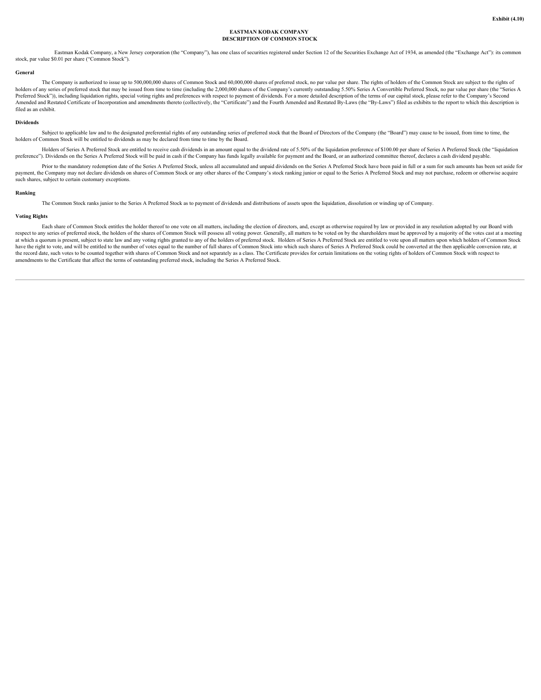# **EASTMAN KODAK COMPANY DESCRIPTION OF COMMON STOCK**

Eastman Kodak Company, a New Jersey corporation (the "Company"), has one class of securities registered under Section 12 of the Securities Exchange Act of 1934, as amended (the "Exchange Act"): its common stock, par value \$0.01 per share ("Common Stock").

### **General**

The Company is authorized to issue up to 500,000,000 shares of Common Stock and 60,000,000 shares of preferred stock, no par value per share. The rights of holders of the Common Stock are subject to the rights of holders of any series of preferred stock that may be issued from time to time (including the 2,000,000 shares of the Company's currently outstanding 5.50% Series A Convertible Preferred Stock, no par value per share (the " Preferred Stock")), including liquidation rights, special voting rights and preferences with respect to payment of dividends. For a more detailed description of the terms of our capital stock, please refer to the Company's Amended and Restated Certificate of Incorporation and amendments thereto (collectively, the "Certificate") and the Fourth Amended and Restated By-Laws (the "By-Laws") filed as exhibits to the report to which this descripti filed as an exhibit.

#### **Dividends**

Subject to applicable law and to the designated preferential rights of any outstanding series of preferred stock that the Board of Directors of the Company (the "Board") may cause to be issued, from time to time, the holders of Common Stock will be entitled to dividends as may be declared from time to time by the Board.

Holders of Series A Preferred Stock are entitled to receive cash dividends in an amount equal to the dividend rate of 5.50% of the liquidation preference of \$100.00 per share of Series A Preferred Stock (the "liquidation preference"). Dividends on the Series A Preferred Stock will be paid in cash if the Company has funds legally available for payment and the Board, or an authorized committee thereof, declares a cash dividend payable.

Prior to the mandatory redemption date of the Series A Preferred Stock, unless all accumulated and unpaid dividends on the Series A Preferred Stock have been paid in full or a sum for such amounts has been set aside for payment, the Company may not declare dividends on shares of Common Stock or any other shares of the Company's stock ranking junior or equal to the Series A Preferred Stock and may not purchase, redeem or otherwise acquire such shares, subject to certain customary exceptions.

#### **Ranking**

The Common Stock ranks junior to the Series A Preferred Stock as to payment of dividends and distributions of assets upon the liquidation, dissolution or winding up of Company.

#### **Voting Rights**

Each share of Common Stock entitles the holder thereof to one vote on all matters, including the election of directors, and, except as otherwise required by law or provided in any resolution adopted by our Board with respect to any series of preferred stock, the holders of the shares of Common Stock will possess all voting power. Generally, all matters to be voted on by the shareholders must be approved by a majority of the votes cast at which a quorum is present, subject to state law and any voting rights granted to any of the holders of preferred stock. Holders of Series A Preferred Stock are entitled to vote upon all matters upon which holders of Com have the right to vote, and will be entitled to the number of votes equal to the number of full shares of Common Stock into which such shares of Series A Preferred Stock could be converted at the then applicable conversion the record date, such votes to be counted together with shares of Common Stock and not separately as a class. The Certificate provides for certain limitations on the voting rights of holders of Common Stock with respect to amendments to the Certificate that affect the terms of outstanding preferred stock, including the Series A Preferred Stock.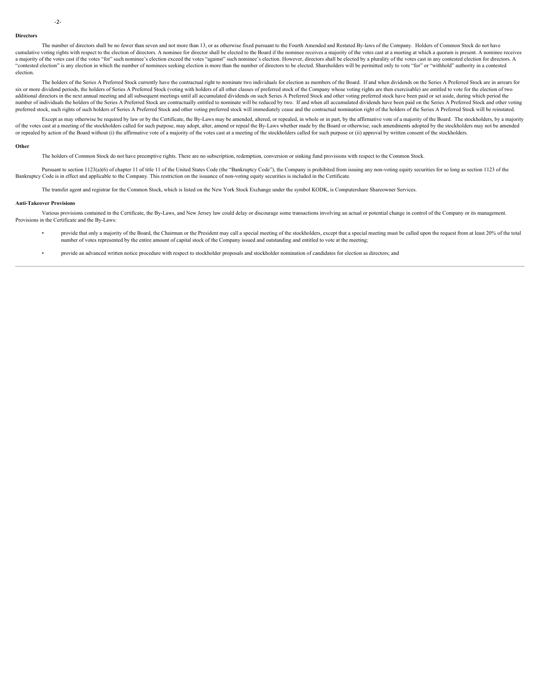#### **Directors**

The number of directors shall be no fewer than seven and not more than 13, or as otherwise fixed pursuant to the Fourth Amended and Restated By-laws of the Company. Holders of Common Stock do not have cumulative voting rights with respect to the election of directors. A nominee for director shall be elected to the Board if the nominee receives a majority of the votes cast at a meeting at which a quorum is present. A nom a majority of the votes cast if the votes "for" such nominee's election exceed the votes "against" such nominee's election. However, directors shall be elected by a plurality of the votes cast in any contested election for 'contested election" is any election in which the number of nominees seeking election is more than the number of directors to be elected. Shareholders will be permitted only to vote "for" or "withhold" authority in a conte election.

The holders of the Series A Preferred Stock currently have the contractual right to nominate two individuals for election as members of the Board. If and when dividends on the Series A Preferred Stock are in arrears for six or more dividend periods, the holders of Series A Preferred Stock (voting with holders of all other classes of preferred stock of the Company whose voting rights are then exercisable) are entitled to vote for the elect additional directors in the next annual meeting and all subsequent meetings until all accumulated dividends on such Series A Preferred Stock and other voting preferred stock have been paid or set aside, during which period number of individuals the holders of the Series A Preferred Stock are contractually entitled to nominate will be reduced by two. If and when all accumulated dividends have been paid on the Series A Preferred Stock and othe preferred stock, such rights of such holders of Series A Preferred Stock and other voting preferred stock will immediately cease and the contractual nomination right of the holders of the Series A Preferred Stock will be r

Except as may otherwise be required by law or by the Certificate, the By-Laws may be amended, altered, or repealed, in whole or in part, by the affirmative vote of a majority of the Board. The stockholders, by a majority of the votes cast at a meeting of the stockholders called for such purpose, may adopt, alter, amend or repeal the By-Laws whether made by the Board or otherwise; such amendments adopted by the stockholders may not be amend or repealed by action of the Board without (i) the affirmative vote of a majority of the votes cast at a meeting of the stockholders called for such purpose or (ii) approval by written consent of the stockholders.

#### **Other**

The holders of Common Stock do not have preemptive rights. There are no subscription, redemption, conversion or sinking fund provisions with respect to the Common Stock.

Pursuant to section 1123(a)(6) of chapter 11 of title 11 of the United States Code (the "Bankruptcy Code"), the Company is prohibited from issuing any non-voting equity securities for so long as section 1123 of the Bankruptcy Code is in effect and applicable to the Company. This restriction on the issuance of non-voting equity securities is included in the Certificate.

The transfer agent and registrar for the Common Stock, which is listed on the New York Stock Exchange under the symbol KODK, is Computershare Shareowner Services.

#### **Anti-Takeover Provisions**

Various provisions contained in the Certificate, the By-Laws, and New Jersey law could delay or discourage some transactions involving an actual or potential change in control of the Company or its management. Provisions in the Certificate and the By-Laws:

- provide that only a majority of the Board, the Chairman or the President may call a special meeting of the stockholders, except that a special meeting must be called upon the request from at least 20% of the total number of votes represented by the entire amount of capital stock of the Company issued and outstanding and entitled to vote at the meeting;
- provide an advanced written notice procedure with respect to stockholder proposals and stockholder nomination of candidates for election as directors; and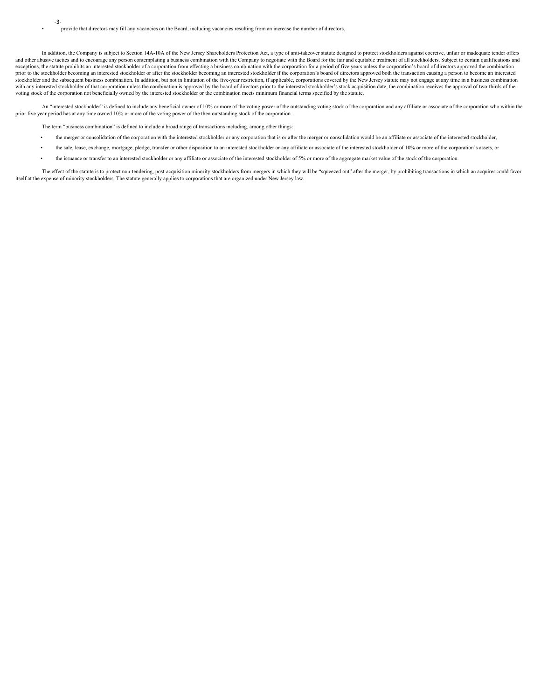In addition, the Company is subject to Section 14A-10A of the New Jersey Shareholders Protection Act, a type of anti-takeover statute designed to protect stockholders against coercive, unfair or inadequate tender offers and other abusive tactics and to encourage any person contemplating a business combination with the Company to negotiate with the Board for the fair and equitable treatment of all stockholders. Subject to certain qualifica exceptions, the statute prohibits an interested stockholder of a corporation from effecting a business combination with the corporation for a period of five years unless the corporation's board of directors approved the co prior to the stockholder becoming an interested stockholder or after the stockholder becoming an interested stockholder if the corporation's board of directors approved both the transaction causing a person to become an in stockholder and the subsequent business combination. In addition, but not in limitation of the five-year restriction, if applicable, corporations covered by the New Jersey statute may not engage at any time in a business c with any interested stockholder of that corporation unless the combination is approved by the board of directors prior to the interested stockholder's stock acquisition date, the combination receives the approval of two-th voting stock of the corporation not beneficially owned by the interested stockholder or the combination meets minimum financial terms specified by the statute.

An "interested stockholder" is defined to include any beneficial owner of 10% or more of the voting power of the outstanding voting stock of the corporation and any affiliate or associate of the corporation who within the prior five year period has at any time owned 10% or more of the voting power of the then outstanding stock of the corporation.

The term "business combination" is defined to include a broad range of transactions including, among other things:

- the merger or consolidation of the corporation with the interested stockholder or any corporation that is or after the merger or consolidation would be an affiliate or associate of the interested stockholder,
- the sale, lease, exchange, mortgage, pledge, transfer or other disposition to an interested stockholder or any affiliate or associate of the interested stockholder of 10% or more of the corporation's assets, or
- the issuance or transfer to an interested stockholder or any affiliate or associate of the interested stockholder of 5% or more of the aggregate market value of the stock of the corporation.

The effect of the statute is to protect non-tendering, post-acquisition minority stockholders from mergers in which they will be "squeezed out" after the merger, by prohibiting transactions in which an acquirer could favor itself at the expense of minority stockholders. The statute generally applies to corporations that are organized under New Jersey law.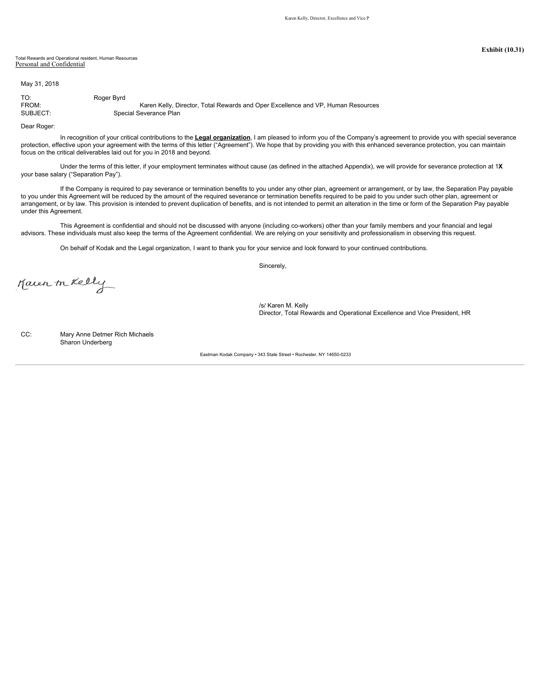### Total Rewards and Operational resident, Human Resources Personal and Confidential

May 31, 2018

TO: Roger Byrd<br>FROM:

FROM: Karen Kelly, Director, Total Rewards and Oper Excellence and VP, Human Resources<br>SUBJECT: Special Severance Plan Special Severance Plan

Dear Roger:

In recognition of your critical contributions to the **Legal organization**, I am pleased to inform you of the Company's agreement to provide you with special severance protection, effective upon your agreement with the terms of this letter ("Agreement"). We hope that by providing you with this enhanced severance protection, you can maintain focus on the critical deliverables laid out for you in 2018 and beyond.

Under the terms of this letter, if your employment terminates without cause (as defined in the attached Appendix), we will provide for severance protection at 1**X** your base salary ("Separation Pay").

If the Company is required to pay severance or termination benefits to you under any other plan, agreement or arrangement, or by law, the Separation Pay payable to you under this Agreement will be reduced by the amount of the required severance or termination benefits required to be paid to you under such other plan, agreement or arrangement, or by law. This provision is intended to prevent duplication of benefits, and is not intended to permit an alteration in the time or form of the Separation Pay payable under this Agreement.

This Agreement is confidential and should not be discussed with anyone (including co-workers) other than your family members and your financial and legal advisors. These individuals must also keep the terms of the Agreement confidential. We are relying on your sensitivity and professionalism in observing this request.

On behalf of Kodak and the Legal organization, I want to thank you for your service and look forward to your continued contributions.

Sincerely,

Kaven m Kelly

/s/ Karen M. Kelly Director, Total Rewards and Operational Excellence and Vice President, HR

CC: Mary Anne Detmer Rich Michaels Sharon Underberg

Eastman Kodak Company • 343 State Street • Rochester, NY 14650-0233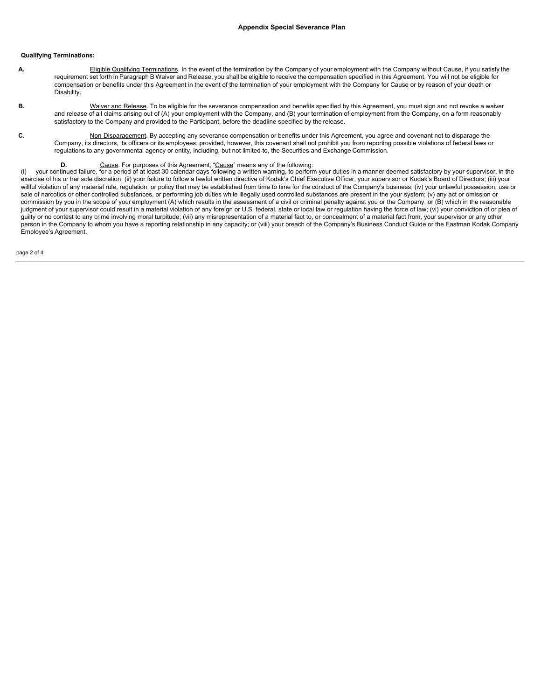## **Qualifying Terminations:**

- **A.** Eligible Qualifying Terminations. In the event of the termination by the Company of your employment with the Company without Cause, if you satisfy the requirement set forth in Paragraph B Waiver and Release, you shall be eligible to receive the compensation specified in this Agreement. You will not be eligible for compensation or benefits under this Agreement in the event of the termination of your employment with the Company for Cause or by reason of your death or Disability.
- **B.** Waiver and Release. To be eligible for the severance compensation and benefits specified by this Agreement, you must sign and not revoke a waiver and release of all claims arising out of (A) your employment with the Company, and (B) your termination of employment from the Company, on a form reasonably satisfactory to the Company and provided to the Participant, before the deadline specified by the release.
- **C.** Non-Disparagement. By accepting any severance compensation or benefits under this Agreement, you agree and covenant not to disparage the Company, its directors, its officers or its employees; provided, however, this covenant shall not prohibit you from reporting possible violations of federal laws or regulations to any governmental agency or entity, including, but not limited to, the Securities and Exchange Commission.
	-

D. D. Cause. For purposes of this Agreement, "<u>Cause</u>" means any of the following:<br>(i) your continued failure, for a period of at least 30 calendar days following a written warning, to perform your duties in a manner deeme exercise of his or her sole discretion; (ii) your failure to follow a lawful written directive of Kodak's Chief Executive Officer, your supervisor or Kodak's Board of Directors; (iii) your willful violation of any material rule, regulation, or policy that may be established from time to time for the conduct of the Company's business; (iv) your unlawful possession, use or sale of narcotics or other controlled substances, or performing job duties while illegally used controlled substances are present in the your system; (v) any act or omission or commission by you in the scope of your employment (A) which results in the assessment of a civil or criminal penalty against you or the Company, or (B) which in the reasonable judgment of your supervisor could result in a material violation of any foreign or U.S. federal, state or local law or regulation having the force of law; (vi) your conviction of or plea of guilty or no contest to any crime involving moral turpitude; (vii) any misrepresentation of a material fact to, or concealment of a material fact from, your supervisor or any other person in the Company to whom you have a reporting relationship in any capacity; or (viii) your breach of the Company's Business Conduct Guide or the Eastman Kodak Company Employee's Agreement.

page 2 of 4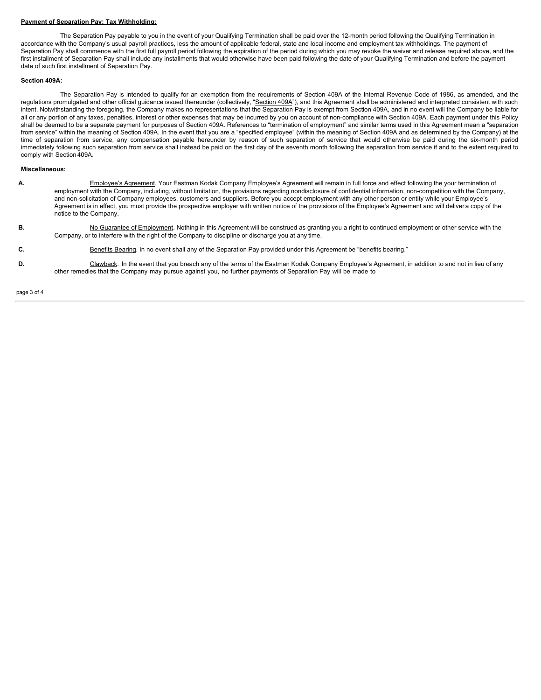## **Payment of Separation Pay; Tax Withholding:**

The Separation Pay payable to you in the event of your Qualifying Termination shall be paid over the 12-month period following the Qualifying Termination in accordance with the Company's usual payroll practices, less the amount of applicable federal, state and local income and employment tax withholdings. The payment of Separation Pay shall commence with the first full payroll period following the expiration of the period during which you may revoke the waiver and release required above, and the first installment of Separation Pay shall include any installments that would otherwise have been paid following the date of your Qualifying Termination and before the payment date of such first installment of Separation Pay.

### **Section 409A:**

The Separation Pay is intended to qualify for an exemption from the requirements of Section 409A of the Internal Revenue Code of 1986, as amended, and the regulations promulgated and other official guidance issued thereunder (collectively, "Section 409A"), and this Agreement shall be administered and interpreted consistent with such intent. Notwithstanding the foregoing, the Company makes no representations that the Separation Pay is exempt from Section 409A, and in no event will the Company be liable for all or any portion of any taxes, penalties, interest or other expenses that may be incurred by you on account of non-compliance with Section 409A. Each payment under this Policy shall be deemed to be a separate payment for purposes of Section 409A. References to "termination of employment" and similar terms used in this Agreement mean a "separation from service" within the meaning of Section 409A. In the event that you are a "specified employee" (within the meaning of Section 409A and as determined by the Company) at the time of separation from service, any compensat **Payment of Separation Pay. Tax.Withhelding:**<br>accordance with the Company's usual payor periodic from the send of approache tedesconfigure the 12-month period following the Cualifying Termination in<br>Separation Pay shall co immediately following such separation from service shall instead be paid on the first day of the seventh month following the separation from service if and to the extent required to comply with Section 409A.

### **Miscellaneous:**

- **A.** Employee's Agreement. Your Eastman Kodak Company Employee's Agreement will remain in full force and effect following the your termination of employment with the Company, including, without limitation, the provisions regarding nondisclosure of confidential information, non-competition with the Company, and non-solicitation of Company employees, customers and suppliers. Before you accept employment with any other person or entity while your Employee's Agreement is in effect, you must provide the prospective employer with written notice of the provisions of the Employee's Agreement and will deliver a copy of the notice to the Company.
- **B.** No Guarantee of Employment. Nothing in this Agreement will be construed as granting you a right to continued employment or other service with the Company, or to interfere with the right of the Company to discipline or discharge you at any time.
- **C.** Benefits Bearing. In no event shall any of the Separation Pay provided under this Agreement be "benefits bearing."
- D. Clawback. In the event that you breach any of the terms of the Eastman Kodak Company Employee's Agreement, in addition to and not in lieu of any other remedies that the Company may pursue against you, no further payments of Separation Pay will be made to

page 3 of 4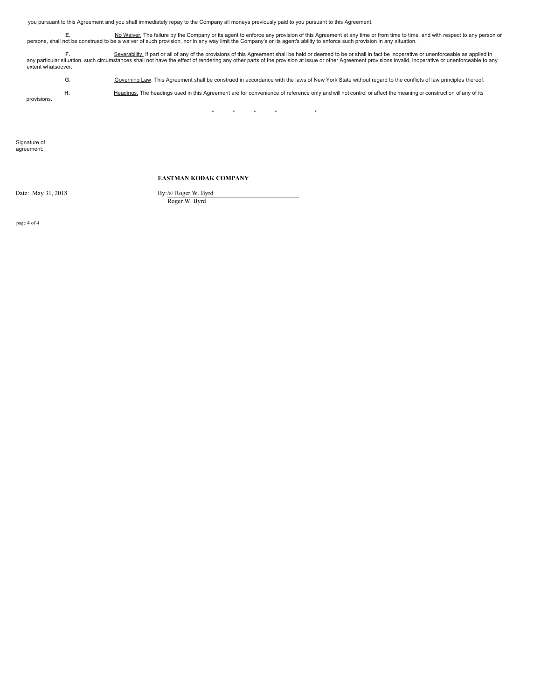you pursuant to this Agreement and you shall immediately repay to the Company all moneys previously paid to you pursuant to this Agreement.

E. No Waiver. The failure by the Company or its agent to enforce any provision of this Agreement at any time or from time to time, and with respect to any person or person or be a waiver of such provision, nor in any way l

F. Severability, If part or all of any of the provisions of this Agreement shall be held or deemed to be or shall in fact be inoperative or unenforceable as applied in Severability. If part or all of any of the provisions extent whatsoever.

**G.** Governing Law. This Agreement shall be construed in accordance with the laws of New York State without regard to the conflicts of law principles thereof.

H. Headings. The headings used in this Agreement are for convenience of reference only and will not control or affect the meaning or construction of any of its

\* \* \* \* \*

Signature of agreement:

provisions.

# **EASTMAN KODAK COMPANY**

Date: May 31, 2018 By:/s/ Roger W. Byrd

Roger W. Byrd

page 4 of 4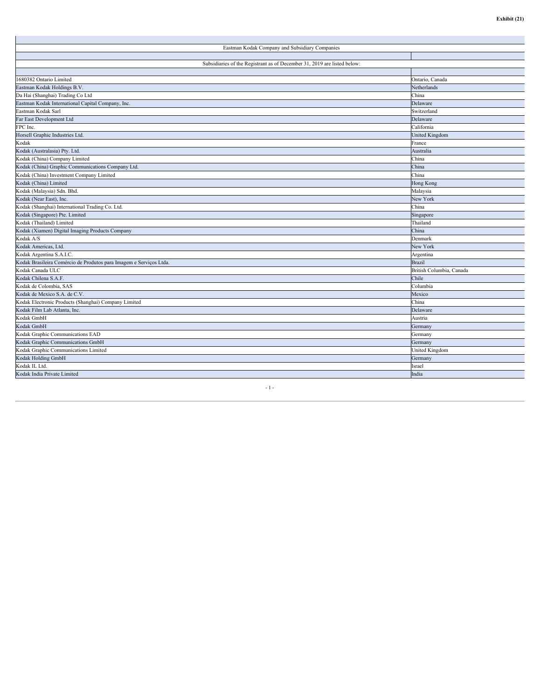| Eastman Kodak Company and Subsidiary Companies                           |                          |  |  |
|--------------------------------------------------------------------------|--------------------------|--|--|
|                                                                          |                          |  |  |
| Subsidiaries of the Registrant as of December 31, 2019 are listed below: |                          |  |  |
|                                                                          |                          |  |  |
| 1680382 Ontario Limited                                                  | Ontario, Canada          |  |  |
| Eastman Kodak Holdings B.V.                                              | Netherlands              |  |  |
| Da Hai (Shanghai) Trading Co Ltd                                         | China                    |  |  |
| Eastman Kodak International Capital Company, Inc.                        | Delaware                 |  |  |
| Eastman Kodak Sarl                                                       | Switzerland              |  |  |
| Far East Development Ltd                                                 | Delaware                 |  |  |
| FPC Inc.                                                                 | California               |  |  |
| Horsell Graphic Industries Ltd.                                          | United Kingdom           |  |  |
| Kodak                                                                    | rance                    |  |  |
| Kodak (Australasia) Pty. Ltd.                                            | Australia                |  |  |
| Kodak (China) Company Limited                                            | China                    |  |  |
| Kodak (China) Graphic Communications Company Ltd.                        | China                    |  |  |
| Kodak (China) Investment Company Limited                                 | China                    |  |  |
| Kodak (China) Limited                                                    | Hong Kong                |  |  |
| Kodak (Malaysia) Sdn. Bhd.                                               | Malaysia                 |  |  |
| Kodak (Near East), Inc.                                                  | New York                 |  |  |
| Kodak (Shanghai) International Trading Co. Ltd.                          | China                    |  |  |
| Kodak (Singapore) Pte. Limited                                           | Singapore                |  |  |
| Kodak (Thailand) Limited                                                 | Thailand                 |  |  |
| Kodak (Xiamen) Digital Imaging Products Company                          | China                    |  |  |
| Kodak A/S                                                                | Denmark                  |  |  |
| Kodak Americas, Ltd.                                                     | New York                 |  |  |
| Kodak Argentina S.A.I.C.                                                 | Argentina                |  |  |
| Kodak Brasileira Comércio de Produtos para Imagem e Serviços Ltda        | <b>Brazil</b>            |  |  |
| Kodak Canada ULC                                                         | British Columbia, Canada |  |  |
| Kodak Chilena S.A.F.                                                     | Chile                    |  |  |
| Kodak de Colombia, SAS                                                   | Columbia                 |  |  |
| Kodak de Mexico S.A. de C.V.                                             | Mexico                   |  |  |
| Kodak Electronic Products (Shanghai) Company Limited                     | China                    |  |  |
| Kodak Film Lab Atlanta, Inc.                                             | Delaware                 |  |  |
| Kodak GmbH                                                               | Austria                  |  |  |
| Kodak GmbH                                                               | Germany                  |  |  |
| Kodak Graphic Communications EAD                                         | Germany                  |  |  |
| Kodak Graphic Communications GmbH                                        | Germany                  |  |  |
| Kodak Graphic Communications Limited                                     | United Kingdom           |  |  |
| Kodak Holding GmbH                                                       | Germany                  |  |  |
| Kodak IL Ltd.                                                            | srael                    |  |  |
| Kodak India Private Limited                                              | India                    |  |  |
|                                                                          |                          |  |  |

 $\sim 1$  -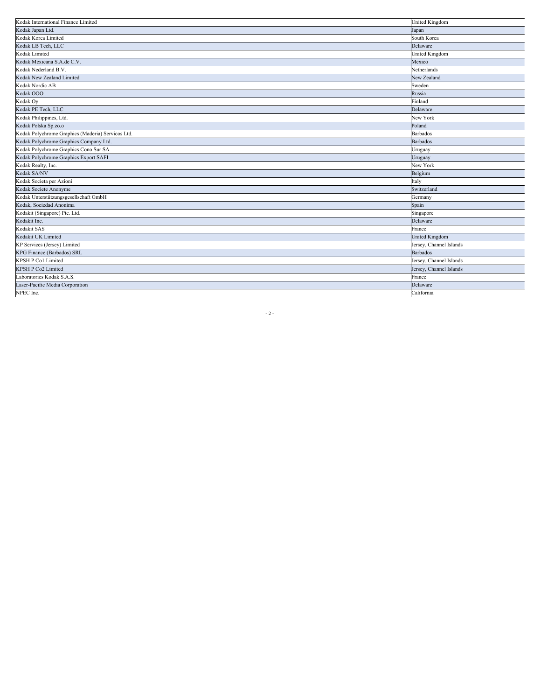| Kodak International Finance Limited               | <b>United Kingdom</b>   |
|---------------------------------------------------|-------------------------|
| Kodak Japan Ltd.                                  | Japan                   |
| Kodak Korea Limited                               | South Korea             |
| Kodak LB Tech, LLC                                | Delaware                |
| Kodak Limited                                     | United Kingdom          |
| Kodak Mexicana S.A.de C.V.                        | Mexico                  |
| Kodak Nederland B.V.                              | Netherlands             |
| Kodak New Zealand Limited                         | New Zealand             |
| Kodak Nordic AB                                   | Sweden                  |
| Kodak OOO                                         | Russia                  |
| Kodak Oy                                          | Finland                 |
| Kodak PE Tech, LLC                                | Delaware                |
| Kodak Philippines, Ltd.                           | New York                |
| Kodak Polska Sp.zo.o                              | Poland                  |
| Kodak Polychrome Graphics (Maderia) Servicos Ltd. | <b>Barbados</b>         |
| Kodak Polychrome Graphics Company Ltd.            | <b>Barbados</b>         |
| Kodak Polychrome Graphics Cono Sur SA             | Uruguay                 |
| Kodak Polychrome Graphics Export SAFI             | Uruguay                 |
| Kodak Realty, Inc.                                | New York                |
| Kodak SA/NV                                       | Belgium                 |
| Kodak Societa per Azioni                          | Italy                   |
| Kodak Societe Anonyme                             | Switzerland             |
| Kodak Unterstützungsgesellschaft GmbH             | Germany                 |
| Kodak, Sociedad Anonima                           | Spain                   |
| Kodakit (Singapore) Pte. Ltd.                     | Singapore               |
| Kodakit Inc.                                      | Delaware                |
| Kodakit SAS                                       | France                  |
| Kodakit UK Limited                                | <b>United Kingdom</b>   |
| KP Services (Jersey) Limited                      | Jersey, Channel Islands |
| KPG Finance (Barbados) SRL                        | <b>Barbados</b>         |
| KPSH P Co1 Limited                                | Jersey, Channel Islands |
| KPSH P Co2 Limited                                | Jersey, Channel Islands |
| Laboratories Kodak S.A.S.                         | France                  |
| Laser-Pacific Media Corporation                   | Delaware                |
| NPEC Inc.                                         | California              |
|                                                   |                         |

 $- 2 -$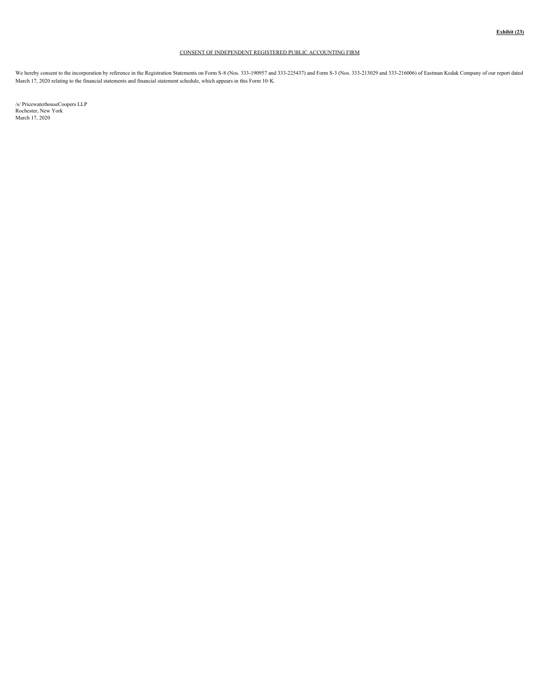# CONSENT OF INDEPENDENT REGISTERED PUBLIC ACCOUNTING FIRM

We hereby consent to the incorporation by reference in the Registration Statements on Form S-8 (Nos. 333-213027 and 333-213437) and Form S-3 (Nos. 333-213029 and 333-216006) of Eastman Kodak Company of our report dated March 17, 2020 relating to the financial statements and financial statement schedule, which appears in this Form 10‑K.

/s/ PricewaterhouseCoopers LLP Rochester, New York March 17, 2020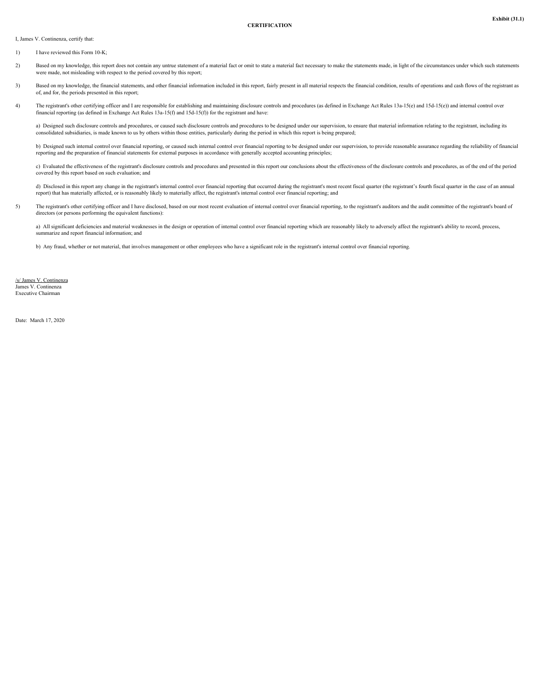I, James V. Continenza, certify that:

- 1) I have reviewed this Form 10-K;
- 2) Based on my knowledge, this report does not contain any untrue statement of a material fact or omit to state a material fact necessary to make the statements made, in light of the circumstances under which such statemen were made, not misleading with respect to the period covered by this report;
- 3) Based on my knowledge, the financial statements, and other financial information included in this report, fairly present in all material respects the financial condition, results of operations and cash flows of the regi of, and for, the periods presented in this report;
- 4) The registrant's other certifying officer and I are responsible for establishing and maintaining disclosure controls and procedures (as defined in Exchange Act Rules 13a-15(e) and 15d-15(e)) and internal control over financial reporting (as defined in Exchange Act Rules 13a-15(f) and 15d-15(f)) for the registrant and have:

a) Designed such disclosure controls and procedures, or caused such disclosure controls and procedures to be designed under our supervision, to ensure that material information relating to the registrant, including its consolidated subsidiaries, is made known to us by others within those entities, particularly during the period in which this report is being prepared;

b) Designed such internal control over financial reporting, or caused such internal control over financial reporting to be designed under our supervision, to provide reasonable assurance regarding the reliability of financ reporting and the preparation of financial statements for external purposes in accordance with generally accepted accounting principles;

c) Evaluated the effectiveness of the registrant's disclosure controls and procedures and presented in this report our conclusions about the effectiveness of the disclosure controls and procedures, as of the end of the per covered by this report based on such evaluation; and

d) Disclosed in this report any change in the registrant's internal control over financial reporting that occurred during the registrant's most recent fiscal quarter (the registrant's fourth fiscal quarter in the case of a report) that has materially affected, or is reasonably likely to materially affect, the registrant's internal control over financial reporting; and

5) The registrant's other certifying officer and I have disclosed, based on our most recent evaluation of internal control over financial reporting, to the registrant's auditors and the audit committee of the registrant's directors (or persons performing the equivalent functions):

a) All significant deficiencies and material weaknesses in the design or operation of internal control over financial reporting which are reasonably likely to adversely affect the registrant's ability to record, process, summarize and report financial information; and

b) Any fraud, whether or not material, that involves management or other employees who have a significant role in the registrant's internal control over financial reporting.

/s/ James V. Continenza James V. Continenza Executive Chairman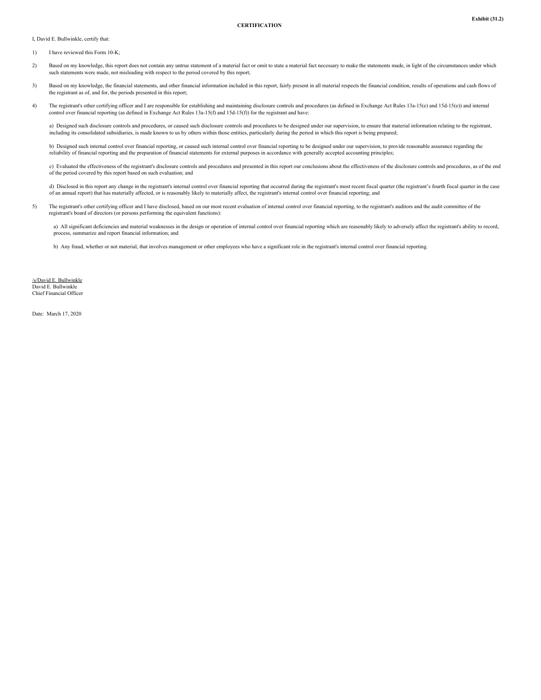#### **CERTIFICATION**

I, David E. Bullwinkle, certify that:

- 1) I have reviewed this Form 10-K<sup>-</sup>
- 2) Based on my knowledge, this report does not contain any untrue statement of a material fact or omit to state a material fact necessary to make the statements made, in light of the circumstances under which such statements were made, not misleading with respect to the period covered by this report;
- 3) Based on my knowledge, the financial statements, and other financial information included in this report, fairly present in all material respects the financial condition, results of operations and cash flows of the registrant as of, and for, the periods presented in this report;
- 4) The registrant's other certifying officer and I are responsible for establishing and maintaining disclosure controls and procedures (as defined in Exchange Act Rules 13a-15(e) and 15d-15(e)) and internal control over financial reporting (as defined in Exchange Act Rules 13a-15(f) and 15d-15(f)) for the registrant and have:

a) Designed such disclosure controls and procedures, or caused such disclosure controls and procedures to be designed under our supervision, to ensure that material information relating to the registrant, including its consolidated subsidiaries, is made known to us by others within those entities, particularly during the period in which this report is being prepared;

b) Designed such internal control over financial reporting, or caused such internal control over financial reporting to be designed under our supervision, to provide reasonable assurance regarding the reliability of financial reporting and the preparation of financial statements for external purposes in accordance with generally accepted accounting principles;

c) Evaluated the effectiveness of the registrant's disclosure controls and procedures and presented in this report our conclusions about the effectiveness of the disclosure controls and procedures, as of the end of the period covered by this report based on such evaluation; and

d) Disclosed in this report any change in the registrant's internal control over financial reporting that occurred during the registrant's most recent fiscal quarter (the registrant's fourth fiscal quarter in the case of an annual report) that has materially affected, or is reasonably likely to materially affect, the registrant's internal control over financial reporting; and

5) The registrant's other certifying officer and I have disclosed, based on our most recent evaluation of internal control over financial reporting, to the registrant's auditors and the audit committee of the registrant's board of directors (or persons performing the equivalent functions):

a) All significant deficiencies and material weaknesses in the design or operation of internal control over financial reporting which are reasonably likely to adversely affect the registrant's ability to record, process, summarize and report financial information; and

b) Any fraud, whether or not material, that involves management or other employees who have a significant role in the registrant's internal control over financial reporting.

/s/David E. Bullwinkle David E. Bullwinkle Chief Financial Officer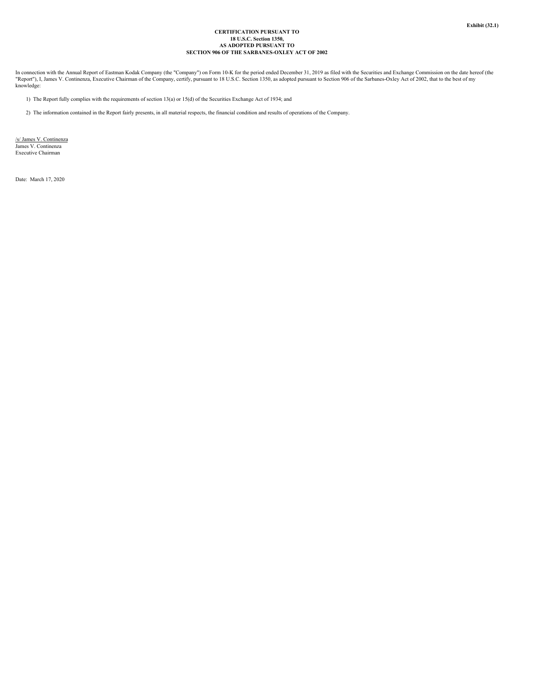# **CERTIFICATION PURSUANT TO 18 U.S.C. Section 1350, AS ADOPTED PURSUANT TO SECTION 906 OF THE SARBANES-OXLEY ACT OF 2002**

In connection with the Annual Report of Eastman Kodak Company (the "Company") on Form 10-K for the period ended December 31, 2019 as filed with the Securities and Exchange Commission on the date hereof (the<br>"Report"), I, J knowledge:

- 1) The Report fully complies with the requirements of section 13(a) or 15(d) of the Securities Exchange Act of 1934; and
- 2) The information contained in the Report fairly presents, in all material respects, the financial condition and results of operations of the Company.

/s/ James V. Continenza<br>James V. Continenza<br>Executive Chairman